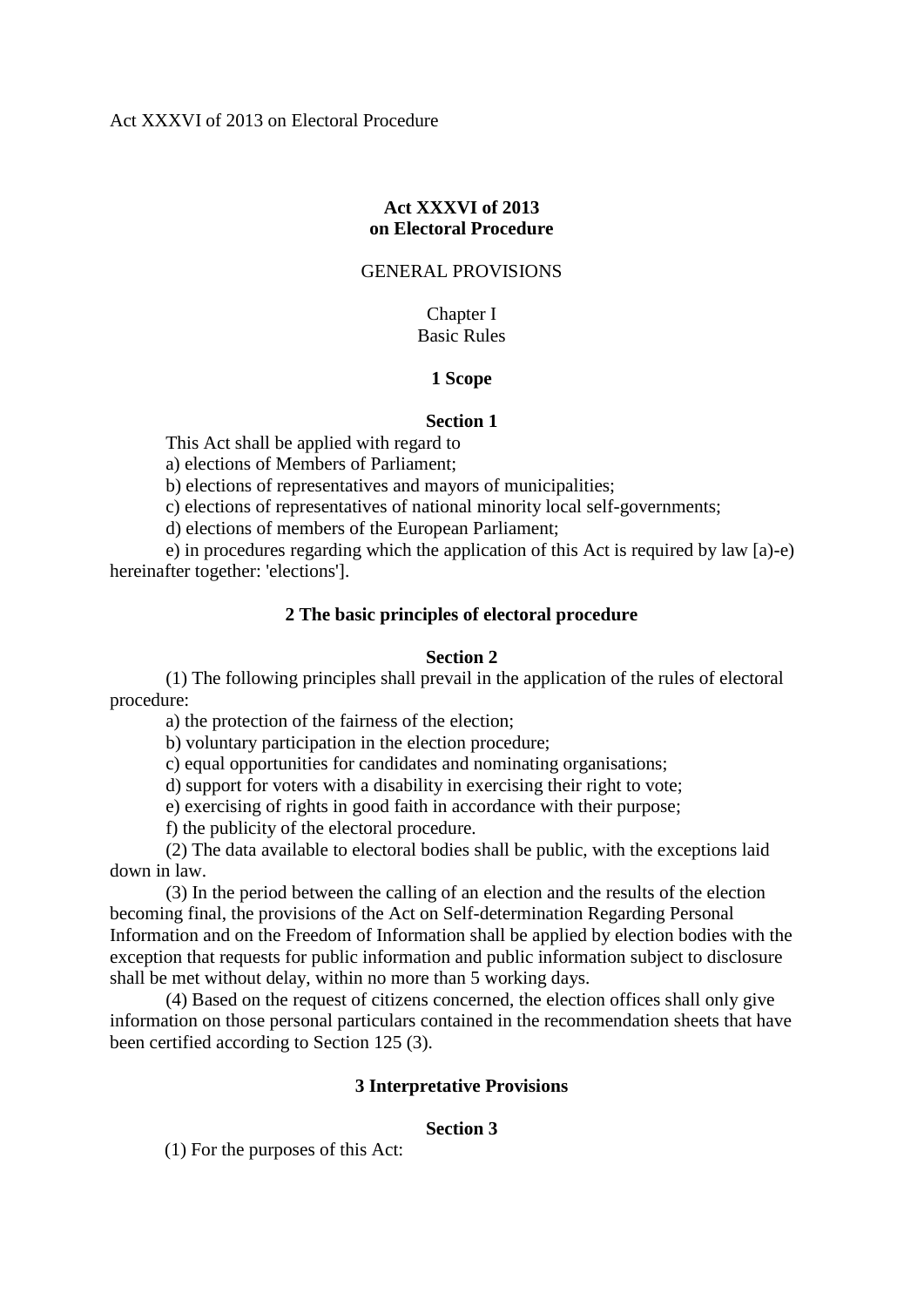# **Act XXXVI of 2013 on Electoral Procedure**

## GENERAL PROVISIONS

# Chapter I Basic Rules

# **1 Scope**

# **Section 1**

This Act shall be applied with regard to

a) elections of Members of Parliament;

b) elections of representatives and mayors of municipalities;

c) elections of representatives of national minority local self-governments;

d) elections of members of the European Parliament;

 e) in procedures regarding which the application of this Act is required by law [a)-e) hereinafter together: 'elections'].

# **2 The basic principles of electoral procedure**

# **Section 2**

 (1) The following principles shall prevail in the application of the rules of electoral procedure:

a) the protection of the fairness of the election;

b) voluntary participation in the election procedure;

c) equal opportunities for candidates and nominating organisations;

d) support for voters with a disability in exercising their right to vote;

e) exercising of rights in good faith in accordance with their purpose;

f) the publicity of the electoral procedure.

 (2) The data available to electoral bodies shall be public, with the exceptions laid down in law.

 (3) In the period between the calling of an election and the results of the election becoming final, the provisions of the Act on Self-determination Regarding Personal Information and on the Freedom of Information shall be applied by election bodies with the exception that requests for public information and public information subject to disclosure shall be met without delay, within no more than 5 working days.

 (4) Based on the request of citizens concerned, the election offices shall only give information on those personal particulars contained in the recommendation sheets that have been certified according to Section 125 (3).

# **3 Interpretative Provisions**

# **Section 3**

(1) For the purposes of this Act: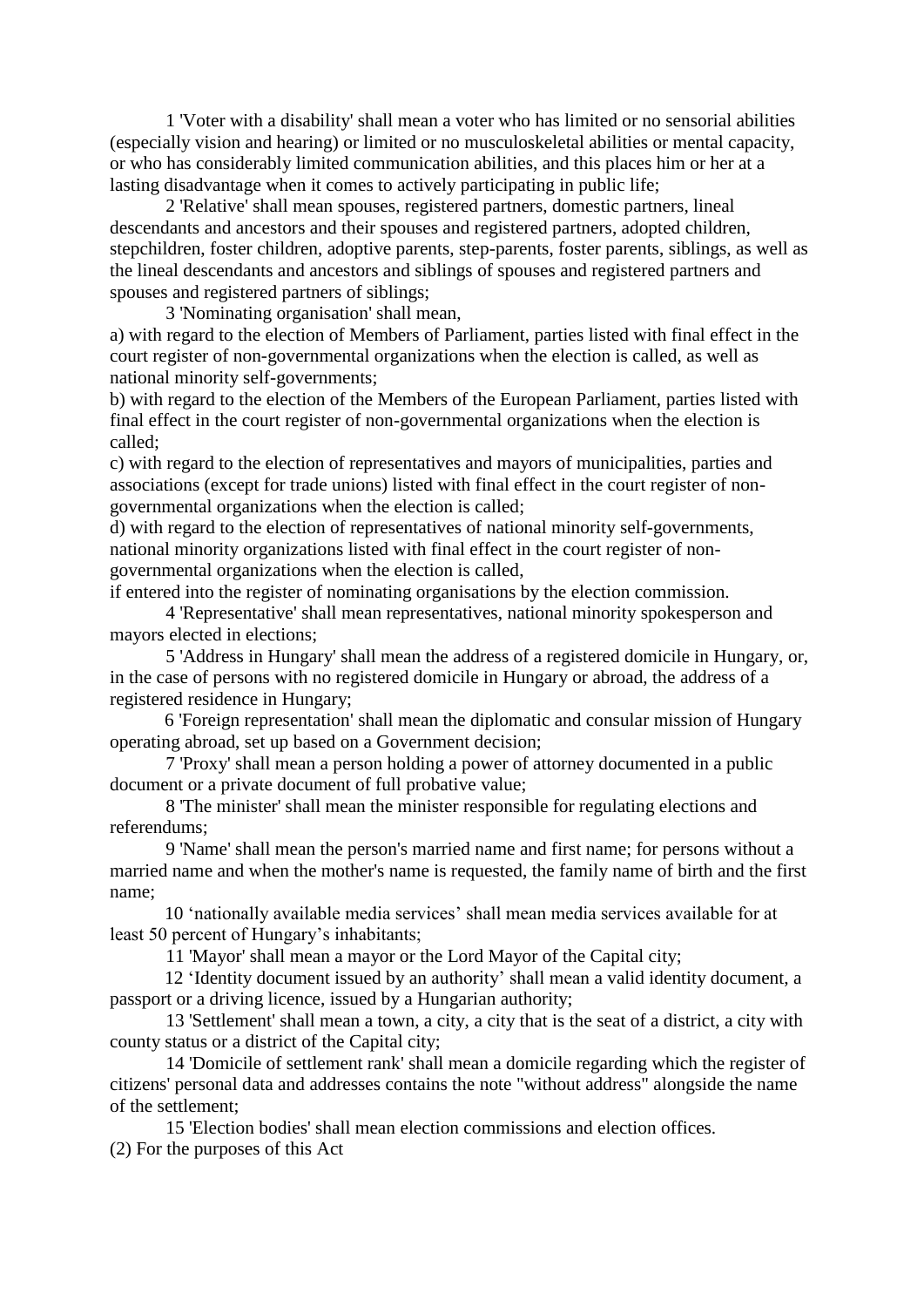1 'Voter with a disability' shall mean a voter who has limited or no sensorial abilities (especially vision and hearing) or limited or no musculoskeletal abilities or mental capacity, or who has considerably limited communication abilities, and this places him or her at a lasting disadvantage when it comes to actively participating in public life;

 2 'Relative' shall mean spouses, registered partners, domestic partners, lineal descendants and ancestors and their spouses and registered partners, adopted children, stepchildren, foster children, adoptive parents, step-parents, foster parents, siblings, as well as the lineal descendants and ancestors and siblings of spouses and registered partners and spouses and registered partners of siblings;

3 'Nominating organisation' shall mean,

a) with regard to the election of Members of Parliament, parties listed with final effect in the court register of non-governmental organizations when the election is called, as well as national minority self-governments;

b) with regard to the election of the Members of the European Parliament, parties listed with final effect in the court register of non-governmental organizations when the election is called;

c) with regard to the election of representatives and mayors of municipalities, parties and associations (except for trade unions) listed with final effect in the court register of nongovernmental organizations when the election is called;

d) with regard to the election of representatives of national minority self-governments, national minority organizations listed with final effect in the court register of nongovernmental organizations when the election is called,

if entered into the register of nominating organisations by the election commission.

 4 'Representative' shall mean representatives, national minority spokesperson and mayors elected in elections;

 5 'Address in Hungary' shall mean the address of a registered domicile in Hungary, or, in the case of persons with no registered domicile in Hungary or abroad, the address of a registered residence in Hungary;

6 'Foreign representation' shall mean the diplomatic and consular mission of Hungary operating abroad, set up based on a Government decision;

 7 'Proxy' shall mean a person holding a power of attorney documented in a public document or a private document of full probative value;

 8 'The minister' shall mean the minister responsible for regulating elections and referendums;

 9 'Name' shall mean the person's married name and first name; for persons without a married name and when the mother's name is requested, the family name of birth and the first name;

10 'nationally available media services' shall mean media services available for at least 50 percent of Hungary's inhabitants;

11 'Mayor' shall mean a mayor or the Lord Mayor of the Capital city;

12 'Identity document issued by an authority' shall mean a valid identity document, a passport or a driving licence, issued by a Hungarian authority;

 13 'Settlement' shall mean a town, a city, a city that is the seat of a district, a city with county status or a district of the Capital city;

 14 'Domicile of settlement rank' shall mean a domicile regarding which the register of citizens' personal data and addresses contains the note "without address" alongside the name of the settlement;

 15 'Election bodies' shall mean election commissions and election offices. (2) For the purposes of this Act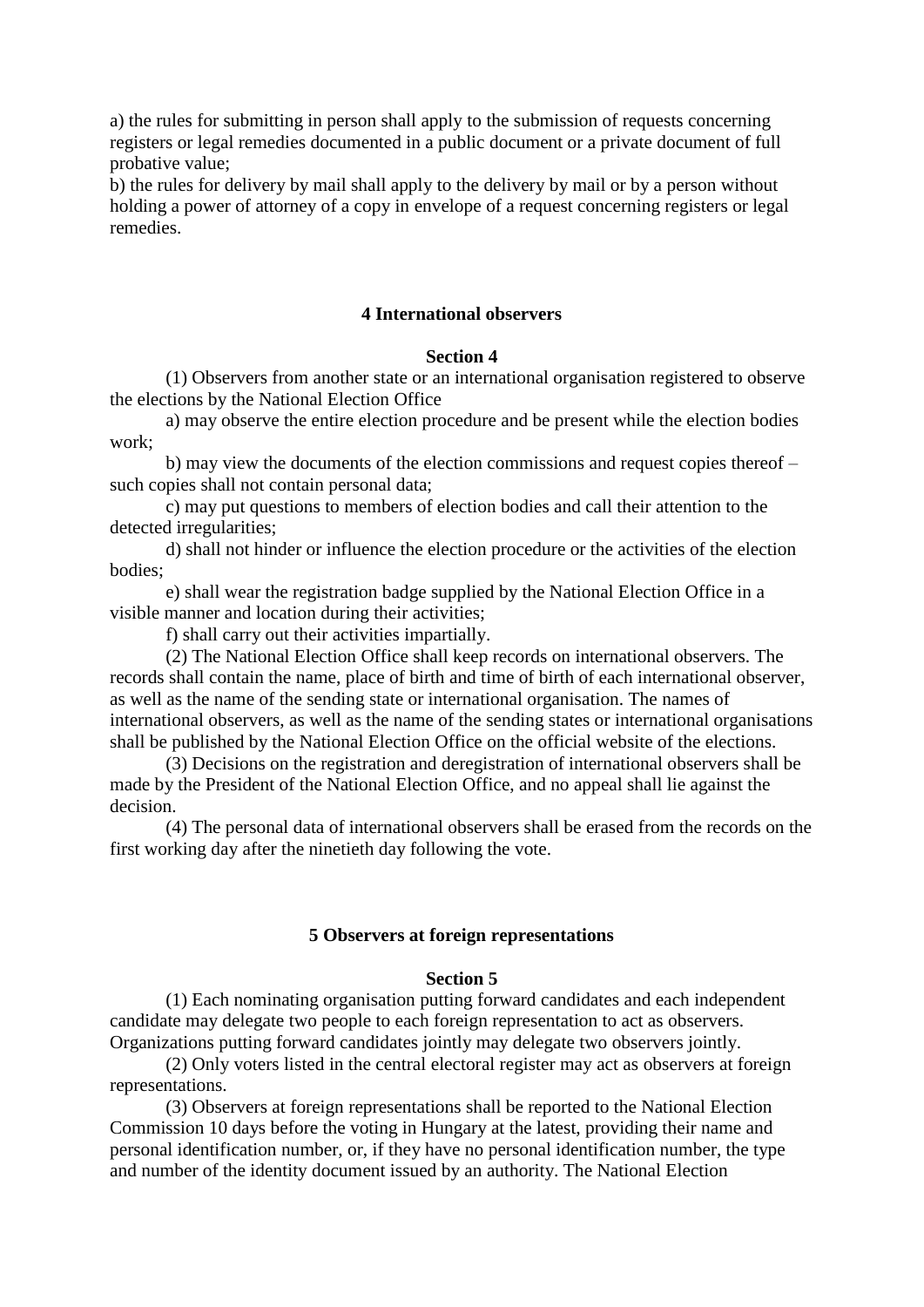a) the rules for submitting in person shall apply to the submission of requests concerning registers or legal remedies documented in a public document or a private document of full probative value;

b) the rules for delivery by mail shall apply to the delivery by mail or by a person without holding a power of attorney of a copy in envelope of a request concerning registers or legal remedies.

## **4 International observers**

### **Section 4**

 (1) Observers from another state or an international organisation registered to observe the elections by the National Election Office

 a) may observe the entire election procedure and be present while the election bodies work;

 b) may view the documents of the election commissions and request copies thereof – such copies shall not contain personal data;

 c) may put questions to members of election bodies and call their attention to the detected irregularities;

 d) shall not hinder or influence the election procedure or the activities of the election bodies;

 e) shall wear the registration badge supplied by the National Election Office in a visible manner and location during their activities;

f) shall carry out their activities impartially.

 (2) The National Election Office shall keep records on international observers. The records shall contain the name, place of birth and time of birth of each international observer, as well as the name of the sending state or international organisation. The names of international observers, as well as the name of the sending states or international organisations shall be published by the National Election Office on the official website of the elections.

 (3) Decisions on the registration and deregistration of international observers shall be made by the President of the National Election Office, and no appeal shall lie against the decision.

 (4) The personal data of international observers shall be erased from the records on the first working day after the ninetieth day following the vote.

### **5 Observers at foreign representations**

## **Section 5**

 (1) Each nominating organisation putting forward candidates and each independent candidate may delegate two people to each foreign representation to act as observers. Organizations putting forward candidates jointly may delegate two observers jointly.

 (2) Only voters listed in the central electoral register may act as observers at foreign representations.

 (3) Observers at foreign representations shall be reported to the National Election Commission 10 days before the voting in Hungary at the latest, providing their name and personal identification number, or, if they have no personal identification number, the type and number of the identity document issued by an authority. The National Election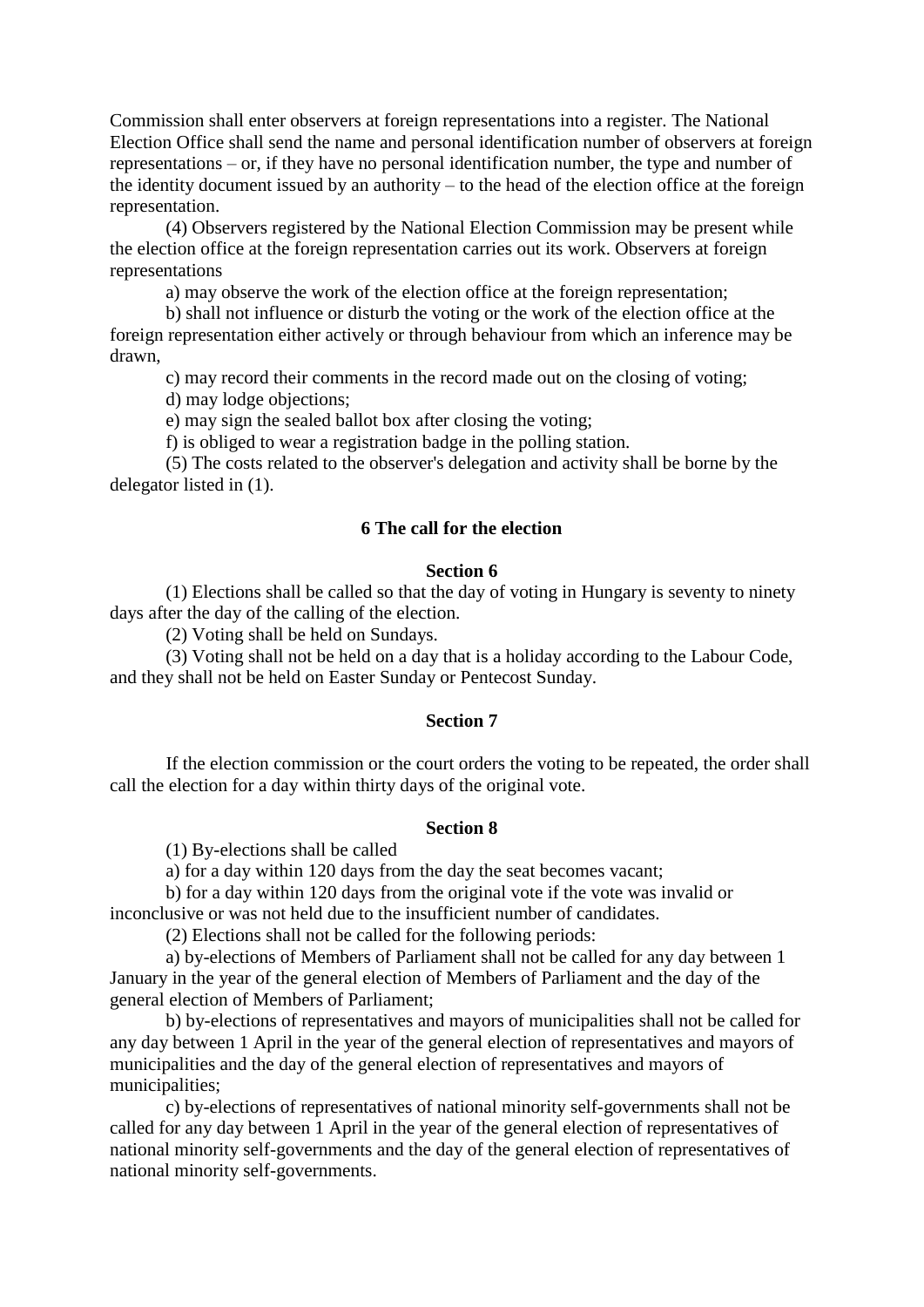Commission shall enter observers at foreign representations into a register. The National Election Office shall send the name and personal identification number of observers at foreign representations – or, if they have no personal identification number, the type and number of the identity document issued by an authority – to the head of the election office at the foreign representation.

 (4) Observers registered by the National Election Commission may be present while the election office at the foreign representation carries out its work. Observers at foreign representations

a) may observe the work of the election office at the foreign representation;

 b) shall not influence or disturb the voting or the work of the election office at the foreign representation either actively or through behaviour from which an inference may be drawn,

c) may record their comments in the record made out on the closing of voting;

d) may lodge objections;

e) may sign the sealed ballot box after closing the voting;

f) is obliged to wear a registration badge in the polling station.

 (5) The costs related to the observer's delegation and activity shall be borne by the delegator listed in (1).

## **6 The call for the election**

#### **Section 6**

 (1) Elections shall be called so that the day of voting in Hungary is seventy to ninety days after the day of the calling of the election.

(2) Voting shall be held on Sundays.

 (3) Voting shall not be held on a day that is a holiday according to the Labour Code, and they shall not be held on Easter Sunday or Pentecost Sunday.

## **Section 7**

 If the election commission or the court orders the voting to be repeated, the order shall call the election for a day within thirty days of the original vote.

#### **Section 8**

(1) By-elections shall be called

a) for a day within 120 days from the day the seat becomes vacant;

 b) for a day within 120 days from the original vote if the vote was invalid or inconclusive or was not held due to the insufficient number of candidates.

(2) Elections shall not be called for the following periods:

 a) by-elections of Members of Parliament shall not be called for any day between 1 January in the year of the general election of Members of Parliament and the day of the general election of Members of Parliament;

 b) by-elections of representatives and mayors of municipalities shall not be called for any day between 1 April in the year of the general election of representatives and mayors of municipalities and the day of the general election of representatives and mayors of municipalities;

 c) by-elections of representatives of national minority self-governments shall not be called for any day between 1 April in the year of the general election of representatives of national minority self-governments and the day of the general election of representatives of national minority self-governments.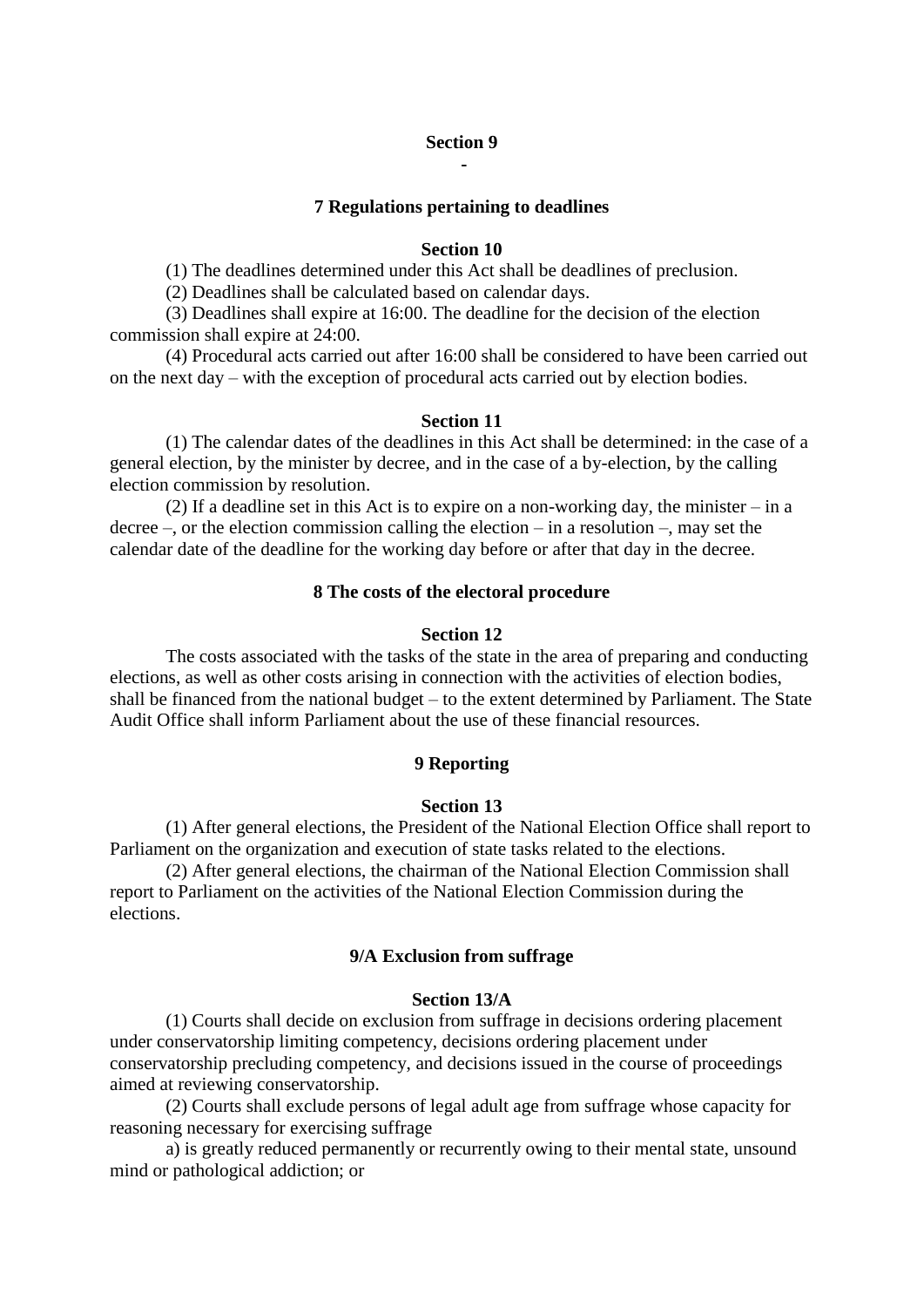## **Section 9 -**

#### **7 Regulations pertaining to deadlines**

## **Section 10**

(1) The deadlines determined under this Act shall be deadlines of preclusion.

(2) Deadlines shall be calculated based on calendar days.

 (3) Deadlines shall expire at 16:00. The deadline for the decision of the election commission shall expire at 24:00.

 (4) Procedural acts carried out after 16:00 shall be considered to have been carried out on the next day – with the exception of procedural acts carried out by election bodies.

## **Section 11**

 (1) The calendar dates of the deadlines in this Act shall be determined: in the case of a general election, by the minister by decree, and in the case of a by-election, by the calling election commission by resolution.

 (2) If a deadline set in this Act is to expire on a non-working day, the minister – in a decree –, or the election commission calling the election – in a resolution –, may set the calendar date of the deadline for the working day before or after that day in the decree.

#### **8 The costs of the electoral procedure**

#### **Section 12**

 The costs associated with the tasks of the state in the area of preparing and conducting elections, as well as other costs arising in connection with the activities of election bodies, shall be financed from the national budget – to the extent determined by Parliament. The State Audit Office shall inform Parliament about the use of these financial resources.

### **9 Reporting**

#### **Section 13**

 (1) After general elections, the President of the National Election Office shall report to Parliament on the organization and execution of state tasks related to the elections.

 (2) After general elections, the chairman of the National Election Commission shall report to Parliament on the activities of the National Election Commission during the elections.

### **9/A Exclusion from suffrage**

#### **Section 13/A**

 (1) Courts shall decide on exclusion from suffrage in decisions ordering placement under conservatorship limiting competency, decisions ordering placement under conservatorship precluding competency, and decisions issued in the course of proceedings aimed at reviewing conservatorship.

 (2) Courts shall exclude persons of legal adult age from suffrage whose capacity for reasoning necessary for exercising suffrage

 a) is greatly reduced permanently or recurrently owing to their mental state, unsound mind or pathological addiction; or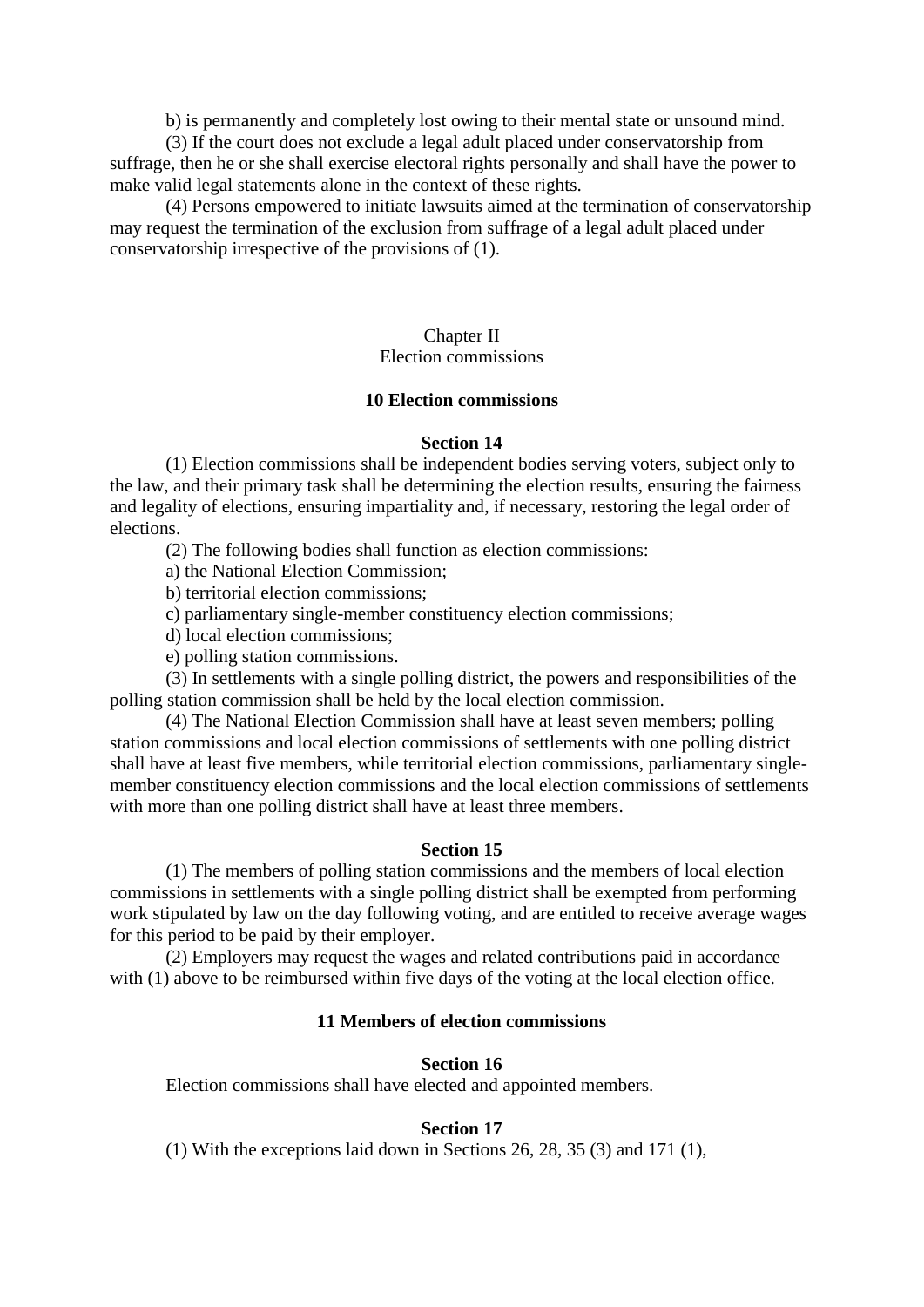b) is permanently and completely lost owing to their mental state or unsound mind.

 (3) If the court does not exclude a legal adult placed under conservatorship from suffrage, then he or she shall exercise electoral rights personally and shall have the power to make valid legal statements alone in the context of these rights.

 (4) Persons empowered to initiate lawsuits aimed at the termination of conservatorship may request the termination of the exclusion from suffrage of a legal adult placed under conservatorship irrespective of the provisions of (1).

## Chapter II

# Election commissions

## **10 Election commissions**

### **Section 14**

 (1) Election commissions shall be independent bodies serving voters, subject only to the law, and their primary task shall be determining the election results, ensuring the fairness and legality of elections, ensuring impartiality and, if necessary, restoring the legal order of elections.

(2) The following bodies shall function as election commissions:

a) the National Election Commission;

b) territorial election commissions;

c) parliamentary single-member constituency election commissions;

d) local election commissions;

e) polling station commissions.

 (3) In settlements with a single polling district, the powers and responsibilities of the polling station commission shall be held by the local election commission.

 (4) The National Election Commission shall have at least seven members; polling station commissions and local election commissions of settlements with one polling district shall have at least five members, while territorial election commissions, parliamentary singlemember constituency election commissions and the local election commissions of settlements with more than one polling district shall have at least three members.

### **Section 15**

 (1) The members of polling station commissions and the members of local election commissions in settlements with a single polling district shall be exempted from performing work stipulated by law on the day following voting, and are entitled to receive average wages for this period to be paid by their employer.

 (2) Employers may request the wages and related contributions paid in accordance with (1) above to be reimbursed within five days of the voting at the local election office.

## **11 Members of election commissions**

## **Section 16**

Election commissions shall have elected and appointed members.

## **Section 17**

(1) With the exceptions laid down in Sections 26, 28, 35 (3) and 171 (1),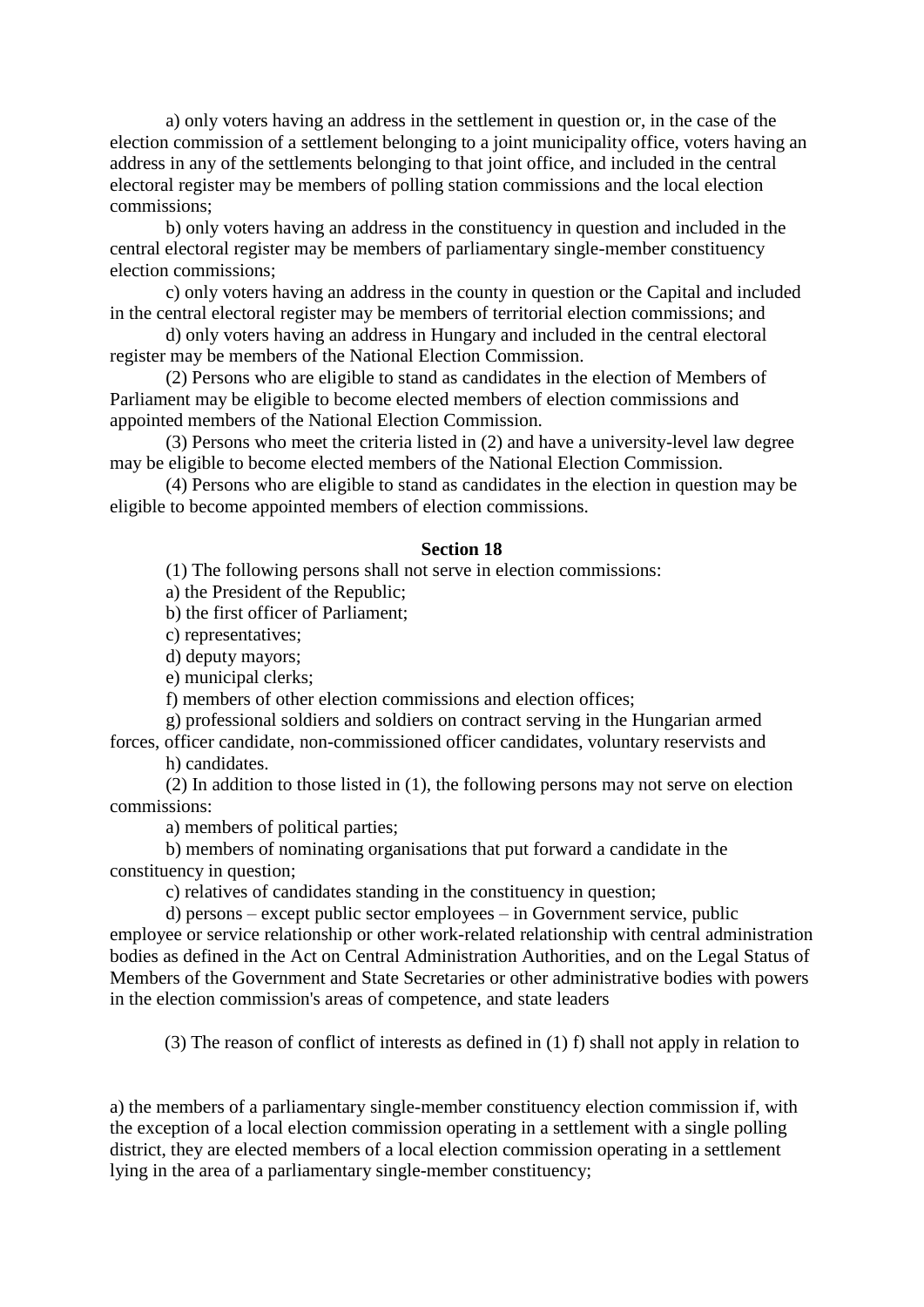a) only voters having an address in the settlement in question or, in the case of the election commission of a settlement belonging to a joint municipality office, voters having an address in any of the settlements belonging to that joint office, and included in the central electoral register may be members of polling station commissions and the local election commissions;

 b) only voters having an address in the constituency in question and included in the central electoral register may be members of parliamentary single-member constituency election commissions;

 c) only voters having an address in the county in question or the Capital and included in the central electoral register may be members of territorial election commissions; and

 d) only voters having an address in Hungary and included in the central electoral register may be members of the National Election Commission.

 (2) Persons who are eligible to stand as candidates in the election of Members of Parliament may be eligible to become elected members of election commissions and appointed members of the National Election Commission.

 (3) Persons who meet the criteria listed in (2) and have a university-level law degree may be eligible to become elected members of the National Election Commission.

 (4) Persons who are eligible to stand as candidates in the election in question may be eligible to become appointed members of election commissions.

#### **Section 18**

(1) The following persons shall not serve in election commissions:

a) the President of the Republic;

b) the first officer of Parliament;

c) representatives;

d) deputy mayors;

e) municipal clerks;

f) members of other election commissions and election offices;

g) professional soldiers and soldiers on contract serving in the Hungarian armed

forces, officer candidate, non-commissioned officer candidates, voluntary reservists and h) candidates.

 (2) In addition to those listed in (1), the following persons may not serve on election commissions:

a) members of political parties;

 b) members of nominating organisations that put forward a candidate in the constituency in question;

c) relatives of candidates standing in the constituency in question;

d) persons – except public sector employees – in Government service, public

employee or service relationship or other work-related relationship with central administration bodies as defined in the Act on Central Administration Authorities, and on the Legal Status of Members of the Government and State Secretaries or other administrative bodies with powers in the election commission's areas of competence, and state leaders

(3) The reason of conflict of interests as defined in (1) f) shall not apply in relation to

a) the members of a parliamentary single-member constituency election commission if, with the exception of a local election commission operating in a settlement with a single polling district, they are elected members of a local election commission operating in a settlement lying in the area of a parliamentary single-member constituency;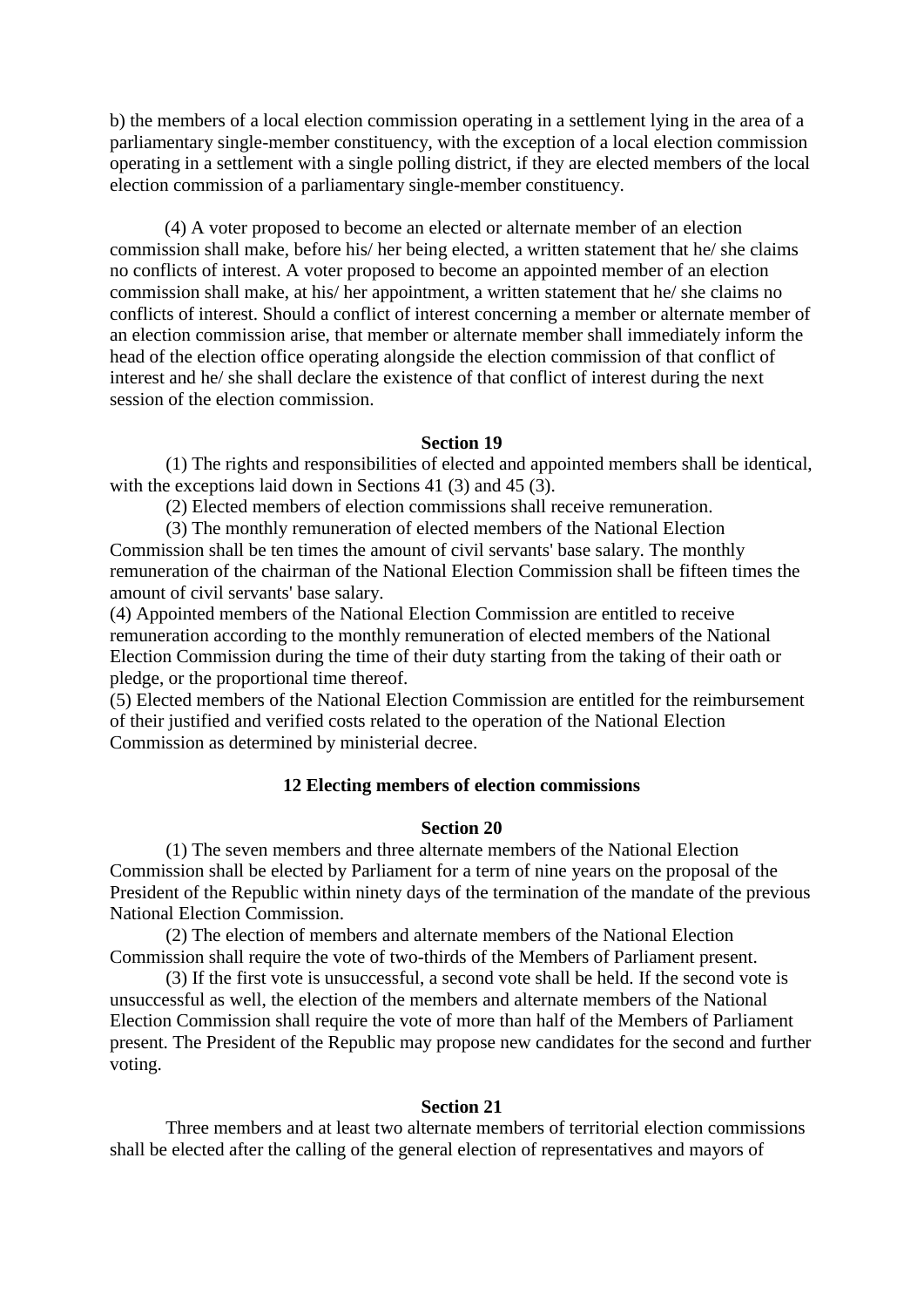b) the members of a local election commission operating in a settlement lying in the area of a parliamentary single-member constituency, with the exception of a local election commission operating in a settlement with a single polling district, if they are elected members of the local election commission of a parliamentary single-member constituency.

(4) A voter proposed to become an elected or alternate member of an election commission shall make, before his/ her being elected, a written statement that he/ she claims no conflicts of interest. A voter proposed to become an appointed member of an election commission shall make, at his/ her appointment, a written statement that he/ she claims no conflicts of interest. Should a conflict of interest concerning a member or alternate member of an election commission arise, that member or alternate member shall immediately inform the head of the election office operating alongside the election commission of that conflict of interest and he/ she shall declare the existence of that conflict of interest during the next session of the election commission.

#### **Section 19**

 (1) The rights and responsibilities of elected and appointed members shall be identical, with the exceptions laid down in Sections 41 (3) and 45 (3).

(2) Elected members of election commissions shall receive remuneration.

 (3) The monthly remuneration of elected members of the National Election Commission shall be ten times the amount of civil servants' base salary. The monthly remuneration of the chairman of the National Election Commission shall be fifteen times the amount of civil servants' base salary.

(4) Appointed members of the National Election Commission are entitled to receive remuneration according to the monthly remuneration of elected members of the National Election Commission during the time of their duty starting from the taking of their oath or pledge, or the proportional time thereof.

(5) Elected members of the National Election Commission are entitled for the reimbursement of their justified and verified costs related to the operation of the National Election Commission as determined by ministerial decree.

### **12 Electing members of election commissions**

#### **Section 20**

 (1) The seven members and three alternate members of the National Election Commission shall be elected by Parliament for a term of nine years on the proposal of the President of the Republic within ninety days of the termination of the mandate of the previous National Election Commission.

 (2) The election of members and alternate members of the National Election Commission shall require the vote of two-thirds of the Members of Parliament present.

 (3) If the first vote is unsuccessful, a second vote shall be held. If the second vote is unsuccessful as well, the election of the members and alternate members of the National Election Commission shall require the vote of more than half of the Members of Parliament present. The President of the Republic may propose new candidates for the second and further voting.

### **Section 21**

 Three members and at least two alternate members of territorial election commissions shall be elected after the calling of the general election of representatives and mayors of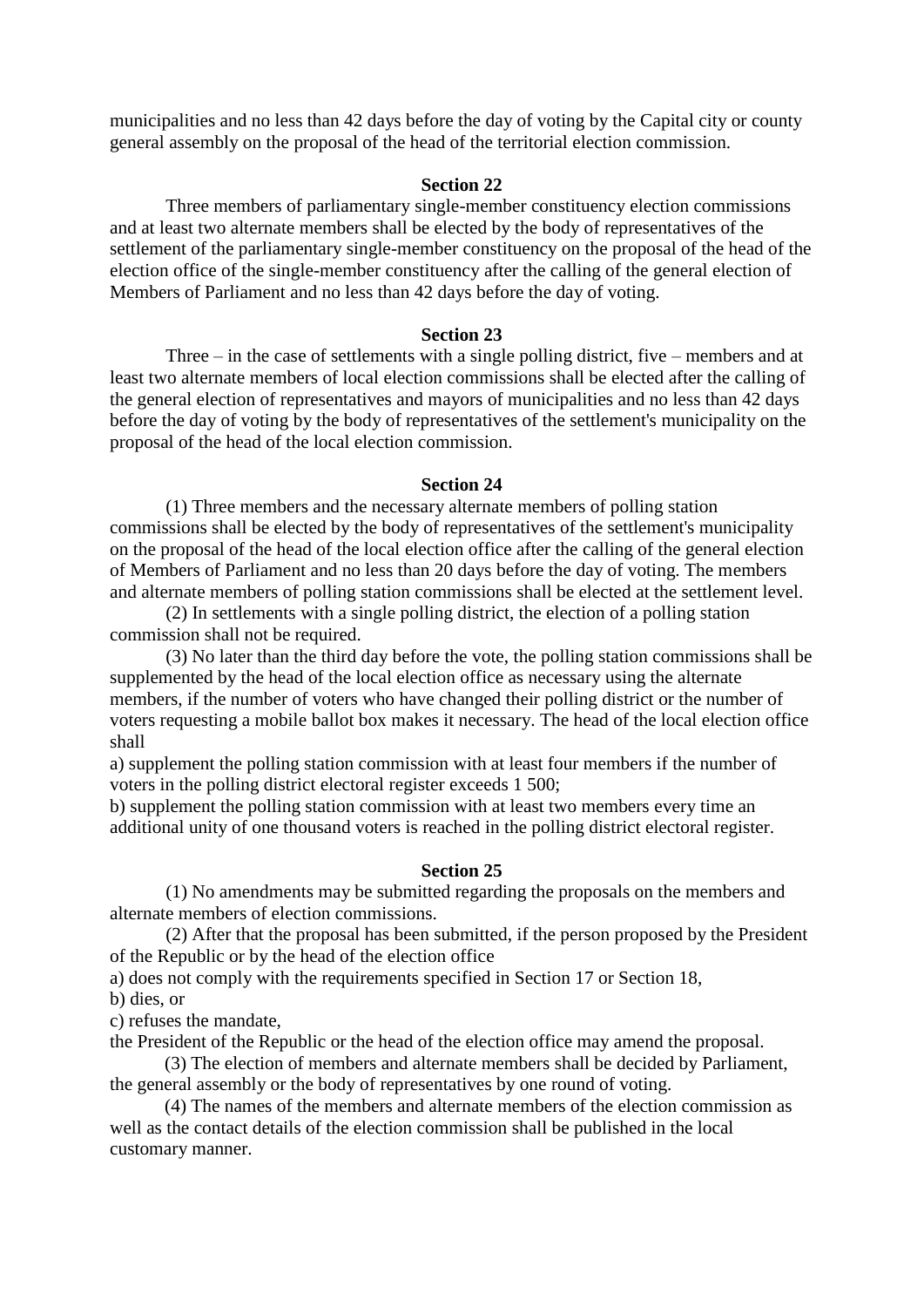municipalities and no less than 42 days before the day of voting by the Capital city or county general assembly on the proposal of the head of the territorial election commission.

#### **Section 22**

 Three members of parliamentary single-member constituency election commissions and at least two alternate members shall be elected by the body of representatives of the settlement of the parliamentary single-member constituency on the proposal of the head of the election office of the single-member constituency after the calling of the general election of Members of Parliament and no less than 42 days before the day of voting.

#### **Section 23**

 Three – in the case of settlements with a single polling district, five – members and at least two alternate members of local election commissions shall be elected after the calling of the general election of representatives and mayors of municipalities and no less than 42 days before the day of voting by the body of representatives of the settlement's municipality on the proposal of the head of the local election commission.

#### **Section 24**

 (1) Three members and the necessary alternate members of polling station commissions shall be elected by the body of representatives of the settlement's municipality on the proposal of the head of the local election office after the calling of the general election of Members of Parliament and no less than 20 days before the day of voting. The members and alternate members of polling station commissions shall be elected at the settlement level.

 (2) In settlements with a single polling district, the election of a polling station commission shall not be required.

 (3) No later than the third day before the vote, the polling station commissions shall be supplemented by the head of the local election office as necessary using the alternate members, if the number of voters who have changed their polling district or the number of voters requesting a mobile ballot box makes it necessary. The head of the local election office shall

a) supplement the polling station commission with at least four members if the number of voters in the polling district electoral register exceeds 1 500;

b) supplement the polling station commission with at least two members every time an additional unity of one thousand voters is reached in the polling district electoral register.

#### **Section 25**

 (1) No amendments may be submitted regarding the proposals on the members and alternate members of election commissions.

 (2) After that the proposal has been submitted, if the person proposed by the President of the Republic or by the head of the election office

a) does not comply with the requirements specified in Section 17 or Section 18,

b) dies, or

c) refuses the mandate,

the President of the Republic or the head of the election office may amend the proposal.

(3) The election of members and alternate members shall be decided by Parliament, the general assembly or the body of representatives by one round of voting.

(4) The names of the members and alternate members of the election commission as well as the contact details of the election commission shall be published in the local customary manner.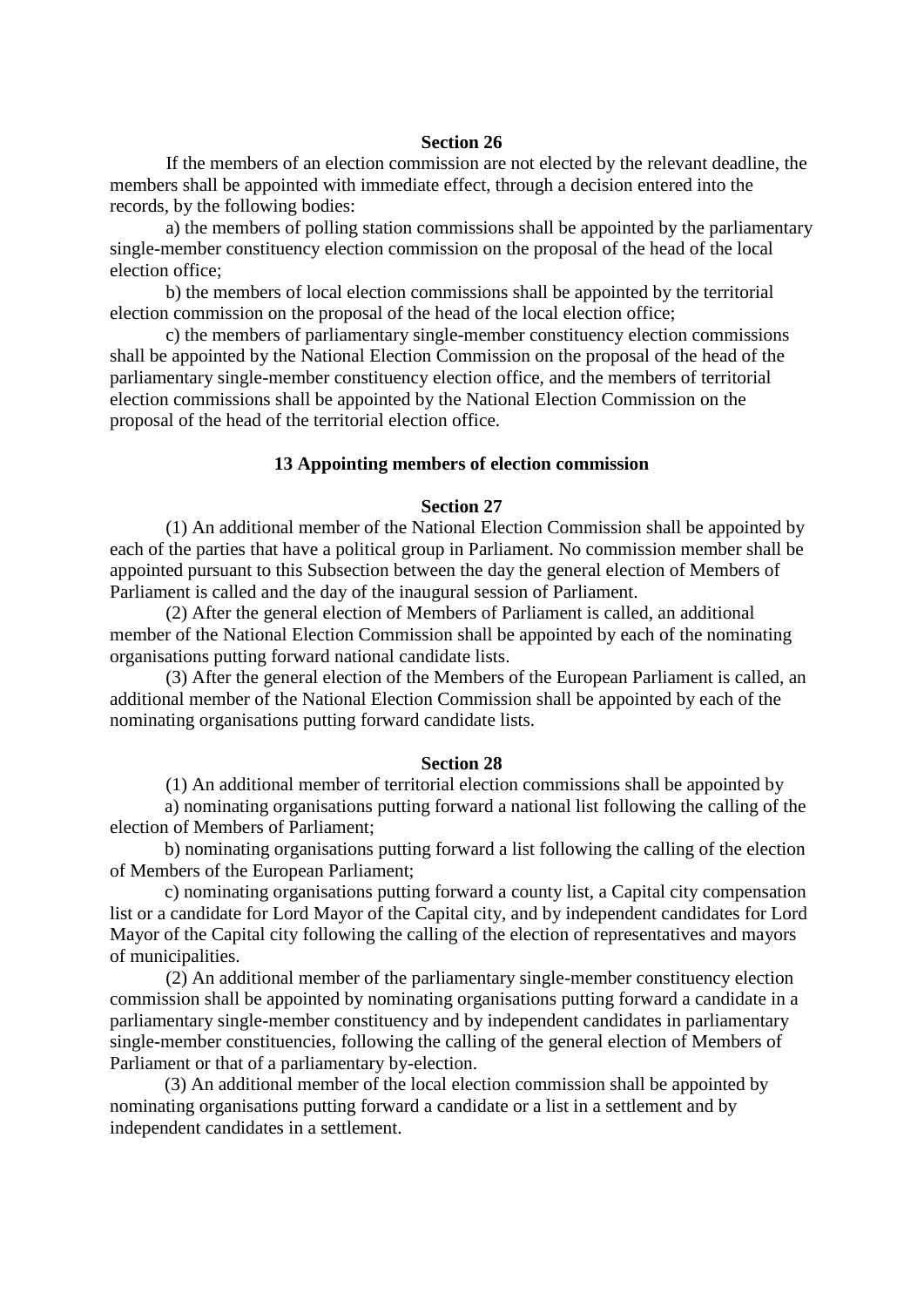If the members of an election commission are not elected by the relevant deadline, the members shall be appointed with immediate effect, through a decision entered into the records, by the following bodies:

 a) the members of polling station commissions shall be appointed by the parliamentary single-member constituency election commission on the proposal of the head of the local election office;

 b) the members of local election commissions shall be appointed by the territorial election commission on the proposal of the head of the local election office;

 c) the members of parliamentary single-member constituency election commissions shall be appointed by the National Election Commission on the proposal of the head of the parliamentary single-member constituency election office, and the members of territorial election commissions shall be appointed by the National Election Commission on the proposal of the head of the territorial election office.

#### **13 Appointing members of election commission**

## **Section 27**

 (1) An additional member of the National Election Commission shall be appointed by each of the parties that have a political group in Parliament. No commission member shall be appointed pursuant to this Subsection between the day the general election of Members of Parliament is called and the day of the inaugural session of Parliament.

 (2) After the general election of Members of Parliament is called, an additional member of the National Election Commission shall be appointed by each of the nominating organisations putting forward national candidate lists.

 (3) After the general election of the Members of the European Parliament is called, an additional member of the National Election Commission shall be appointed by each of the nominating organisations putting forward candidate lists.

#### **Section 28**

(1) An additional member of territorial election commissions shall be appointed by

a) nominating organisations putting forward a national list following the calling of the election of Members of Parliament;

b) nominating organisations putting forward a list following the calling of the election of Members of the European Parliament;

c) nominating organisations putting forward a county list, a Capital city compensation list or a candidate for Lord Mayor of the Capital city, and by independent candidates for Lord Mayor of the Capital city following the calling of the election of representatives and mayors of municipalities.

 (2) An additional member of the parliamentary single-member constituency election commission shall be appointed by nominating organisations putting forward a candidate in a parliamentary single-member constituency and by independent candidates in parliamentary single-member constituencies, following the calling of the general election of Members of Parliament or that of a parliamentary by-election.

(3) An additional member of the local election commission shall be appointed by nominating organisations putting forward a candidate or a list in a settlement and by independent candidates in a settlement.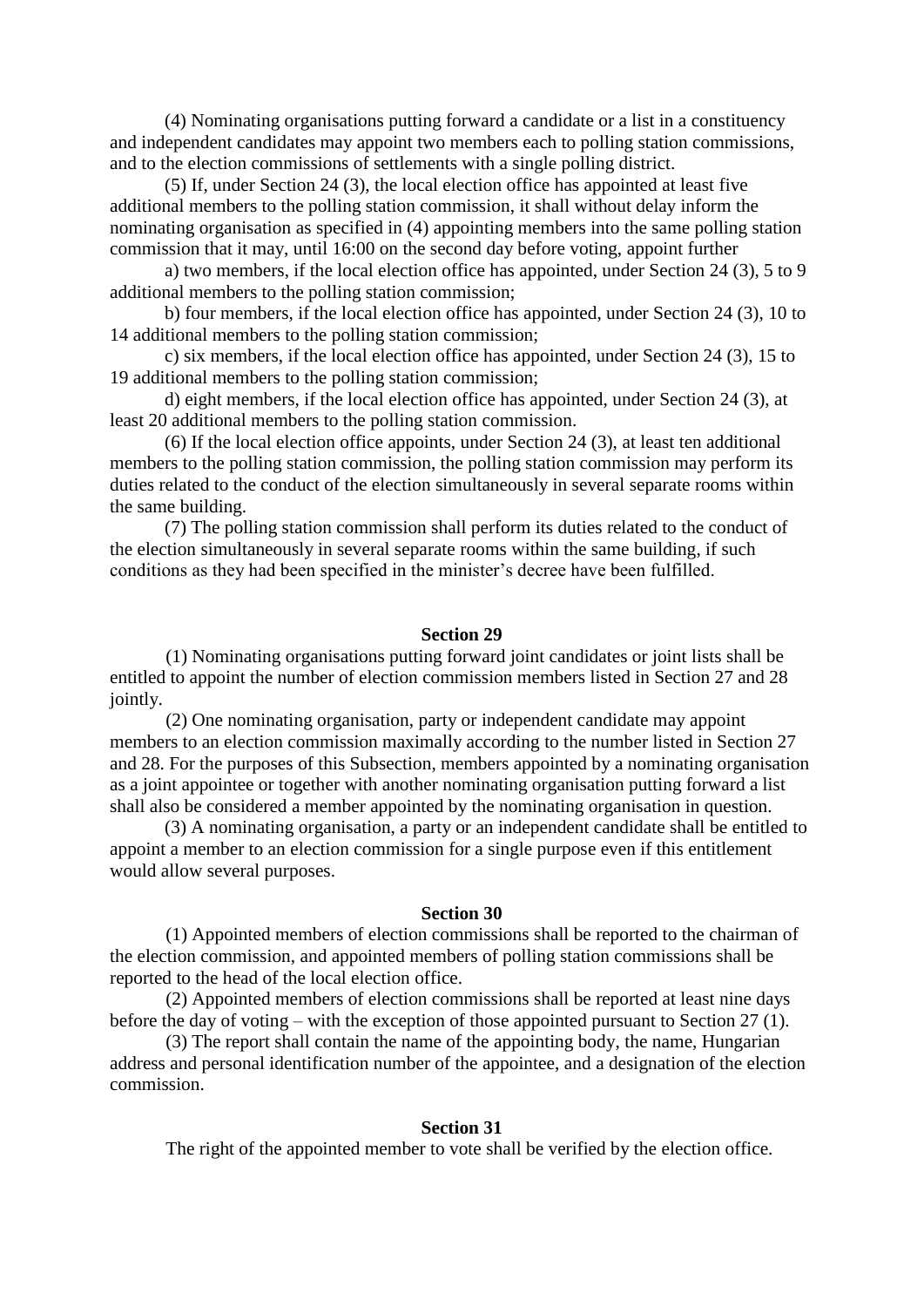(4) Nominating organisations putting forward a candidate or a list in a constituency and independent candidates may appoint two members each to polling station commissions, and to the election commissions of settlements with a single polling district.

(5) If, under Section 24 (3), the local election office has appointed at least five additional members to the polling station commission, it shall without delay inform the nominating organisation as specified in (4) appointing members into the same polling station commission that it may, until 16:00 on the second day before voting, appoint further

a) two members, if the local election office has appointed, under Section 24 (3), 5 to 9 additional members to the polling station commission;

b) four members, if the local election office has appointed, under Section 24 (3), 10 to 14 additional members to the polling station commission;

c) six members, if the local election office has appointed, under Section 24 (3), 15 to 19 additional members to the polling station commission;

d) eight members, if the local election office has appointed, under Section 24 (3), at least 20 additional members to the polling station commission.

(6) If the local election office appoints, under Section 24 (3), at least ten additional members to the polling station commission, the polling station commission may perform its duties related to the conduct of the election simultaneously in several separate rooms within the same building.

(7) The polling station commission shall perform its duties related to the conduct of the election simultaneously in several separate rooms within the same building, if such conditions as they had been specified in the minister's decree have been fulfilled.

### **Section 29**

 (1) Nominating organisations putting forward joint candidates or joint lists shall be entitled to appoint the number of election commission members listed in Section 27 and 28 jointly.

 (2) One nominating organisation, party or independent candidate may appoint members to an election commission maximally according to the number listed in Section 27 and 28. For the purposes of this Subsection, members appointed by a nominating organisation as a joint appointee or together with another nominating organisation putting forward a list shall also be considered a member appointed by the nominating organisation in question.

(3) A nominating organisation, a party or an independent candidate shall be entitled to appoint a member to an election commission for a single purpose even if this entitlement would allow several purposes.

### **Section 30**

 (1) Appointed members of election commissions shall be reported to the chairman of the election commission, and appointed members of polling station commissions shall be reported to the head of the local election office.

 (2) Appointed members of election commissions shall be reported at least nine days before the day of voting – with the exception of those appointed pursuant to Section 27 (1).

 (3) The report shall contain the name of the appointing body, the name, Hungarian address and personal identification number of the appointee, and a designation of the election commission.

#### **Section 31**

The right of the appointed member to vote shall be verified by the election office.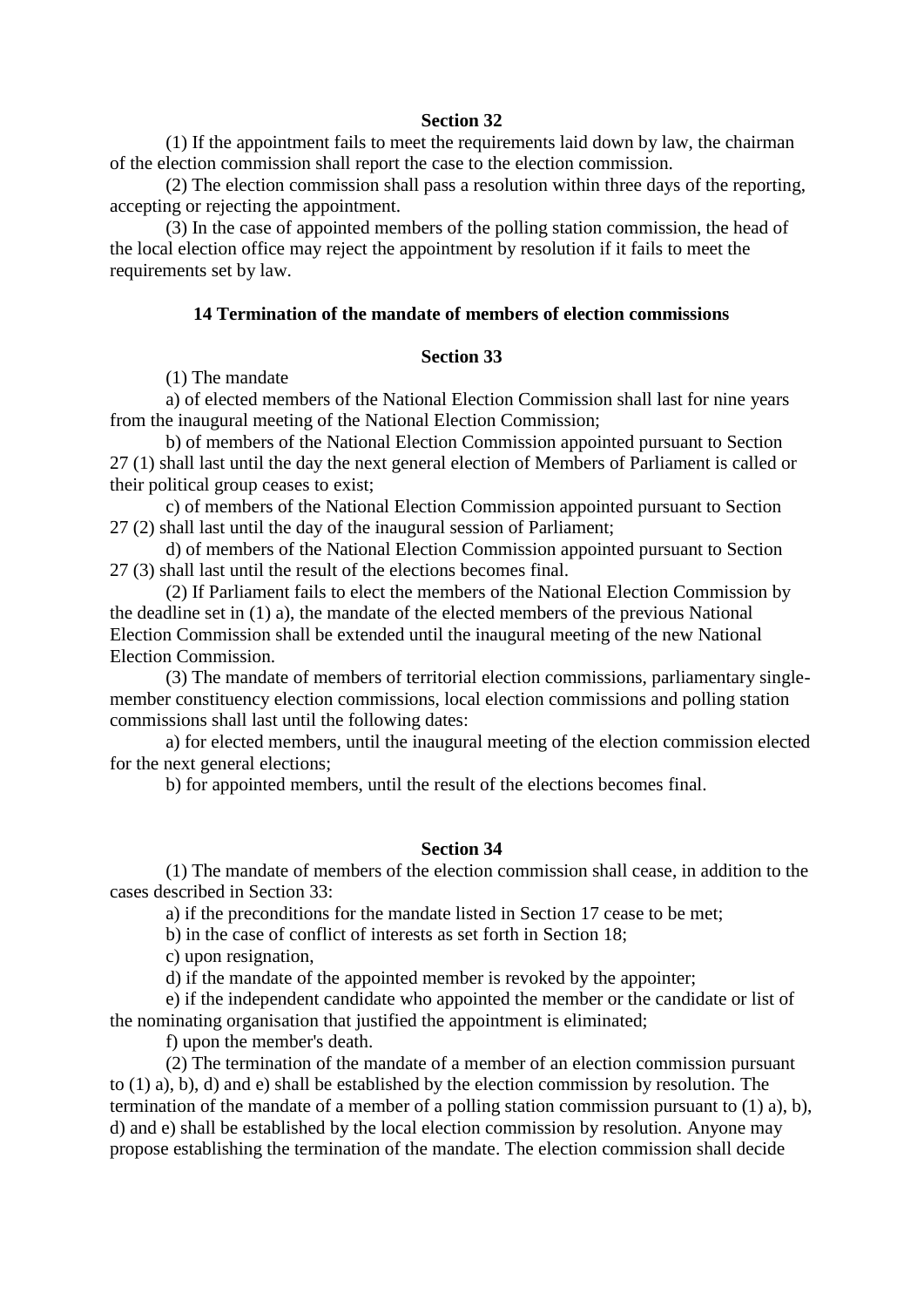(1) If the appointment fails to meet the requirements laid down by law, the chairman of the election commission shall report the case to the election commission.

 (2) The election commission shall pass a resolution within three days of the reporting, accepting or rejecting the appointment.

 (3) In the case of appointed members of the polling station commission, the head of the local election office may reject the appointment by resolution if it fails to meet the requirements set by law.

## **14 Termination of the mandate of members of election commissions**

## **Section 33**

(1) The mandate

 a) of elected members of the National Election Commission shall last for nine years from the inaugural meeting of the National Election Commission;

 b) of members of the National Election Commission appointed pursuant to Section 27 (1) shall last until the day the next general election of Members of Parliament is called or their political group ceases to exist;

 c) of members of the National Election Commission appointed pursuant to Section 27 (2) shall last until the day of the inaugural session of Parliament;

 d) of members of the National Election Commission appointed pursuant to Section 27 (3) shall last until the result of the elections becomes final.

 (2) If Parliament fails to elect the members of the National Election Commission by the deadline set in (1) a), the mandate of the elected members of the previous National Election Commission shall be extended until the inaugural meeting of the new National Election Commission.

 (3) The mandate of members of territorial election commissions, parliamentary singlemember constituency election commissions, local election commissions and polling station commissions shall last until the following dates:

 a) for elected members, until the inaugural meeting of the election commission elected for the next general elections;

b) for appointed members, until the result of the elections becomes final.

### **Section 34**

 (1) The mandate of members of the election commission shall cease, in addition to the cases described in Section 33:

a) if the preconditions for the mandate listed in Section 17 cease to be met;

b) in the case of conflict of interests as set forth in Section 18;

c) upon resignation,

d) if the mandate of the appointed member is revoked by the appointer;

 e) if the independent candidate who appointed the member or the candidate or list of the nominating organisation that justified the appointment is eliminated;

f) upon the member's death.

 (2) The termination of the mandate of a member of an election commission pursuant to (1) a), b), d) and e) shall be established by the election commission by resolution. The termination of the mandate of a member of a polling station commission pursuant to (1) a), b), d) and e) shall be established by the local election commission by resolution. Anyone may propose establishing the termination of the mandate. The election commission shall decide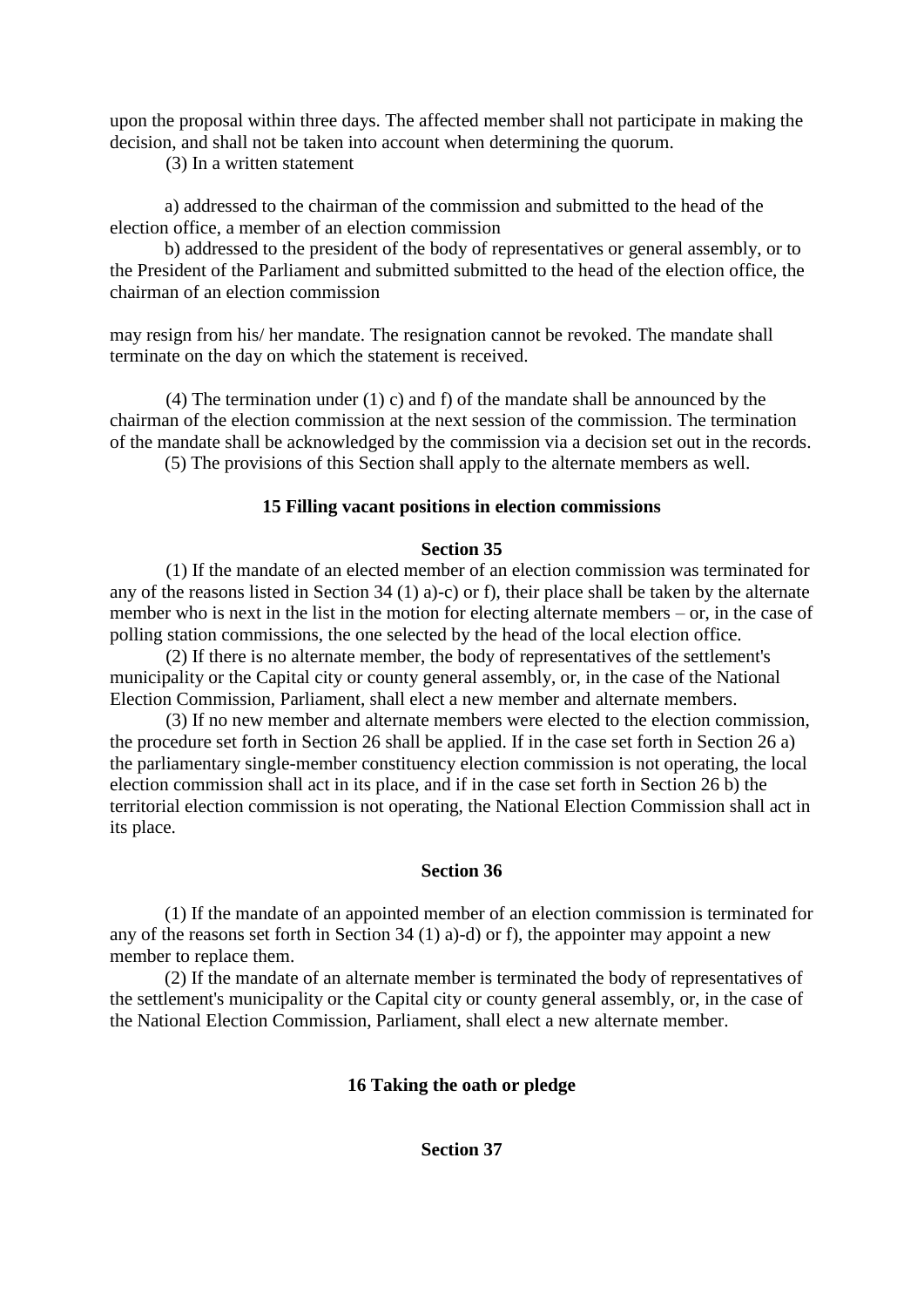upon the proposal within three days. The affected member shall not participate in making the decision, and shall not be taken into account when determining the quorum.

(3) In a written statement

a) addressed to the chairman of the commission and submitted to the head of the election office, a member of an election commission

b) addressed to the president of the body of representatives or general assembly, or to the President of the Parliament and submitted submitted to the head of the election office, the chairman of an election commission

may resign from his/ her mandate. The resignation cannot be revoked. The mandate shall terminate on the day on which the statement is received.

(4) The termination under (1) c) and f) of the mandate shall be announced by the chairman of the election commission at the next session of the commission. The termination of the mandate shall be acknowledged by the commission via a decision set out in the records.

(5) The provisions of this Section shall apply to the alternate members as well.

## **15 Filling vacant positions in election commissions**

## **Section 35**

 (1) If the mandate of an elected member of an election commission was terminated for any of the reasons listed in Section 34 (1) a)-c) or f), their place shall be taken by the alternate member who is next in the list in the motion for electing alternate members – or, in the case of polling station commissions, the one selected by the head of the local election office.

 (2) If there is no alternate member, the body of representatives of the settlement's municipality or the Capital city or county general assembly, or, in the case of the National Election Commission, Parliament, shall elect a new member and alternate members.

 (3) If no new member and alternate members were elected to the election commission, the procedure set forth in Section 26 shall be applied. If in the case set forth in Section 26 a) the parliamentary single-member constituency election commission is not operating, the local election commission shall act in its place, and if in the case set forth in Section 26 b) the territorial election commission is not operating, the National Election Commission shall act in its place.

## **Section 36**

(1) If the mandate of an appointed member of an election commission is terminated for any of the reasons set forth in Section 34 (1) a)-d) or f), the appointer may appoint a new member to replace them.

(2) If the mandate of an alternate member is terminated the body of representatives of the settlement's municipality or the Capital city or county general assembly, or, in the case of the National Election Commission, Parliament, shall elect a new alternate member.

# **16 Taking the oath or pledge**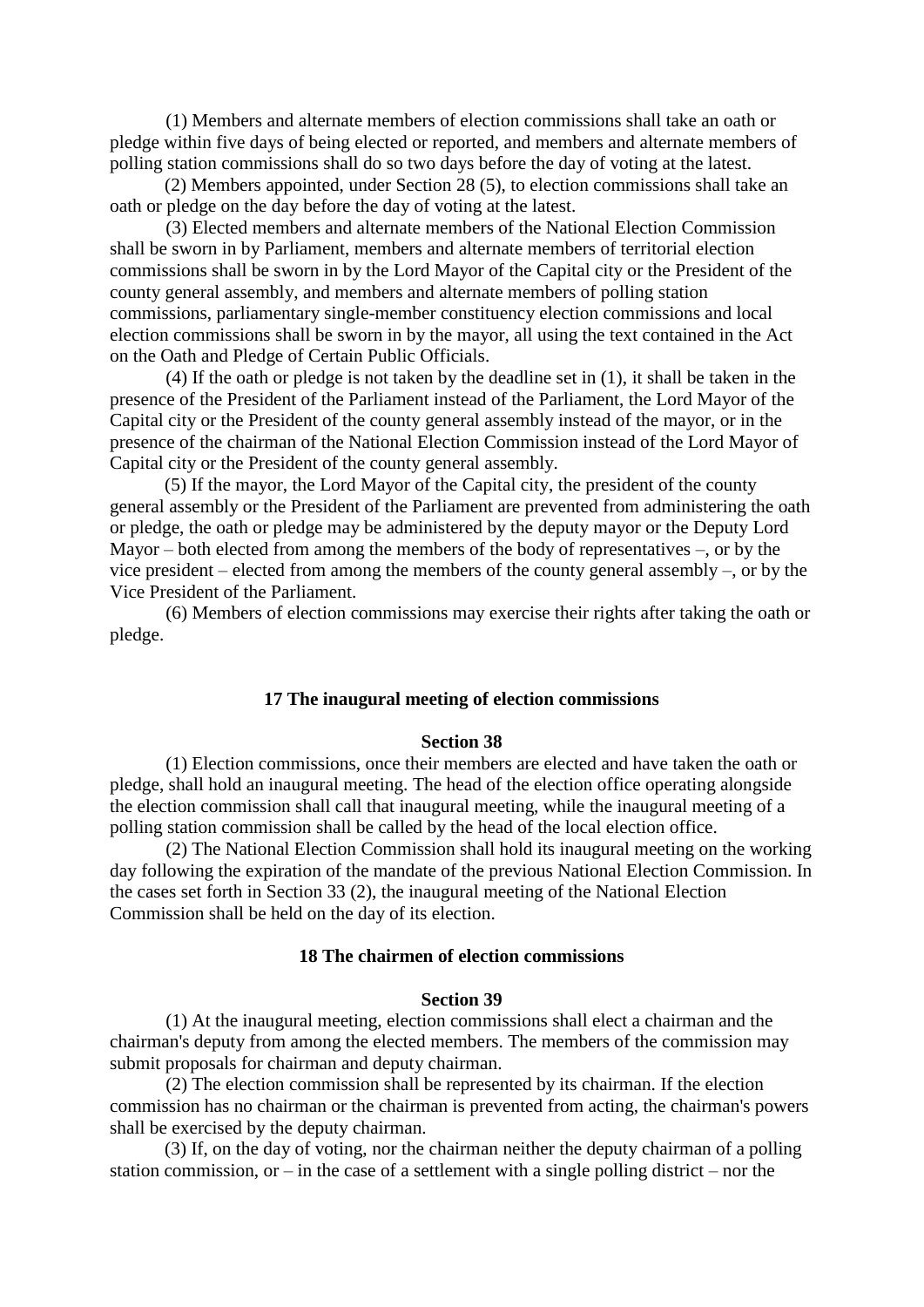(1) Members and alternate members of election commissions shall take an oath or pledge within five days of being elected or reported, and members and alternate members of polling station commissions shall do so two days before the day of voting at the latest.

(2) Members appointed, under Section 28 (5), to election commissions shall take an oath or pledge on the day before the day of voting at the latest.

 (3) Elected members and alternate members of the National Election Commission shall be sworn in by Parliament, members and alternate members of territorial election commissions shall be sworn in by the Lord Mayor of the Capital city or the President of the county general assembly, and members and alternate members of polling station commissions, parliamentary single-member constituency election commissions and local election commissions shall be sworn in by the mayor, all using the text contained in the Act on the Oath and Pledge of Certain Public Officials.

 (4) If the oath or pledge is not taken by the deadline set in (1), it shall be taken in the presence of the President of the Parliament instead of the Parliament, the Lord Mayor of the Capital city or the President of the county general assembly instead of the mayor, or in the presence of the chairman of the National Election Commission instead of the Lord Mayor of Capital city or the President of the county general assembly.

(5) If the mayor, the Lord Mayor of the Capital city, the president of the county general assembly or the President of the Parliament are prevented from administering the oath or pledge, the oath or pledge may be administered by the deputy mayor or the Deputy Lord Mayor – both elected from among the members of the body of representatives –, or by the vice president – elected from among the members of the county general assembly –, or by the Vice President of the Parliament.

 (6) Members of election commissions may exercise their rights after taking the oath or pledge.

### **17 The inaugural meeting of election commissions**

## **Section 38**

 (1) Election commissions, once their members are elected and have taken the oath or pledge, shall hold an inaugural meeting. The head of the election office operating alongside the election commission shall call that inaugural meeting, while the inaugural meeting of a polling station commission shall be called by the head of the local election office.

 (2) The National Election Commission shall hold its inaugural meeting on the working day following the expiration of the mandate of the previous National Election Commission. In the cases set forth in Section 33 (2), the inaugural meeting of the National Election Commission shall be held on the day of its election.

### **18 The chairmen of election commissions**

#### **Section 39**

 (1) At the inaugural meeting, election commissions shall elect a chairman and the chairman's deputy from among the elected members. The members of the commission may submit proposals for chairman and deputy chairman.

 (2) The election commission shall be represented by its chairman. If the election commission has no chairman or the chairman is prevented from acting, the chairman's powers shall be exercised by the deputy chairman.

(3) If, on the day of voting, nor the chairman neither the deputy chairman of a polling station commission, or – in the case of a settlement with a single polling district – nor the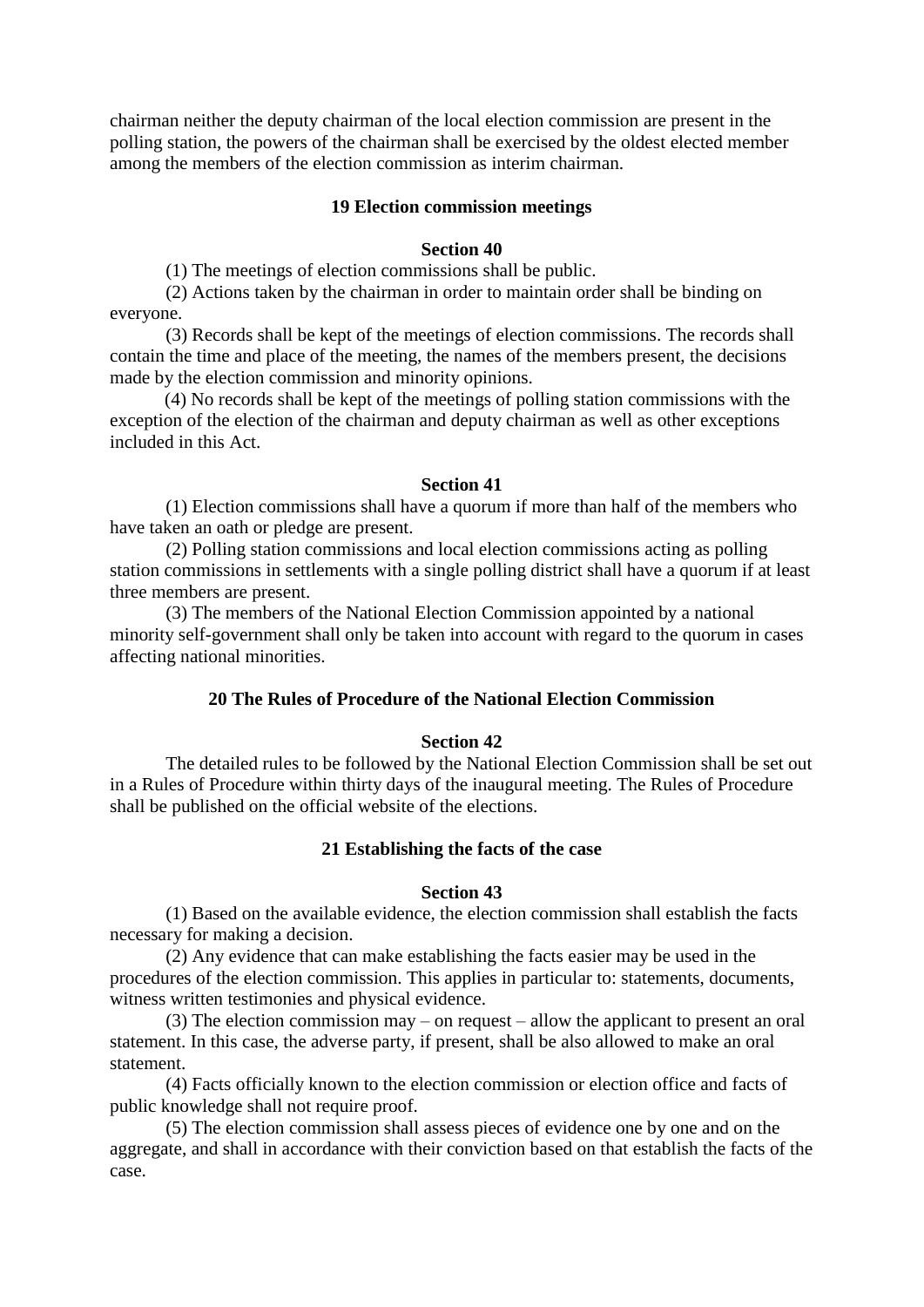chairman neither the deputy chairman of the local election commission are present in the polling station, the powers of the chairman shall be exercised by the oldest elected member among the members of the election commission as interim chairman.

### **19 Election commission meetings**

## **Section 40**

(1) The meetings of election commissions shall be public.

 (2) Actions taken by the chairman in order to maintain order shall be binding on everyone.

 (3) Records shall be kept of the meetings of election commissions. The records shall contain the time and place of the meeting, the names of the members present, the decisions made by the election commission and minority opinions.

(4) No records shall be kept of the meetings of polling station commissions with the exception of the election of the chairman and deputy chairman as well as other exceptions included in this Act.

#### **Section 41**

 (1) Election commissions shall have a quorum if more than half of the members who have taken an oath or pledge are present.

 (2) Polling station commissions and local election commissions acting as polling station commissions in settlements with a single polling district shall have a quorum if at least three members are present.

 (3) The members of the National Election Commission appointed by a national minority self-government shall only be taken into account with regard to the quorum in cases affecting national minorities.

# **20 The Rules of Procedure of the National Election Commission**

## **Section 42**

 The detailed rules to be followed by the National Election Commission shall be set out in a Rules of Procedure within thirty days of the inaugural meeting. The Rules of Procedure shall be published on the official website of the elections.

### **21 Establishing the facts of the case**

### **Section 43**

 (1) Based on the available evidence, the election commission shall establish the facts necessary for making a decision.

 (2) Any evidence that can make establishing the facts easier may be used in the procedures of the election commission. This applies in particular to: statements, documents, witness written testimonies and physical evidence.

 (3) The election commission may – on request – allow the applicant to present an oral statement. In this case, the adverse party, if present, shall be also allowed to make an oral statement.

 (4) Facts officially known to the election commission or election office and facts of public knowledge shall not require proof.

 (5) The election commission shall assess pieces of evidence one by one and on the aggregate, and shall in accordance with their conviction based on that establish the facts of the case.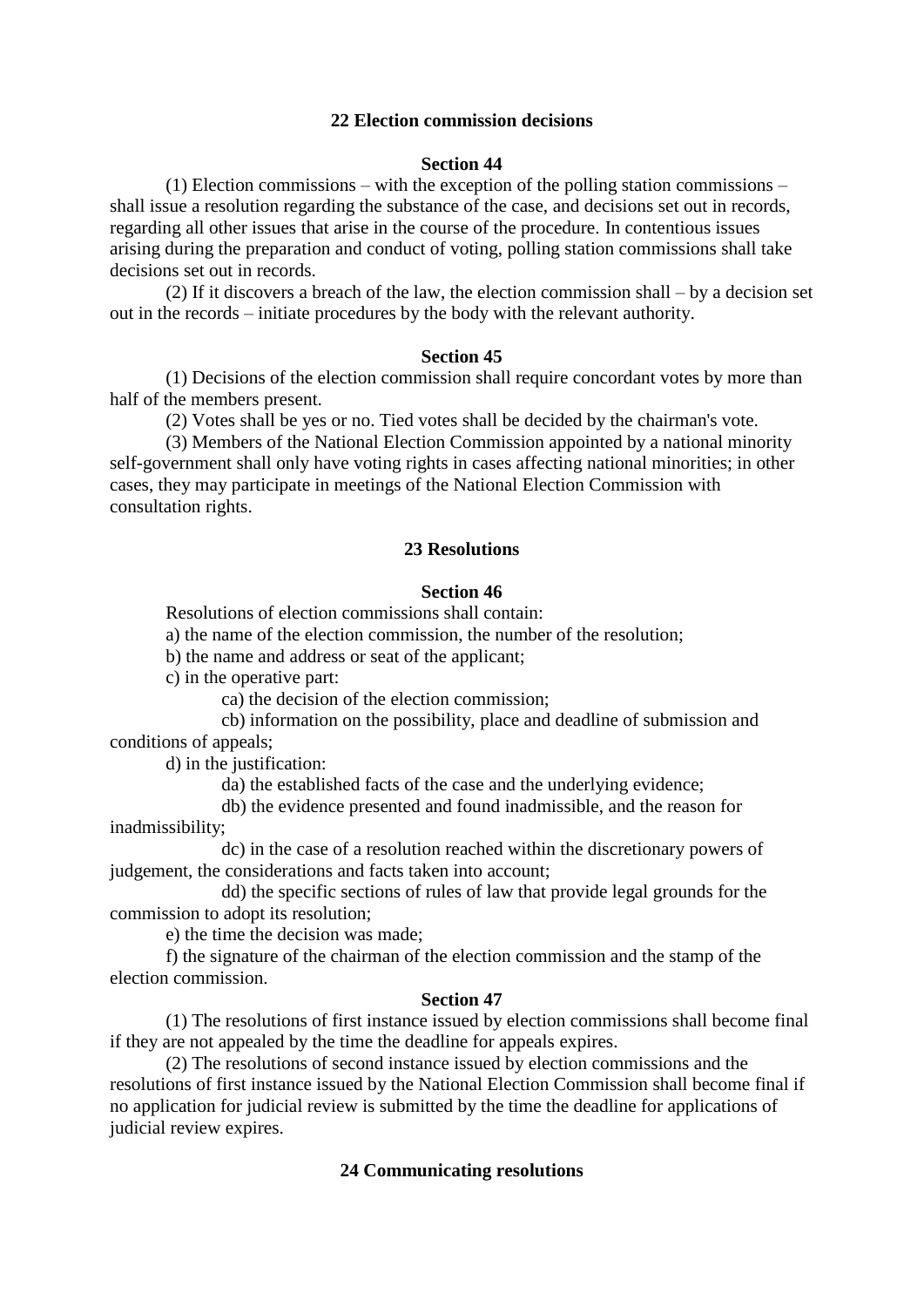## **22 Election commission decisions**

## **Section 44**

 (1) Election commissions – with the exception of the polling station commissions – shall issue a resolution regarding the substance of the case, and decisions set out in records, regarding all other issues that arise in the course of the procedure. In contentious issues arising during the preparation and conduct of voting, polling station commissions shall take decisions set out in records.

 (2) If it discovers a breach of the law, the election commission shall – by a decision set out in the records – initiate procedures by the body with the relevant authority.

### **Section 45**

 (1) Decisions of the election commission shall require concordant votes by more than half of the members present.

(2) Votes shall be yes or no. Tied votes shall be decided by the chairman's vote.

 (3) Members of the National Election Commission appointed by a national minority self-government shall only have voting rights in cases affecting national minorities; in other cases, they may participate in meetings of the National Election Commission with consultation rights.

### **23 Resolutions**

## **Section 46**

Resolutions of election commissions shall contain:

a) the name of the election commission, the number of the resolution;

b) the name and address or seat of the applicant;

c) in the operative part:

ca) the decision of the election commission;

 cb) information on the possibility, place and deadline of submission and conditions of appeals;

d) in the justification:

da) the established facts of the case and the underlying evidence;

 db) the evidence presented and found inadmissible, and the reason for inadmissibility;

 dc) in the case of a resolution reached within the discretionary powers of judgement, the considerations and facts taken into account;

 dd) the specific sections of rules of law that provide legal grounds for the commission to adopt its resolution;

e) the time the decision was made;

 f) the signature of the chairman of the election commission and the stamp of the election commission.

#### **Section 47**

 (1) The resolutions of first instance issued by election commissions shall become final if they are not appealed by the time the deadline for appeals expires.

 (2) The resolutions of second instance issued by election commissions and the resolutions of first instance issued by the National Election Commission shall become final if no application for judicial review is submitted by the time the deadline for applications of judicial review expires.

### **24 Communicating resolutions**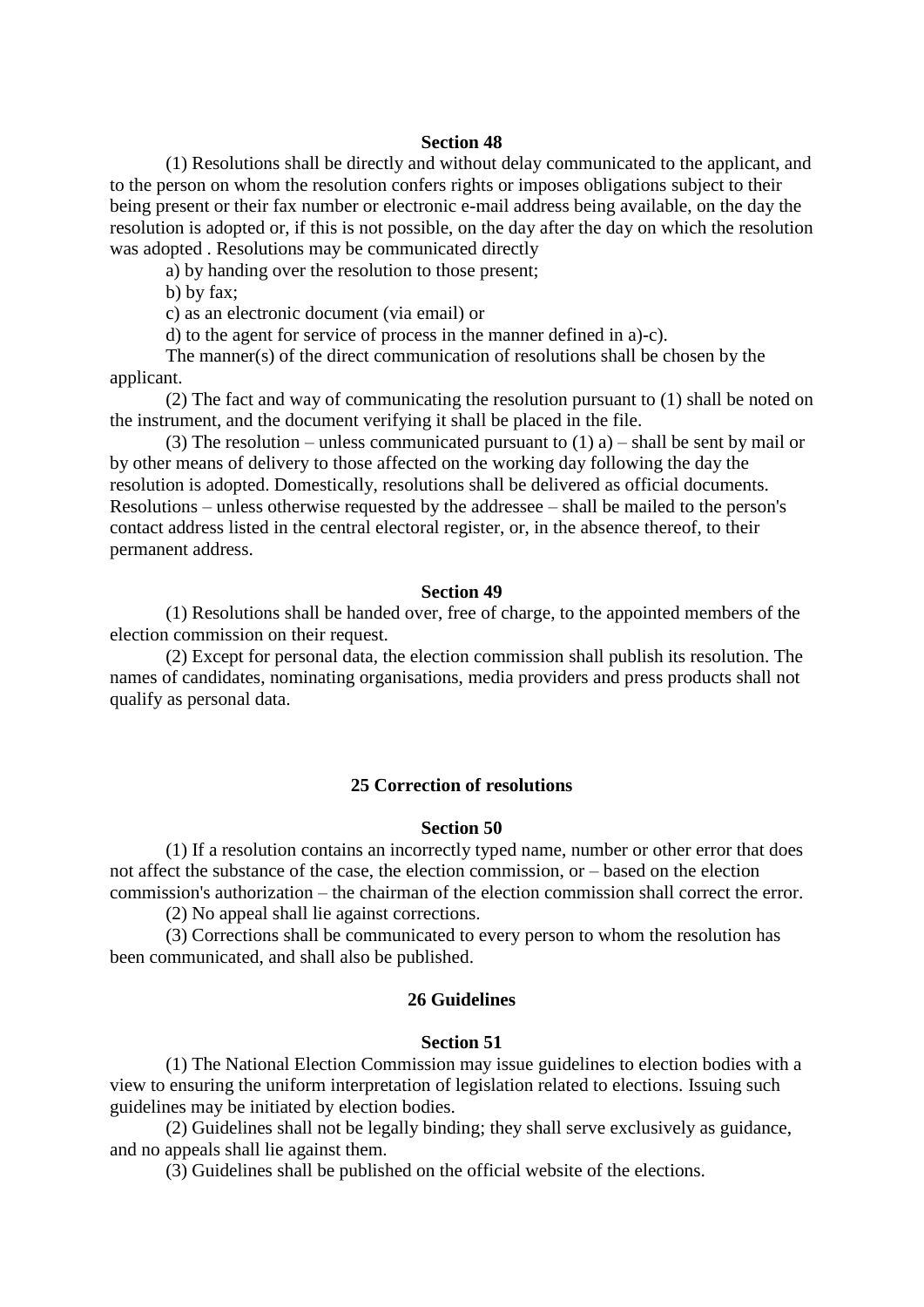(1) Resolutions shall be directly and without delay communicated to the applicant, and to the person on whom the resolution confers rights or imposes obligations subject to their being present or their fax number or electronic e-mail address being available, on the day the resolution is adopted or, if this is not possible, on the day after the day on which the resolution was adopted . Resolutions may be communicated directly

a) by handing over the resolution to those present;

b) by fax;

c) as an electronic document (via email) or

d) to the agent for service of process in the manner defined in a)-c).

 The manner(s) of the direct communication of resolutions shall be chosen by the applicant.

 (2) The fact and way of communicating the resolution pursuant to (1) shall be noted on the instrument, and the document verifying it shall be placed in the file.

(3) The resolution – unless communicated pursuant to  $(1)$  a) – shall be sent by mail or by other means of delivery to those affected on the working day following the day the resolution is adopted. Domestically, resolutions shall be delivered as official documents. Resolutions – unless otherwise requested by the addressee – shall be mailed to the person's contact address listed in the central electoral register, or, in the absence thereof, to their permanent address.

#### **Section 49**

 (1) Resolutions shall be handed over, free of charge, to the appointed members of the election commission on their request.

 (2) Except for personal data, the election commission shall publish its resolution. The names of candidates, nominating organisations, media providers and press products shall not qualify as personal data.

#### **25 Correction of resolutions**

#### **Section 50**

 (1) If a resolution contains an incorrectly typed name, number or other error that does not affect the substance of the case, the election commission, or – based on the election commission's authorization – the chairman of the election commission shall correct the error.

(2) No appeal shall lie against corrections.

 (3) Corrections shall be communicated to every person to whom the resolution has been communicated, and shall also be published.

## **26 Guidelines**

#### **Section 51**

 (1) The National Election Commission may issue guidelines to election bodies with a view to ensuring the uniform interpretation of legislation related to elections. Issuing such guidelines may be initiated by election bodies.

 (2) Guidelines shall not be legally binding; they shall serve exclusively as guidance, and no appeals shall lie against them.

(3) Guidelines shall be published on the official website of the elections.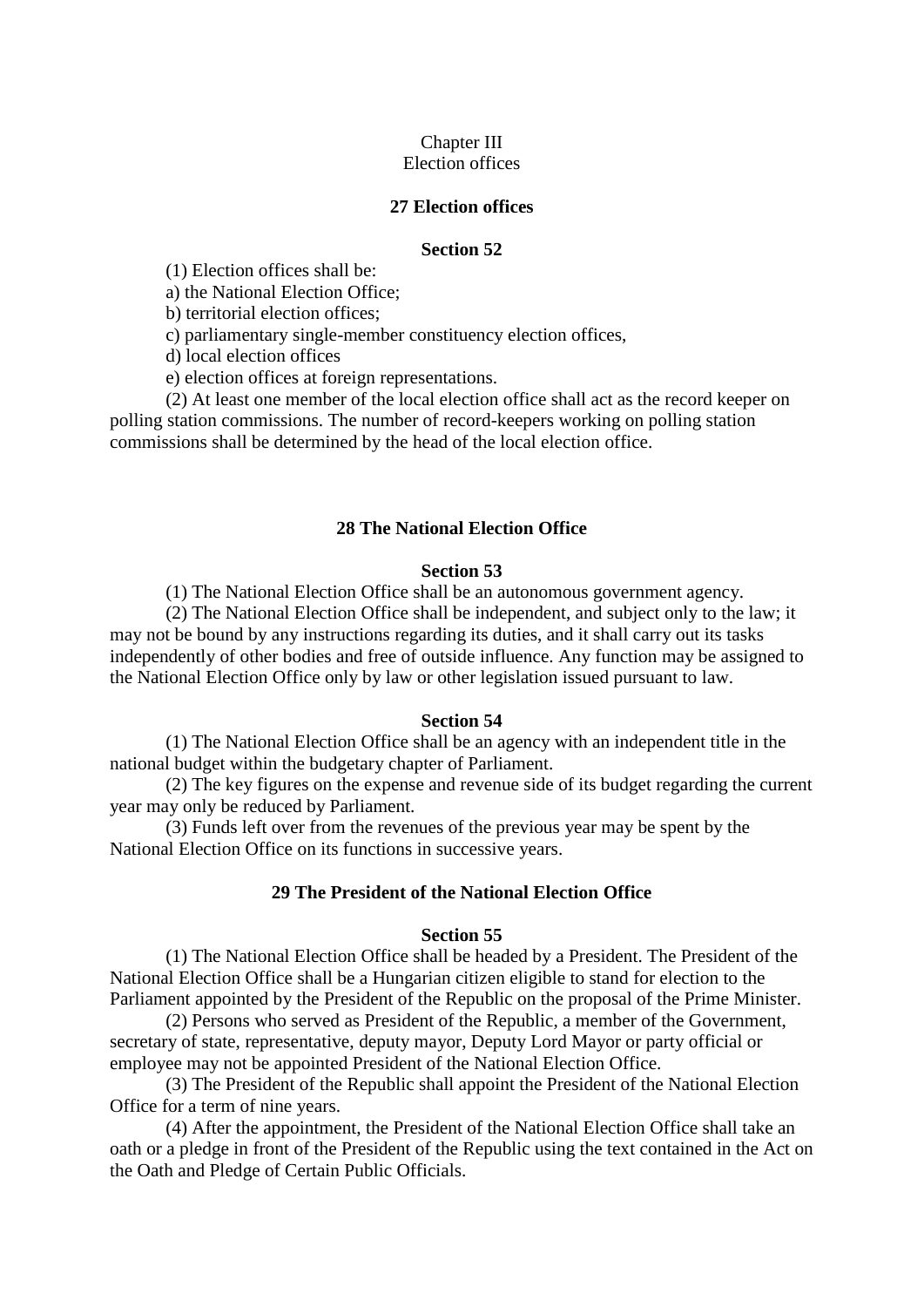# Chapter III

# Election offices

### **27 Election offices**

## **Section 52**

(1) Election offices shall be:

a) the National Election Office;

b) territorial election offices;

c) parliamentary single-member constituency election offices,

d) local election offices

e) election offices at foreign representations.

 (2) At least one member of the local election office shall act as the record keeper on polling station commissions. The number of record-keepers working on polling station commissions shall be determined by the head of the local election office.

### **28 The National Election Office**

### **Section 53**

(1) The National Election Office shall be an autonomous government agency.

 (2) The National Election Office shall be independent, and subject only to the law; it may not be bound by any instructions regarding its duties, and it shall carry out its tasks independently of other bodies and free of outside influence. Any function may be assigned to the National Election Office only by law or other legislation issued pursuant to law.

#### **Section 54**

 (1) The National Election Office shall be an agency with an independent title in the national budget within the budgetary chapter of Parliament.

 (2) The key figures on the expense and revenue side of its budget regarding the current year may only be reduced by Parliament.

 (3) Funds left over from the revenues of the previous year may be spent by the National Election Office on its functions in successive years.

## **29 The President of the National Election Office**

#### **Section 55**

 (1) The National Election Office shall be headed by a President. The President of the National Election Office shall be a Hungarian citizen eligible to stand for election to the Parliament appointed by the President of the Republic on the proposal of the Prime Minister.

 (2) Persons who served as President of the Republic, a member of the Government, secretary of state, representative, deputy mayor, Deputy Lord Mayor or party official or employee may not be appointed President of the National Election Office.

 (3) The President of the Republic shall appoint the President of the National Election Office for a term of nine years.

 (4) After the appointment, the President of the National Election Office shall take an oath or a pledge in front of the President of the Republic using the text contained in the Act on the Oath and Pledge of Certain Public Officials.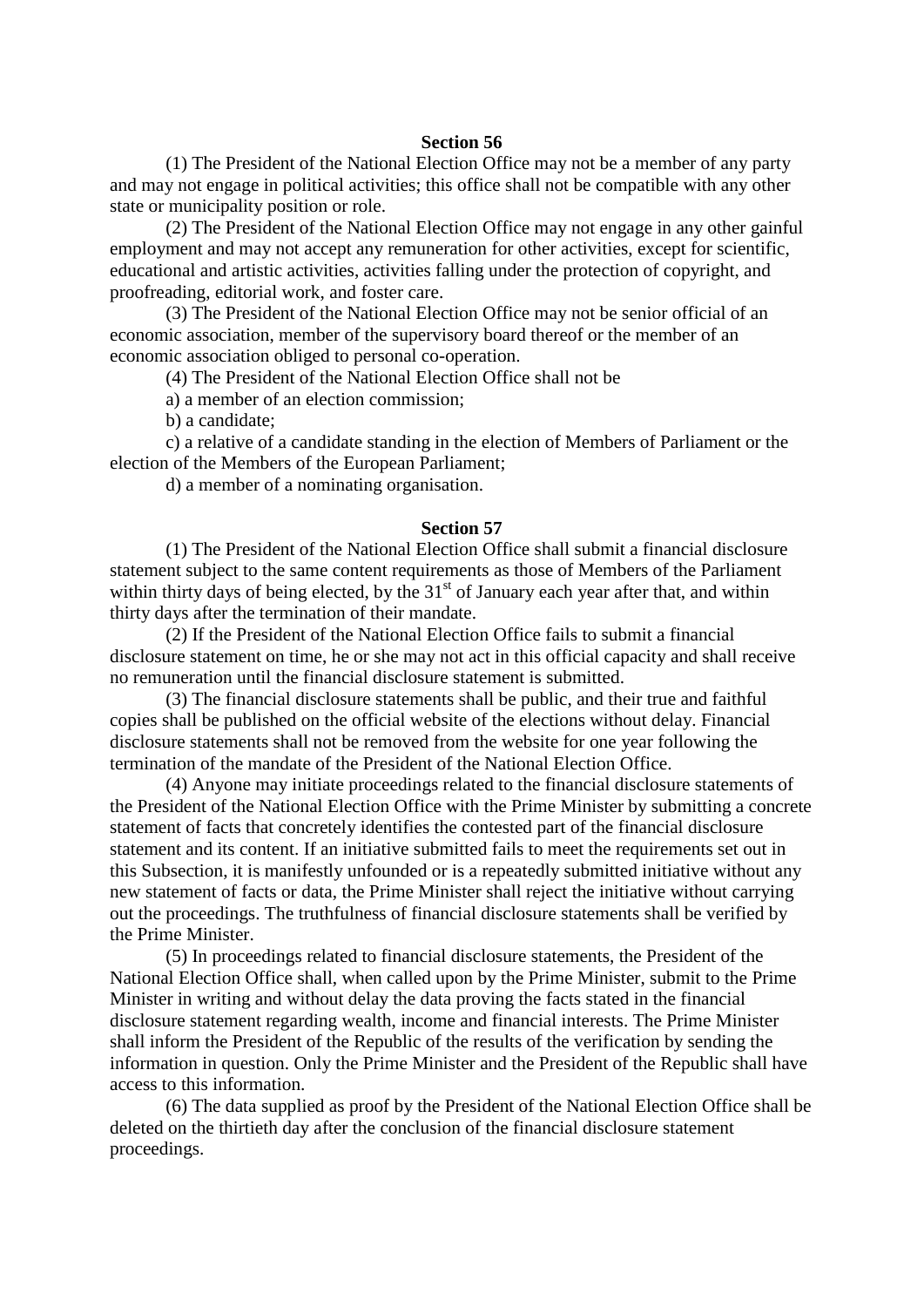(1) The President of the National Election Office may not be a member of any party and may not engage in political activities; this office shall not be compatible with any other state or municipality position or role.

 (2) The President of the National Election Office may not engage in any other gainful employment and may not accept any remuneration for other activities, except for scientific, educational and artistic activities, activities falling under the protection of copyright, and proofreading, editorial work, and foster care.

 (3) The President of the National Election Office may not be senior official of an economic association, member of the supervisory board thereof or the member of an economic association obliged to personal co-operation.

(4) The President of the National Election Office shall not be

a) a member of an election commission;

b) a candidate;

 c) a relative of a candidate standing in the election of Members of Parliament or the election of the Members of the European Parliament;

d) a member of a nominating organisation.

#### **Section 57**

 (1) The President of the National Election Office shall submit a financial disclosure statement subject to the same content requirements as those of Members of the Parliament within thirty days of being elected, by the  $31<sup>st</sup>$  of January each year after that, and within thirty days after the termination of their mandate.

 (2) If the President of the National Election Office fails to submit a financial disclosure statement on time, he or she may not act in this official capacity and shall receive no remuneration until the financial disclosure statement is submitted.

 (3) The financial disclosure statements shall be public, and their true and faithful copies shall be published on the official website of the elections without delay. Financial disclosure statements shall not be removed from the website for one year following the termination of the mandate of the President of the National Election Office.

 (4) Anyone may initiate proceedings related to the financial disclosure statements of the President of the National Election Office with the Prime Minister by submitting a concrete statement of facts that concretely identifies the contested part of the financial disclosure statement and its content. If an initiative submitted fails to meet the requirements set out in this Subsection, it is manifestly unfounded or is a repeatedly submitted initiative without any new statement of facts or data, the Prime Minister shall reject the initiative without carrying out the proceedings. The truthfulness of financial disclosure statements shall be verified by the Prime Minister.

 (5) In proceedings related to financial disclosure statements, the President of the National Election Office shall, when called upon by the Prime Minister, submit to the Prime Minister in writing and without delay the data proving the facts stated in the financial disclosure statement regarding wealth, income and financial interests. The Prime Minister shall inform the President of the Republic of the results of the verification by sending the information in question. Only the Prime Minister and the President of the Republic shall have access to this information.

 (6) The data supplied as proof by the President of the National Election Office shall be deleted on the thirtieth day after the conclusion of the financial disclosure statement proceedings.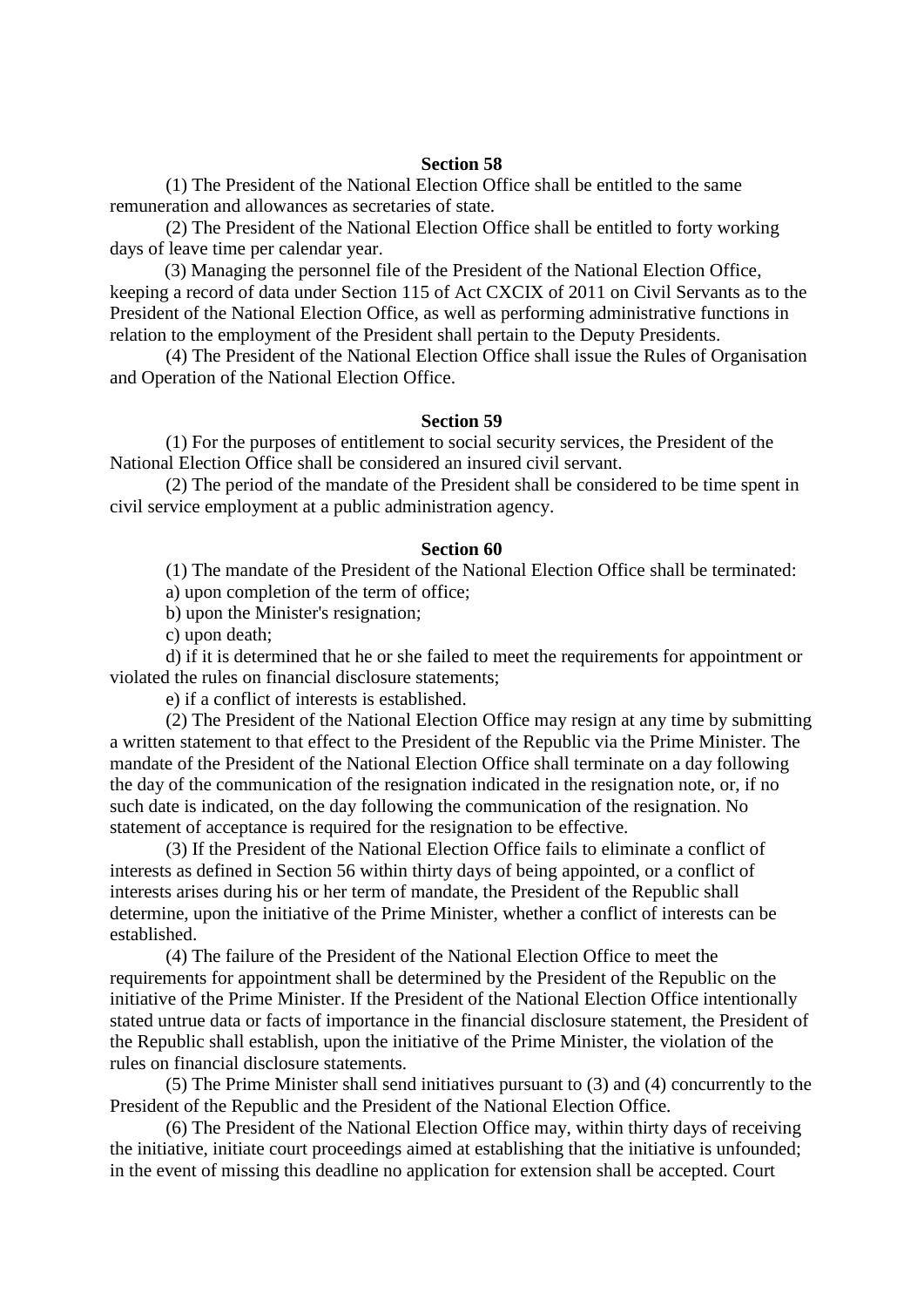(1) The President of the National Election Office shall be entitled to the same remuneration and allowances as secretaries of state.

 (2) The President of the National Election Office shall be entitled to forty working days of leave time per calendar year.

(3) Managing the personnel file of the President of the National Election Office, keeping a record of data under Section 115 of Act CXCIX of 2011 on Civil Servants as to the President of the National Election Office, as well as performing administrative functions in relation to the employment of the President shall pertain to the Deputy Presidents.

 (4) The President of the National Election Office shall issue the Rules of Organisation and Operation of the National Election Office.

### **Section 59**

 (1) For the purposes of entitlement to social security services, the President of the National Election Office shall be considered an insured civil servant.

 (2) The period of the mandate of the President shall be considered to be time spent in civil service employment at a public administration agency.

#### **Section 60**

(1) The mandate of the President of the National Election Office shall be terminated:

a) upon completion of the term of office;

b) upon the Minister's resignation;

c) upon death;

 d) if it is determined that he or she failed to meet the requirements for appointment or violated the rules on financial disclosure statements;

e) if a conflict of interests is established.

 (2) The President of the National Election Office may resign at any time by submitting a written statement to that effect to the President of the Republic via the Prime Minister. The mandate of the President of the National Election Office shall terminate on a day following the day of the communication of the resignation indicated in the resignation note, or, if no such date is indicated, on the day following the communication of the resignation. No statement of acceptance is required for the resignation to be effective.

 (3) If the President of the National Election Office fails to eliminate a conflict of interests as defined in Section 56 within thirty days of being appointed, or a conflict of interests arises during his or her term of mandate, the President of the Republic shall determine, upon the initiative of the Prime Minister, whether a conflict of interests can be established.

 (4) The failure of the President of the National Election Office to meet the requirements for appointment shall be determined by the President of the Republic on the initiative of the Prime Minister. If the President of the National Election Office intentionally stated untrue data or facts of importance in the financial disclosure statement, the President of the Republic shall establish, upon the initiative of the Prime Minister, the violation of the rules on financial disclosure statements.

 (5) The Prime Minister shall send initiatives pursuant to (3) and (4) concurrently to the President of the Republic and the President of the National Election Office.

 (6) The President of the National Election Office may, within thirty days of receiving the initiative, initiate court proceedings aimed at establishing that the initiative is unfounded; in the event of missing this deadline no application for extension shall be accepted. Court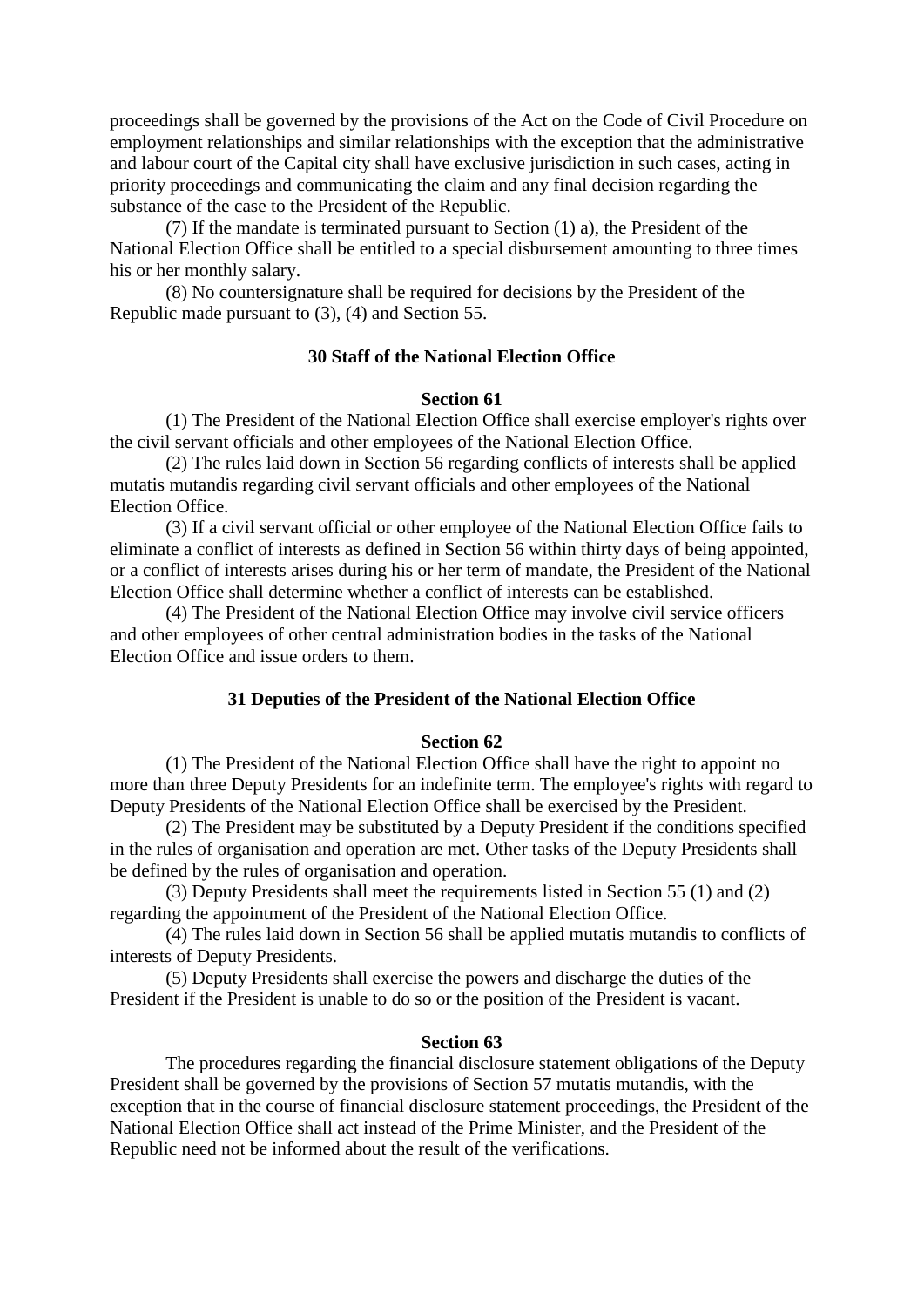proceedings shall be governed by the provisions of the Act on the Code of Civil Procedure on employment relationships and similar relationships with the exception that the administrative and labour court of the Capital city shall have exclusive jurisdiction in such cases, acting in priority proceedings and communicating the claim and any final decision regarding the substance of the case to the President of the Republic.

 (7) If the mandate is terminated pursuant to Section (1) a), the President of the National Election Office shall be entitled to a special disbursement amounting to three times his or her monthly salary.

 (8) No countersignature shall be required for decisions by the President of the Republic made pursuant to (3), (4) and Section 55.

# **30 Staff of the National Election Office**

## **Section 61**

 (1) The President of the National Election Office shall exercise employer's rights over the civil servant officials and other employees of the National Election Office.

 (2) The rules laid down in Section 56 regarding conflicts of interests shall be applied mutatis mutandis regarding civil servant officials and other employees of the National Election Office.

 (3) If a civil servant official or other employee of the National Election Office fails to eliminate a conflict of interests as defined in Section 56 within thirty days of being appointed, or a conflict of interests arises during his or her term of mandate, the President of the National Election Office shall determine whether a conflict of interests can be established.

 (4) The President of the National Election Office may involve civil service officers and other employees of other central administration bodies in the tasks of the National Election Office and issue orders to them.

## **31 Deputies of the President of the National Election Office**

## **Section 62**

 (1) The President of the National Election Office shall have the right to appoint no more than three Deputy Presidents for an indefinite term. The employee's rights with regard to Deputy Presidents of the National Election Office shall be exercised by the President.

 (2) The President may be substituted by a Deputy President if the conditions specified in the rules of organisation and operation are met. Other tasks of the Deputy Presidents shall be defined by the rules of organisation and operation.

 (3) Deputy Presidents shall meet the requirements listed in Section 55 (1) and (2) regarding the appointment of the President of the National Election Office.

 (4) The rules laid down in Section 56 shall be applied mutatis mutandis to conflicts of interests of Deputy Presidents.

 (5) Deputy Presidents shall exercise the powers and discharge the duties of the President if the President is unable to do so or the position of the President is vacant.

#### **Section 63**

 The procedures regarding the financial disclosure statement obligations of the Deputy President shall be governed by the provisions of Section 57 mutatis mutandis, with the exception that in the course of financial disclosure statement proceedings, the President of the National Election Office shall act instead of the Prime Minister, and the President of the Republic need not be informed about the result of the verifications.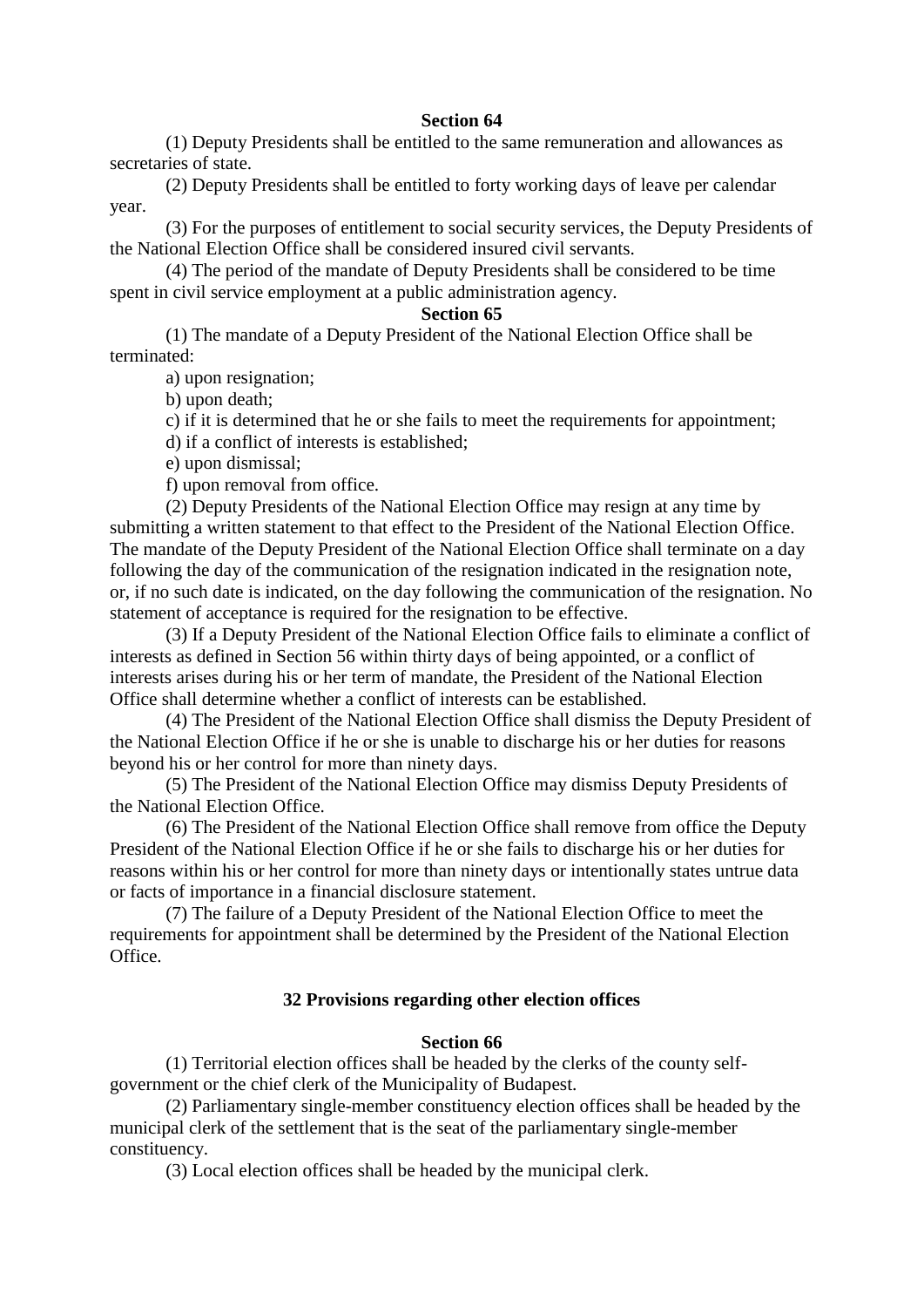(1) Deputy Presidents shall be entitled to the same remuneration and allowances as secretaries of state.

 (2) Deputy Presidents shall be entitled to forty working days of leave per calendar year.

 (3) For the purposes of entitlement to social security services, the Deputy Presidents of the National Election Office shall be considered insured civil servants.

 (4) The period of the mandate of Deputy Presidents shall be considered to be time spent in civil service employment at a public administration agency.

## **Section 65**

 (1) The mandate of a Deputy President of the National Election Office shall be terminated:

a) upon resignation;

b) upon death;

c) if it is determined that he or she fails to meet the requirements for appointment;

d) if a conflict of interests is established;

e) upon dismissal;

f) upon removal from office.

 (2) Deputy Presidents of the National Election Office may resign at any time by submitting a written statement to that effect to the President of the National Election Office. The mandate of the Deputy President of the National Election Office shall terminate on a day following the day of the communication of the resignation indicated in the resignation note, or, if no such date is indicated, on the day following the communication of the resignation. No statement of acceptance is required for the resignation to be effective.

 (3) If a Deputy President of the National Election Office fails to eliminate a conflict of interests as defined in Section 56 within thirty days of being appointed, or a conflict of interests arises during his or her term of mandate, the President of the National Election Office shall determine whether a conflict of interests can be established.

 (4) The President of the National Election Office shall dismiss the Deputy President of the National Election Office if he or she is unable to discharge his or her duties for reasons beyond his or her control for more than ninety days.

 (5) The President of the National Election Office may dismiss Deputy Presidents of the National Election Office.

 (6) The President of the National Election Office shall remove from office the Deputy President of the National Election Office if he or she fails to discharge his or her duties for reasons within his or her control for more than ninety days or intentionally states untrue data or facts of importance in a financial disclosure statement.

 (7) The failure of a Deputy President of the National Election Office to meet the requirements for appointment shall be determined by the President of the National Election Office.

## **32 Provisions regarding other election offices**

## **Section 66**

 (1) Territorial election offices shall be headed by the clerks of the county selfgovernment or the chief clerk of the Municipality of Budapest.

 (2) Parliamentary single-member constituency election offices shall be headed by the municipal clerk of the settlement that is the seat of the parliamentary single-member constituency.

(3) Local election offices shall be headed by the municipal clerk.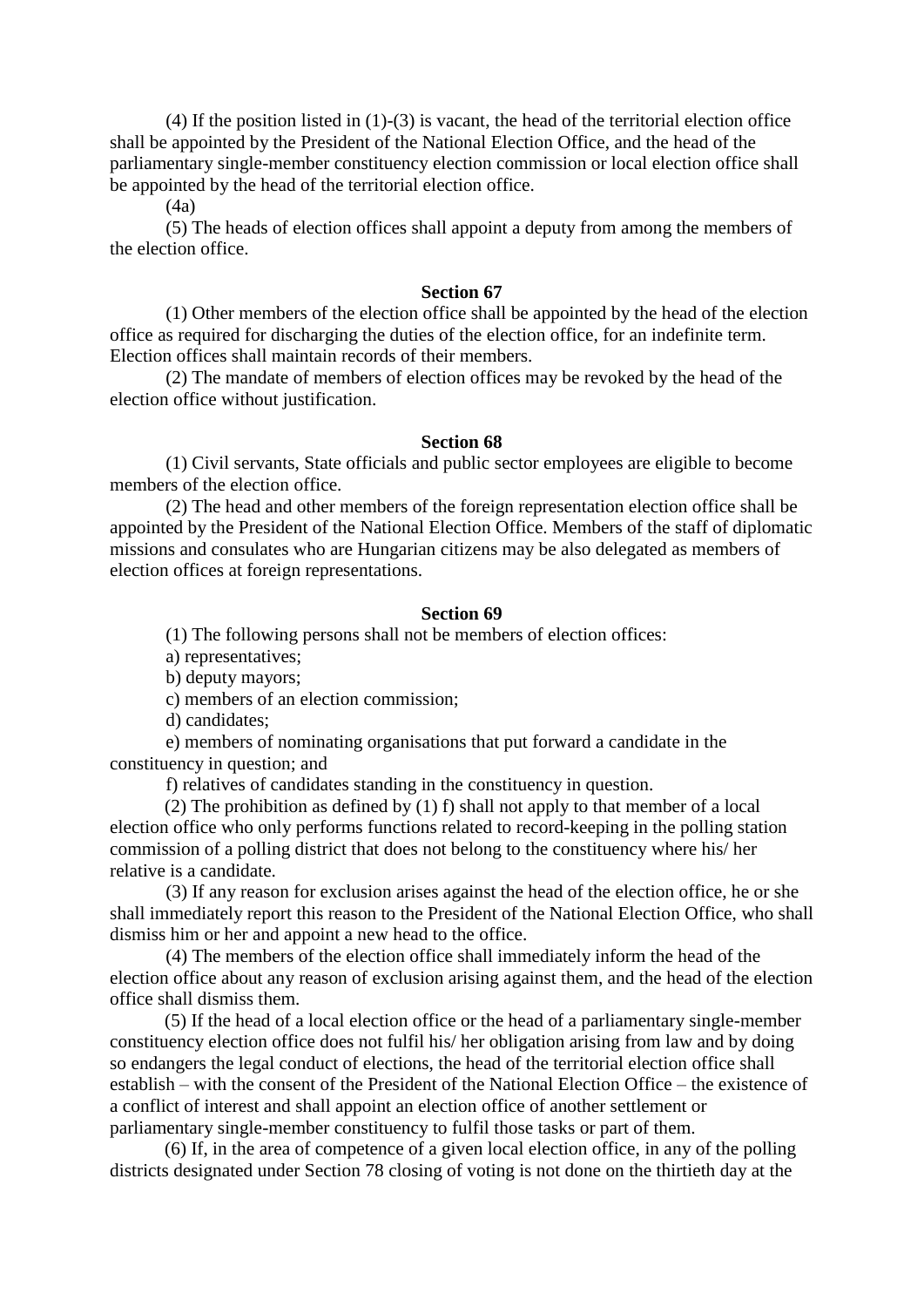(4) If the position listed in (1)-(3) is vacant, the head of the territorial election office shall be appointed by the President of the National Election Office, and the head of the parliamentary single-member constituency election commission or local election office shall be appointed by the head of the territorial election office.

 $(4a)$ 

 (5) The heads of election offices shall appoint a deputy from among the members of the election office.

#### **Section 67**

 (1) Other members of the election office shall be appointed by the head of the election office as required for discharging the duties of the election office, for an indefinite term. Election offices shall maintain records of their members.

 (2) The mandate of members of election offices may be revoked by the head of the election office without justification.

#### **Section 68**

 (1) Civil servants, State officials and public sector employees are eligible to become members of the election office.

 (2) The head and other members of the foreign representation election office shall be appointed by the President of the National Election Office. Members of the staff of diplomatic missions and consulates who are Hungarian citizens may be also delegated as members of election offices at foreign representations.

### **Section 69**

(1) The following persons shall not be members of election offices:

a) representatives;

b) deputy mayors;

c) members of an election commission;

d) candidates;

 e) members of nominating organisations that put forward a candidate in the constituency in question; and

f) relatives of candidates standing in the constituency in question.

(2) The prohibition as defined by (1) f) shall not apply to that member of a local election office who only performs functions related to record-keeping in the polling station commission of a polling district that does not belong to the constituency where his/ her relative is a candidate.

 (3) If any reason for exclusion arises against the head of the election office, he or she shall immediately report this reason to the President of the National Election Office, who shall dismiss him or her and appoint a new head to the office.

 (4) The members of the election office shall immediately inform the head of the election office about any reason of exclusion arising against them, and the head of the election office shall dismiss them.

(5) If the head of a local election office or the head of a parliamentary single-member constituency election office does not fulfil his/ her obligation arising from law and by doing so endangers the legal conduct of elections, the head of the territorial election office shall establish – with the consent of the President of the National Election Office – the existence of a conflict of interest and shall appoint an election office of another settlement or parliamentary single-member constituency to fulfil those tasks or part of them.

(6) If, in the area of competence of a given local election office, in any of the polling districts designated under Section 78 closing of voting is not done on the thirtieth day at the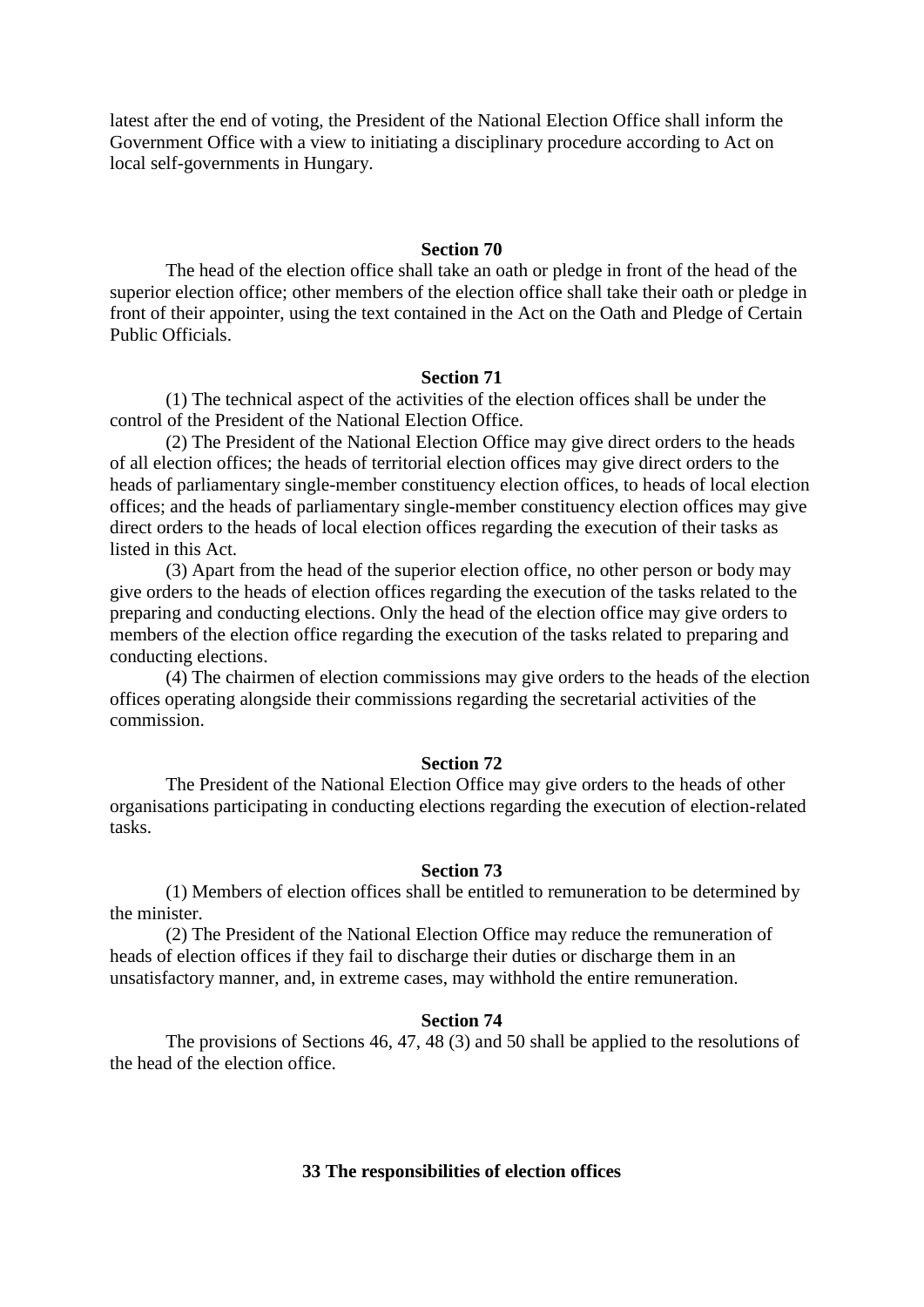latest after the end of voting, the President of the National Election Office shall inform the Government Office with a view to initiating a disciplinary procedure according to Act on local self-governments in Hungary.

## **Section 70**

 The head of the election office shall take an oath or pledge in front of the head of the superior election office; other members of the election office shall take their oath or pledge in front of their appointer, using the text contained in the Act on the Oath and Pledge of Certain Public Officials.

#### **Section 71**

 (1) The technical aspect of the activities of the election offices shall be under the control of the President of the National Election Office.

 (2) The President of the National Election Office may give direct orders to the heads of all election offices; the heads of territorial election offices may give direct orders to the heads of parliamentary single-member constituency election offices, to heads of local election offices; and the heads of parliamentary single-member constituency election offices may give direct orders to the heads of local election offices regarding the execution of their tasks as listed in this Act.

 (3) Apart from the head of the superior election office, no other person or body may give orders to the heads of election offices regarding the execution of the tasks related to the preparing and conducting elections. Only the head of the election office may give orders to members of the election office regarding the execution of the tasks related to preparing and conducting elections.

 (4) The chairmen of election commissions may give orders to the heads of the election offices operating alongside their commissions regarding the secretarial activities of the commission.

### **Section 72**

 The President of the National Election Office may give orders to the heads of other organisations participating in conducting elections regarding the execution of election-related tasks.

#### **Section 73**

 (1) Members of election offices shall be entitled to remuneration to be determined by the minister.

 (2) The President of the National Election Office may reduce the remuneration of heads of election offices if they fail to discharge their duties or discharge them in an unsatisfactory manner, and, in extreme cases, may withhold the entire remuneration.

### **Section 74**

 The provisions of Sections 46, 47, 48 (3) and 50 shall be applied to the resolutions of the head of the election office.

### **33 The responsibilities of election offices**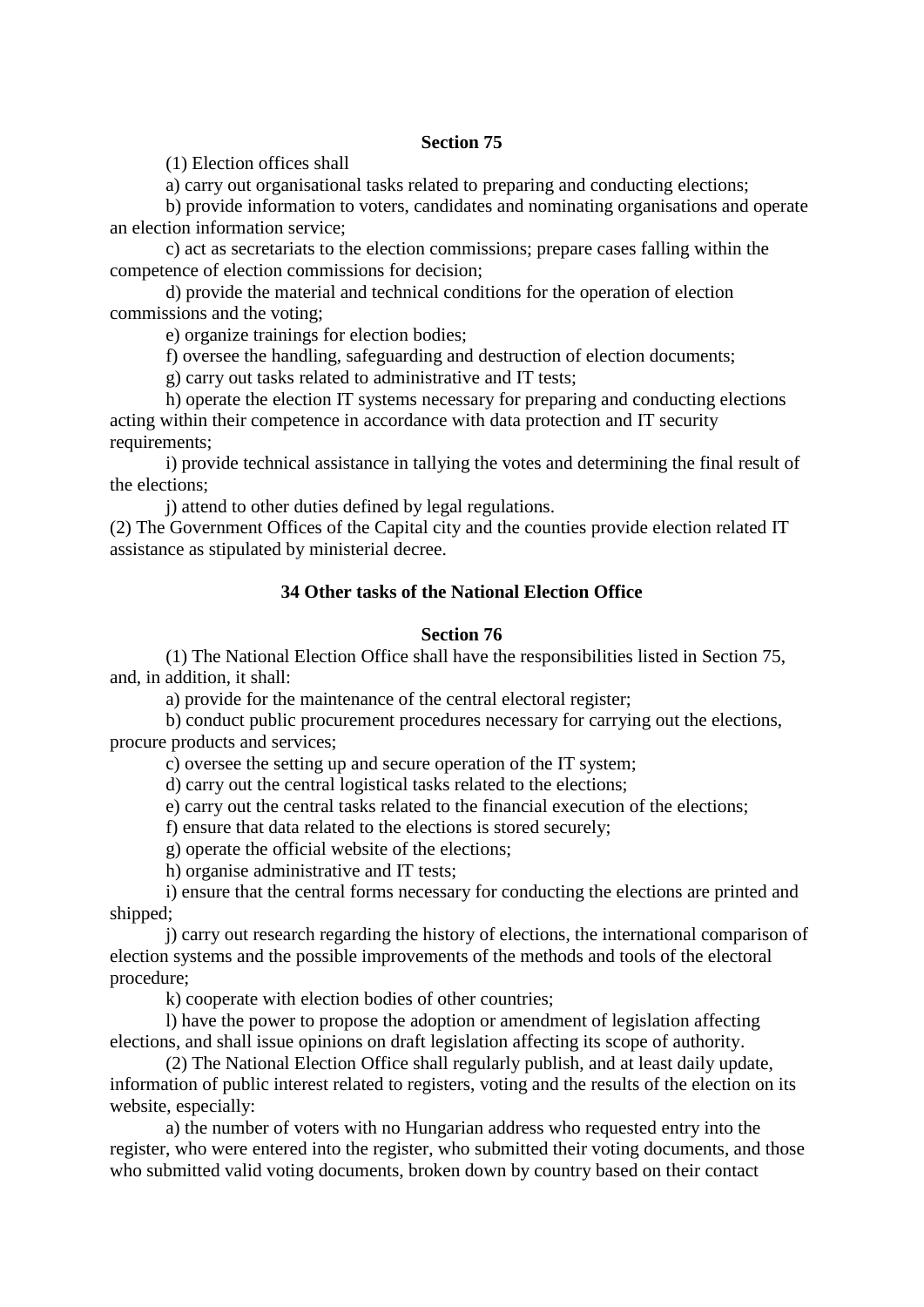(1) Election offices shall

a) carry out organisational tasks related to preparing and conducting elections;

 b) provide information to voters, candidates and nominating organisations and operate an election information service;

 c) act as secretariats to the election commissions; prepare cases falling within the competence of election commissions for decision;

 d) provide the material and technical conditions for the operation of election commissions and the voting;

e) organize trainings for election bodies;

f) oversee the handling, safeguarding and destruction of election documents;

g) carry out tasks related to administrative and IT tests;

 h) operate the election IT systems necessary for preparing and conducting elections acting within their competence in accordance with data protection and IT security requirements;

 i) provide technical assistance in tallying the votes and determining the final result of the elections;

j) attend to other duties defined by legal regulations.

(2) The Government Offices of the Capital city and the counties provide election related IT assistance as stipulated by ministerial decree.

## **34 Other tasks of the National Election Office**

## **Section 76**

 (1) The National Election Office shall have the responsibilities listed in Section 75, and, in addition, it shall:

a) provide for the maintenance of the central electoral register;

 b) conduct public procurement procedures necessary for carrying out the elections, procure products and services;

c) oversee the setting up and secure operation of the IT system;

d) carry out the central logistical tasks related to the elections;

e) carry out the central tasks related to the financial execution of the elections;

f) ensure that data related to the elections is stored securely;

g) operate the official website of the elections;

h) organise administrative and IT tests;

 i) ensure that the central forms necessary for conducting the elections are printed and shipped;

 j) carry out research regarding the history of elections, the international comparison of election systems and the possible improvements of the methods and tools of the electoral procedure;

k) cooperate with election bodies of other countries;

 l) have the power to propose the adoption or amendment of legislation affecting elections, and shall issue opinions on draft legislation affecting its scope of authority.

 (2) The National Election Office shall regularly publish, and at least daily update, information of public interest related to registers, voting and the results of the election on its website, especially:

 a) the number of voters with no Hungarian address who requested entry into the register, who were entered into the register, who submitted their voting documents, and those who submitted valid voting documents, broken down by country based on their contact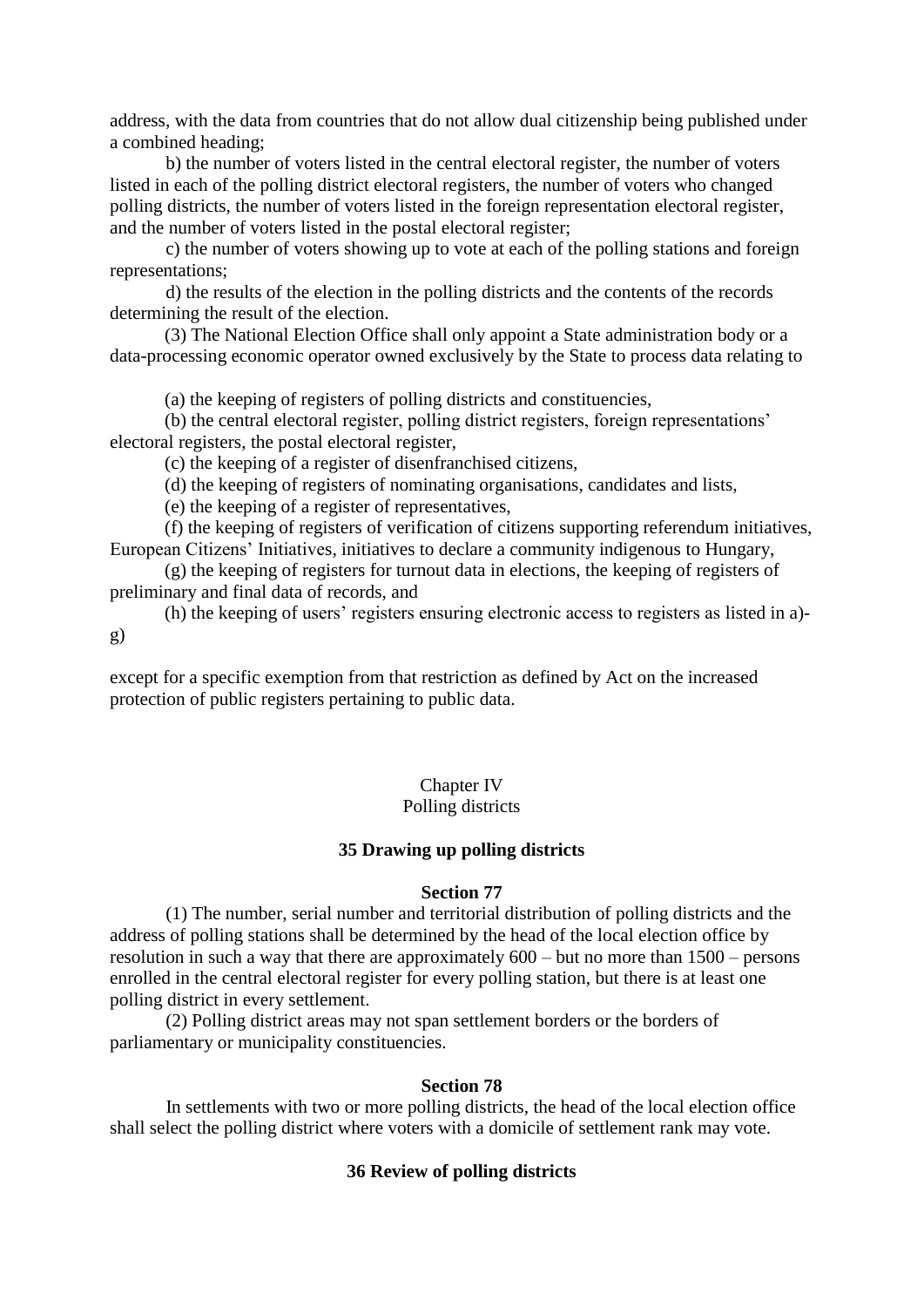address, with the data from countries that do not allow dual citizenship being published under a combined heading;

 b) the number of voters listed in the central electoral register, the number of voters listed in each of the polling district electoral registers, the number of voters who changed polling districts, the number of voters listed in the foreign representation electoral register, and the number of voters listed in the postal electoral register;

 c) the number of voters showing up to vote at each of the polling stations and foreign representations;

 d) the results of the election in the polling districts and the contents of the records determining the result of the election.

(3) The National Election Office shall only appoint a State administration body or a data-processing economic operator owned exclusively by the State to process data relating to

(a) the keeping of registers of polling districts and constituencies,

(b) the central electoral register, polling district registers, foreign representations' electoral registers, the postal electoral register,

(c) the keeping of a register of disenfranchised citizens,

(d) the keeping of registers of nominating organisations, candidates and lists,

(e) the keeping of a register of representatives,

(f) the keeping of registers of verification of citizens supporting referendum initiatives, European Citizens' Initiatives, initiatives to declare a community indigenous to Hungary,

(g) the keeping of registers for turnout data in elections, the keeping of registers of preliminary and final data of records, and

(h) the keeping of users' registers ensuring electronic access to registers as listed in a) g)

except for a specific exemption from that restriction as defined by Act on the increased protection of public registers pertaining to public data.

# Chapter IV

## Polling districts

## **35 Drawing up polling districts**

### **Section 77**

 (1) The number, serial number and territorial distribution of polling districts and the address of polling stations shall be determined by the head of the local election office by resolution in such a way that there are approximately 600 – but no more than 1500 – persons enrolled in the central electoral register for every polling station, but there is at least one polling district in every settlement.

 (2) Polling district areas may not span settlement borders or the borders of parliamentary or municipality constituencies.

### **Section 78**

 In settlements with two or more polling districts, the head of the local election office shall select the polling district where voters with a domicile of settlement rank may vote.

## **36 Review of polling districts**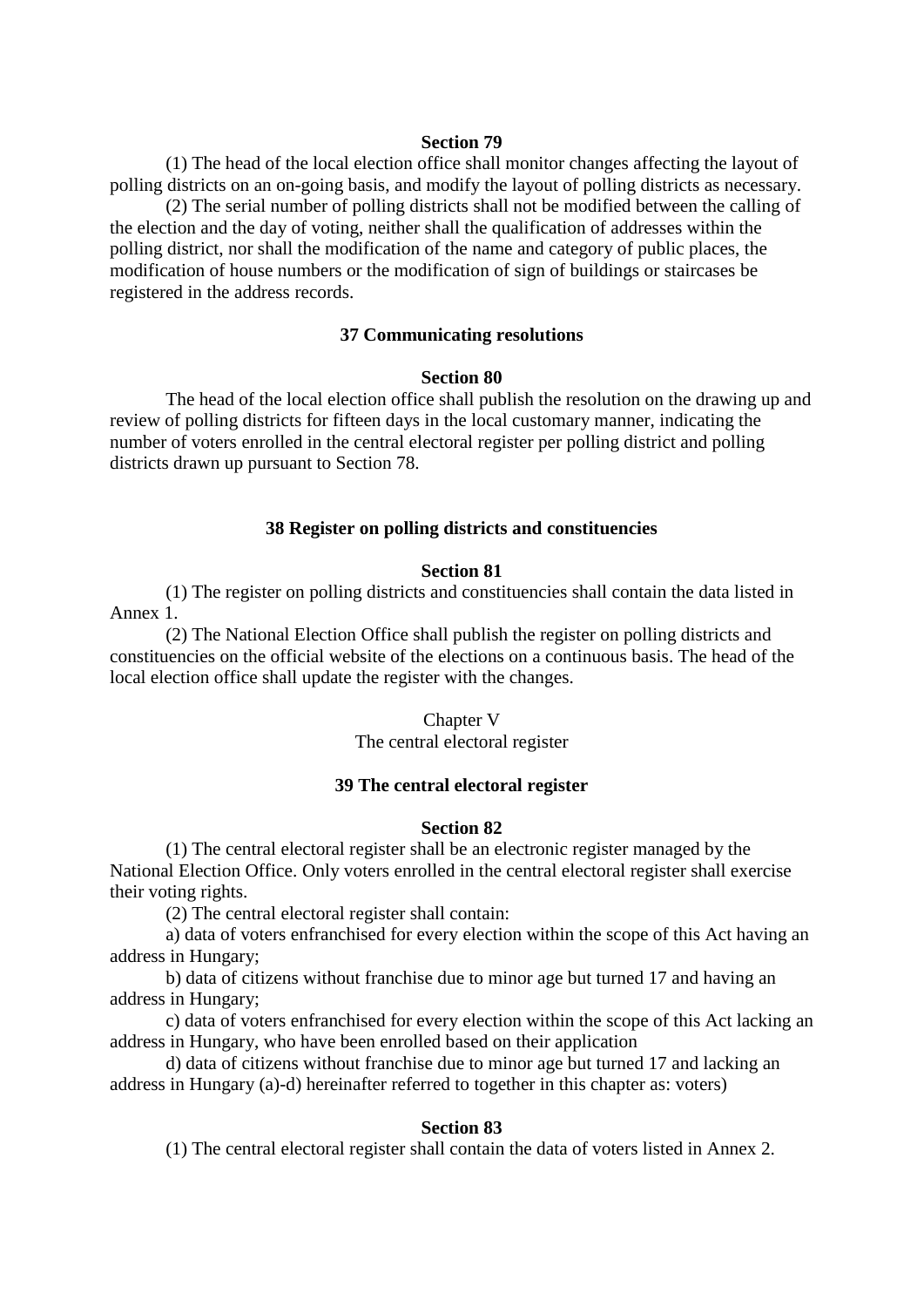(1) The head of the local election office shall monitor changes affecting the layout of polling districts on an on-going basis, and modify the layout of polling districts as necessary.

 (2) The serial number of polling districts shall not be modified between the calling of the election and the day of voting, neither shall the qualification of addresses within the polling district, nor shall the modification of the name and category of public places, the modification of house numbers or the modification of sign of buildings or staircases be registered in the address records.

## **37 Communicating resolutions**

#### **Section 80**

 The head of the local election office shall publish the resolution on the drawing up and review of polling districts for fifteen days in the local customary manner, indicating the number of voters enrolled in the central electoral register per polling district and polling districts drawn up pursuant to Section 78.

### **38 Register on polling districts and constituencies**

### **Section 81**

 (1) The register on polling districts and constituencies shall contain the data listed in Annex 1.

 (2) The National Election Office shall publish the register on polling districts and constituencies on the official website of the elections on a continuous basis. The head of the local election office shall update the register with the changes.

### Chapter V

The central electoral register

### **39 The central electoral register**

#### **Section 82**

 (1) The central electoral register shall be an electronic register managed by the National Election Office. Only voters enrolled in the central electoral register shall exercise their voting rights.

(2) The central electoral register shall contain:

 a) data of voters enfranchised for every election within the scope of this Act having an address in Hungary;

 b) data of citizens without franchise due to minor age but turned 17 and having an address in Hungary;

 c) data of voters enfranchised for every election within the scope of this Act lacking an address in Hungary, who have been enrolled based on their application

 d) data of citizens without franchise due to minor age but turned 17 and lacking an address in Hungary (a)-d) hereinafter referred to together in this chapter as: voters)

### **Section 83**

(1) The central electoral register shall contain the data of voters listed in Annex 2.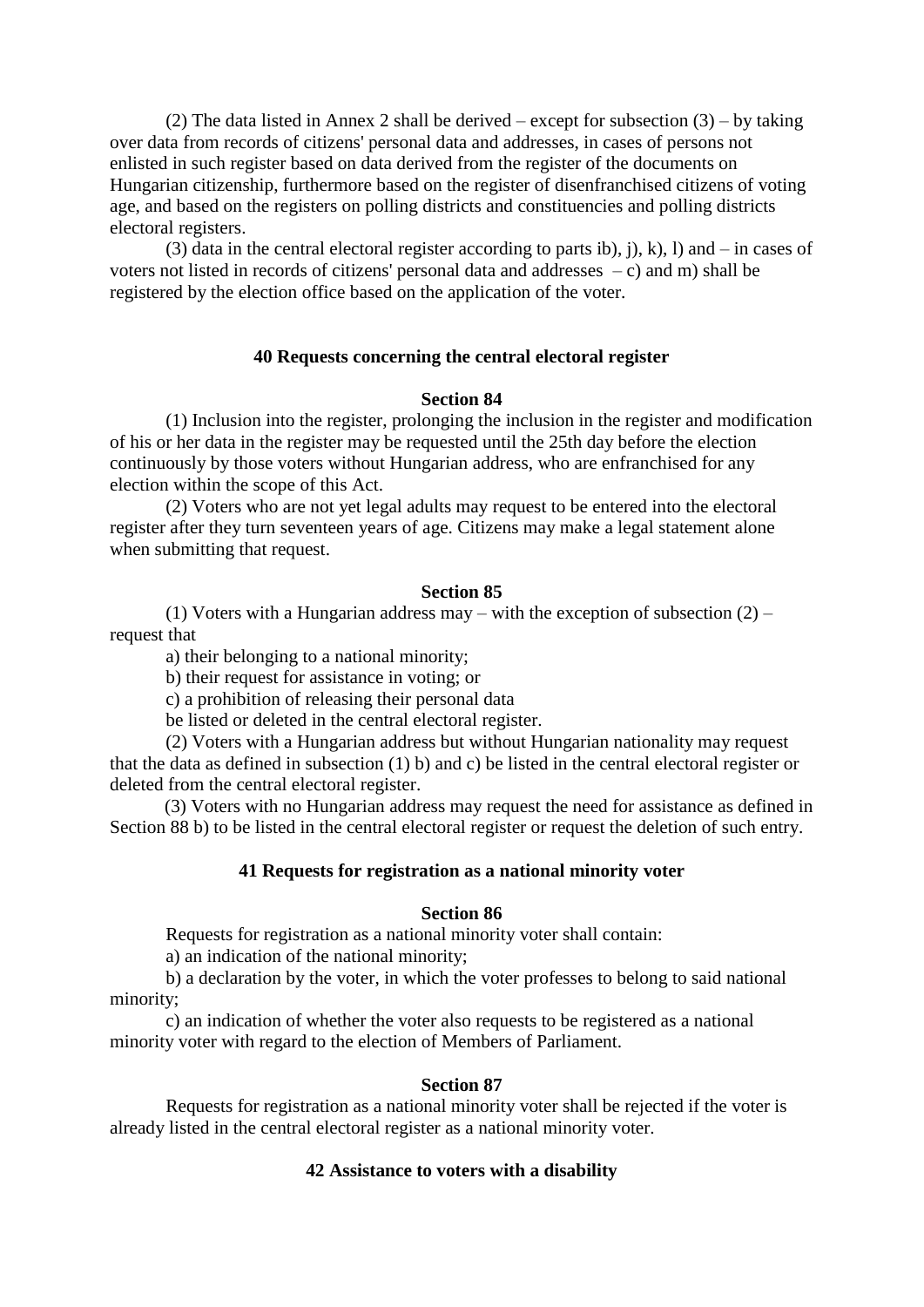(2) The data listed in Annex 2 shall be derived – except for subsection  $(3)$  – by taking over data from records of citizens' personal data and addresses, in cases of persons not enlisted in such register based on data derived from the register of the documents on Hungarian citizenship, furthermore based on the register of disenfranchised citizens of voting age, and based on the registers on polling districts and constituencies and polling districts electoral registers.

(3) data in the central electoral register according to parts ib), j), k), l) and – in cases of voters not listed in records of citizens' personal data and addresses – c) and m) shall be registered by the election office based on the application of the voter.

## **40 Requests concerning the central electoral register**

## **Section 84**

 (1) Inclusion into the register, prolonging the inclusion in the register and modification of his or her data in the register may be requested until the 25th day before the election continuously by those voters without Hungarian address, who are enfranchised for any election within the scope of this Act.

 (2) Voters who are not yet legal adults may request to be entered into the electoral register after they turn seventeen years of age. Citizens may make a legal statement alone when submitting that request.

### **Section 85**

(1) Voters with a Hungarian address may – with the exception of subsection  $(2)$  – request that

a) their belonging to a national minority;

b) their request for assistance in voting; or

c) a prohibition of releasing their personal data

be listed or deleted in the central electoral register.

 (2) Voters with a Hungarian address but without Hungarian nationality may request that the data as defined in subsection (1) b) and c) be listed in the central electoral register or deleted from the central electoral register.

(3) Voters with no Hungarian address may request the need for assistance as defined in Section 88 b) to be listed in the central electoral register or request the deletion of such entry.

### **41 Requests for registration as a national minority voter**

### **Section 86**

Requests for registration as a national minority voter shall contain:

a) an indication of the national minority;

 b) a declaration by the voter, in which the voter professes to belong to said national minority;

 c) an indication of whether the voter also requests to be registered as a national minority voter with regard to the election of Members of Parliament.

### **Section 87**

 Requests for registration as a national minority voter shall be rejected if the voter is already listed in the central electoral register as a national minority voter.

### **42 Assistance to voters with a disability**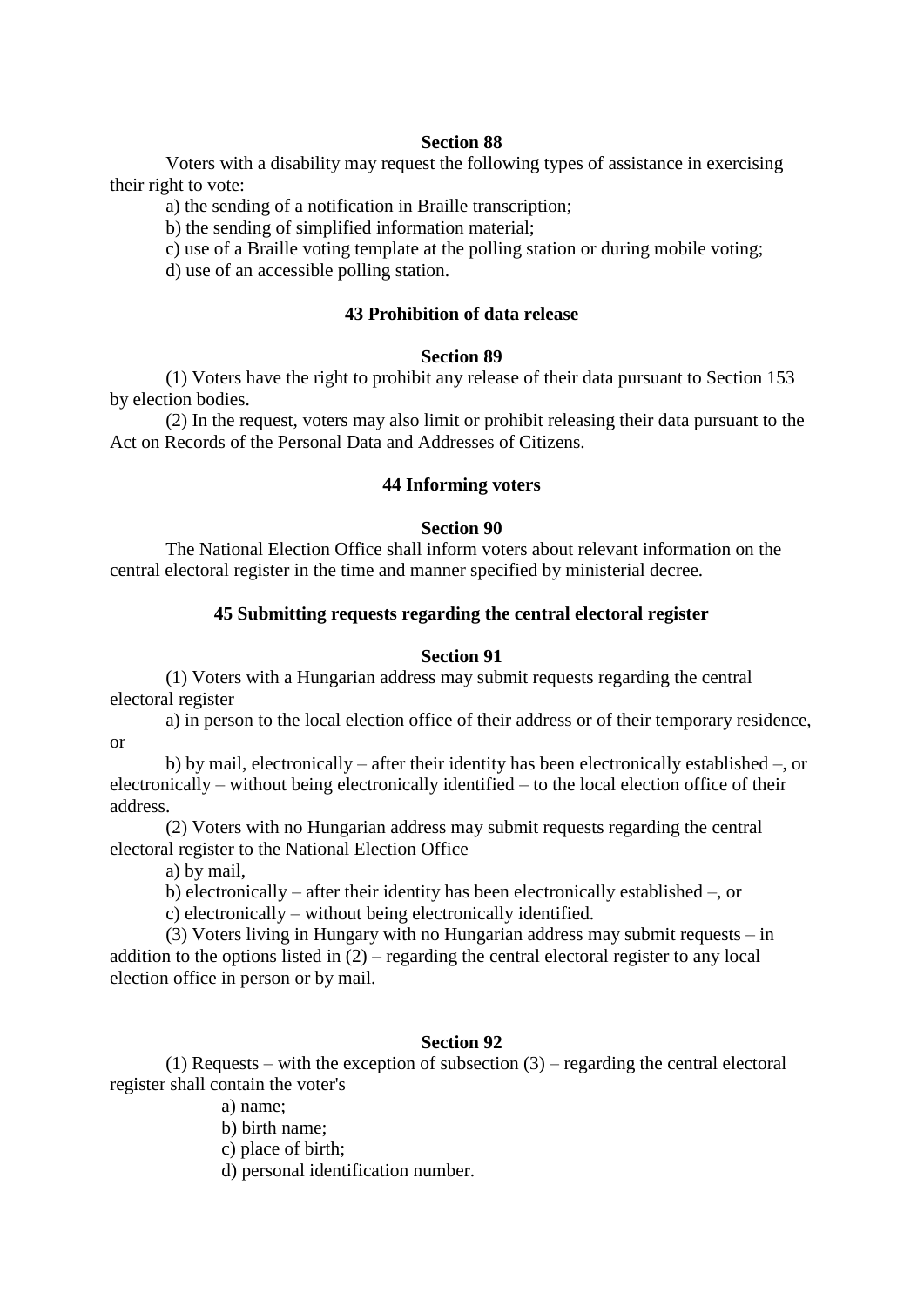Voters with a disability may request the following types of assistance in exercising their right to vote:

a) the sending of a notification in Braille transcription;

b) the sending of simplified information material;

c) use of a Braille voting template at the polling station or during mobile voting;

d) use of an accessible polling station.

## **43 Prohibition of data release**

#### **Section 89**

 (1) Voters have the right to prohibit any release of their data pursuant to Section 153 by election bodies.

 (2) In the request, voters may also limit or prohibit releasing their data pursuant to the Act on Records of the Personal Data and Addresses of Citizens.

#### **44 Informing voters**

#### **Section 90**

 The National Election Office shall inform voters about relevant information on the central electoral register in the time and manner specified by ministerial decree.

### **45 Submitting requests regarding the central electoral register**

#### **Section 91**

 (1) Voters with a Hungarian address may submit requests regarding the central electoral register

 a) in person to the local election office of their address or of their temporary residence, or

 b) by mail, electronically – after their identity has been electronically established –, or electronically – without being electronically identified – to the local election office of their address.

 (2) Voters with no Hungarian address may submit requests regarding the central electoral register to the National Election Office

a) by mail,

b) electronically – after their identity has been electronically established –, or

c) electronically – without being electronically identified.

 (3) Voters living in Hungary with no Hungarian address may submit requests – in addition to the options listed in  $(2)$  – regarding the central electoral register to any local election office in person or by mail.

### **Section 92**

 (1) Requests – with the exception of subsection (3) – regarding the central electoral register shall contain the voter's

a) name;

b) birth name;

c) place of birth;

d) personal identification number.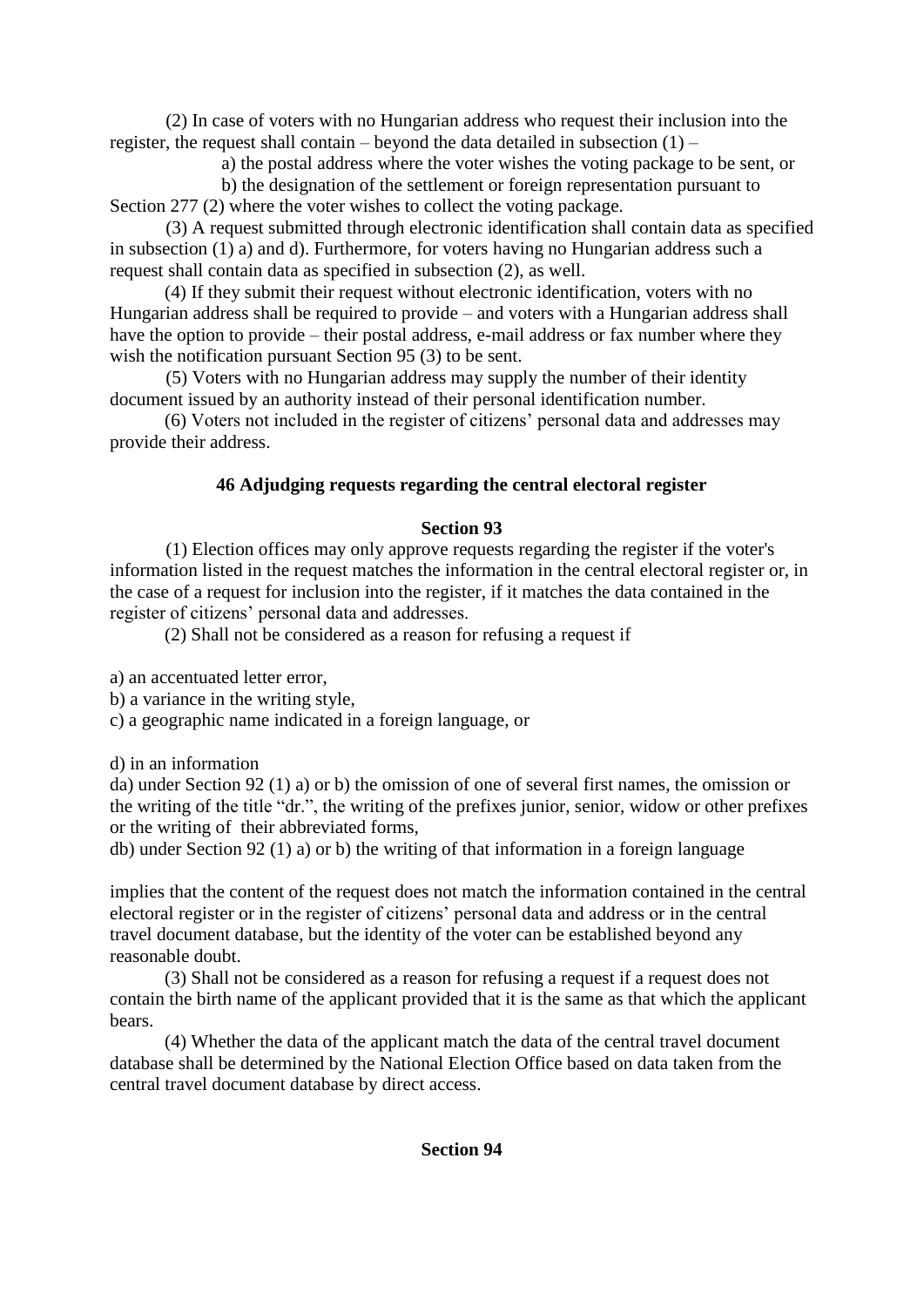(2) In case of voters with no Hungarian address who request their inclusion into the register, the request shall contain – beyond the data detailed in subsection  $(1)$  –

a) the postal address where the voter wishes the voting package to be sent, or

 b) the designation of the settlement or foreign representation pursuant to Section 277 (2) where the voter wishes to collect the voting package.

 (3) A request submitted through electronic identification shall contain data as specified in subsection (1) a) and d). Furthermore, for voters having no Hungarian address such a request shall contain data as specified in subsection (2), as well.

(4) If they submit their request without electronic identification, voters with no Hungarian address shall be required to provide – and voters with a Hungarian address shall have the option to provide – their postal address, e-mail address or fax number where they wish the notification pursuant Section 95 (3) to be sent.

 (5) Voters with no Hungarian address may supply the number of their identity document issued by an authority instead of their personal identification number.

(6) Voters not included in the register of citizens' personal data and addresses may provide their address.

# **46 Adjudging requests regarding the central electoral register**

# **Section 93**

 (1) Election offices may only approve requests regarding the register if the voter's information listed in the request matches the information in the central electoral register or, in the case of a request for inclusion into the register, if it matches the data contained in the register of citizens' personal data and addresses.

(2) Shall not be considered as a reason for refusing a request if

a) an accentuated letter error,

b) a variance in the writing style,

c) a geographic name indicated in a foreign language, or

d) in an information

da) under Section 92 (1) a) or b) the omission of one of several first names, the omission or the writing of the title "dr.", the writing of the prefixes junior, senior, widow or other prefixes or the writing of their abbreviated forms,

db) under Section 92 (1) a) or b) the writing of that information in a foreign language

implies that the content of the request does not match the information contained in the central electoral register or in the register of citizens' personal data and address or in the central travel document database, but the identity of the voter can be established beyond any reasonable doubt.

(3) Shall not be considered as a reason for refusing a request if a request does not contain the birth name of the applicant provided that it is the same as that which the applicant bears.

(4) Whether the data of the applicant match the data of the central travel document database shall be determined by the National Election Office based on data taken from the central travel document database by direct access.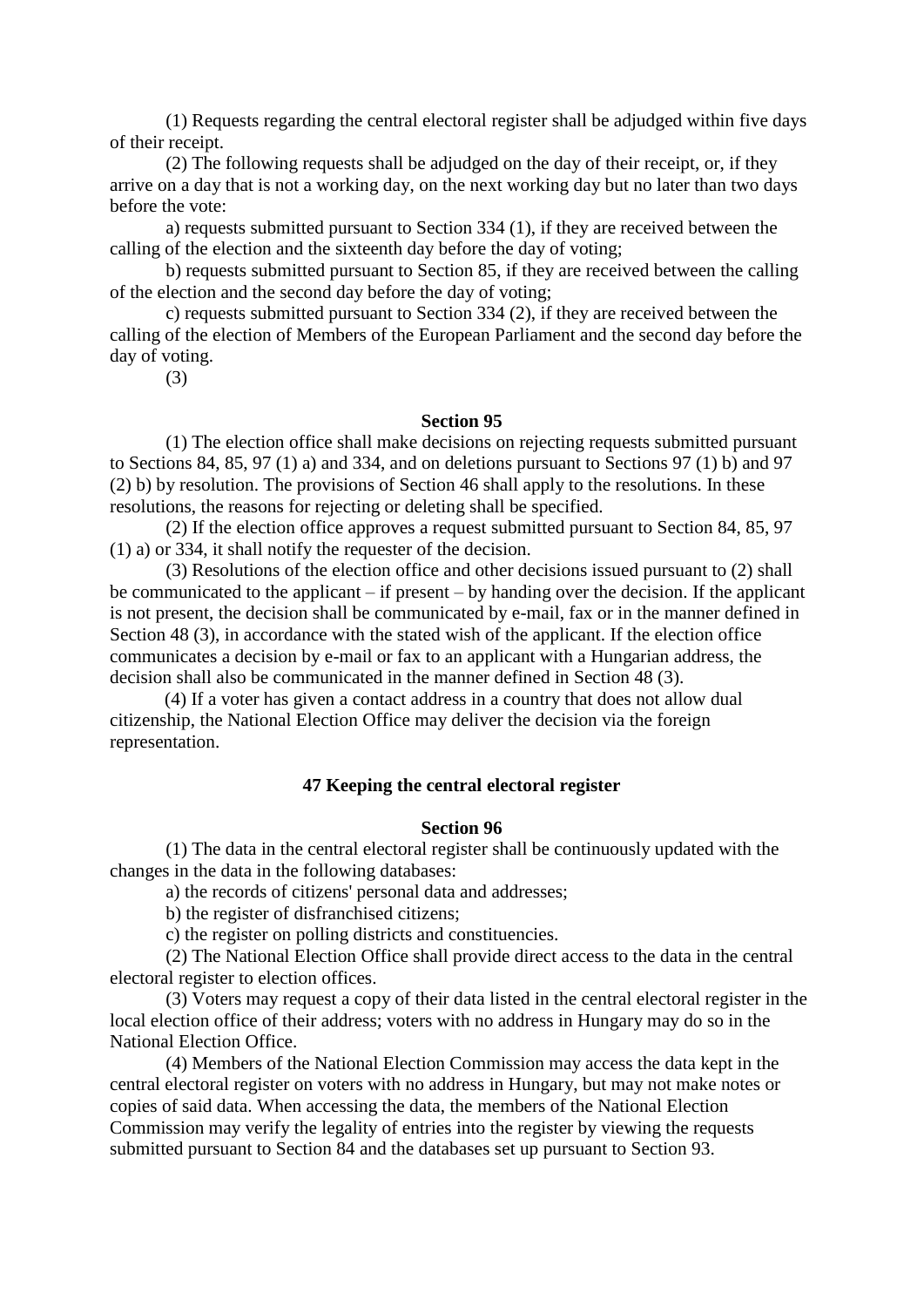(1) Requests regarding the central electoral register shall be adjudged within five days of their receipt.

 (2) The following requests shall be adjudged on the day of their receipt, or, if they arrive on a day that is not a working day, on the next working day but no later than two days before the vote:

 a) requests submitted pursuant to Section 334 (1), if they are received between the calling of the election and the sixteenth day before the day of voting;

 b) requests submitted pursuant to Section 85, if they are received between the calling of the election and the second day before the day of voting;

 c) requests submitted pursuant to Section 334 (2), if they are received between the calling of the election of Members of the European Parliament and the second day before the day of voting.

(3)

## **Section 95**

 (1) The election office shall make decisions on rejecting requests submitted pursuant to Sections 84, 85, 97 (1) a) and 334, and on deletions pursuant to Sections 97 (1) b) and 97 (2) b) by resolution. The provisions of Section 46 shall apply to the resolutions. In these resolutions, the reasons for rejecting or deleting shall be specified.

 (2) If the election office approves a request submitted pursuant to Section 84, 85, 97 (1) a) or 334, it shall notify the requester of the decision.

 (3) Resolutions of the election office and other decisions issued pursuant to (2) shall be communicated to the applicant – if present – by handing over the decision. If the applicant is not present, the decision shall be communicated by e-mail, fax or in the manner defined in Section 48 (3), in accordance with the stated wish of the applicant. If the election office communicates a decision by e-mail or fax to an applicant with a Hungarian address, the decision shall also be communicated in the manner defined in Section 48 (3).

(4) If a voter has given a contact address in a country that does not allow dual citizenship, the National Election Office may deliver the decision via the foreign representation.

### **47 Keeping the central electoral register**

#### **Section 96**

 (1) The data in the central electoral register shall be continuously updated with the changes in the data in the following databases:

a) the records of citizens' personal data and addresses;

b) the register of disfranchised citizens;

c) the register on polling districts and constituencies.

 (2) The National Election Office shall provide direct access to the data in the central electoral register to election offices.

 (3) Voters may request a copy of their data listed in the central electoral register in the local election office of their address; voters with no address in Hungary may do so in the National Election Office.

 (4) Members of the National Election Commission may access the data kept in the central electoral register on voters with no address in Hungary, but may not make notes or copies of said data. When accessing the data, the members of the National Election Commission may verify the legality of entries into the register by viewing the requests submitted pursuant to Section 84 and the databases set up pursuant to Section 93.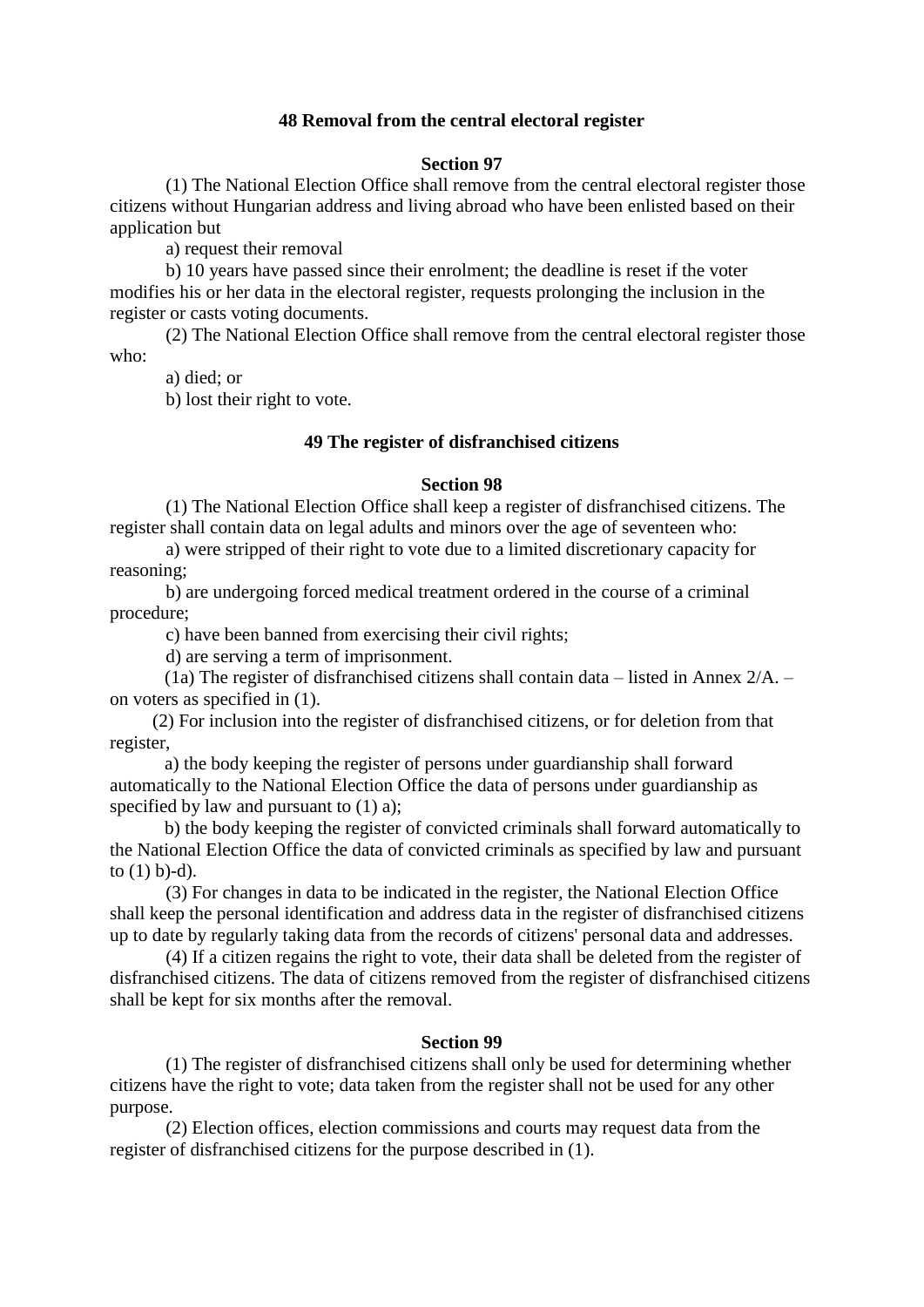## **48 Removal from the central electoral register**

## **Section 97**

 (1) The National Election Office shall remove from the central electoral register those citizens without Hungarian address and living abroad who have been enlisted based on their application but

a) request their removal

 b) 10 years have passed since their enrolment; the deadline is reset if the voter modifies his or her data in the electoral register, requests prolonging the inclusion in the register or casts voting documents.

 (2) The National Election Office shall remove from the central electoral register those who:

a) died; or

b) lost their right to vote.

## **49 The register of disfranchised citizens**

### **Section 98**

 (1) The National Election Office shall keep a register of disfranchised citizens. The register shall contain data on legal adults and minors over the age of seventeen who:

 a) were stripped of their right to vote due to a limited discretionary capacity for reasoning;

 b) are undergoing forced medical treatment ordered in the course of a criminal procedure;

c) have been banned from exercising their civil rights;

d) are serving a term of imprisonment.

(1a) The register of disfranchised citizens shall contain data – listed in Annex  $2/A$ . – on voters as specified in (1).

 (2) For inclusion into the register of disfranchised citizens, or for deletion from that register,

a) the body keeping the register of persons under guardianship shall forward automatically to the National Election Office the data of persons under guardianship as specified by law and pursuant to  $(1)$  a);

b) the body keeping the register of convicted criminals shall forward automatically to the National Election Office the data of convicted criminals as specified by law and pursuant to  $(1)$  b)-d).

 (3) For changes in data to be indicated in the register, the National Election Office shall keep the personal identification and address data in the register of disfranchised citizens up to date by regularly taking data from the records of citizens' personal data and addresses.

 (4) If a citizen regains the right to vote, their data shall be deleted from the register of disfranchised citizens. The data of citizens removed from the register of disfranchised citizens shall be kept for six months after the removal.

### **Section 99**

 (1) The register of disfranchised citizens shall only be used for determining whether citizens have the right to vote; data taken from the register shall not be used for any other purpose.

 (2) Election offices, election commissions and courts may request data from the register of disfranchised citizens for the purpose described in (1).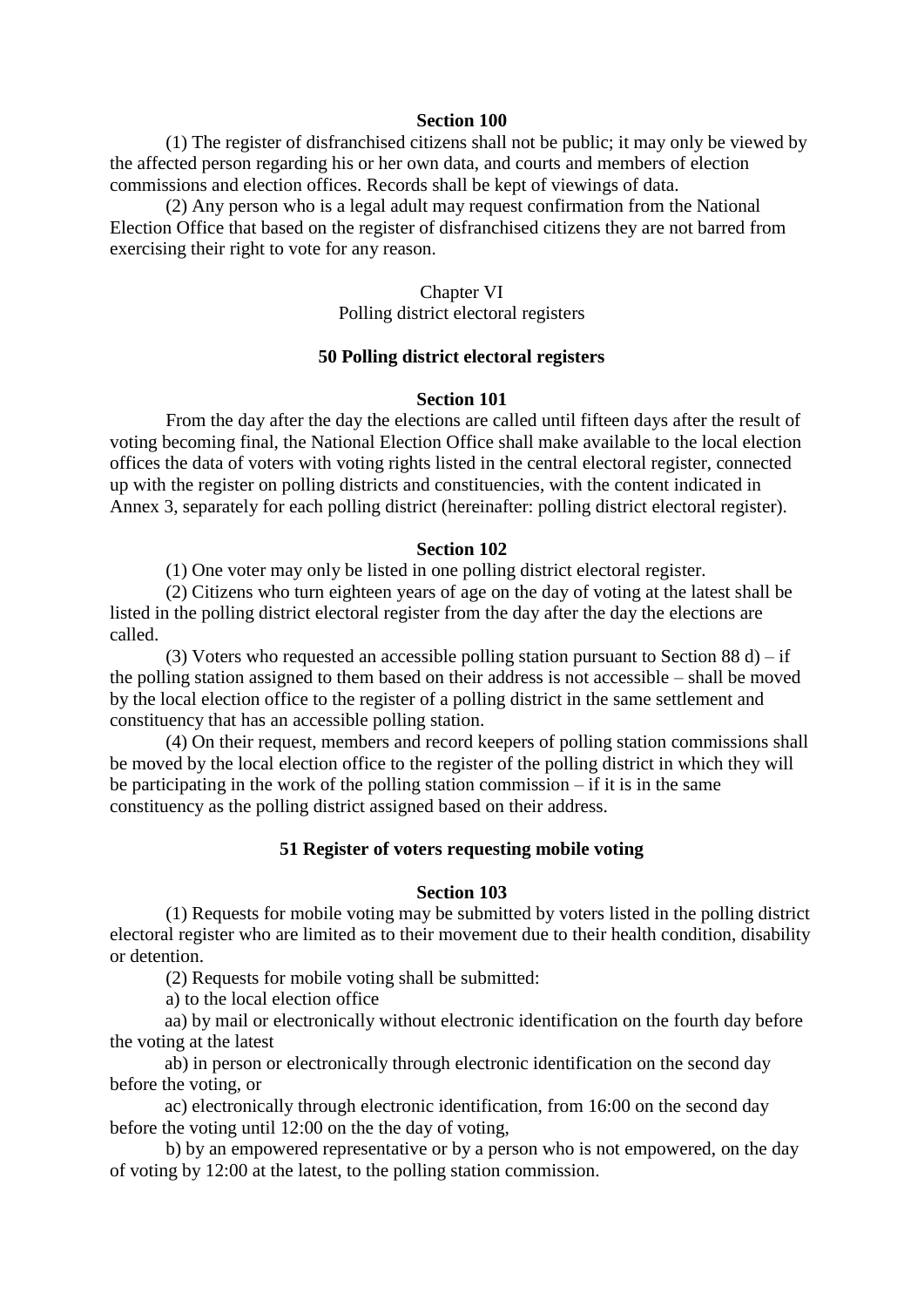(1) The register of disfranchised citizens shall not be public; it may only be viewed by the affected person regarding his or her own data, and courts and members of election commissions and election offices. Records shall be kept of viewings of data.

 (2) Any person who is a legal adult may request confirmation from the National Election Office that based on the register of disfranchised citizens they are not barred from exercising their right to vote for any reason.

#### Chapter VI

Polling district electoral registers

## **50 Polling district electoral registers**

## **Section 101**

 From the day after the day the elections are called until fifteen days after the result of voting becoming final, the National Election Office shall make available to the local election offices the data of voters with voting rights listed in the central electoral register, connected up with the register on polling districts and constituencies, with the content indicated in Annex 3, separately for each polling district (hereinafter: polling district electoral register).

#### **Section 102**

(1) One voter may only be listed in one polling district electoral register.

 (2) Citizens who turn eighteen years of age on the day of voting at the latest shall be listed in the polling district electoral register from the day after the day the elections are called.

(3) Voters who requested an accessible polling station pursuant to Section 88 d) – if the polling station assigned to them based on their address is not accessible – shall be moved by the local election office to the register of a polling district in the same settlement and constituency that has an accessible polling station.

 (4) On their request, members and record keepers of polling station commissions shall be moved by the local election office to the register of the polling district in which they will be participating in the work of the polling station commission – if it is in the same constituency as the polling district assigned based on their address.

### **51 Register of voters requesting mobile voting**

#### **Section 103**

 (1) Requests for mobile voting may be submitted by voters listed in the polling district electoral register who are limited as to their movement due to their health condition, disability or detention.

(2) Requests for mobile voting shall be submitted:

a) to the local election office

aa) by mail or electronically without electronic identification on the fourth day before the voting at the latest

ab) in person or electronically through electronic identification on the second day before the voting, or

ac) electronically through electronic identification, from 16:00 on the second day before the voting until 12:00 on the the day of voting,

 b) by an empowered representative or by a person who is not empowered, on the day of voting by 12:00 at the latest, to the polling station commission.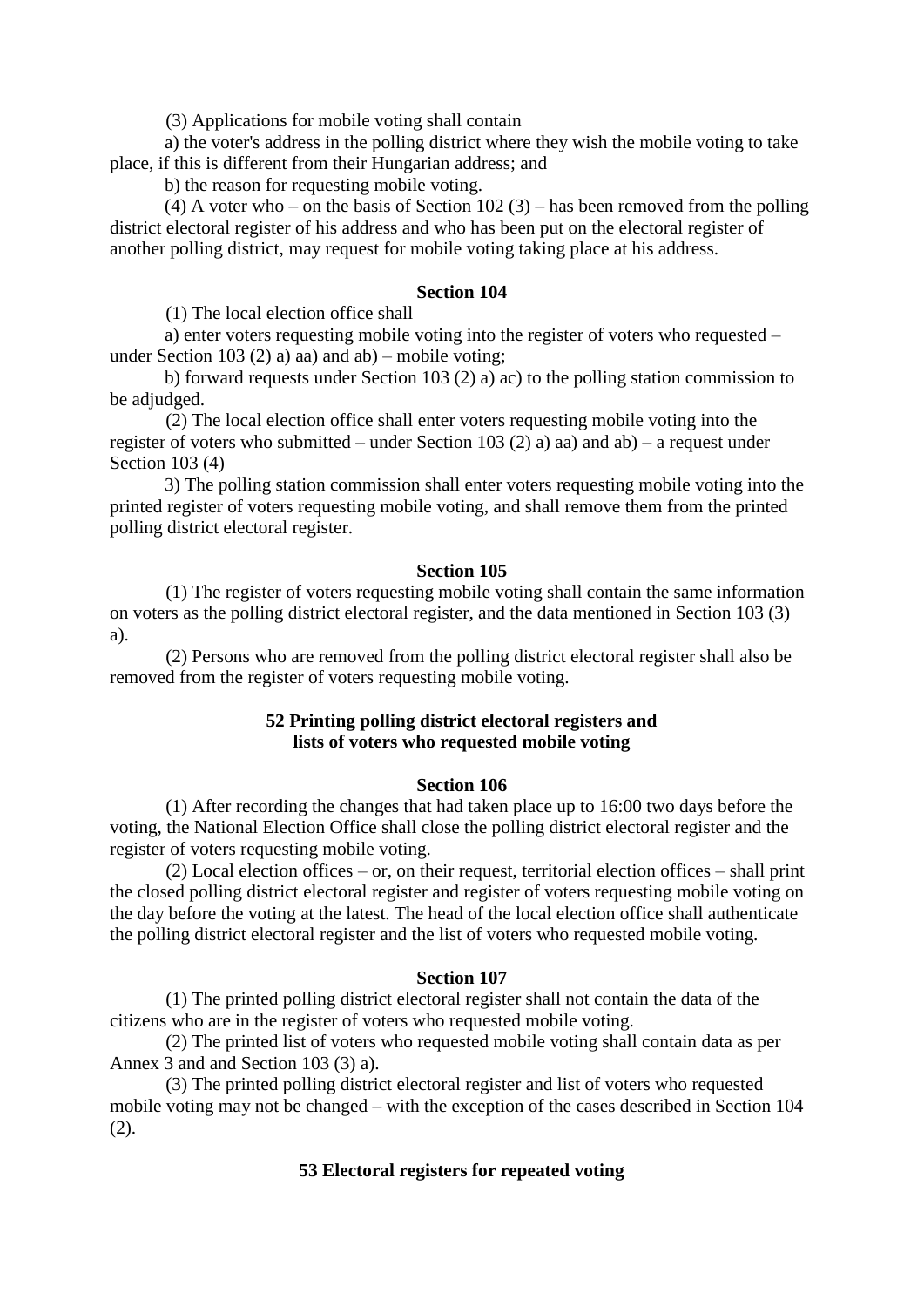(3) Applications for mobile voting shall contain

a) the voter's address in the polling district where they wish the mobile voting to take place, if this is different from their Hungarian address; and

b) the reason for requesting mobile voting.

(4) A voter who – on the basis of Section 102 (3) – has been removed from the polling district electoral register of his address and who has been put on the electoral register of another polling district, may request for mobile voting taking place at his address.

## **Section 104**

(1) The local election office shall

a) enter voters requesting mobile voting into the register of voters who requested – under Section 103 (2) a) aa) and ab) – mobile voting;

b) forward requests under Section 103 (2) a) ac) to the polling station commission to be adjudged.

 (2) The local election office shall enter voters requesting mobile voting into the register of voters who submitted – under Section 103 (2) a) aa) and ab) – a request under Section 103 (4)

3) The polling station commission shall enter voters requesting mobile voting into the printed register of voters requesting mobile voting, and shall remove them from the printed polling district electoral register.

### **Section 105**

 (1) The register of voters requesting mobile voting shall contain the same information on voters as the polling district electoral register, and the data mentioned in Section 103 (3) a).

 (2) Persons who are removed from the polling district electoral register shall also be removed from the register of voters requesting mobile voting.

## **52 Printing polling district electoral registers and lists of voters who requested mobile voting**

### **Section 106**

 (1) After recording the changes that had taken place up to 16:00 two days before the voting, the National Election Office shall close the polling district electoral register and the register of voters requesting mobile voting.

 (2) Local election offices – or, on their request, territorial election offices – shall print the closed polling district electoral register and register of voters requesting mobile voting on the day before the voting at the latest. The head of the local election office shall authenticate the polling district electoral register and the list of voters who requested mobile voting.

## **Section 107**

 (1) The printed polling district electoral register shall not contain the data of the citizens who are in the register of voters who requested mobile voting.

 (2) The printed list of voters who requested mobile voting shall contain data as per Annex 3 and and Section 103 (3) a).

 (3) The printed polling district electoral register and list of voters who requested mobile voting may not be changed – with the exception of the cases described in Section 104  $(2).$ 

## **53 Electoral registers for repeated voting**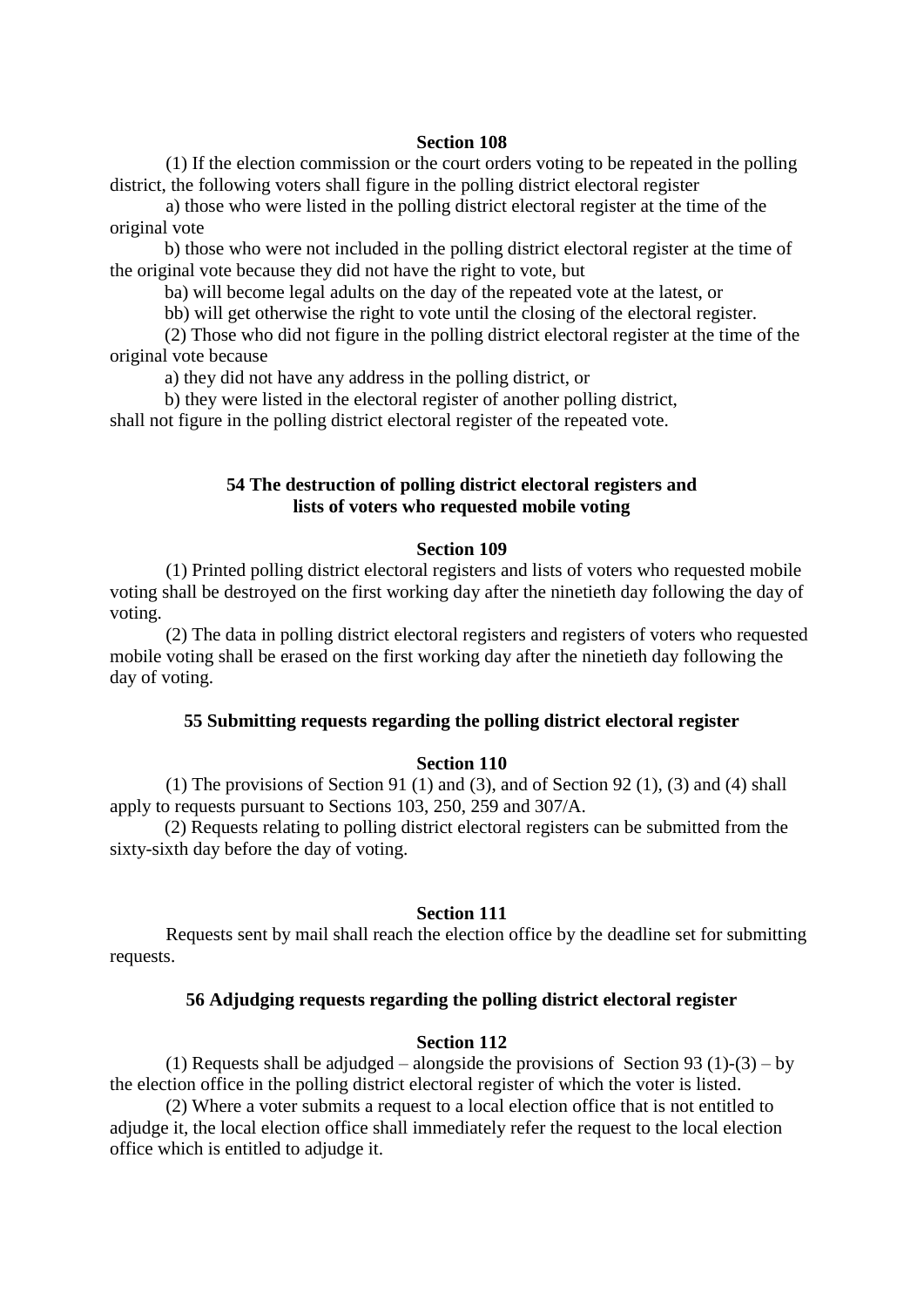(1) If the election commission or the court orders voting to be repeated in the polling district, the following voters shall figure in the polling district electoral register

 a) those who were listed in the polling district electoral register at the time of the original vote

b) those who were not included in the polling district electoral register at the time of the original vote because they did not have the right to vote, but

ba) will become legal adults on the day of the repeated vote at the latest, or

bb) will get otherwise the right to vote until the closing of the electoral register.

(2) Those who did not figure in the polling district electoral register at the time of the original vote because

a) they did not have any address in the polling district, or

b) they were listed in the electoral register of another polling district,

shall not figure in the polling district electoral register of the repeated vote.

# **54 The destruction of polling district electoral registers and lists of voters who requested mobile voting**

## **Section 109**

 (1) Printed polling district electoral registers and lists of voters who requested mobile voting shall be destroyed on the first working day after the ninetieth day following the day of voting.

 (2) The data in polling district electoral registers and registers of voters who requested mobile voting shall be erased on the first working day after the ninetieth day following the day of voting.

## **55 Submitting requests regarding the polling district electoral register**

## **Section 110**

(1) The provisions of Section 91 (1) and (3), and of Section 92 (1), (3) and (4) shall apply to requests pursuant to Sections 103, 250, 259 and 307/A.

(2) Requests relating to polling district electoral registers can be submitted from the sixty-sixth day before the day of voting.

## **Section 111**

 Requests sent by mail shall reach the election office by the deadline set for submitting requests.

# **56 Adjudging requests regarding the polling district electoral register**

### **Section 112**

(1) Requests shall be adjudged – alongside the provisions of Section 93 (1)-(3) – by the election office in the polling district electoral register of which the voter is listed.

 (2) Where a voter submits a request to a local election office that is not entitled to adjudge it, the local election office shall immediately refer the request to the local election office which is entitled to adjudge it.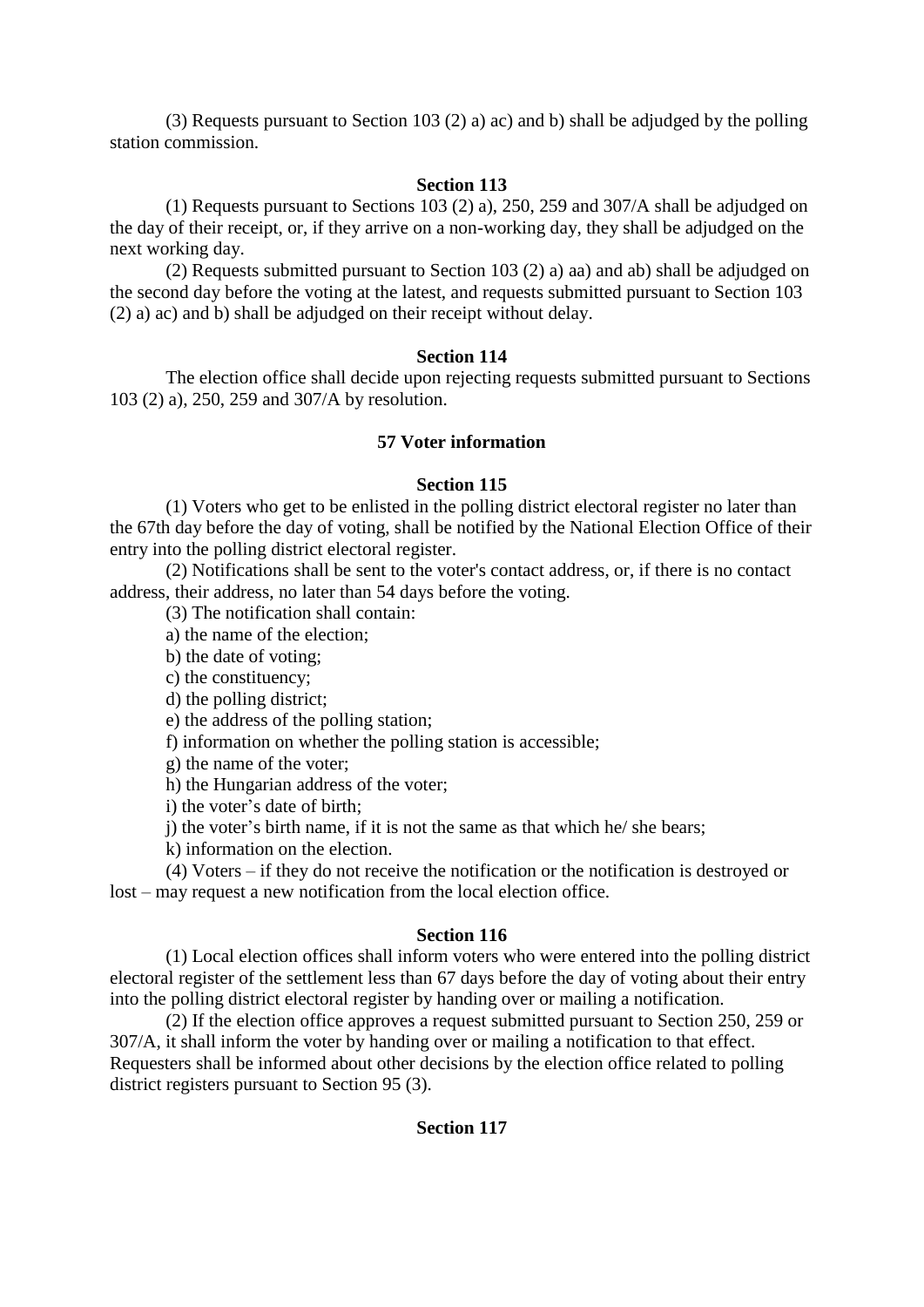(3) Requests pursuant to Section 103 (2) a) ac) and b) shall be adjudged by the polling station commission.

## **Section 113**

 (1) Requests pursuant to Sections 103 (2) a), 250, 259 and 307/A shall be adjudged on the day of their receipt, or, if they arrive on a non-working day, they shall be adjudged on the next working day.

 (2) Requests submitted pursuant to Section 103 (2) a) aa) and ab) shall be adjudged on the second day before the voting at the latest, and requests submitted pursuant to Section 103 (2) a) ac) and b) shall be adjudged on their receipt without delay.

### **Section 114**

 The election office shall decide upon rejecting requests submitted pursuant to Sections 103 (2) a), 250, 259 and 307/A by resolution.

## **57 Voter information**

## **Section 115**

 (1) Voters who get to be enlisted in the polling district electoral register no later than the 67th day before the day of voting, shall be notified by the National Election Office of their entry into the polling district electoral register.

 (2) Notifications shall be sent to the voter's contact address, or, if there is no contact address, their address, no later than 54 days before the voting.

(3) The notification shall contain:

a) the name of the election;

b) the date of voting;

c) the constituency;

d) the polling district;

e) the address of the polling station;

f) information on whether the polling station is accessible;

g) the name of the voter;

h) the Hungarian address of the voter;

i) the voter's date of birth;

j) the voter's birth name, if it is not the same as that which he/ she bears;

k) information on the election.

 (4) Voters – if they do not receive the notification or the notification is destroyed or lost – may request a new notification from the local election office.

### **Section 116**

 (1) Local election offices shall inform voters who were entered into the polling district electoral register of the settlement less than 67 days before the day of voting about their entry into the polling district electoral register by handing over or mailing a notification.

 (2) If the election office approves a request submitted pursuant to Section 250, 259 or 307/A, it shall inform the voter by handing over or mailing a notification to that effect. Requesters shall be informed about other decisions by the election office related to polling district registers pursuant to Section 95 (3).

### **Section 117**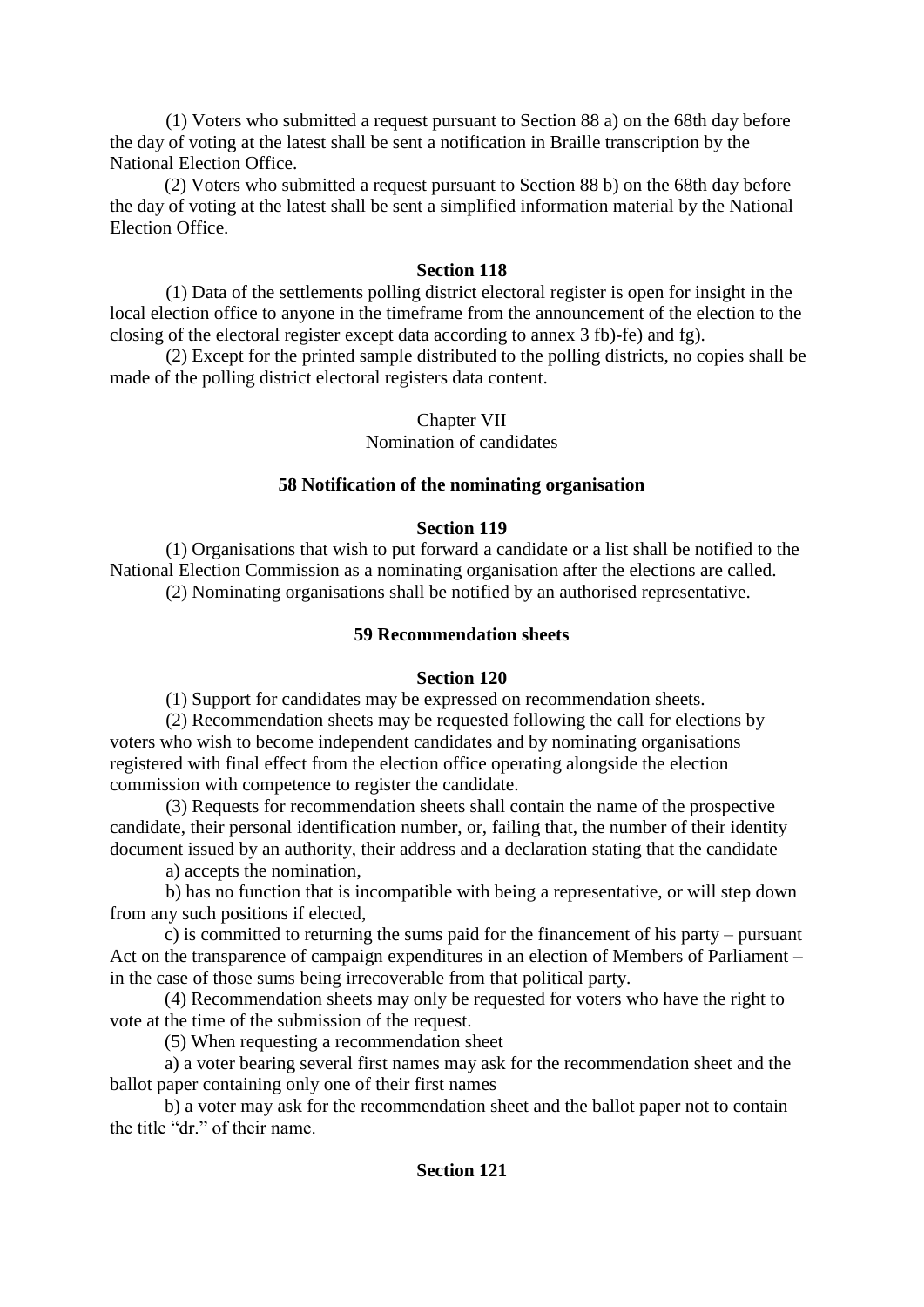(1) Voters who submitted a request pursuant to Section 88 a) on the 68th day before the day of voting at the latest shall be sent a notification in Braille transcription by the National Election Office.

(2) Voters who submitted a request pursuant to Section 88 b) on the 68th day before the day of voting at the latest shall be sent a simplified information material by the National Election Office.

# **Section 118**

 (1) Data of the settlements polling district electoral register is open for insight in the local election office to anyone in the timeframe from the announcement of the election to the closing of the electoral register except data according to annex 3 fb)-fe) and fg).

 (2) Except for the printed sample distributed to the polling districts, no copies shall be made of the polling district electoral registers data content.

# Chapter VII

Nomination of candidates

# **58 Notification of the nominating organisation**

# **Section 119**

 (1) Organisations that wish to put forward a candidate or a list shall be notified to the National Election Commission as a nominating organisation after the elections are called. (2) Nominating organisations shall be notified by an authorised representative.

# **59 Recommendation sheets**

# **Section 120**

(1) Support for candidates may be expressed on recommendation sheets.

 (2) Recommendation sheets may be requested following the call for elections by voters who wish to become independent candidates and by nominating organisations registered with final effect from the election office operating alongside the election commission with competence to register the candidate.

 (3) Requests for recommendation sheets shall contain the name of the prospective candidate, their personal identification number, or, failing that, the number of their identity document issued by an authority, their address and a declaration stating that the candidate

a) accepts the nomination,

 b) has no function that is incompatible with being a representative, or will step down from any such positions if elected,

c) is committed to returning the sums paid for the financement of his party – pursuant Act on the transparence of campaign expenditures in an election of Members of Parliament – in the case of those sums being irrecoverable from that political party.

(4) Recommendation sheets may only be requested for voters who have the right to vote at the time of the submission of the request.

(5) When requesting a recommendation sheet

a) a voter bearing several first names may ask for the recommendation sheet and the ballot paper containing only one of their first names

b) a voter may ask for the recommendation sheet and the ballot paper not to contain the title "dr." of their name.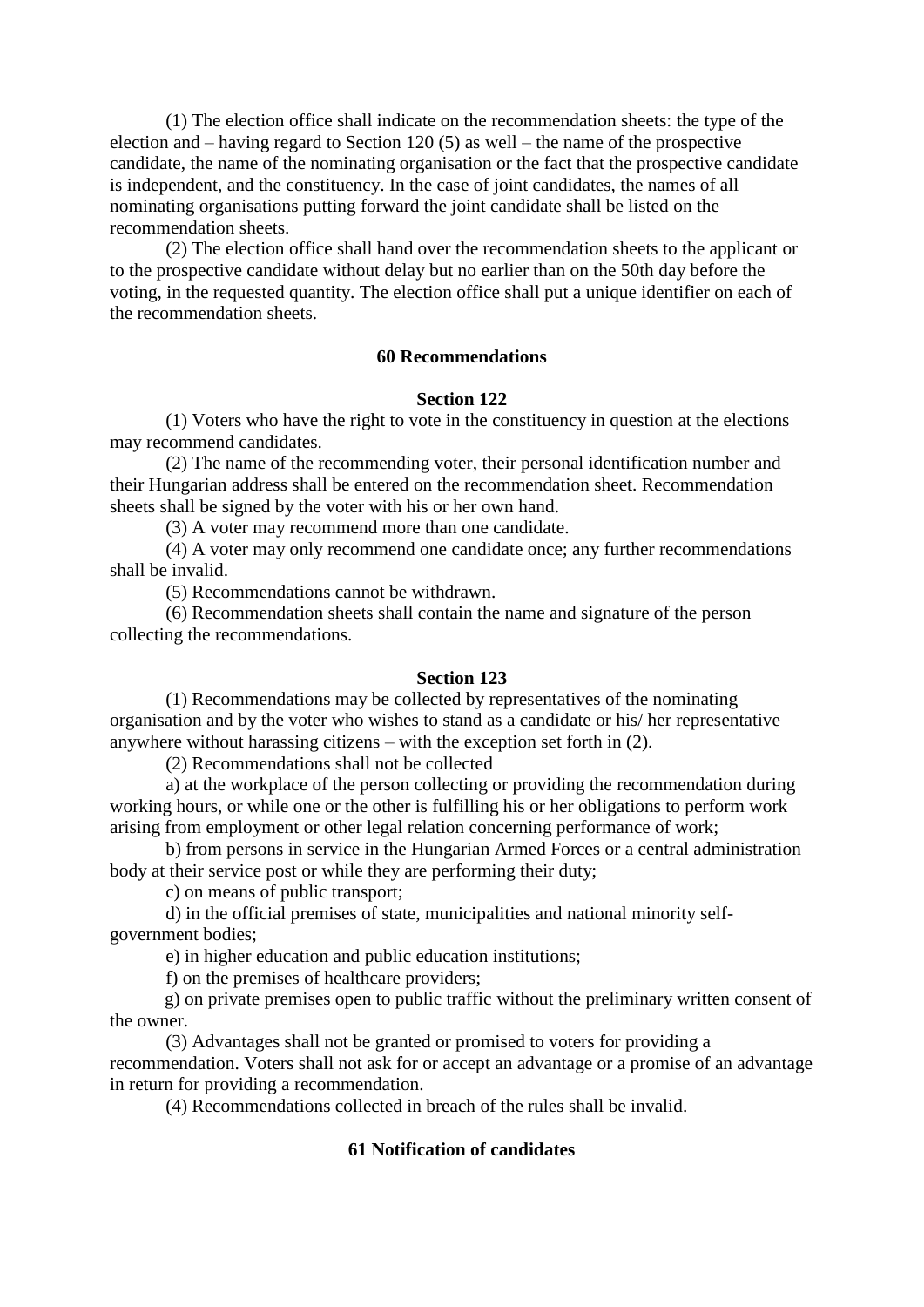(1) The election office shall indicate on the recommendation sheets: the type of the election and – having regard to Section 120 (5) as well – the name of the prospective candidate, the name of the nominating organisation or the fact that the prospective candidate is independent, and the constituency. In the case of joint candidates, the names of all nominating organisations putting forward the joint candidate shall be listed on the recommendation sheets.

 (2) The election office shall hand over the recommendation sheets to the applicant or to the prospective candidate without delay but no earlier than on the 50th day before the voting, in the requested quantity. The election office shall put a unique identifier on each of the recommendation sheets.

# **60 Recommendations**

# **Section 122**

 (1) Voters who have the right to vote in the constituency in question at the elections may recommend candidates.

 (2) The name of the recommending voter, their personal identification number and their Hungarian address shall be entered on the recommendation sheet. Recommendation sheets shall be signed by the voter with his or her own hand.

(3) A voter may recommend more than one candidate.

 (4) A voter may only recommend one candidate once; any further recommendations shall be invalid.

(5) Recommendations cannot be withdrawn.

 (6) Recommendation sheets shall contain the name and signature of the person collecting the recommendations.

### **Section 123**

 (1) Recommendations may be collected by representatives of the nominating organisation and by the voter who wishes to stand as a candidate or his/ her representative anywhere without harassing citizens – with the exception set forth in (2).

(2) Recommendations shall not be collected

 a) at the workplace of the person collecting or providing the recommendation during working hours, or while one or the other is fulfilling his or her obligations to perform work arising from employment or other legal relation concerning performance of work;

 b) from persons in service in the Hungarian Armed Forces or a central administration body at their service post or while they are performing their duty;

c) on means of public transport;

 d) in the official premises of state, municipalities and national minority selfgovernment bodies;

e) in higher education and public education institutions;

f) on the premises of healthcare providers;

g) on private premises open to public traffic without the preliminary written consent of the owner.

 (3) Advantages shall not be granted or promised to voters for providing a recommendation. Voters shall not ask for or accept an advantage or a promise of an advantage in return for providing a recommendation.

(4) Recommendations collected in breach of the rules shall be invalid.

# **61 Notification of candidates**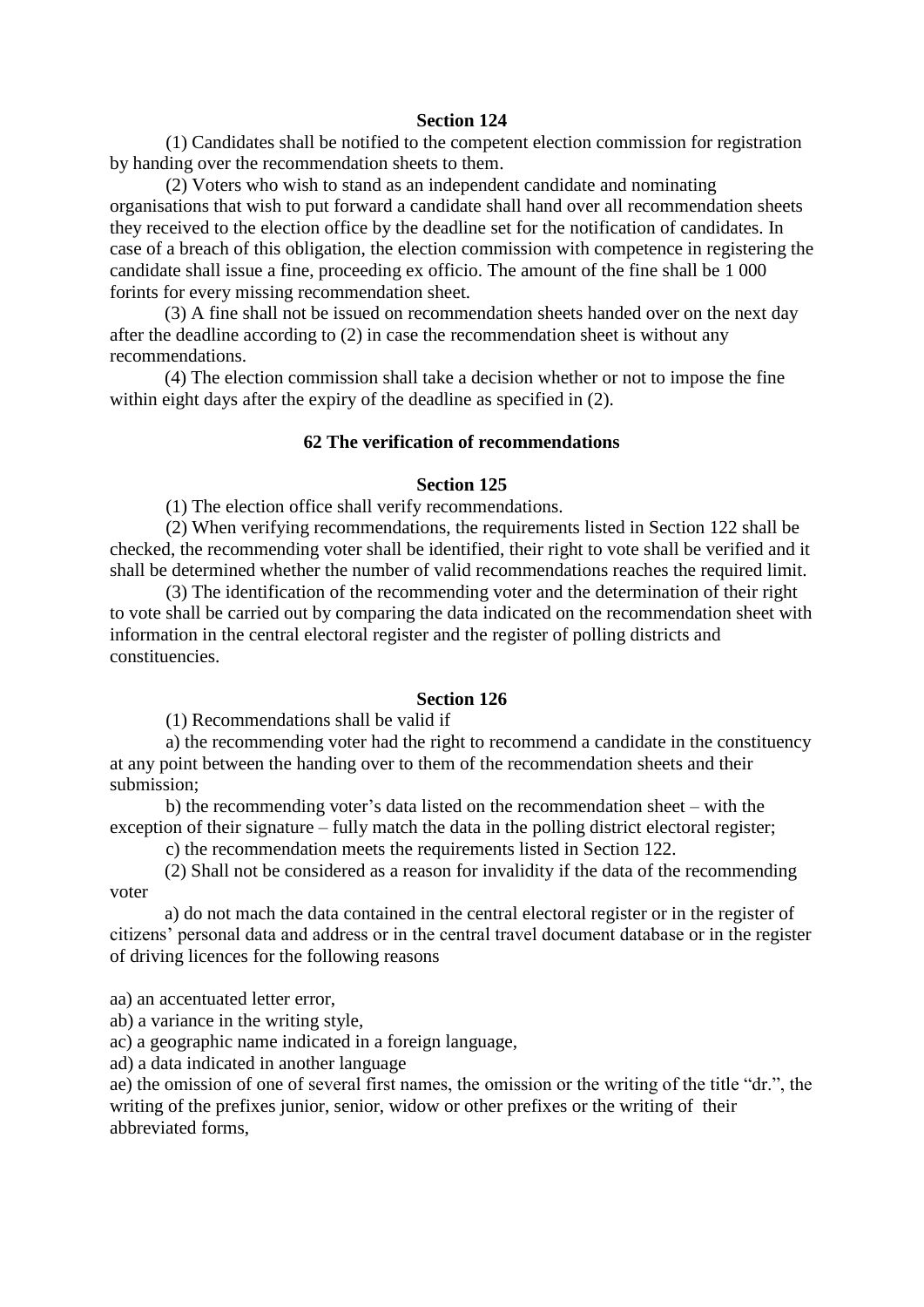(1) Candidates shall be notified to the competent election commission for registration by handing over the recommendation sheets to them.

 (2) Voters who wish to stand as an independent candidate and nominating organisations that wish to put forward a candidate shall hand over all recommendation sheets they received to the election office by the deadline set for the notification of candidates. In case of a breach of this obligation, the election commission with competence in registering the candidate shall issue a fine, proceeding ex officio. The amount of the fine shall be 1 000 forints for every missing recommendation sheet.

(3) A fine shall not be issued on recommendation sheets handed over on the next day after the deadline according to (2) in case the recommendation sheet is without any recommendations.

(4) The election commission shall take a decision whether or not to impose the fine within eight days after the expiry of the deadline as specified in (2).

# **62 The verification of recommendations**

# **Section 125**

(1) The election office shall verify recommendations.

 (2) When verifying recommendations, the requirements listed in Section 122 shall be checked, the recommending voter shall be identified, their right to vote shall be verified and it shall be determined whether the number of valid recommendations reaches the required limit.

 (3) The identification of the recommending voter and the determination of their right to vote shall be carried out by comparing the data indicated on the recommendation sheet with information in the central electoral register and the register of polling districts and constituencies.

### **Section 126**

(1) Recommendations shall be valid if

 a) the recommending voter had the right to recommend a candidate in the constituency at any point between the handing over to them of the recommendation sheets and their submission;

 b) the recommending voter's data listed on the recommendation sheet – with the exception of their signature – fully match the data in the polling district electoral register;

c) the recommendation meets the requirements listed in Section 122.

(2) Shall not be considered as a reason for invalidity if the data of the recommending voter

a) do not mach the data contained in the central electoral register or in the register of citizens' personal data and address or in the central travel document database or in the register of driving licences for the following reasons

aa) an accentuated letter error,

ab) a variance in the writing style,

ac) a geographic name indicated in a foreign language,

ad) a data indicated in another language

ae) the omission of one of several first names, the omission or the writing of the title "dr.", the writing of the prefixes junior, senior, widow or other prefixes or the writing of their abbreviated forms,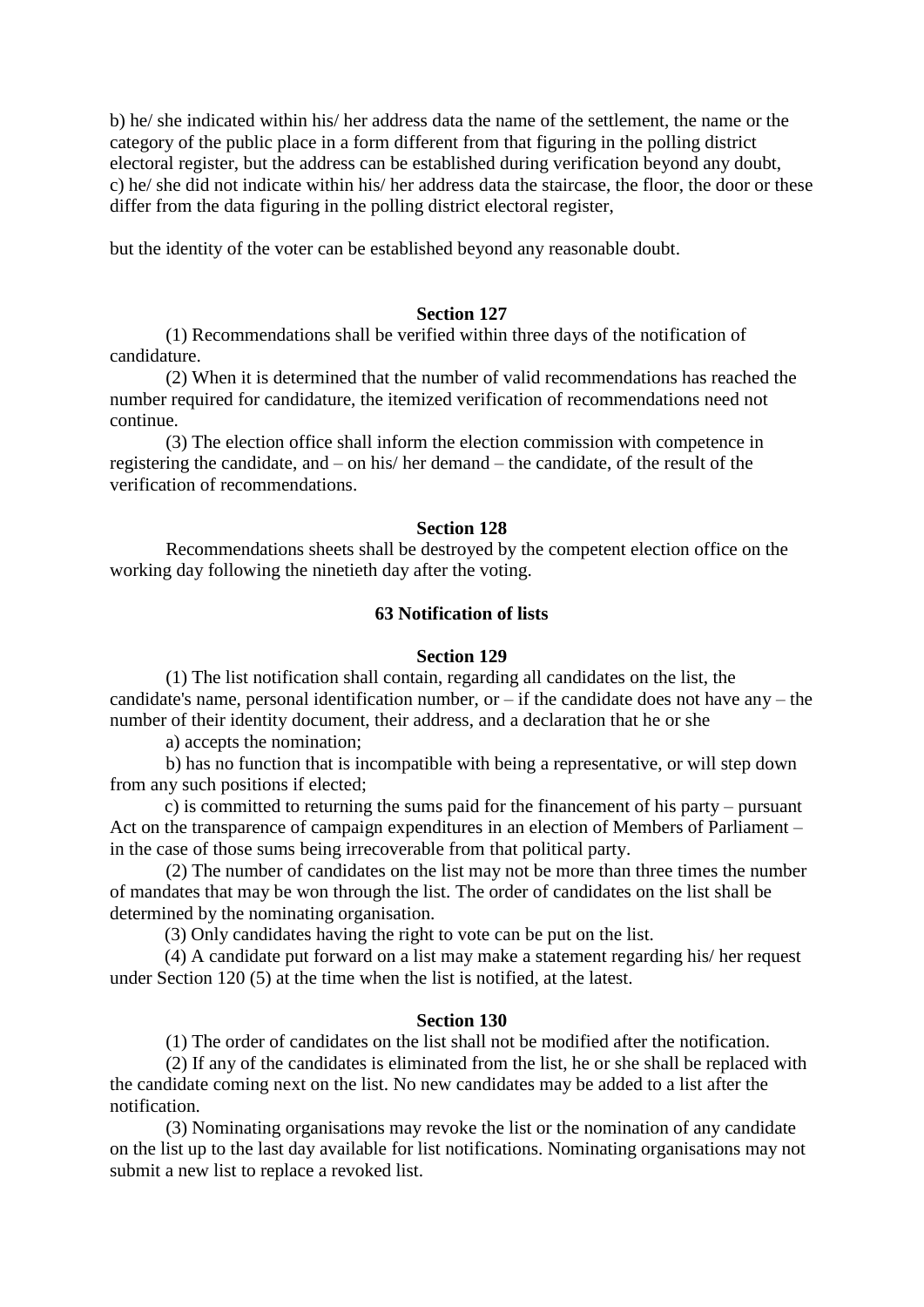b) he/ she indicated within his/ her address data the name of the settlement, the name or the category of the public place in a form different from that figuring in the polling district electoral register, but the address can be established during verification beyond any doubt, c) he/ she did not indicate within his/ her address data the staircase, the floor, the door or these differ from the data figuring in the polling district electoral register,

but the identity of the voter can be established beyond any reasonable doubt.

#### **Section 127**

 (1) Recommendations shall be verified within three days of the notification of candidature.

 (2) When it is determined that the number of valid recommendations has reached the number required for candidature, the itemized verification of recommendations need not continue.

 (3) The election office shall inform the election commission with competence in registering the candidate, and – on his/ her demand – the candidate, of the result of the verification of recommendations.

#### **Section 128**

 Recommendations sheets shall be destroyed by the competent election office on the working day following the ninetieth day after the voting.

# **63 Notification of lists**

#### **Section 129**

 (1) The list notification shall contain, regarding all candidates on the list, the candidate's name, personal identification number, or  $-$  if the candidate does not have any  $-$  the number of their identity document, their address, and a declaration that he or she

a) accepts the nomination;

 b) has no function that is incompatible with being a representative, or will step down from any such positions if elected;

c) is committed to returning the sums paid for the financement of his party – pursuant Act on the transparence of campaign expenditures in an election of Members of Parliament – in the case of those sums being irrecoverable from that political party.

 (2) The number of candidates on the list may not be more than three times the number of mandates that may be won through the list. The order of candidates on the list shall be determined by the nominating organisation.

(3) Only candidates having the right to vote can be put on the list.

(4) A candidate put forward on a list may make a statement regarding his/ her request under Section 120 (5) at the time when the list is notified, at the latest.

#### **Section 130**

(1) The order of candidates on the list shall not be modified after the notification.

 (2) If any of the candidates is eliminated from the list, he or she shall be replaced with the candidate coming next on the list. No new candidates may be added to a list after the notification.

 (3) Nominating organisations may revoke the list or the nomination of any candidate on the list up to the last day available for list notifications. Nominating organisations may not submit a new list to replace a revoked list.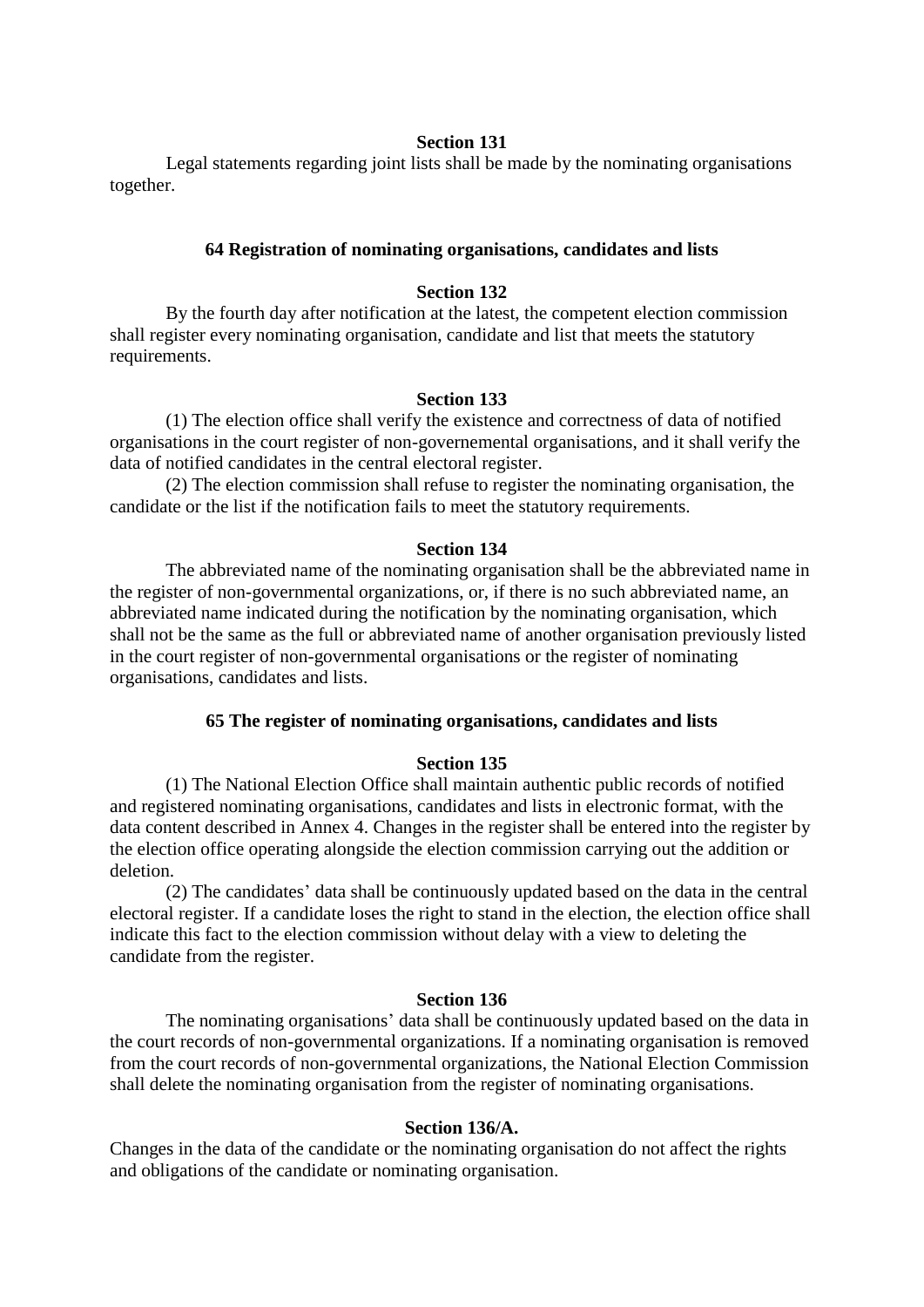Legal statements regarding joint lists shall be made by the nominating organisations together.

# **64 Registration of nominating organisations, candidates and lists**

### **Section 132**

 By the fourth day after notification at the latest, the competent election commission shall register every nominating organisation, candidate and list that meets the statutory requirements.

# **Section 133**

 (1) The election office shall verify the existence and correctness of data of notified organisations in the court register of non-governemental organisations, and it shall verify the data of notified candidates in the central electoral register.

 (2) The election commission shall refuse to register the nominating organisation, the candidate or the list if the notification fails to meet the statutory requirements.

#### **Section 134**

 The abbreviated name of the nominating organisation shall be the abbreviated name in the register of non-governmental organizations, or, if there is no such abbreviated name, an abbreviated name indicated during the notification by the nominating organisation, which shall not be the same as the full or abbreviated name of another organisation previously listed in the court register of non-governmental organisations or the register of nominating organisations, candidates and lists.

# **65 The register of nominating organisations, candidates and lists**

#### **Section 135**

 (1) The National Election Office shall maintain authentic public records of notified and registered nominating organisations, candidates and lists in electronic format, with the data content described in Annex 4. Changes in the register shall be entered into the register by the election office operating alongside the election commission carrying out the addition or deletion.

 (2) The candidates' data shall be continuously updated based on the data in the central electoral register. If a candidate loses the right to stand in the election, the election office shall indicate this fact to the election commission without delay with a view to deleting the candidate from the register.

#### **Section 136**

 The nominating organisations' data shall be continuously updated based on the data in the court records of non-governmental organizations. If a nominating organisation is removed from the court records of non-governmental organizations, the National Election Commission shall delete the nominating organisation from the register of nominating organisations.

#### **Section 136/A.**

Changes in the data of the candidate or the nominating organisation do not affect the rights and obligations of the candidate or nominating organisation.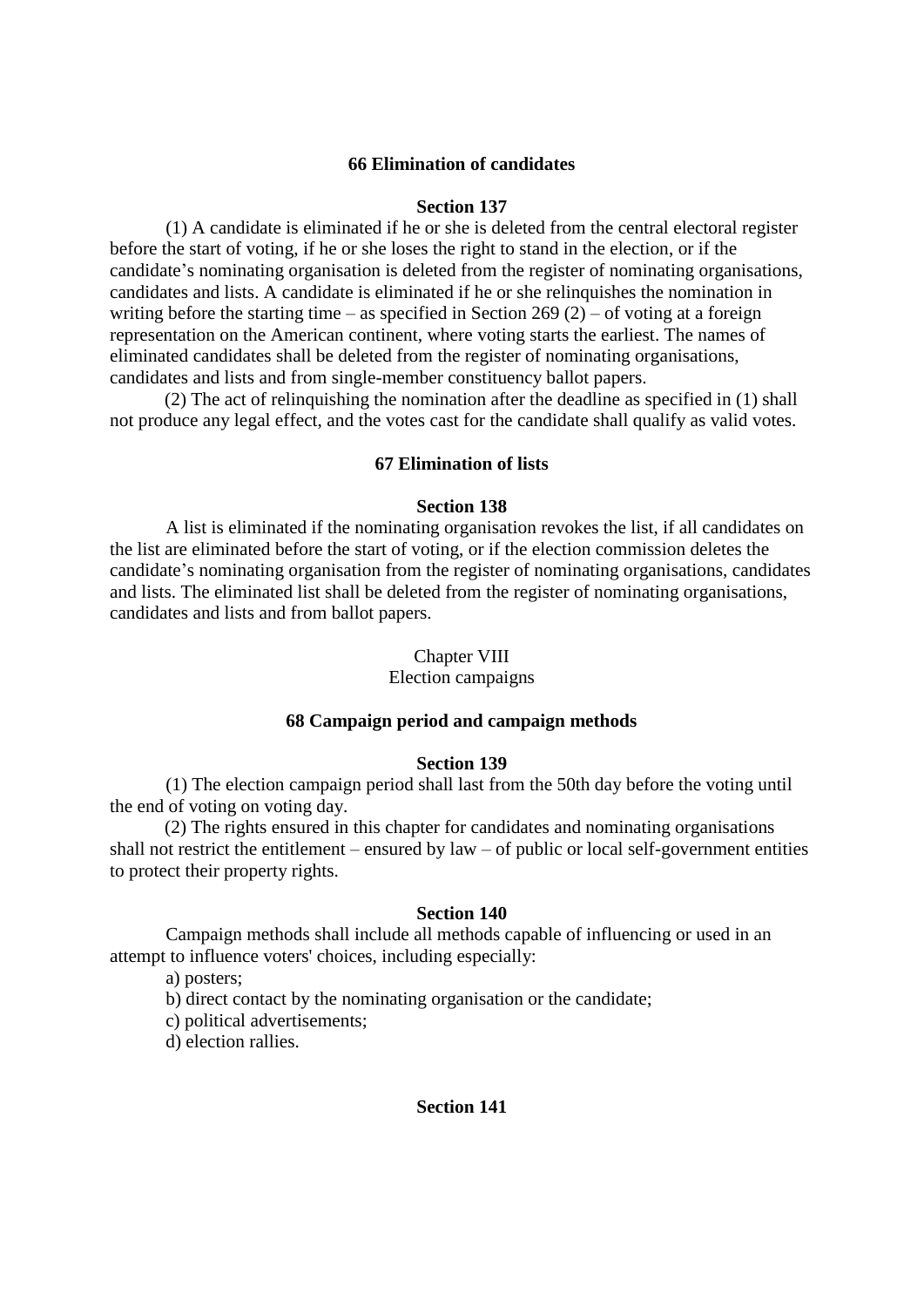# **66 Elimination of candidates**

#### **Section 137**

 (1) A candidate is eliminated if he or she is deleted from the central electoral register before the start of voting, if he or she loses the right to stand in the election, or if the candidate's nominating organisation is deleted from the register of nominating organisations, candidates and lists. A candidate is eliminated if he or she relinquishes the nomination in writing before the starting time – as specified in Section 269 (2) – of voting at a foreign representation on the American continent, where voting starts the earliest. The names of eliminated candidates shall be deleted from the register of nominating organisations, candidates and lists and from single-member constituency ballot papers.

(2) The act of relinquishing the nomination after the deadline as specified in (1) shall not produce any legal effect, and the votes cast for the candidate shall qualify as valid votes.

### **67 Elimination of lists**

# **Section 138**

 A list is eliminated if the nominating organisation revokes the list, if all candidates on the list are eliminated before the start of voting, or if the election commission deletes the candidate's nominating organisation from the register of nominating organisations, candidates and lists. The eliminated list shall be deleted from the register of nominating organisations, candidates and lists and from ballot papers.

#### Chapter VIII

# Election campaigns

# **68 Campaign period and campaign methods**

#### **Section 139**

 (1) The election campaign period shall last from the 50th day before the voting until the end of voting on voting day.

(2) The rights ensured in this chapter for candidates and nominating organisations shall not restrict the entitlement – ensured by law – of public or local self-government entities to protect their property rights.

### **Section 140**

 Campaign methods shall include all methods capable of influencing or used in an attempt to influence voters' choices, including especially:

a) posters;

b) direct contact by the nominating organisation or the candidate;

c) political advertisements;

d) election rallies.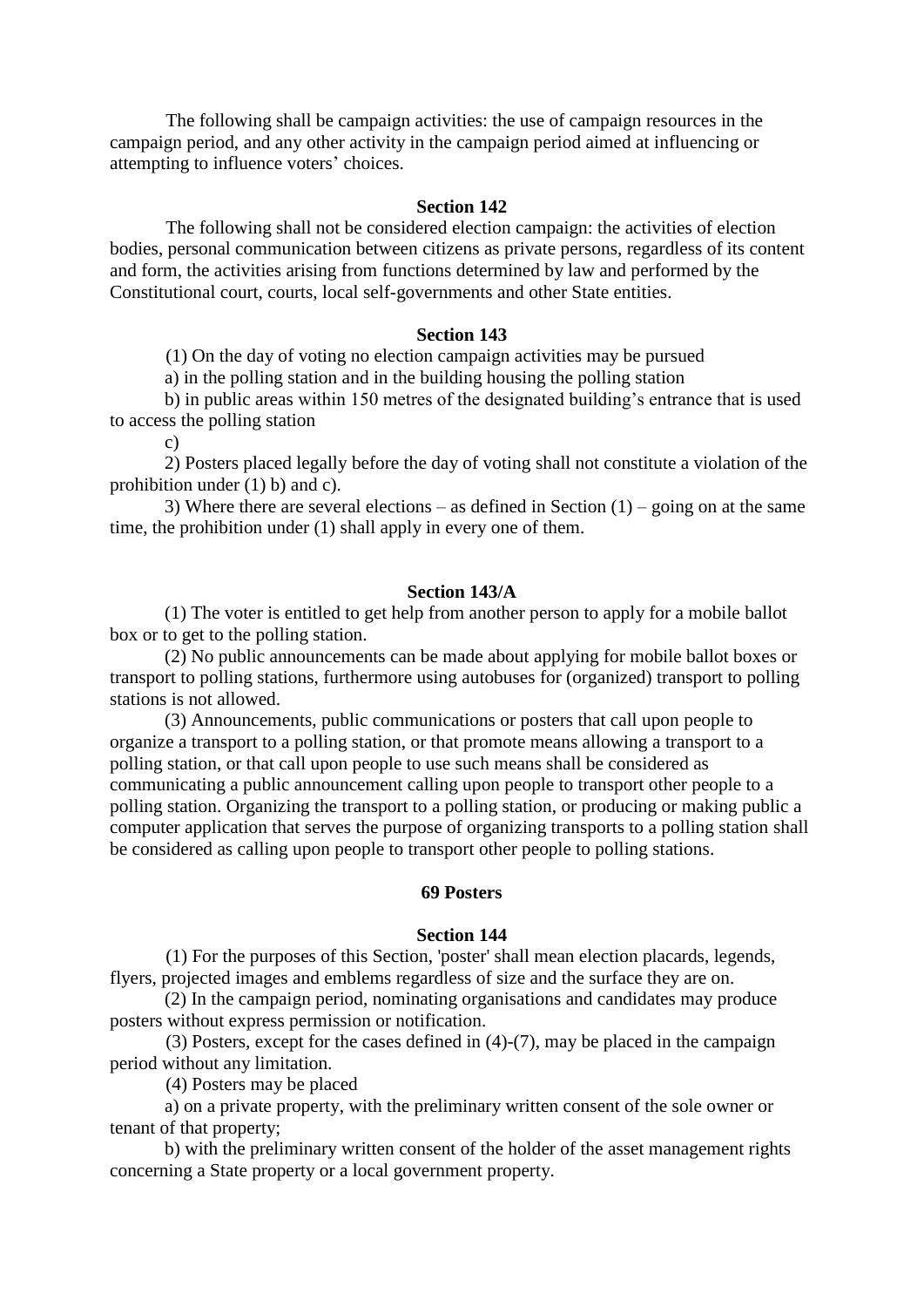The following shall be campaign activities: the use of campaign resources in the campaign period, and any other activity in the campaign period aimed at influencing or attempting to influence voters' choices.

#### **Section 142**

 The following shall not be considered election campaign: the activities of election bodies, personal communication between citizens as private persons, regardless of its content and form, the activities arising from functions determined by law and performed by the Constitutional court, courts, local self-governments and other State entities.

#### **Section 143**

(1) On the day of voting no election campaign activities may be pursued

a) in the polling station and in the building housing the polling station

b) in public areas within 150 metres of the designated building's entrance that is used to access the polling station

c)

2) Posters placed legally before the day of voting shall not constitute a violation of the prohibition under (1) b) and c).

3) Where there are several elections – as defined in Section  $(1)$  – going on at the same time, the prohibition under (1) shall apply in every one of them.

### **Section 143/A**

(1) The voter is entitled to get help from another person to apply for a mobile ballot box or to get to the polling station.

(2) No public announcements can be made about applying for mobile ballot boxes or transport to polling stations, furthermore using autobuses for (organized) transport to polling stations is not allowed.

(3) Announcements, public communications or posters that call upon people to organize a transport to a polling station, or that promote means allowing a transport to a polling station, or that call upon people to use such means shall be considered as communicating a public announcement calling upon people to transport other people to a polling station. Organizing the transport to a polling station, or producing or making public a computer application that serves the purpose of organizing transports to a polling station shall be considered as calling upon people to transport other people to polling stations.

# **69 Posters**

### **Section 144**

 (1) For the purposes of this Section, 'poster' shall mean election placards, legends, flyers, projected images and emblems regardless of size and the surface they are on.

(2) In the campaign period, nominating organisations and candidates may produce posters without express permission or notification.

 (3) Posters, except for the cases defined in (4)-(7), may be placed in the campaign period without any limitation.

(4) Posters may be placed

a) on a private property, with the preliminary written consent of the sole owner or tenant of that property;

b) with the preliminary written consent of the holder of the asset management rights concerning a State property or a local government property.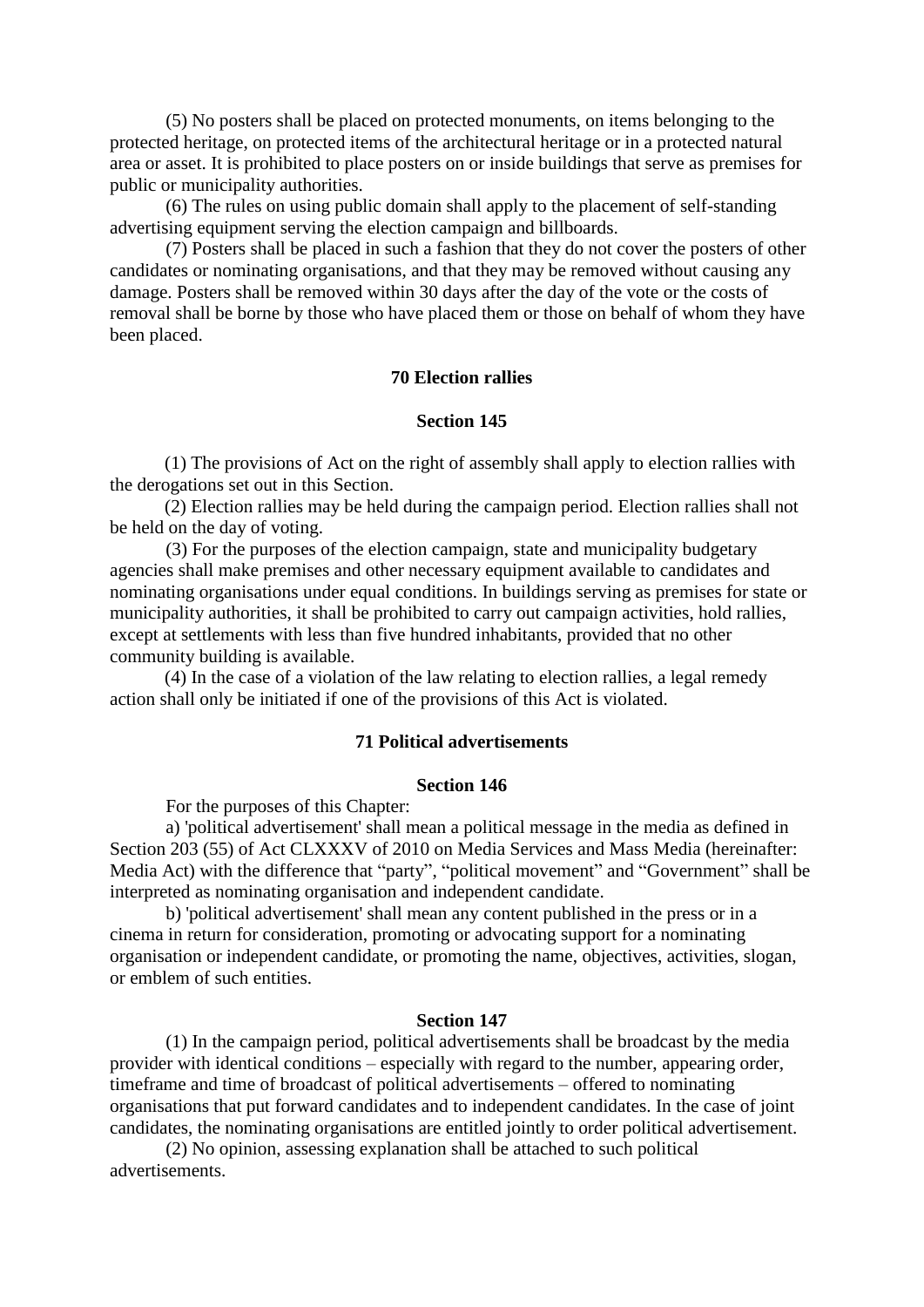(5) No posters shall be placed on protected monuments, on items belonging to the protected heritage, on protected items of the architectural heritage or in a protected natural area or asset. It is prohibited to place posters on or inside buildings that serve as premises for public or municipality authorities.

 (6) The rules on using public domain shall apply to the placement of self-standing advertising equipment serving the election campaign and billboards.

 (7) Posters shall be placed in such a fashion that they do not cover the posters of other candidates or nominating organisations, and that they may be removed without causing any damage. Posters shall be removed within 30 days after the day of the vote or the costs of removal shall be borne by those who have placed them or those on behalf of whom they have been placed.

# **70 Election rallies**

### **Section 145**

(1) The provisions of Act on the right of assembly shall apply to election rallies with the derogations set out in this Section.

(2) Election rallies may be held during the campaign period. Election rallies shall not be held on the day of voting.

 (3) For the purposes of the election campaign, state and municipality budgetary agencies shall make premises and other necessary equipment available to candidates and nominating organisations under equal conditions. In buildings serving as premises for state or municipality authorities, it shall be prohibited to carry out campaign activities, hold rallies, except at settlements with less than five hundred inhabitants, provided that no other community building is available.

(4) In the case of a violation of the law relating to election rallies, a legal remedy action shall only be initiated if one of the provisions of this Act is violated.

# **71 Political advertisements**

#### **Section 146**

For the purposes of this Chapter:

 a) 'political advertisement' shall mean a political message in the media as defined in Section 203 (55) of Act CLXXXV of 2010 on Media Services and Mass Media (hereinafter: Media Act) with the difference that "party", "political movement" and "Government" shall be interpreted as nominating organisation and independent candidate.

 b) 'political advertisement' shall mean any content published in the press or in a cinema in return for consideration, promoting or advocating support for a nominating organisation or independent candidate, or promoting the name, objectives, activities, slogan, or emblem of such entities.

#### **Section 147**

 (1) In the campaign period, political advertisements shall be broadcast by the media provider with identical conditions – especially with regard to the number, appearing order, timeframe and time of broadcast of political advertisements – offered to nominating organisations that put forward candidates and to independent candidates. In the case of joint candidates, the nominating organisations are entitled jointly to order political advertisement.

 (2) No opinion, assessing explanation shall be attached to such political advertisements.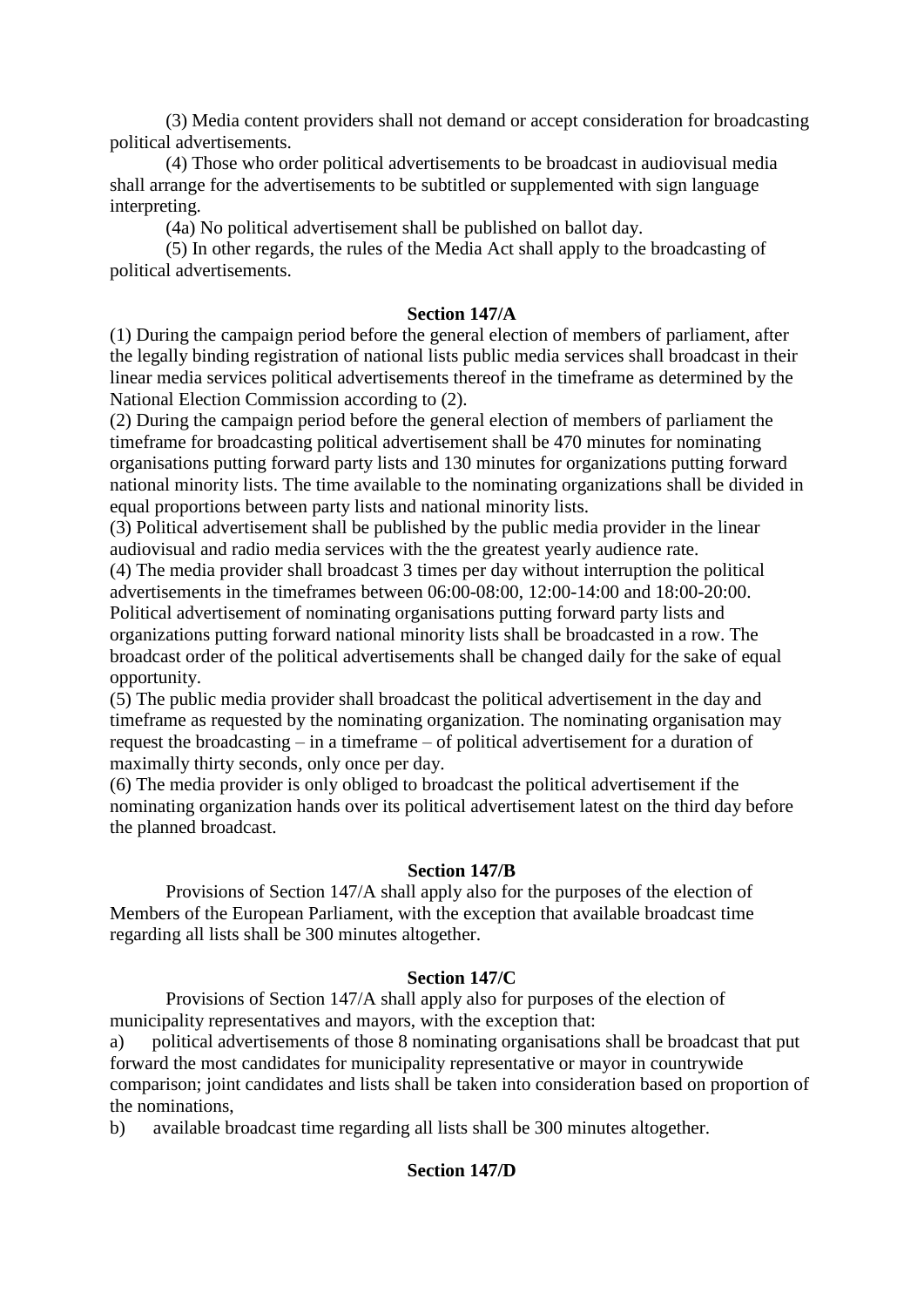(3) Media content providers shall not demand or accept consideration for broadcasting political advertisements.

 (4) Those who order political advertisements to be broadcast in audiovisual media shall arrange for the advertisements to be subtitled or supplemented with sign language interpreting.

(4a) No political advertisement shall be published on ballot day.

 (5) In other regards, the rules of the Media Act shall apply to the broadcasting of political advertisements.

# **Section 147/A**

(1) During the campaign period before the general election of members of parliament, after the legally binding registration of national lists public media services shall broadcast in their linear media services political advertisements thereof in the timeframe as determined by the National Election Commission according to (2).

(2) During the campaign period before the general election of members of parliament the timeframe for broadcasting political advertisement shall be 470 minutes for nominating organisations putting forward party lists and 130 minutes for organizations putting forward national minority lists. The time available to the nominating organizations shall be divided in equal proportions between party lists and national minority lists.

(3) Political advertisement shall be published by the public media provider in the linear audiovisual and radio media services with the the greatest yearly audience rate.

(4) The media provider shall broadcast 3 times per day without interruption the political advertisements in the timeframes between 06:00-08:00, 12:00-14:00 and 18:00-20:00. Political advertisement of nominating organisations putting forward party lists and organizations putting forward national minority lists shall be broadcasted in a row. The broadcast order of the political advertisements shall be changed daily for the sake of equal opportunity.

(5) The public media provider shall broadcast the political advertisement in the day and timeframe as requested by the nominating organization. The nominating organisation may request the broadcasting – in a timeframe – of political advertisement for a duration of maximally thirty seconds, only once per day.

(6) The media provider is only obliged to broadcast the political advertisement if the nominating organization hands over its political advertisement latest on the third day before the planned broadcast.

# **Section 147/B**

 Provisions of Section 147/A shall apply also for the purposes of the election of Members of the European Parliament, with the exception that available broadcast time regarding all lists shall be 300 minutes altogether.

# **Section 147/C**

 Provisions of Section 147/A shall apply also for purposes of the election of municipality representatives and mayors, with the exception that:

a) political advertisements of those 8 nominating organisations shall be broadcast that put forward the most candidates for municipality representative or mayor in countrywide comparison; joint candidates and lists shall be taken into consideration based on proportion of the nominations,

b) available broadcast time regarding all lists shall be 300 minutes altogether.

# **Section 147/D**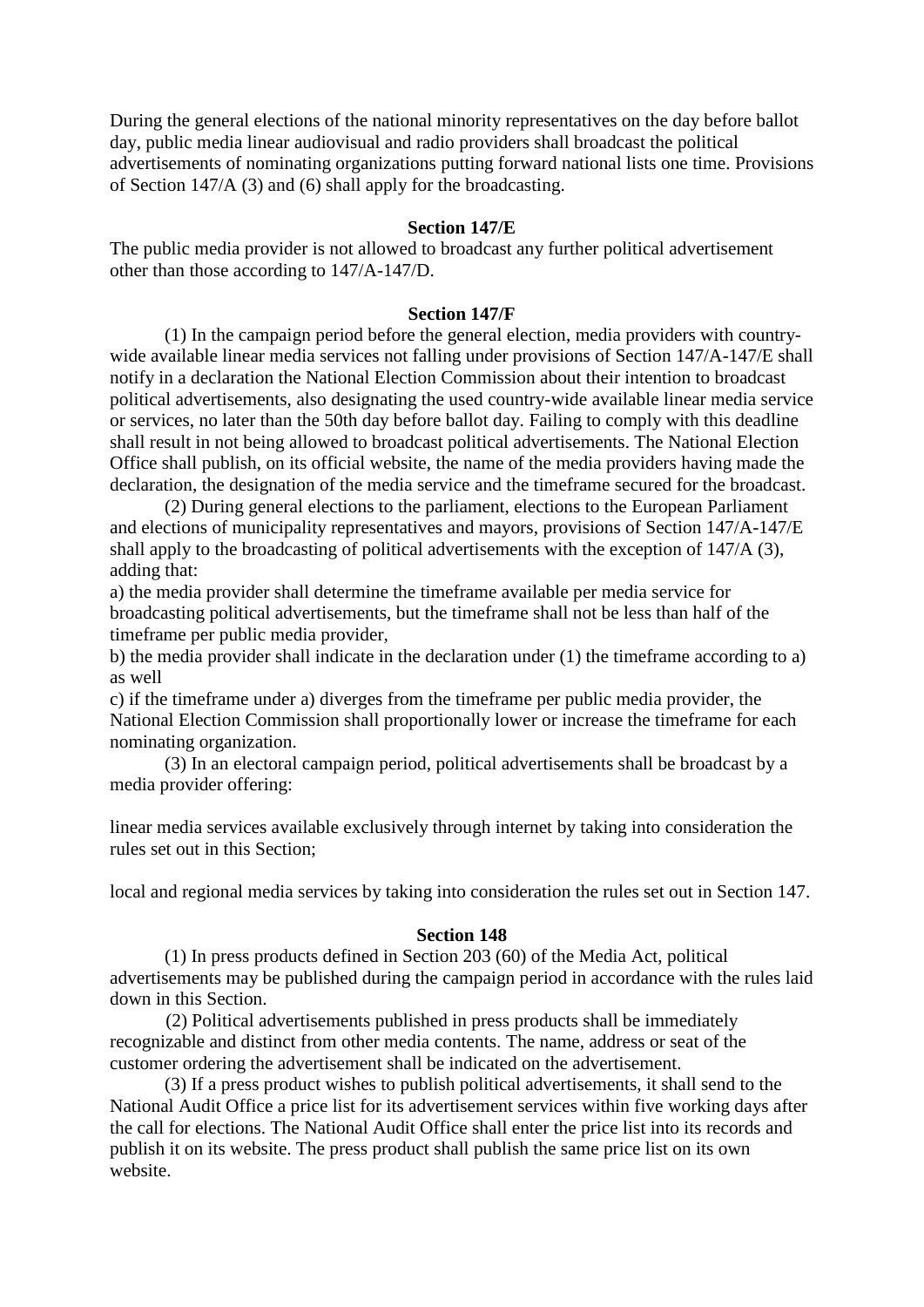During the general elections of the national minority representatives on the day before ballot day, public media linear audiovisual and radio providers shall broadcast the political advertisements of nominating organizations putting forward national lists one time. Provisions of Section 147/A (3) and (6) shall apply for the broadcasting.

### **Section 147/E**

The public media provider is not allowed to broadcast any further political advertisement other than those according to 147/A-147/D.

# **Section 147/F**

(1) In the campaign period before the general election, media providers with countrywide available linear media services not falling under provisions of Section 147/A-147/E shall notify in a declaration the National Election Commission about their intention to broadcast political advertisements, also designating the used country-wide available linear media service or services, no later than the 50th day before ballot day. Failing to comply with this deadline shall result in not being allowed to broadcast political advertisements. The National Election Office shall publish, on its official website, the name of the media providers having made the declaration, the designation of the media service and the timeframe secured for the broadcast.

(2) During general elections to the parliament, elections to the European Parliament and elections of municipality representatives and mayors, provisions of Section 147/A-147/E shall apply to the broadcasting of political advertisements with the exception of 147/A (3), adding that:

a) the media provider shall determine the timeframe available per media service for broadcasting political advertisements, but the timeframe shall not be less than half of the timeframe per public media provider,

b) the media provider shall indicate in the declaration under (1) the timeframe according to a) as well

c) if the timeframe under a) diverges from the timeframe per public media provider, the National Election Commission shall proportionally lower or increase the timeframe for each nominating organization.

(3) In an electoral campaign period, political advertisements shall be broadcast by a media provider offering:

linear media services available exclusively through internet by taking into consideration the rules set out in this Section;

local and regional media services by taking into consideration the rules set out in Section 147.

### **Section 148**

 (1) In press products defined in Section 203 (60) of the Media Act, political advertisements may be published during the campaign period in accordance with the rules laid down in this Section.

 (2) Political advertisements published in press products shall be immediately recognizable and distinct from other media contents. The name, address or seat of the customer ordering the advertisement shall be indicated on the advertisement.

(3) If a press product wishes to publish political advertisements, it shall send to the National Audit Office a price list for its advertisement services within five working days after the call for elections. The National Audit Office shall enter the price list into its records and publish it on its website. The press product shall publish the same price list on its own website.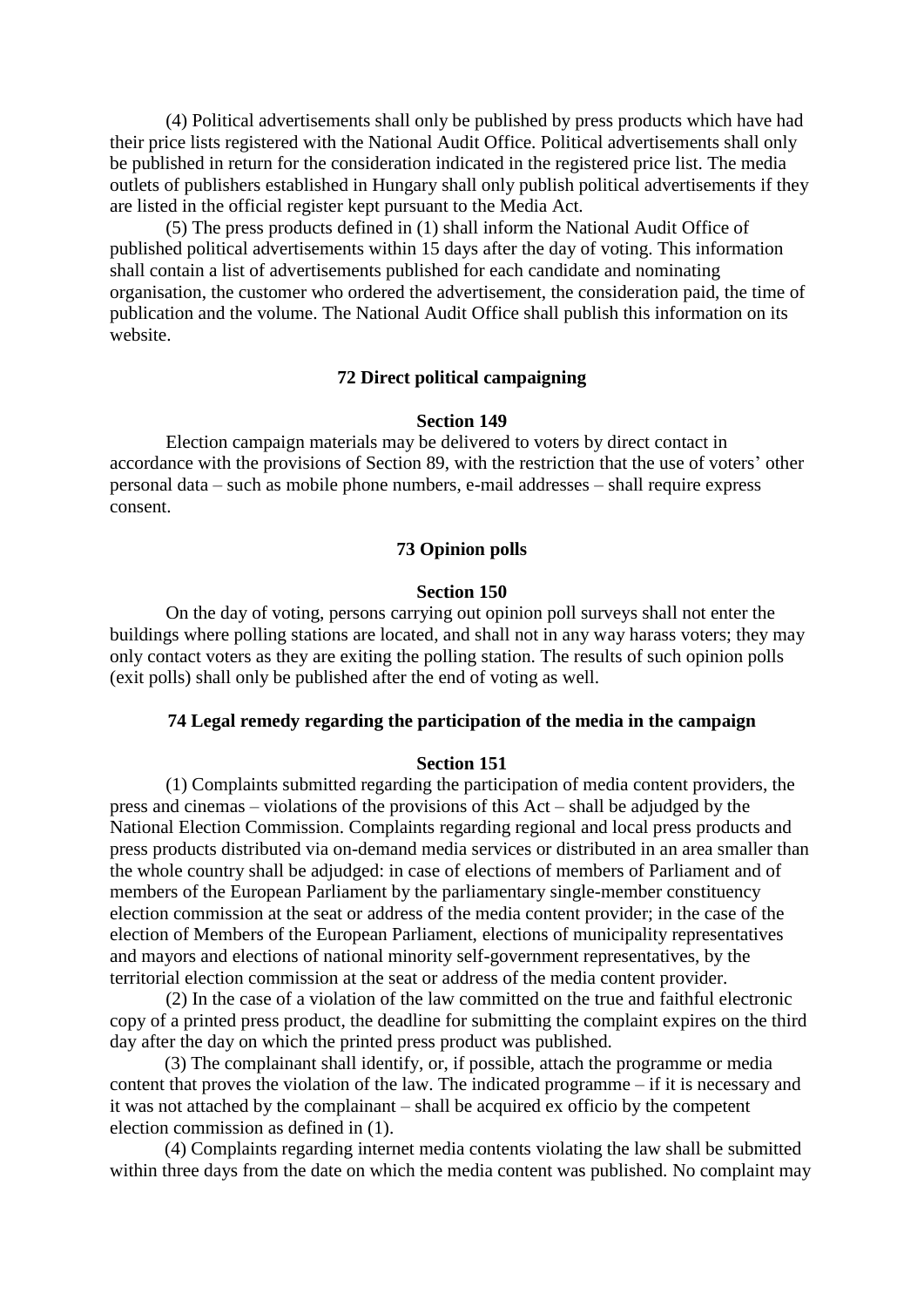(4) Political advertisements shall only be published by press products which have had their price lists registered with the National Audit Office. Political advertisements shall only be published in return for the consideration indicated in the registered price list. The media outlets of publishers established in Hungary shall only publish political advertisements if they are listed in the official register kept pursuant to the Media Act.

 (5) The press products defined in (1) shall inform the National Audit Office of published political advertisements within 15 days after the day of voting. This information shall contain a list of advertisements published for each candidate and nominating organisation, the customer who ordered the advertisement, the consideration paid, the time of publication and the volume. The National Audit Office shall publish this information on its website.

# **72 Direct political campaigning**

### **Section 149**

 Election campaign materials may be delivered to voters by direct contact in accordance with the provisions of Section 89, with the restriction that the use of voters' other personal data – such as mobile phone numbers, e-mail addresses – shall require express consent.

### **73 Opinion polls**

#### **Section 150**

 On the day of voting, persons carrying out opinion poll surveys shall not enter the buildings where polling stations are located, and shall not in any way harass voters; they may only contact voters as they are exiting the polling station. The results of such opinion polls (exit polls) shall only be published after the end of voting as well.

# **74 Legal remedy regarding the participation of the media in the campaign**

#### **Section 151**

 (1) Complaints submitted regarding the participation of media content providers, the press and cinemas – violations of the provisions of this Act – shall be adjudged by the National Election Commission. Complaints regarding regional and local press products and press products distributed via on-demand media services or distributed in an area smaller than the whole country shall be adjudged: in case of elections of members of Parliament and of members of the European Parliament by the parliamentary single-member constituency election commission at the seat or address of the media content provider; in the case of the election of Members of the European Parliament, elections of municipality representatives and mayors and elections of national minority self-government representatives, by the territorial election commission at the seat or address of the media content provider.

 (2) In the case of a violation of the law committed on the true and faithful electronic copy of a printed press product, the deadline for submitting the complaint expires on the third day after the day on which the printed press product was published.

(3) The complainant shall identify, or, if possible, attach the programme or media content that proves the violation of the law. The indicated programme – if it is necessary and it was not attached by the complainant – shall be acquired ex officio by the competent election commission as defined in (1).

(4) Complaints regarding internet media contents violating the law shall be submitted within three days from the date on which the media content was published. No complaint may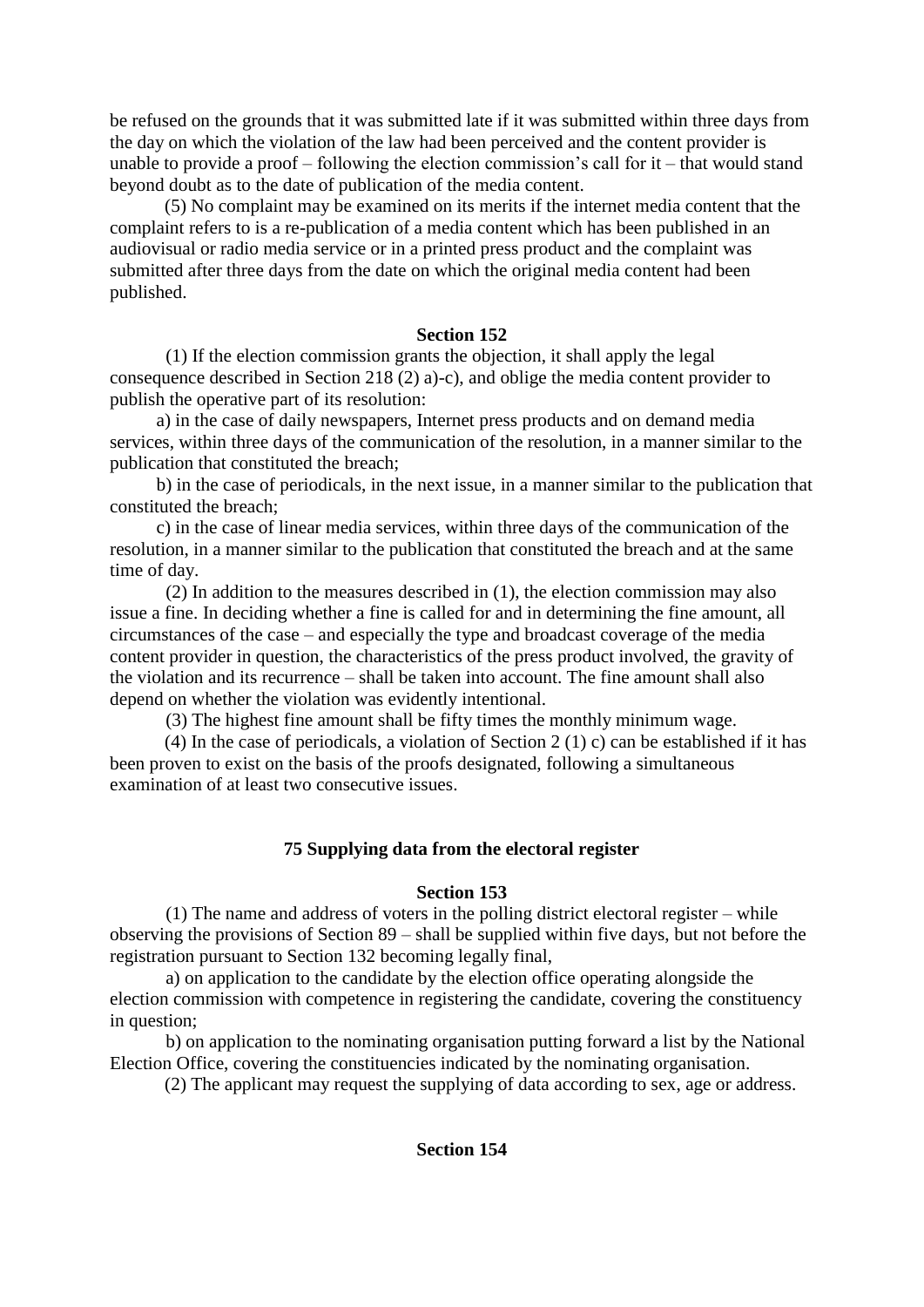be refused on the grounds that it was submitted late if it was submitted within three days from the day on which the violation of the law had been perceived and the content provider is unable to provide a proof – following the election commission's call for it – that would stand beyond doubt as to the date of publication of the media content.

(5) No complaint may be examined on its merits if the internet media content that the complaint refers to is a re-publication of a media content which has been published in an audiovisual or radio media service or in a printed press product and the complaint was submitted after three days from the date on which the original media content had been published.

# **Section 152**

 (1) If the election commission grants the objection, it shall apply the legal consequence described in Section 218 (2) a)-c), and oblige the media content provider to publish the operative part of its resolution:

 a) in the case of daily newspapers, Internet press products and on demand media services, within three days of the communication of the resolution, in a manner similar to the publication that constituted the breach;

 b) in the case of periodicals, in the next issue, in a manner similar to the publication that constituted the breach;

 c) in the case of linear media services, within three days of the communication of the resolution, in a manner similar to the publication that constituted the breach and at the same time of day.

(2) In addition to the measures described in (1), the election commission may also issue a fine. In deciding whether a fine is called for and in determining the fine amount, all circumstances of the case – and especially the type and broadcast coverage of the media content provider in question, the characteristics of the press product involved, the gravity of the violation and its recurrence – shall be taken into account. The fine amount shall also depend on whether the violation was evidently intentional.

(3) The highest fine amount shall be fifty times the monthly minimum wage.

(4) In the case of periodicals, a violation of Section 2 (1) c) can be established if it has been proven to exist on the basis of the proofs designated, following a simultaneous examination of at least two consecutive issues.

# **75 Supplying data from the electoral register**

## **Section 153**

 (1) The name and address of voters in the polling district electoral register – while observing the provisions of Section 89 – shall be supplied within five days, but not before the registration pursuant to Section 132 becoming legally final,

 a) on application to the candidate by the election office operating alongside the election commission with competence in registering the candidate, covering the constituency in question;

 b) on application to the nominating organisation putting forward a list by the National Election Office, covering the constituencies indicated by the nominating organisation.

(2) The applicant may request the supplying of data according to sex, age or address.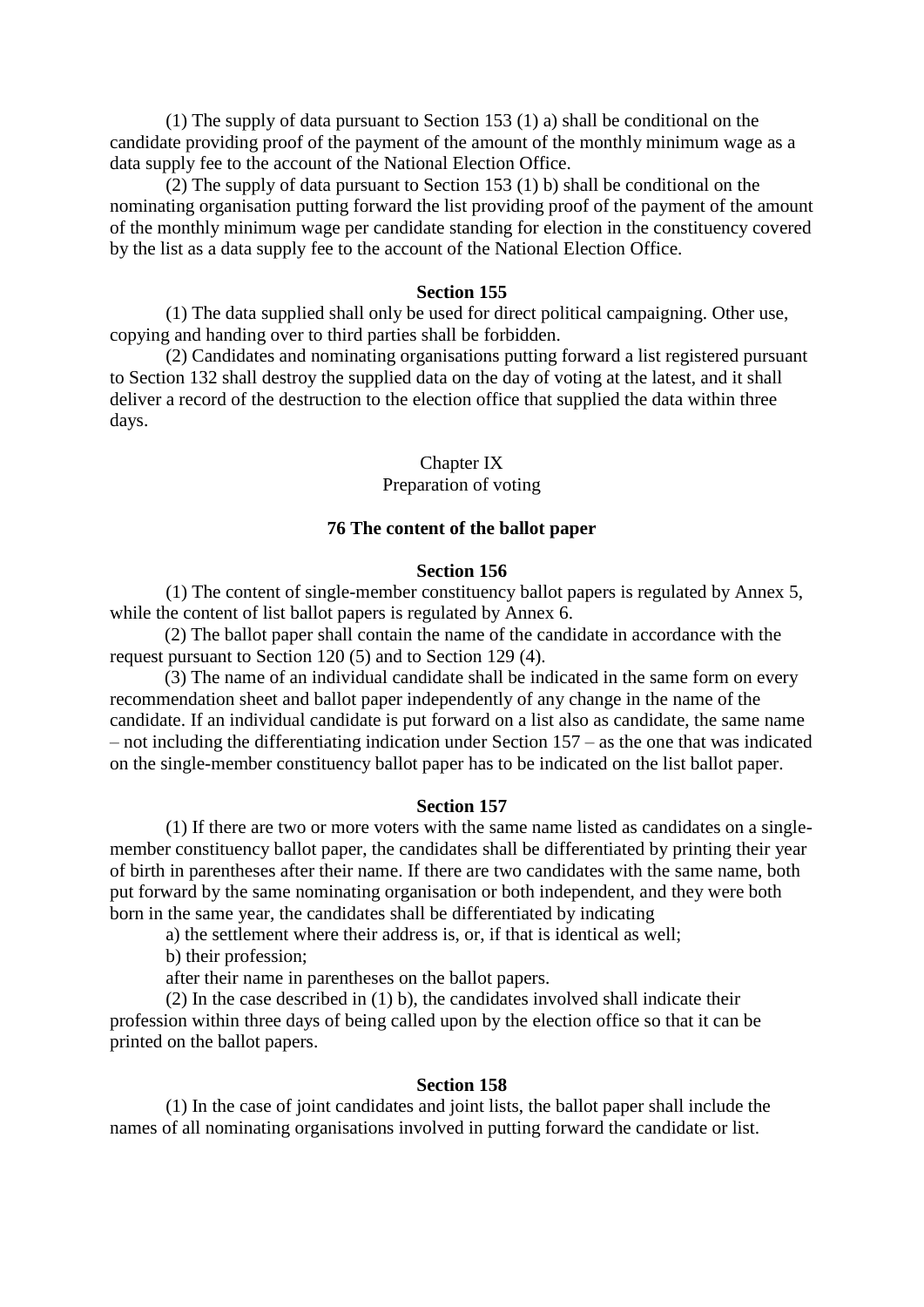(1) The supply of data pursuant to Section 153 (1) a) shall be conditional on the candidate providing proof of the payment of the amount of the monthly minimum wage as a data supply fee to the account of the National Election Office.

 (2) The supply of data pursuant to Section 153 (1) b) shall be conditional on the nominating organisation putting forward the list providing proof of the payment of the amount of the monthly minimum wage per candidate standing for election in the constituency covered by the list as a data supply fee to the account of the National Election Office.

#### **Section 155**

 (1) The data supplied shall only be used for direct political campaigning. Other use, copying and handing over to third parties shall be forbidden.

 (2) Candidates and nominating organisations putting forward a list registered pursuant to Section 132 shall destroy the supplied data on the day of voting at the latest, and it shall deliver a record of the destruction to the election office that supplied the data within three days.

### Chapter IX Preparation of voting

#### **76 The content of the ballot paper**

#### **Section 156**

 (1) The content of single-member constituency ballot papers is regulated by Annex 5, while the content of list ballot papers is regulated by Annex 6.

(2) The ballot paper shall contain the name of the candidate in accordance with the request pursuant to Section 120 (5) and to Section 129 (4).

(3) The name of an individual candidate shall be indicated in the same form on every recommendation sheet and ballot paper independently of any change in the name of the candidate. If an individual candidate is put forward on a list also as candidate, the same name – not including the differentiating indication under Section 157 – as the one that was indicated on the single-member constituency ballot paper has to be indicated on the list ballot paper.

### **Section 157**

 (1) If there are two or more voters with the same name listed as candidates on a singlemember constituency ballot paper, the candidates shall be differentiated by printing their year of birth in parentheses after their name. If there are two candidates with the same name, both put forward by the same nominating organisation or both independent, and they were both born in the same year, the candidates shall be differentiated by indicating

a) the settlement where their address is, or, if that is identical as well;

b) their profession;

after their name in parentheses on the ballot papers.

 (2) In the case described in (1) b), the candidates involved shall indicate their profession within three days of being called upon by the election office so that it can be printed on the ballot papers.

#### **Section 158**

 (1) In the case of joint candidates and joint lists, the ballot paper shall include the names of all nominating organisations involved in putting forward the candidate or list.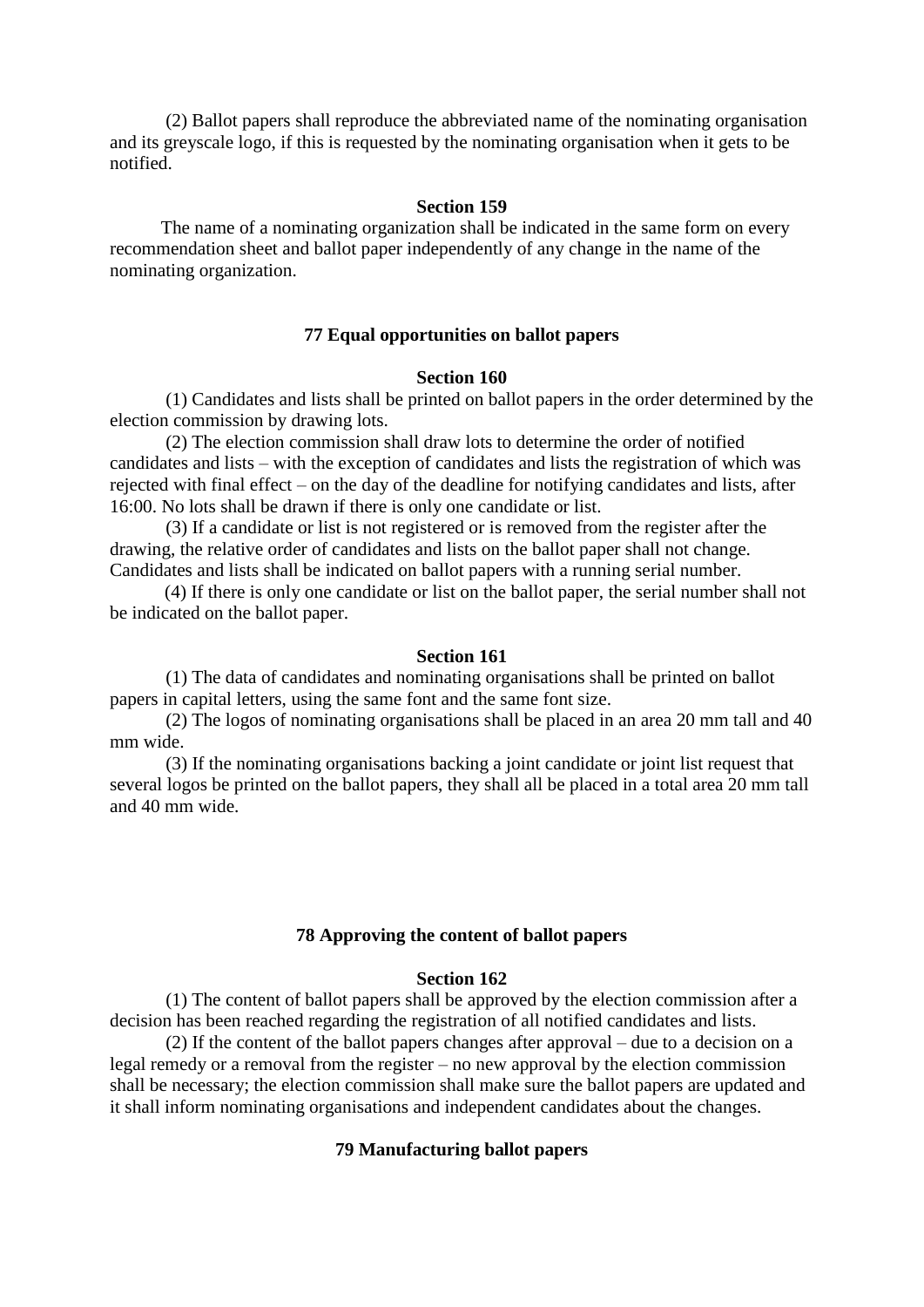(2) Ballot papers shall reproduce the abbreviated name of the nominating organisation and its greyscale logo, if this is requested by the nominating organisation when it gets to be notified.

#### **Section 159**

 The name of a nominating organization shall be indicated in the same form on every recommendation sheet and ballot paper independently of any change in the name of the nominating organization.

### **77 Equal opportunities on ballot papers**

#### **Section 160**

 (1) Candidates and lists shall be printed on ballot papers in the order determined by the election commission by drawing lots.

 (2) The election commission shall draw lots to determine the order of notified candidates and lists – with the exception of candidates and lists the registration of which was rejected with final effect – on the day of the deadline for notifying candidates and lists, after 16:00. No lots shall be drawn if there is only one candidate or list.

 (3) If a candidate or list is not registered or is removed from the register after the drawing, the relative order of candidates and lists on the ballot paper shall not change. Candidates and lists shall be indicated on ballot papers with a running serial number.

(4) If there is only one candidate or list on the ballot paper, the serial number shall not be indicated on the ballot paper.

#### **Section 161**

 (1) The data of candidates and nominating organisations shall be printed on ballot papers in capital letters, using the same font and the same font size.

 (2) The logos of nominating organisations shall be placed in an area 20 mm tall and 40 mm wide.

 (3) If the nominating organisations backing a joint candidate or joint list request that several logos be printed on the ballot papers, they shall all be placed in a total area 20 mm tall and 40 mm wide.

### **78 Approving the content of ballot papers**

# **Section 162**

 (1) The content of ballot papers shall be approved by the election commission after a decision has been reached regarding the registration of all notified candidates and lists.

 (2) If the content of the ballot papers changes after approval – due to a decision on a legal remedy or a removal from the register – no new approval by the election commission shall be necessary; the election commission shall make sure the ballot papers are updated and it shall inform nominating organisations and independent candidates about the changes.

#### **79 Manufacturing ballot papers**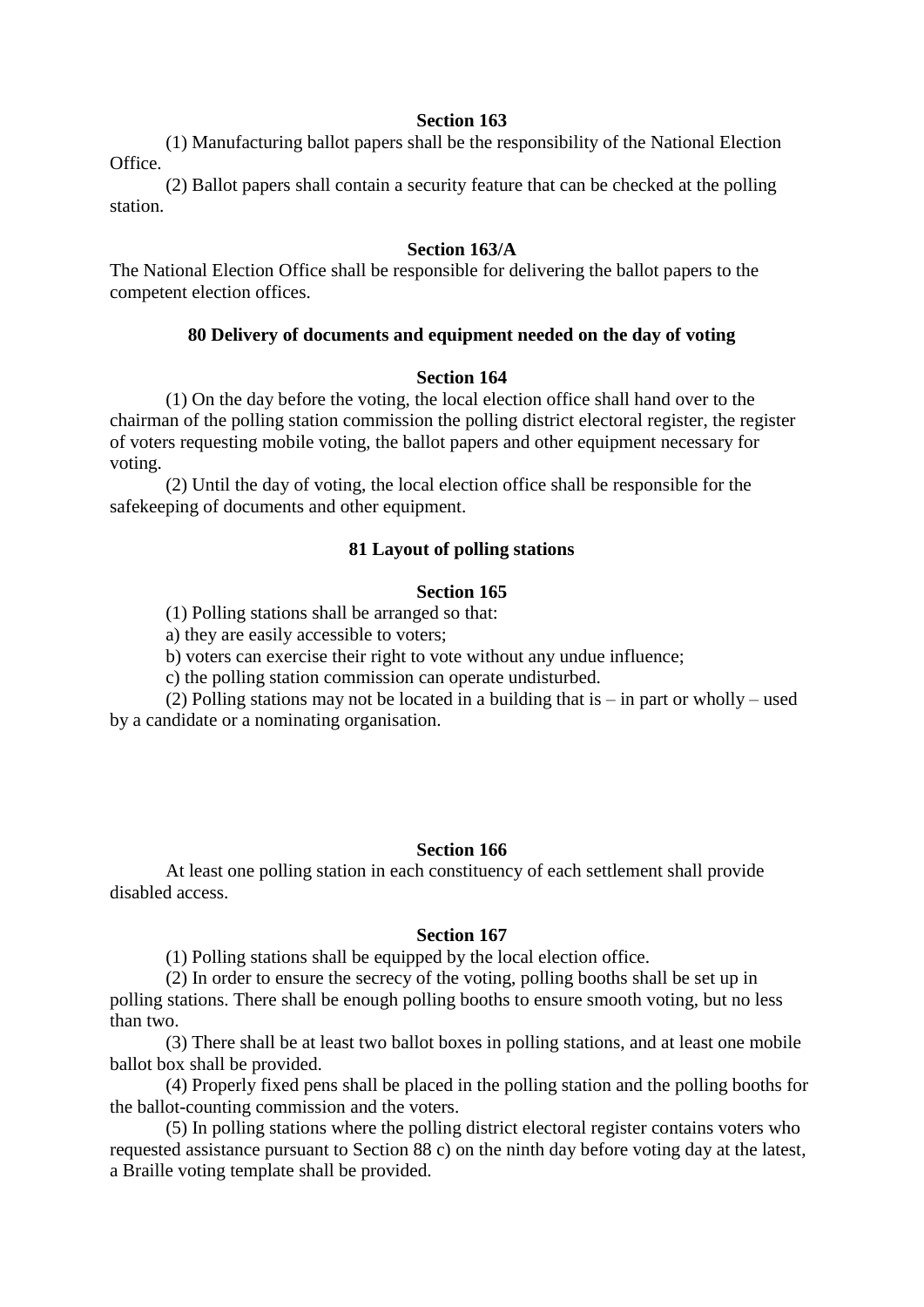(1) Manufacturing ballot papers shall be the responsibility of the National Election Office.

 (2) Ballot papers shall contain a security feature that can be checked at the polling station.

# **Section 163/A**

The National Election Office shall be responsible for delivering the ballot papers to the competent election offices.

# **80 Delivery of documents and equipment needed on the day of voting**

# **Section 164**

 (1) On the day before the voting, the local election office shall hand over to the chairman of the polling station commission the polling district electoral register, the register of voters requesting mobile voting, the ballot papers and other equipment necessary for voting.

 (2) Until the day of voting, the local election office shall be responsible for the safekeeping of documents and other equipment.

# **81 Layout of polling stations**

### **Section 165**

(1) Polling stations shall be arranged so that:

a) they are easily accessible to voters;

b) voters can exercise their right to vote without any undue influence;

c) the polling station commission can operate undisturbed.

 (2) Polling stations may not be located in a building that is – in part or wholly – used by a candidate or a nominating organisation.

### **Section 166**

 At least one polling station in each constituency of each settlement shall provide disabled access.

### **Section 167**

(1) Polling stations shall be equipped by the local election office.

 (2) In order to ensure the secrecy of the voting, polling booths shall be set up in polling stations. There shall be enough polling booths to ensure smooth voting, but no less than two.

 (3) There shall be at least two ballot boxes in polling stations, and at least one mobile ballot box shall be provided.

 (4) Properly fixed pens shall be placed in the polling station and the polling booths for the ballot-counting commission and the voters.

 (5) In polling stations where the polling district electoral register contains voters who requested assistance pursuant to Section 88 c) on the ninth day before voting day at the latest, a Braille voting template shall be provided.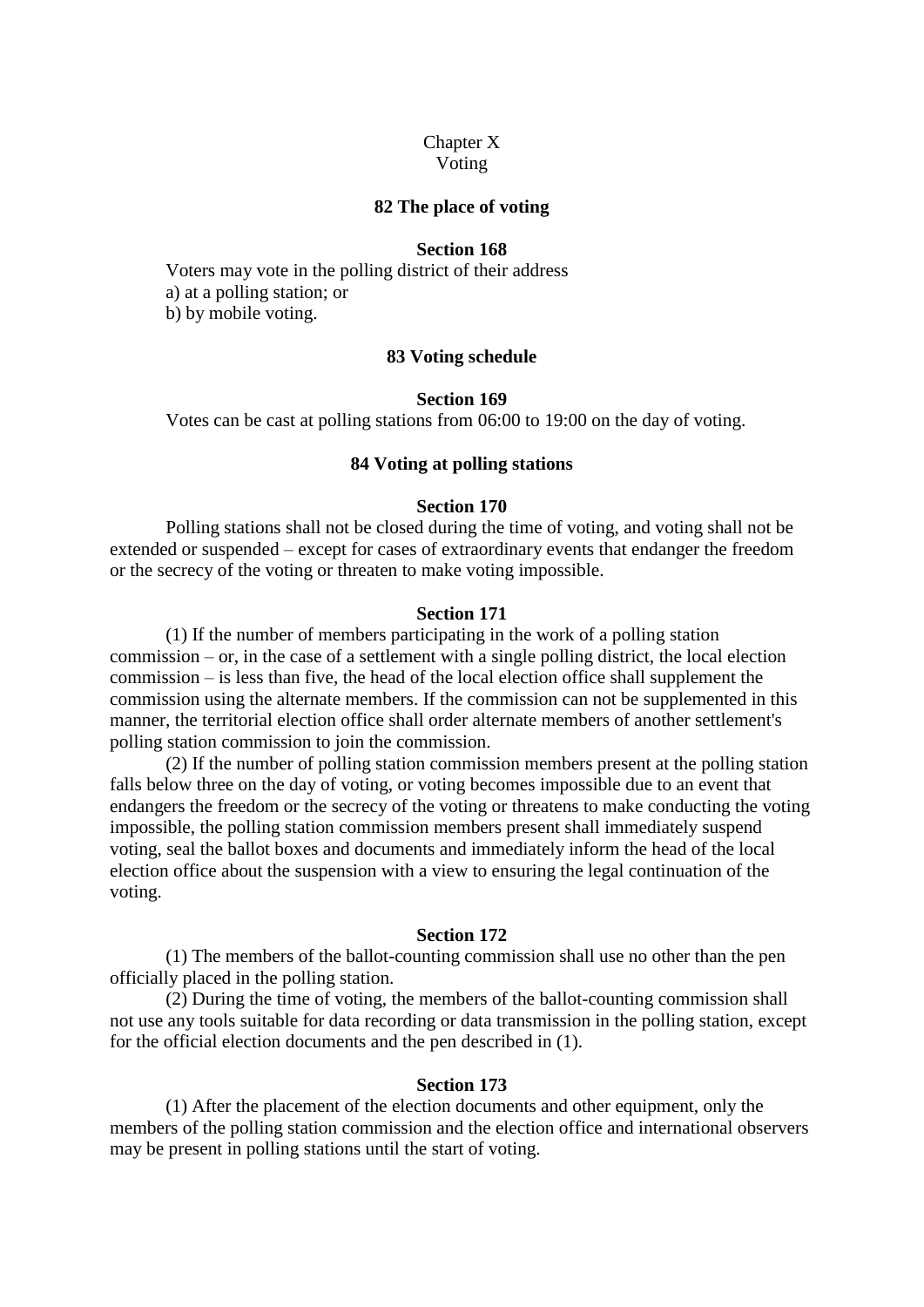# Chapter X

Voting

### **82 The place of voting**

# **Section 168**

 Voters may vote in the polling district of their address a) at a polling station; or b) by mobile voting.

# **83 Voting schedule**

# **Section 169**

Votes can be cast at polling stations from 06:00 to 19:00 on the day of voting.

### **84 Voting at polling stations**

# **Section 170**

 Polling stations shall not be closed during the time of voting, and voting shall not be extended or suspended – except for cases of extraordinary events that endanger the freedom or the secrecy of the voting or threaten to make voting impossible.

# **Section 171**

 (1) If the number of members participating in the work of a polling station commission – or, in the case of a settlement with a single polling district, the local election commission – is less than five, the head of the local election office shall supplement the commission using the alternate members. If the commission can not be supplemented in this manner, the territorial election office shall order alternate members of another settlement's polling station commission to join the commission.

 (2) If the number of polling station commission members present at the polling station falls below three on the day of voting, or voting becomes impossible due to an event that endangers the freedom or the secrecy of the voting or threatens to make conducting the voting impossible, the polling station commission members present shall immediately suspend voting, seal the ballot boxes and documents and immediately inform the head of the local election office about the suspension with a view to ensuring the legal continuation of the voting.

### **Section 172**

 (1) The members of the ballot-counting commission shall use no other than the pen officially placed in the polling station.

 (2) During the time of voting, the members of the ballot-counting commission shall not use any tools suitable for data recording or data transmission in the polling station, except for the official election documents and the pen described in (1).

### **Section 173**

 (1) After the placement of the election documents and other equipment, only the members of the polling station commission and the election office and international observers may be present in polling stations until the start of voting.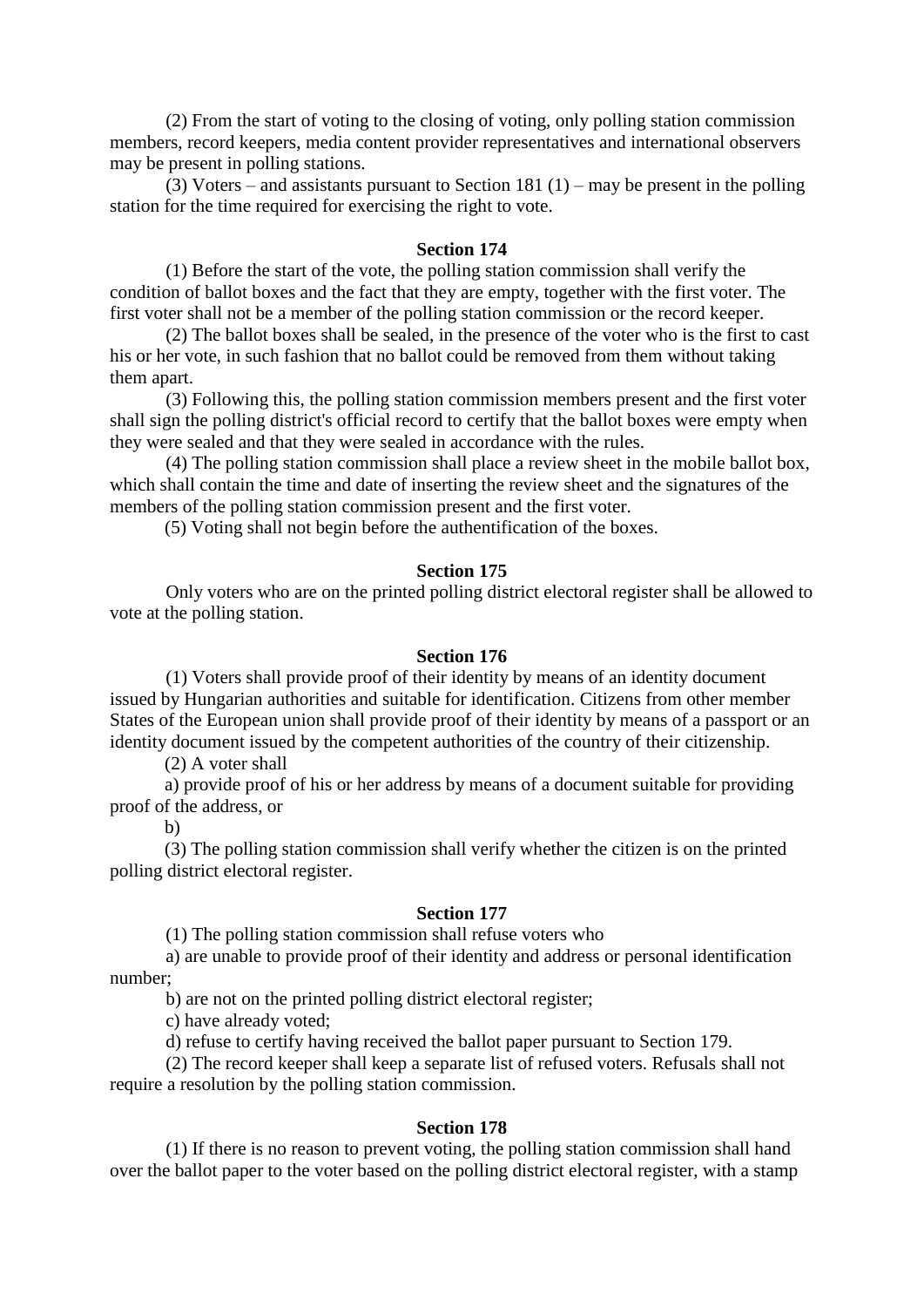(2) From the start of voting to the closing of voting, only polling station commission members, record keepers, media content provider representatives and international observers may be present in polling stations.

(3) Voters – and assistants pursuant to Section 181 (1) – may be present in the polling station for the time required for exercising the right to vote.

# **Section 174**

 (1) Before the start of the vote, the polling station commission shall verify the condition of ballot boxes and the fact that they are empty, together with the first voter. The first voter shall not be a member of the polling station commission or the record keeper.

 (2) The ballot boxes shall be sealed, in the presence of the voter who is the first to cast his or her vote, in such fashion that no ballot could be removed from them without taking them apart.

 (3) Following this, the polling station commission members present and the first voter shall sign the polling district's official record to certify that the ballot boxes were empty when they were sealed and that they were sealed in accordance with the rules.

 (4) The polling station commission shall place a review sheet in the mobile ballot box, which shall contain the time and date of inserting the review sheet and the signatures of the members of the polling station commission present and the first voter.

(5) Voting shall not begin before the authentification of the boxes.

# **Section 175**

 Only voters who are on the printed polling district electoral register shall be allowed to vote at the polling station.

#### **Section 176**

 (1) Voters shall provide proof of their identity by means of an identity document issued by Hungarian authorities and suitable for identification. Citizens from other member States of the European union shall provide proof of their identity by means of a passport or an identity document issued by the competent authorities of the country of their citizenship.

(2) A voter shall

a) provide proof of his or her address by means of a document suitable for providing proof of the address, or

b)

(3) The polling station commission shall verify whether the citizen is on the printed polling district electoral register.

### **Section 177**

(1) The polling station commission shall refuse voters who

 a) are unable to provide proof of their identity and address or personal identification number;

b) are not on the printed polling district electoral register;

c) have already voted;

d) refuse to certify having received the ballot paper pursuant to Section 179.

 (2) The record keeper shall keep a separate list of refused voters. Refusals shall not require a resolution by the polling station commission.

### **Section 178**

 (1) If there is no reason to prevent voting, the polling station commission shall hand over the ballot paper to the voter based on the polling district electoral register, with a stamp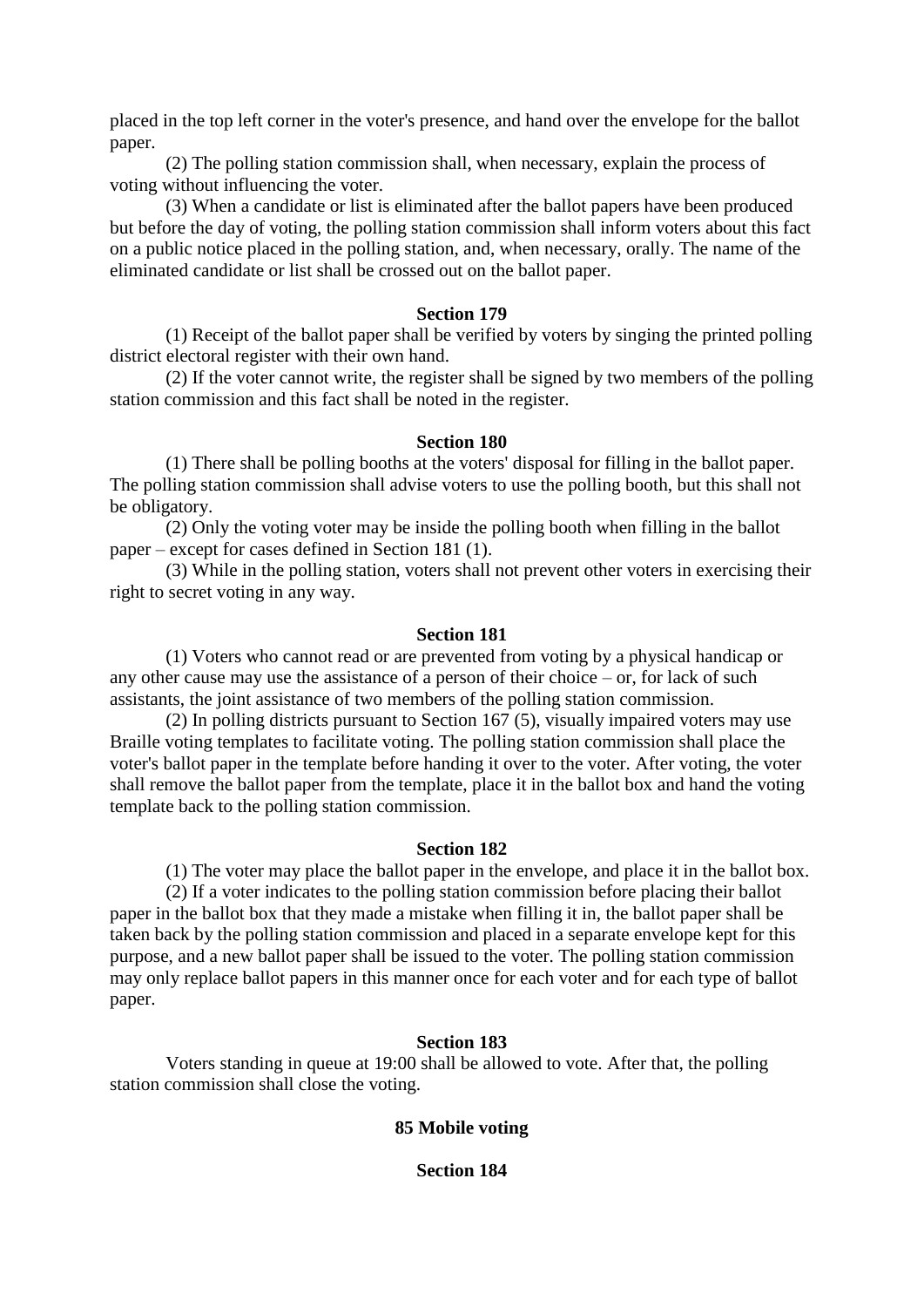placed in the top left corner in the voter's presence, and hand over the envelope for the ballot paper.

 (2) The polling station commission shall, when necessary, explain the process of voting without influencing the voter.

 (3) When a candidate or list is eliminated after the ballot papers have been produced but before the day of voting, the polling station commission shall inform voters about this fact on a public notice placed in the polling station, and, when necessary, orally. The name of the eliminated candidate or list shall be crossed out on the ballot paper.

### **Section 179**

 (1) Receipt of the ballot paper shall be verified by voters by singing the printed polling district electoral register with their own hand.

 (2) If the voter cannot write, the register shall be signed by two members of the polling station commission and this fact shall be noted in the register.

### **Section 180**

 (1) There shall be polling booths at the voters' disposal for filling in the ballot paper. The polling station commission shall advise voters to use the polling booth, but this shall not be obligatory.

 (2) Only the voting voter may be inside the polling booth when filling in the ballot paper – except for cases defined in Section 181 (1).

 (3) While in the polling station, voters shall not prevent other voters in exercising their right to secret voting in any way.

# **Section 181**

 (1) Voters who cannot read or are prevented from voting by a physical handicap or any other cause may use the assistance of a person of their choice – or, for lack of such assistants, the joint assistance of two members of the polling station commission.

 (2) In polling districts pursuant to Section 167 (5), visually impaired voters may use Braille voting templates to facilitate voting. The polling station commission shall place the voter's ballot paper in the template before handing it over to the voter. After voting, the voter shall remove the ballot paper from the template, place it in the ballot box and hand the voting template back to the polling station commission.

### **Section 182**

(1) The voter may place the ballot paper in the envelope, and place it in the ballot box.

 (2) If a voter indicates to the polling station commission before placing their ballot paper in the ballot box that they made a mistake when filling it in, the ballot paper shall be taken back by the polling station commission and placed in a separate envelope kept for this purpose, and a new ballot paper shall be issued to the voter. The polling station commission may only replace ballot papers in this manner once for each voter and for each type of ballot paper.

# **Section 183**

 Voters standing in queue at 19:00 shall be allowed to vote. After that, the polling station commission shall close the voting.

# **85 Mobile voting**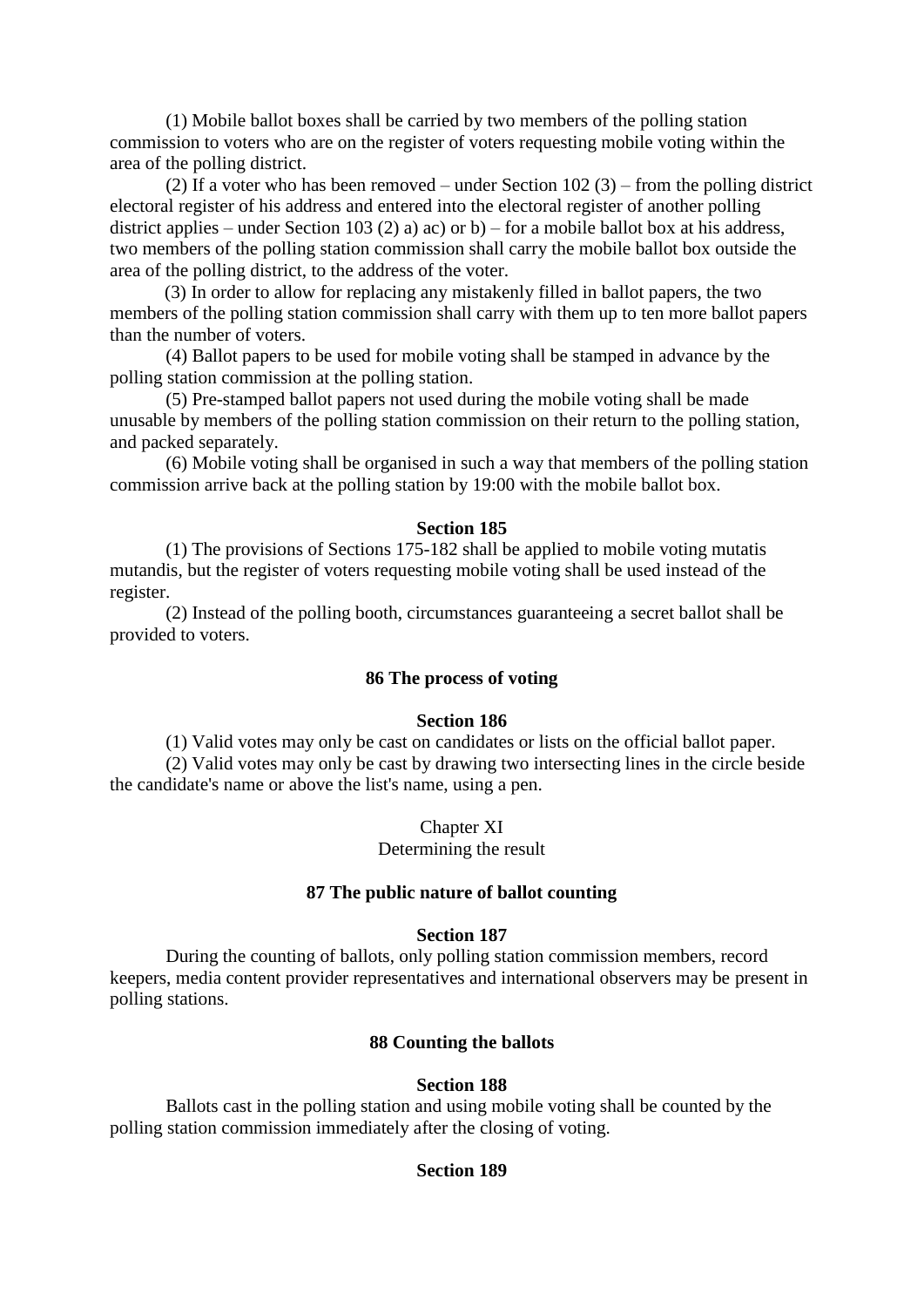(1) Mobile ballot boxes shall be carried by two members of the polling station commission to voters who are on the register of voters requesting mobile voting within the area of the polling district.

(2) If a voter who has been removed – under Section  $102 (3)$  – from the polling district electoral register of his address and entered into the electoral register of another polling district applies – under Section 103 (2) a) ac) or b) – for a mobile ballot box at his address, two members of the polling station commission shall carry the mobile ballot box outside the area of the polling district, to the address of the voter.

(3) In order to allow for replacing any mistakenly filled in ballot papers, the two members of the polling station commission shall carry with them up to ten more ballot papers than the number of voters.

 (4) Ballot papers to be used for mobile voting shall be stamped in advance by the polling station commission at the polling station.

 (5) Pre-stamped ballot papers not used during the mobile voting shall be made unusable by members of the polling station commission on their return to the polling station, and packed separately.

 (6) Mobile voting shall be organised in such a way that members of the polling station commission arrive back at the polling station by 19:00 with the mobile ballot box.

# **Section 185**

 (1) The provisions of Sections 175-182 shall be applied to mobile voting mutatis mutandis, but the register of voters requesting mobile voting shall be used instead of the register.

 (2) Instead of the polling booth, circumstances guaranteeing a secret ballot shall be provided to voters.

# **86 The process of voting**

# **Section 186**

(1) Valid votes may only be cast on candidates or lists on the official ballot paper.

 (2) Valid votes may only be cast by drawing two intersecting lines in the circle beside the candidate's name or above the list's name, using a pen.

Chapter XI

Determining the result

# **87 The public nature of ballot counting**

# **Section 187**

 During the counting of ballots, only polling station commission members, record keepers, media content provider representatives and international observers may be present in polling stations.

# **88 Counting the ballots**

# **Section 188**

 Ballots cast in the polling station and using mobile voting shall be counted by the polling station commission immediately after the closing of voting.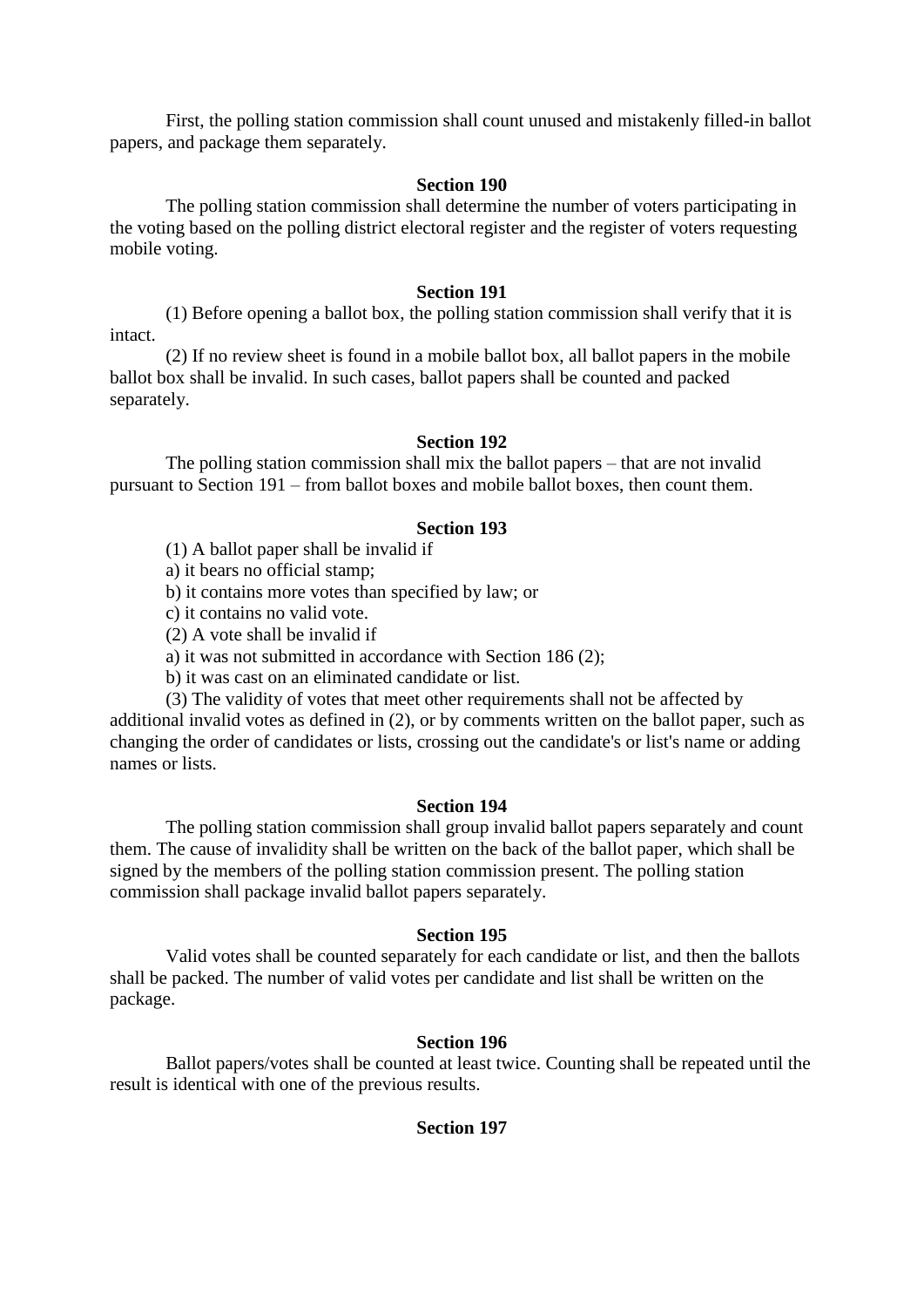First, the polling station commission shall count unused and mistakenly filled-in ballot papers, and package them separately.

# **Section 190**

 The polling station commission shall determine the number of voters participating in the voting based on the polling district electoral register and the register of voters requesting mobile voting.

#### **Section 191**

 (1) Before opening a ballot box, the polling station commission shall verify that it is intact.

 (2) If no review sheet is found in a mobile ballot box, all ballot papers in the mobile ballot box shall be invalid. In such cases, ballot papers shall be counted and packed separately.

### **Section 192**

 The polling station commission shall mix the ballot papers – that are not invalid pursuant to Section 191 – from ballot boxes and mobile ballot boxes, then count them.

# **Section 193**

(1) A ballot paper shall be invalid if

a) it bears no official stamp;

b) it contains more votes than specified by law; or

c) it contains no valid vote.

(2) A vote shall be invalid if

a) it was not submitted in accordance with Section 186 (2);

b) it was cast on an eliminated candidate or list.

 (3) The validity of votes that meet other requirements shall not be affected by additional invalid votes as defined in (2), or by comments written on the ballot paper, such as changing the order of candidates or lists, crossing out the candidate's or list's name or adding names or lists.

#### **Section 194**

 The polling station commission shall group invalid ballot papers separately and count them. The cause of invalidity shall be written on the back of the ballot paper, which shall be signed by the members of the polling station commission present. The polling station commission shall package invalid ballot papers separately.

#### **Section 195**

 Valid votes shall be counted separately for each candidate or list, and then the ballots shall be packed. The number of valid votes per candidate and list shall be written on the package.

### **Section 196**

 Ballot papers/votes shall be counted at least twice. Counting shall be repeated until the result is identical with one of the previous results.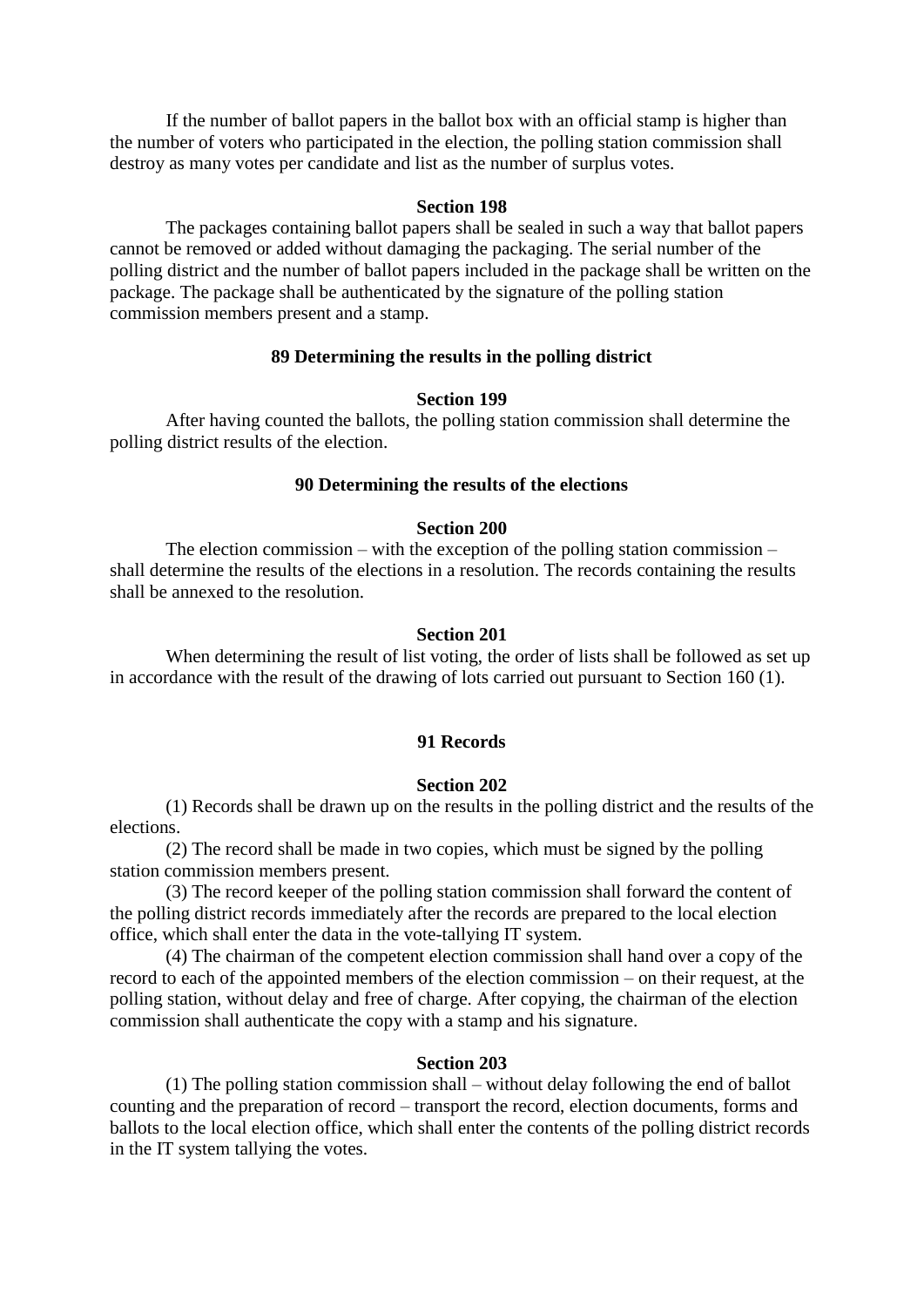If the number of ballot papers in the ballot box with an official stamp is higher than the number of voters who participated in the election, the polling station commission shall destroy as many votes per candidate and list as the number of surplus votes.

#### **Section 198**

 The packages containing ballot papers shall be sealed in such a way that ballot papers cannot be removed or added without damaging the packaging. The serial number of the polling district and the number of ballot papers included in the package shall be written on the package. The package shall be authenticated by the signature of the polling station commission members present and a stamp.

### **89 Determining the results in the polling district**

# **Section 199**

 After having counted the ballots, the polling station commission shall determine the polling district results of the election.

# **90 Determining the results of the elections**

### **Section 200**

 The election commission – with the exception of the polling station commission – shall determine the results of the elections in a resolution. The records containing the results shall be annexed to the resolution.

#### **Section 201**

 When determining the result of list voting, the order of lists shall be followed as set up in accordance with the result of the drawing of lots carried out pursuant to Section 160 (1).

# **91 Records**

#### **Section 202**

 (1) Records shall be drawn up on the results in the polling district and the results of the elections.

 (2) The record shall be made in two copies, which must be signed by the polling station commission members present.

 (3) The record keeper of the polling station commission shall forward the content of the polling district records immediately after the records are prepared to the local election office, which shall enter the data in the vote-tallying IT system.

 (4) The chairman of the competent election commission shall hand over a copy of the record to each of the appointed members of the election commission – on their request, at the polling station, without delay and free of charge. After copying, the chairman of the election commission shall authenticate the copy with a stamp and his signature.

### **Section 203**

 (1) The polling station commission shall – without delay following the end of ballot counting and the preparation of record – transport the record, election documents, forms and ballots to the local election office, which shall enter the contents of the polling district records in the IT system tallying the votes.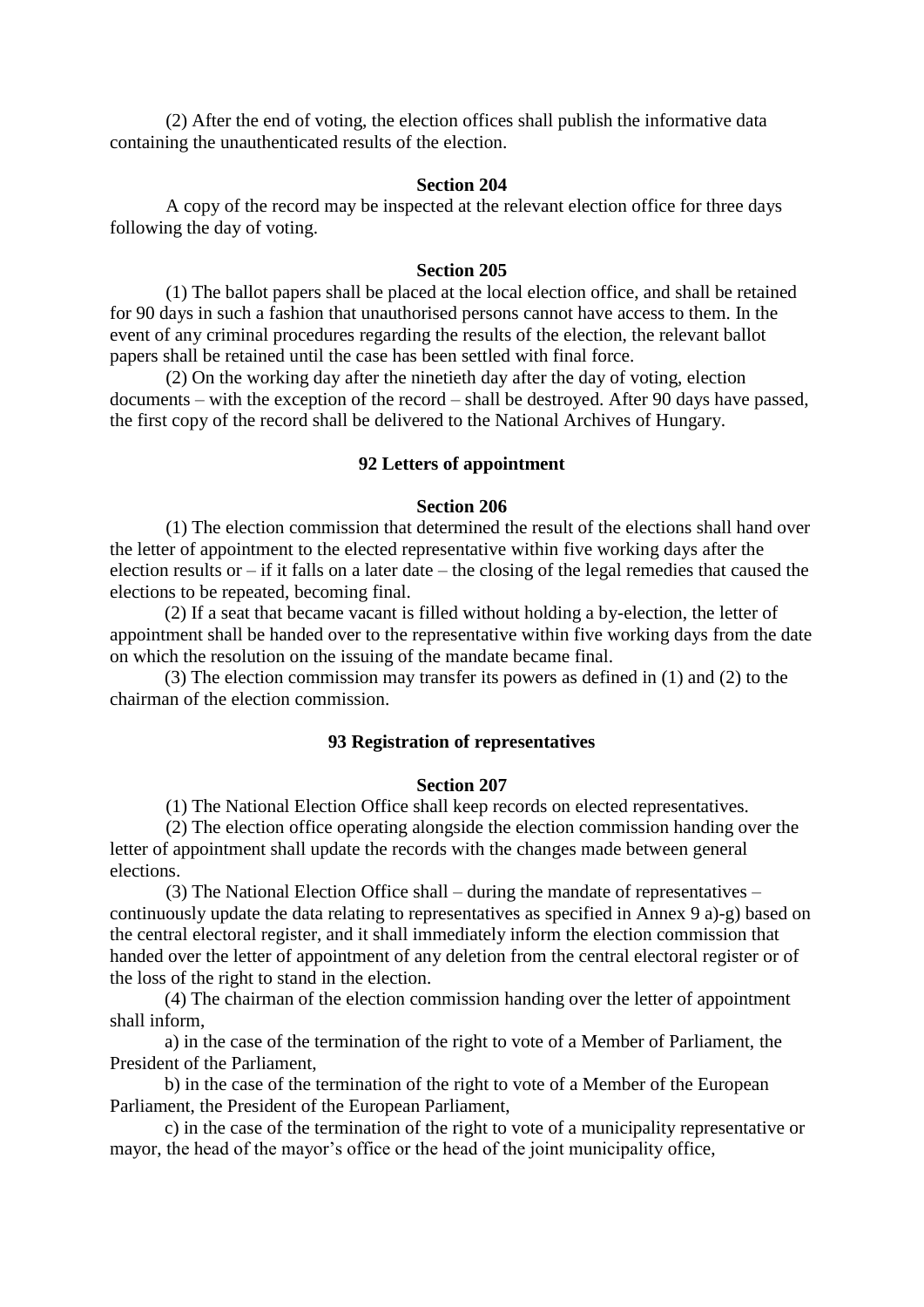(2) After the end of voting, the election offices shall publish the informative data containing the unauthenticated results of the election.

#### **Section 204**

 A copy of the record may be inspected at the relevant election office for three days following the day of voting.

#### **Section 205**

 (1) The ballot papers shall be placed at the local election office, and shall be retained for 90 days in such a fashion that unauthorised persons cannot have access to them. In the event of any criminal procedures regarding the results of the election, the relevant ballot papers shall be retained until the case has been settled with final force.

 (2) On the working day after the ninetieth day after the day of voting, election documents – with the exception of the record – shall be destroyed. After 90 days have passed, the first copy of the record shall be delivered to the National Archives of Hungary.

### **92 Letters of appointment**

### **Section 206**

 (1) The election commission that determined the result of the elections shall hand over the letter of appointment to the elected representative within five working days after the election results or – if it falls on a later date – the closing of the legal remedies that caused the elections to be repeated, becoming final.

(2) If a seat that became vacant is filled without holding a by-election, the letter of appointment shall be handed over to the representative within five working days from the date on which the resolution on the issuing of the mandate became final.

(3) The election commission may transfer its powers as defined in (1) and (2) to the chairman of the election commission.

# **93 Registration of representatives**

#### **Section 207**

(1) The National Election Office shall keep records on elected representatives.

 (2) The election office operating alongside the election commission handing over the letter of appointment shall update the records with the changes made between general elections.

 (3) The National Election Office shall – during the mandate of representatives – continuously update the data relating to representatives as specified in Annex 9 a)-g) based on the central electoral register, and it shall immediately inform the election commission that handed over the letter of appointment of any deletion from the central electoral register or of the loss of the right to stand in the election.

(4) The chairman of the election commission handing over the letter of appointment shall inform,

a) in the case of the termination of the right to vote of a Member of Parliament, the President of the Parliament,

b) in the case of the termination of the right to vote of a Member of the European Parliament, the President of the European Parliament,

c) in the case of the termination of the right to vote of a municipality representative or mayor, the head of the mayor's office or the head of the joint municipality office,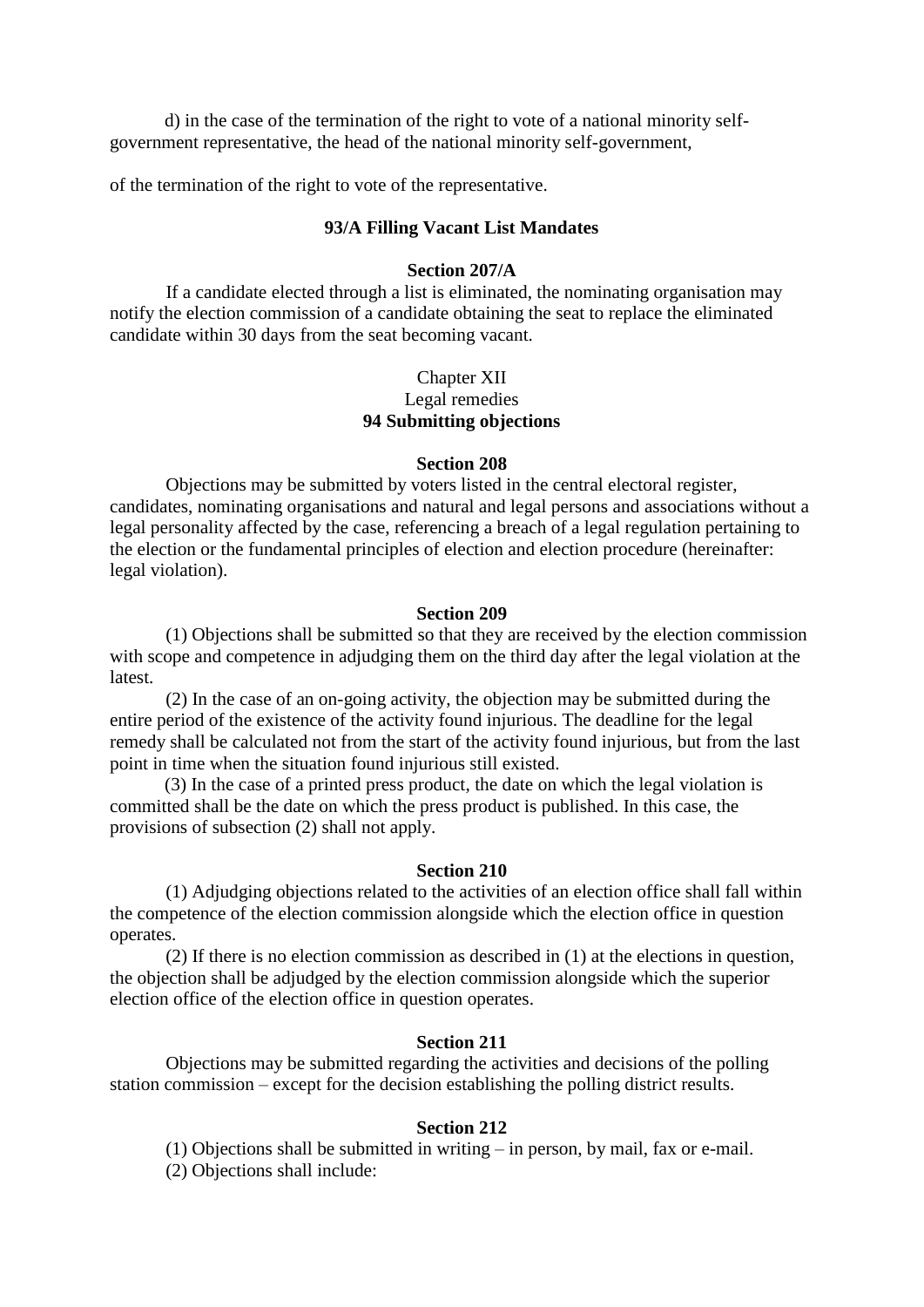d) in the case of the termination of the right to vote of a national minority selfgovernment representative, the head of the national minority self-government,

of the termination of the right to vote of the representative.

### **93/A Filling Vacant List Mandates**

# **Section 207/A**

 If a candidate elected through a list is eliminated, the nominating organisation may notify the election commission of a candidate obtaining the seat to replace the eliminated candidate within 30 days from the seat becoming vacant.

# Chapter XII Legal remedies **94 Submitting objections**

#### **Section 208**

 Objections may be submitted by voters listed in the central electoral register, candidates, nominating organisations and natural and legal persons and associations without a legal personality affected by the case, referencing a breach of a legal regulation pertaining to the election or the fundamental principles of election and election procedure (hereinafter: legal violation).

#### **Section 209**

 (1) Objections shall be submitted so that they are received by the election commission with scope and competence in adjudging them on the third day after the legal violation at the **latest** 

 (2) In the case of an on-going activity, the objection may be submitted during the entire period of the existence of the activity found injurious. The deadline for the legal remedy shall be calculated not from the start of the activity found injurious, but from the last point in time when the situation found injurious still existed.

(3) In the case of a printed press product, the date on which the legal violation is committed shall be the date on which the press product is published. In this case, the provisions of subsection (2) shall not apply.

### **Section 210**

 (1) Adjudging objections related to the activities of an election office shall fall within the competence of the election commission alongside which the election office in question operates.

 (2) If there is no election commission as described in (1) at the elections in question, the objection shall be adjudged by the election commission alongside which the superior election office of the election office in question operates.

### **Section 211**

 Objections may be submitted regarding the activities and decisions of the polling station commission – except for the decision establishing the polling district results.

### **Section 212**

 (1) Objections shall be submitted in writing – in person, by mail, fax or e-mail. (2) Objections shall include: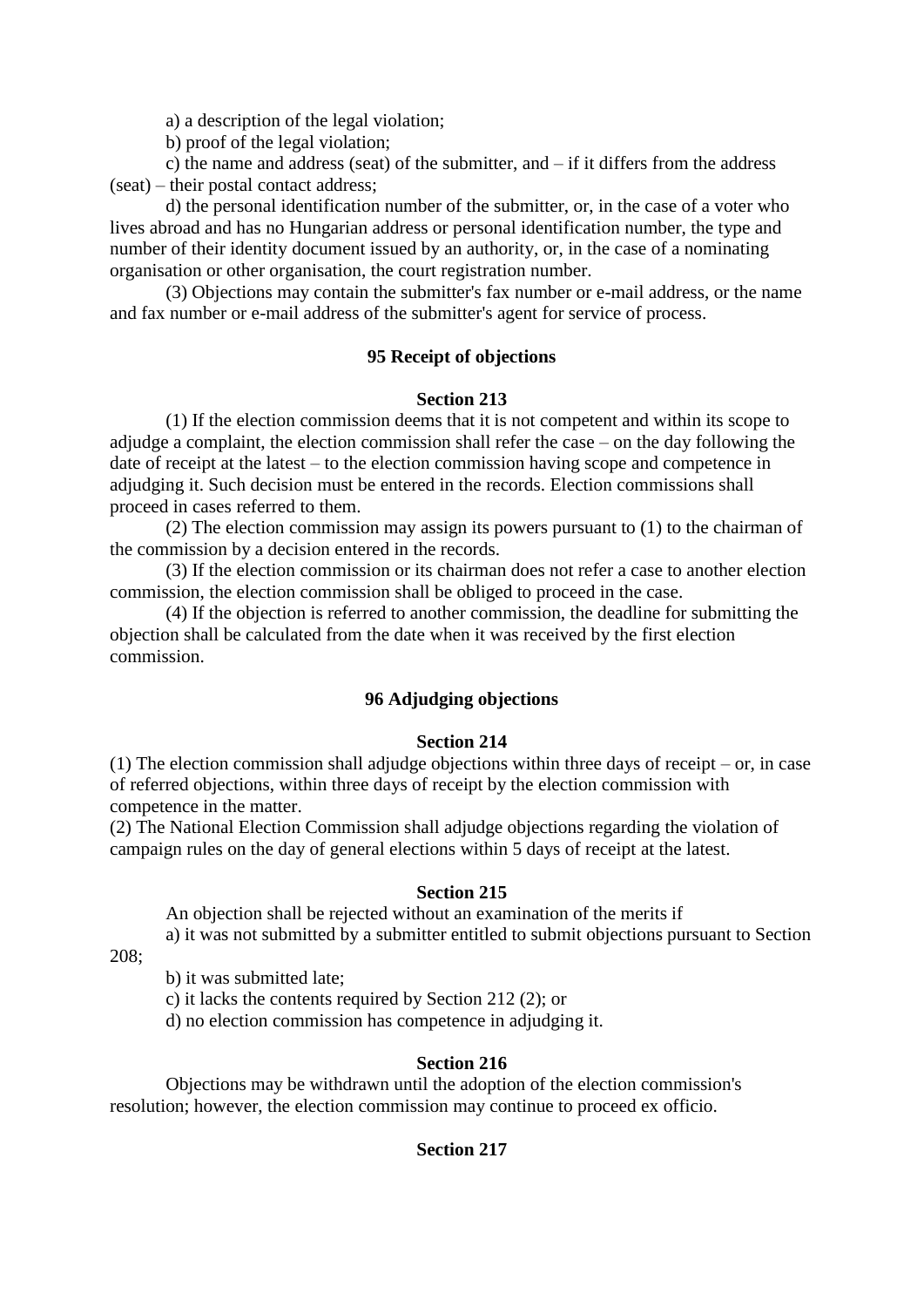a) a description of the legal violation;

b) proof of the legal violation;

 c) the name and address (seat) of the submitter, and – if it differs from the address (seat) – their postal contact address;

 d) the personal identification number of the submitter, or, in the case of a voter who lives abroad and has no Hungarian address or personal identification number, the type and number of their identity document issued by an authority, or, in the case of a nominating organisation or other organisation, the court registration number.

 (3) Objections may contain the submitter's fax number or e-mail address, or the name and fax number or e-mail address of the submitter's agent for service of process.

# **95 Receipt of objections**

# **Section 213**

 (1) If the election commission deems that it is not competent and within its scope to adjudge a complaint, the election commission shall refer the case – on the day following the date of receipt at the latest – to the election commission having scope and competence in adjudging it. Such decision must be entered in the records. Election commissions shall proceed in cases referred to them.

 (2) The election commission may assign its powers pursuant to (1) to the chairman of the commission by a decision entered in the records.

 (3) If the election commission or its chairman does not refer a case to another election commission, the election commission shall be obliged to proceed in the case.

 (4) If the objection is referred to another commission, the deadline for submitting the objection shall be calculated from the date when it was received by the first election commission.

# **96 Adjudging objections**

# **Section 214**

(1) The election commission shall adjudge objections within three days of receipt – or, in case of referred objections, within three days of receipt by the election commission with competence in the matter.

(2) The National Election Commission shall adjudge objections regarding the violation of campaign rules on the day of general elections within 5 days of receipt at the latest.

### **Section 215**

An objection shall be rejected without an examination of the merits if

a) it was not submitted by a submitter entitled to submit objections pursuant to Section

208;

b) it was submitted late;

c) it lacks the contents required by Section 212 (2); or

d) no election commission has competence in adjudging it.

# **Section 216**

 Objections may be withdrawn until the adoption of the election commission's resolution; however, the election commission may continue to proceed ex officio.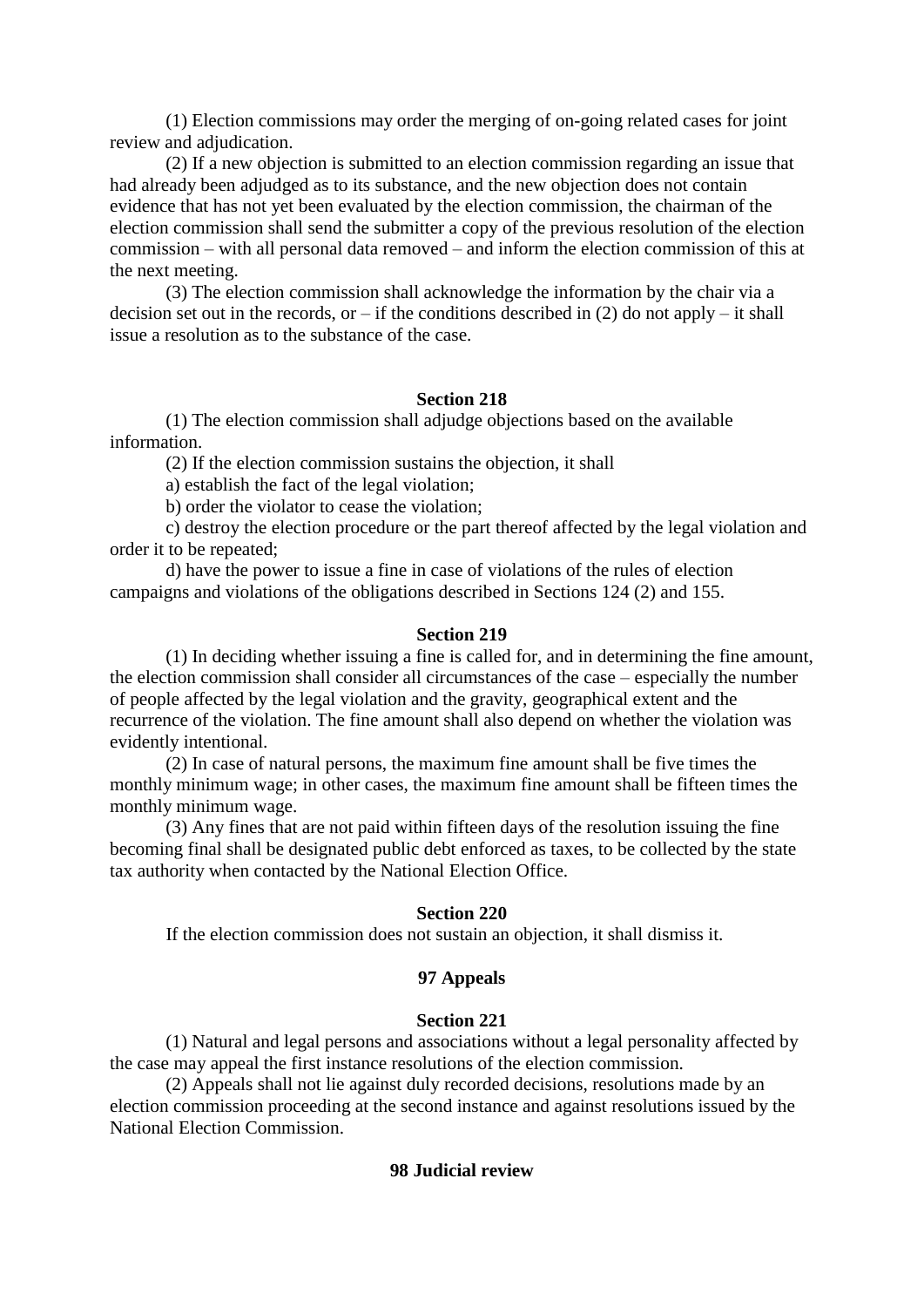(1) Election commissions may order the merging of on-going related cases for joint review and adjudication.

 (2) If a new objection is submitted to an election commission regarding an issue that had already been adjudged as to its substance, and the new objection does not contain evidence that has not yet been evaluated by the election commission, the chairman of the election commission shall send the submitter a copy of the previous resolution of the election commission – with all personal data removed – and inform the election commission of this at the next meeting.

 (3) The election commission shall acknowledge the information by the chair via a decision set out in the records, or – if the conditions described in  $(2)$  do not apply – it shall issue a resolution as to the substance of the case.

# **Section 218**

 (1) The election commission shall adjudge objections based on the available information.

(2) If the election commission sustains the objection, it shall

a) establish the fact of the legal violation;

b) order the violator to cease the violation;

 c) destroy the election procedure or the part thereof affected by the legal violation and order it to be repeated;

 d) have the power to issue a fine in case of violations of the rules of election campaigns and violations of the obligations described in Sections 124 (2) and 155.

### **Section 219**

 (1) In deciding whether issuing a fine is called for, and in determining the fine amount, the election commission shall consider all circumstances of the case – especially the number of people affected by the legal violation and the gravity, geographical extent and the recurrence of the violation. The fine amount shall also depend on whether the violation was evidently intentional.

 (2) In case of natural persons, the maximum fine amount shall be five times the monthly minimum wage; in other cases, the maximum fine amount shall be fifteen times the monthly minimum wage.

 (3) Any fines that are not paid within fifteen days of the resolution issuing the fine becoming final shall be designated public debt enforced as taxes, to be collected by the state tax authority when contacted by the National Election Office.

### **Section 220**

If the election commission does not sustain an objection, it shall dismiss it.

# **97 Appeals**

### **Section 221**

 (1) Natural and legal persons and associations without a legal personality affected by the case may appeal the first instance resolutions of the election commission.

 (2) Appeals shall not lie against duly recorded decisions, resolutions made by an election commission proceeding at the second instance and against resolutions issued by the National Election Commission.

# **98 Judicial review**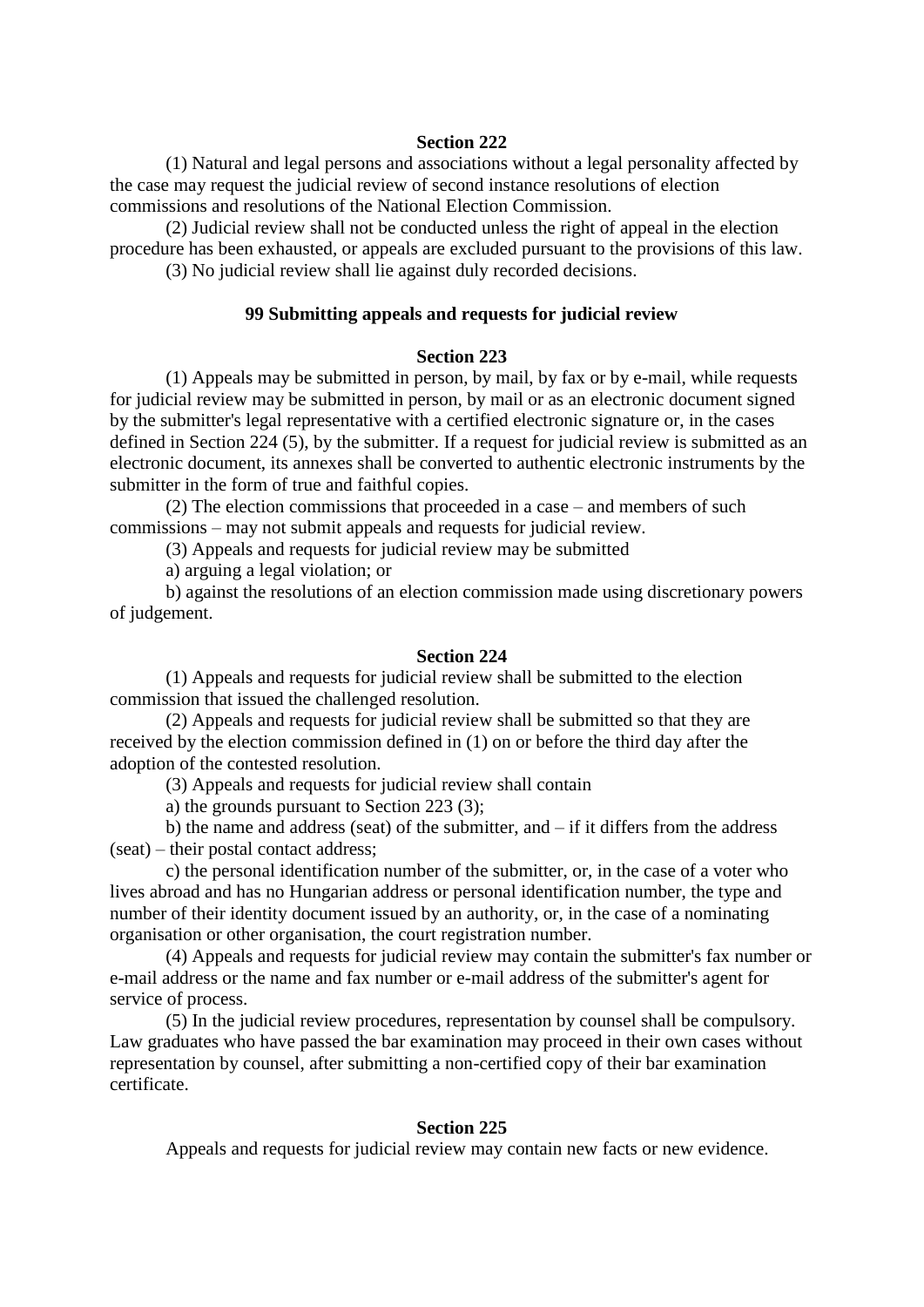(1) Natural and legal persons and associations without a legal personality affected by the case may request the judicial review of second instance resolutions of election commissions and resolutions of the National Election Commission.

 (2) Judicial review shall not be conducted unless the right of appeal in the election procedure has been exhausted, or appeals are excluded pursuant to the provisions of this law. (3) No judicial review shall lie against duly recorded decisions.

# **99 Submitting appeals and requests for judicial review**

### **Section 223**

 (1) Appeals may be submitted in person, by mail, by fax or by e-mail, while requests for judicial review may be submitted in person, by mail or as an electronic document signed by the submitter's legal representative with a certified electronic signature or, in the cases defined in Section 224 (5), by the submitter. If a request for judicial review is submitted as an electronic document, its annexes shall be converted to authentic electronic instruments by the submitter in the form of true and faithful copies.

 (2) The election commissions that proceeded in a case – and members of such commissions – may not submit appeals and requests for judicial review.

(3) Appeals and requests for judicial review may be submitted

a) arguing a legal violation; or

 b) against the resolutions of an election commission made using discretionary powers of judgement.

### **Section 224**

 (1) Appeals and requests for judicial review shall be submitted to the election commission that issued the challenged resolution.

 (2) Appeals and requests for judicial review shall be submitted so that they are received by the election commission defined in (1) on or before the third day after the adoption of the contested resolution.

(3) Appeals and requests for judicial review shall contain

a) the grounds pursuant to Section 223 (3);

 b) the name and address (seat) of the submitter, and – if it differs from the address (seat) – their postal contact address;

 c) the personal identification number of the submitter, or, in the case of a voter who lives abroad and has no Hungarian address or personal identification number, the type and number of their identity document issued by an authority, or, in the case of a nominating organisation or other organisation, the court registration number.

 (4) Appeals and requests for judicial review may contain the submitter's fax number or e-mail address or the name and fax number or e-mail address of the submitter's agent for service of process.

 (5) In the judicial review procedures, representation by counsel shall be compulsory. Law graduates who have passed the bar examination may proceed in their own cases without representation by counsel, after submitting a non-certified copy of their bar examination certificate.

### **Section 225**

Appeals and requests for judicial review may contain new facts or new evidence.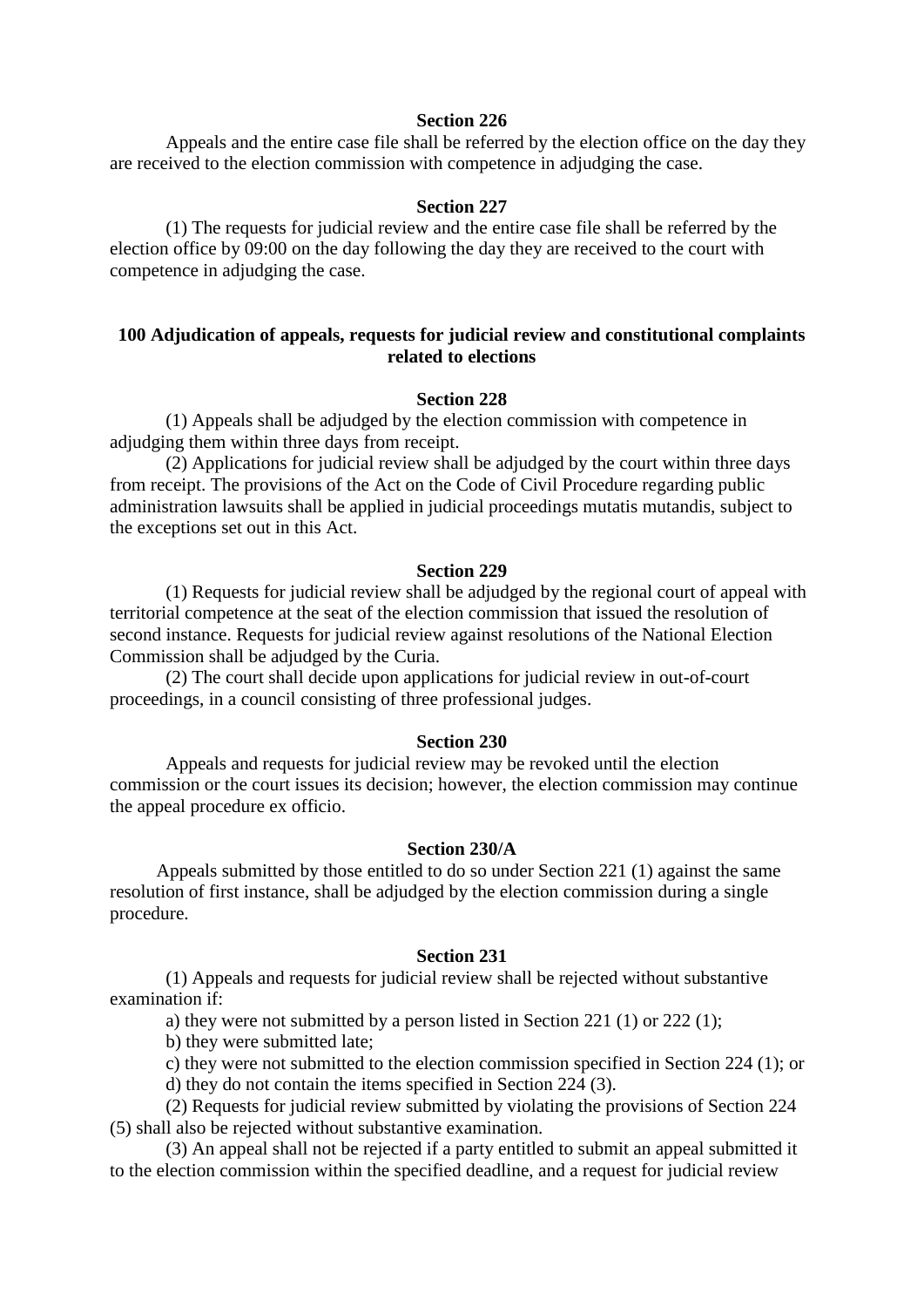Appeals and the entire case file shall be referred by the election office on the day they are received to the election commission with competence in adjudging the case.

#### **Section 227**

 (1) The requests for judicial review and the entire case file shall be referred by the election office by 09:00 on the day following the day they are received to the court with competence in adjudging the case.

# **100 Adjudication of appeals, requests for judicial review and constitutional complaints related to elections**

# **Section 228**

 (1) Appeals shall be adjudged by the election commission with competence in adjudging them within three days from receipt.

 (2) Applications for judicial review shall be adjudged by the court within three days from receipt. The provisions of the Act on the Code of Civil Procedure regarding public administration lawsuits shall be applied in judicial proceedings mutatis mutandis, subject to the exceptions set out in this Act.

#### **Section 229**

(1) Requests for judicial review shall be adjudged by the regional court of appeal with territorial competence at the seat of the election commission that issued the resolution of second instance. Requests for judicial review against resolutions of the National Election Commission shall be adjudged by the Curia.

 (2) The court shall decide upon applications for judicial review in out-of-court proceedings, in a council consisting of three professional judges.

### **Section 230**

 Appeals and requests for judicial review may be revoked until the election commission or the court issues its decision; however, the election commission may continue the appeal procedure ex officio.

### **Section 230/A**

 Appeals submitted by those entitled to do so under Section 221 (1) against the same resolution of first instance, shall be adjudged by the election commission during a single procedure.

### **Section 231**

 (1) Appeals and requests for judicial review shall be rejected without substantive examination if:

a) they were not submitted by a person listed in Section 221 (1) or 222 (1);

b) they were submitted late;

c) they were not submitted to the election commission specified in Section 224 (1); or

d) they do not contain the items specified in Section 224 (3).

 (2) Requests for judicial review submitted by violating the provisions of Section 224 (5) shall also be rejected without substantive examination.

 (3) An appeal shall not be rejected if a party entitled to submit an appeal submitted it to the election commission within the specified deadline, and a request for judicial review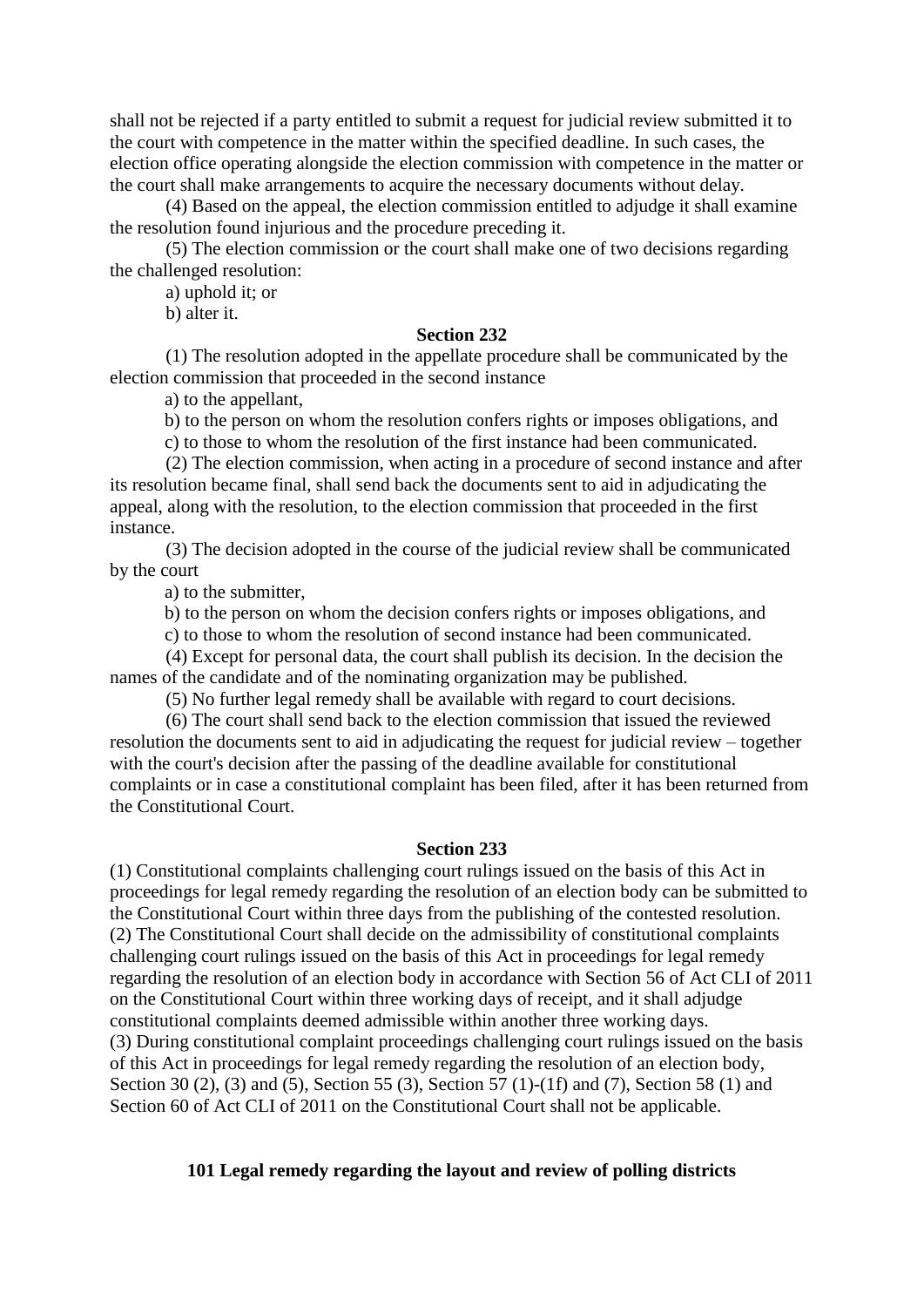shall not be rejected if a party entitled to submit a request for judicial review submitted it to the court with competence in the matter within the specified deadline. In such cases, the election office operating alongside the election commission with competence in the matter or the court shall make arrangements to acquire the necessary documents without delay.

 (4) Based on the appeal, the election commission entitled to adjudge it shall examine the resolution found injurious and the procedure preceding it.

 (5) The election commission or the court shall make one of two decisions regarding the challenged resolution:

a) uphold it; or

b) alter it.

# **Section 232**

 (1) The resolution adopted in the appellate procedure shall be communicated by the election commission that proceeded in the second instance

a) to the appellant,

b) to the person on whom the resolution confers rights or imposes obligations, and

c) to those to whom the resolution of the first instance had been communicated.

 (2) The election commission, when acting in a procedure of second instance and after its resolution became final, shall send back the documents sent to aid in adjudicating the appeal, along with the resolution, to the election commission that proceeded in the first instance.

 (3) The decision adopted in the course of the judicial review shall be communicated by the court

a) to the submitter,

b) to the person on whom the decision confers rights or imposes obligations, and

c) to those to whom the resolution of second instance had been communicated.

 (4) Except for personal data, the court shall publish its decision. In the decision the names of the candidate and of the nominating organization may be published.

(5) No further legal remedy shall be available with regard to court decisions.

 (6) The court shall send back to the election commission that issued the reviewed resolution the documents sent to aid in adjudicating the request for judicial review – together with the court's decision after the passing of the deadline available for constitutional complaints or in case a constitutional complaint has been filed, after it has been returned from the Constitutional Court.

### **Section 233**

(1) Constitutional complaints challenging court rulings issued on the basis of this Act in proceedings for legal remedy regarding the resolution of an election body can be submitted to the Constitutional Court within three days from the publishing of the contested resolution. (2) The Constitutional Court shall decide on the admissibility of constitutional complaints challenging court rulings issued on the basis of this Act in proceedings for legal remedy regarding the resolution of an election body in accordance with Section 56 of Act CLI of 2011 on the Constitutional Court within three working days of receipt, and it shall adjudge constitutional complaints deemed admissible within another three working days. (3) During constitutional complaint proceedings challenging court rulings issued on the basis of this Act in proceedings for legal remedy regarding the resolution of an election body, Section 30 (2), (3) and (5), Section 55 (3), Section 57 (1)-(1f) and (7), Section 58 (1) and Section 60 of Act CLI of 2011 on the Constitutional Court shall not be applicable.

# **101 Legal remedy regarding the layout and review of polling districts**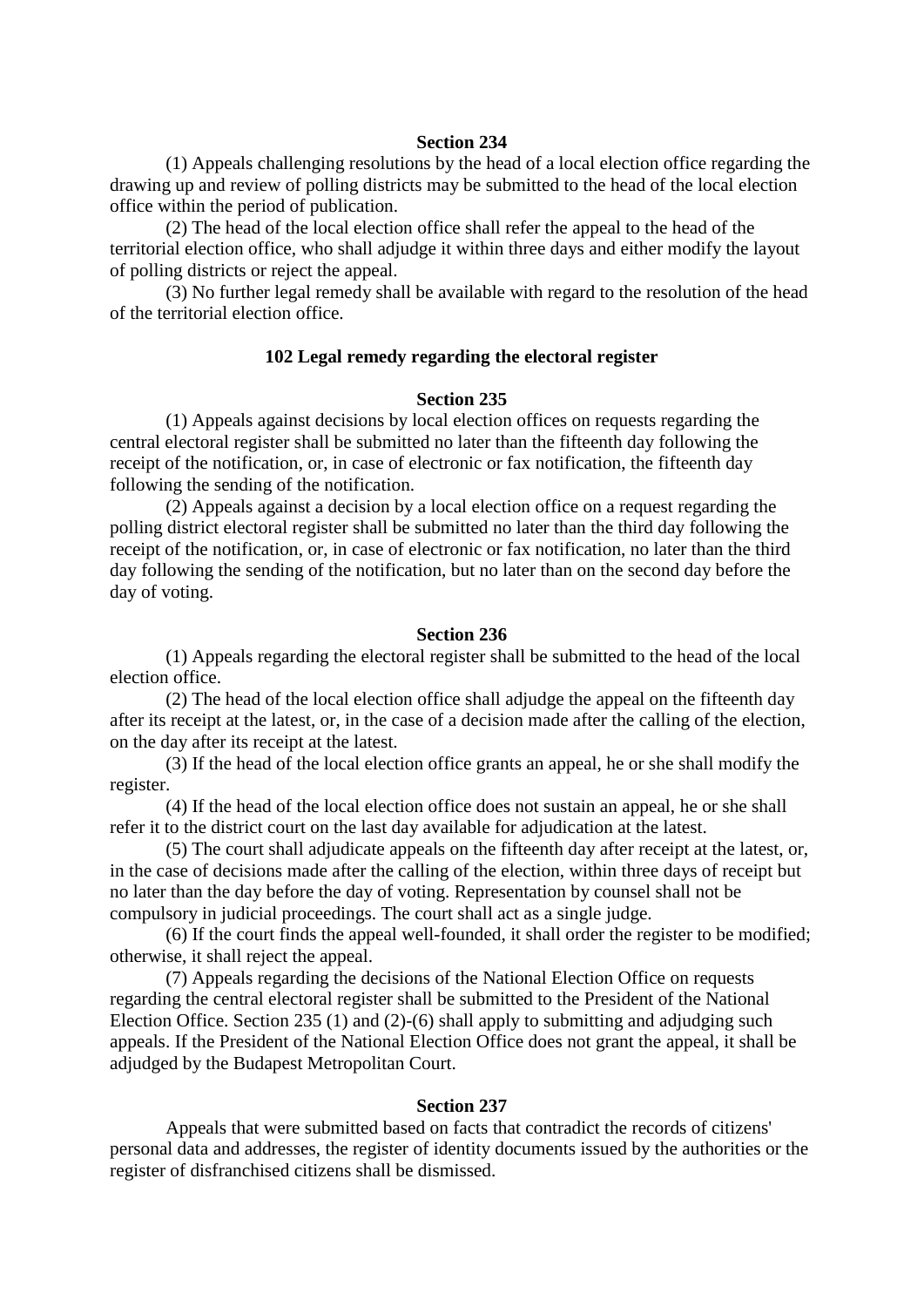(1) Appeals challenging resolutions by the head of a local election office regarding the drawing up and review of polling districts may be submitted to the head of the local election office within the period of publication.

 (2) The head of the local election office shall refer the appeal to the head of the territorial election office, who shall adjudge it within three days and either modify the layout of polling districts or reject the appeal.

 (3) No further legal remedy shall be available with regard to the resolution of the head of the territorial election office.

### **102 Legal remedy regarding the electoral register**

# **Section 235**

 (1) Appeals against decisions by local election offices on requests regarding the central electoral register shall be submitted no later than the fifteenth day following the receipt of the notification, or, in case of electronic or fax notification, the fifteenth day following the sending of the notification.

 (2) Appeals against a decision by a local election office on a request regarding the polling district electoral register shall be submitted no later than the third day following the receipt of the notification, or, in case of electronic or fax notification, no later than the third day following the sending of the notification, but no later than on the second day before the day of voting.

### **Section 236**

 (1) Appeals regarding the electoral register shall be submitted to the head of the local election office.

 (2) The head of the local election office shall adjudge the appeal on the fifteenth day after its receipt at the latest, or, in the case of a decision made after the calling of the election, on the day after its receipt at the latest.

 (3) If the head of the local election office grants an appeal, he or she shall modify the register.

 (4) If the head of the local election office does not sustain an appeal, he or she shall refer it to the district court on the last day available for adjudication at the latest.

 (5) The court shall adjudicate appeals on the fifteenth day after receipt at the latest, or, in the case of decisions made after the calling of the election, within three days of receipt but no later than the day before the day of voting. Representation by counsel shall not be compulsory in judicial proceedings. The court shall act as a single judge.

 (6) If the court finds the appeal well-founded, it shall order the register to be modified; otherwise, it shall reject the appeal.

 (7) Appeals regarding the decisions of the National Election Office on requests regarding the central electoral register shall be submitted to the President of the National Election Office. Section 235 (1) and (2)-(6) shall apply to submitting and adjudging such appeals. If the President of the National Election Office does not grant the appeal, it shall be adjudged by the Budapest Metropolitan Court.

#### **Section 237**

 Appeals that were submitted based on facts that contradict the records of citizens' personal data and addresses, the register of identity documents issued by the authorities or the register of disfranchised citizens shall be dismissed.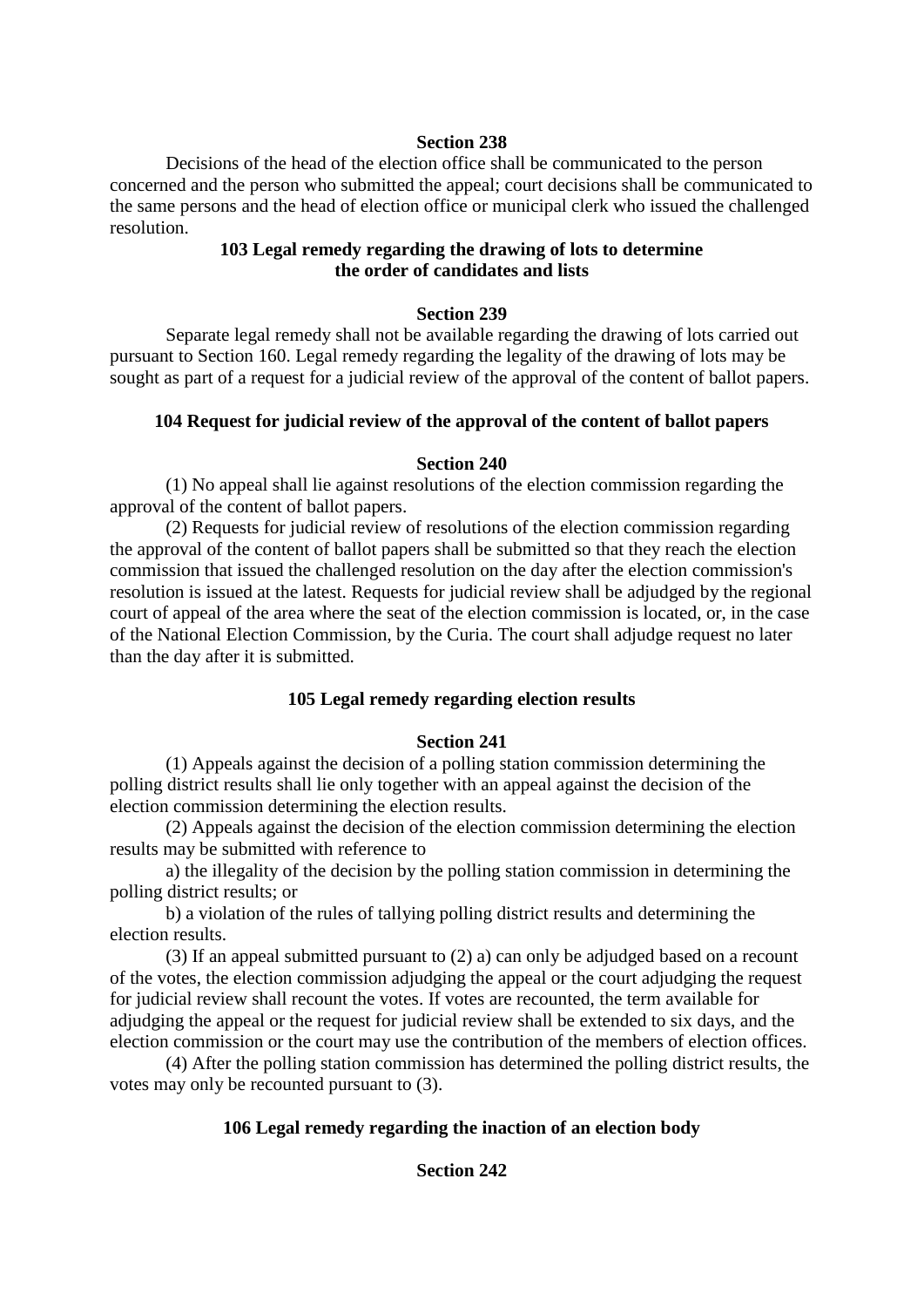Decisions of the head of the election office shall be communicated to the person concerned and the person who submitted the appeal; court decisions shall be communicated to the same persons and the head of election office or municipal clerk who issued the challenged resolution.

# **103 Legal remedy regarding the drawing of lots to determine the order of candidates and lists**

# **Section 239**

 Separate legal remedy shall not be available regarding the drawing of lots carried out pursuant to Section 160. Legal remedy regarding the legality of the drawing of lots may be sought as part of a request for a judicial review of the approval of the content of ballot papers.

# **104 Request for judicial review of the approval of the content of ballot papers**

# **Section 240**

 (1) No appeal shall lie against resolutions of the election commission regarding the approval of the content of ballot papers.

 (2) Requests for judicial review of resolutions of the election commission regarding the approval of the content of ballot papers shall be submitted so that they reach the election commission that issued the challenged resolution on the day after the election commission's resolution is issued at the latest. Requests for judicial review shall be adjudged by the regional court of appeal of the area where the seat of the election commission is located, or, in the case of the National Election Commission, by the Curia. The court shall adjudge request no later than the day after it is submitted.

# **105 Legal remedy regarding election results**

# **Section 241**

 (1) Appeals against the decision of a polling station commission determining the polling district results shall lie only together with an appeal against the decision of the election commission determining the election results.

 (2) Appeals against the decision of the election commission determining the election results may be submitted with reference to

 a) the illegality of the decision by the polling station commission in determining the polling district results; or

 b) a violation of the rules of tallying polling district results and determining the election results.

 (3) If an appeal submitted pursuant to (2) a) can only be adjudged based on a recount of the votes, the election commission adjudging the appeal or the court adjudging the request for judicial review shall recount the votes. If votes are recounted, the term available for adjudging the appeal or the request for judicial review shall be extended to six days, and the election commission or the court may use the contribution of the members of election offices.

 (4) After the polling station commission has determined the polling district results, the votes may only be recounted pursuant to (3).

# **106 Legal remedy regarding the inaction of an election body**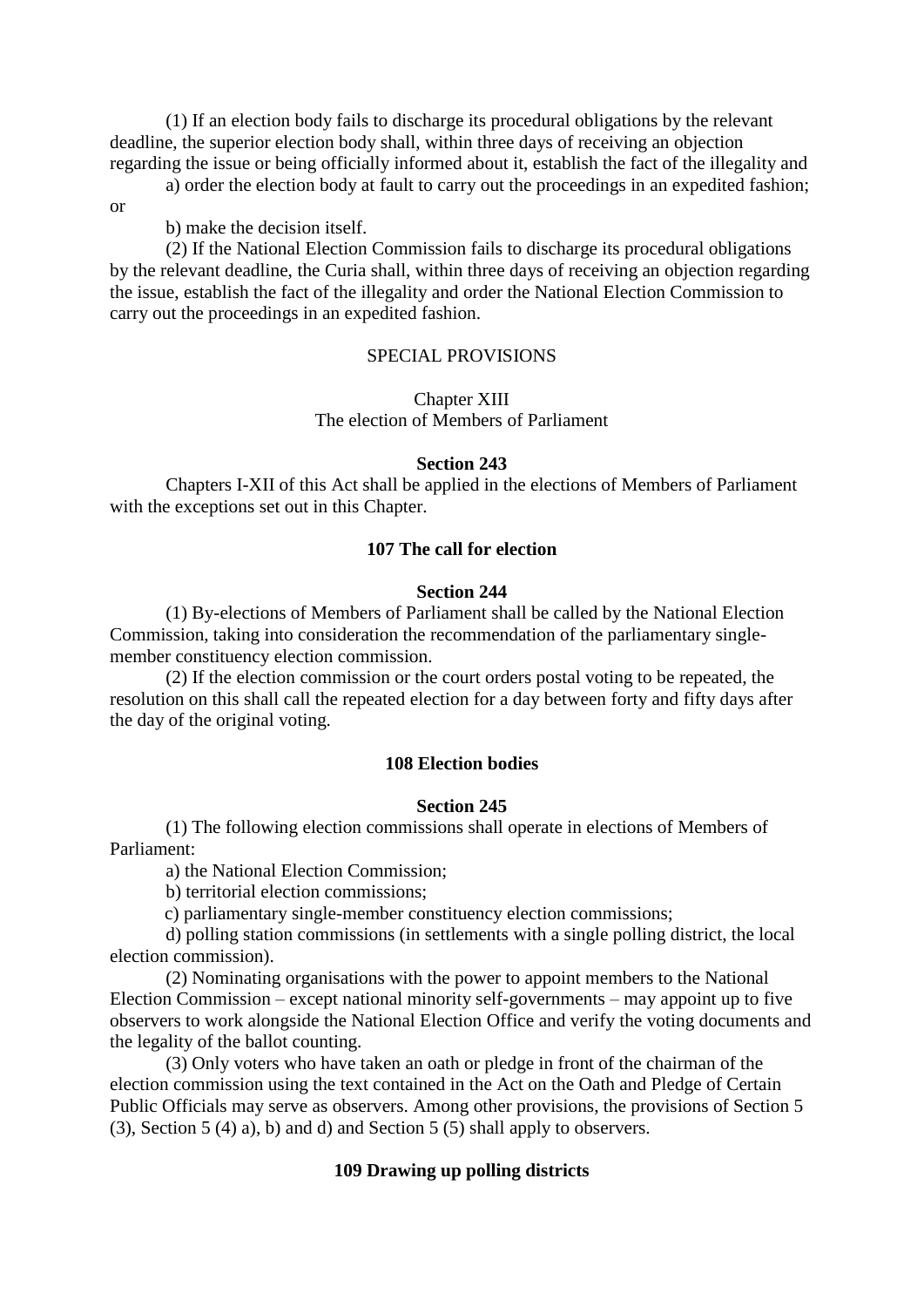(1) If an election body fails to discharge its procedural obligations by the relevant deadline, the superior election body shall, within three days of receiving an objection regarding the issue or being officially informed about it, establish the fact of the illegality and

 a) order the election body at fault to carry out the proceedings in an expedited fashion; or

b) make the decision itself.

 (2) If the National Election Commission fails to discharge its procedural obligations by the relevant deadline, the Curia shall, within three days of receiving an objection regarding the issue, establish the fact of the illegality and order the National Election Commission to carry out the proceedings in an expedited fashion.

# SPECIAL PROVISIONS

# Chapter XIII The election of Members of Parliament

### **Section 243**

 Chapters I-XII of this Act shall be applied in the elections of Members of Parliament with the exceptions set out in this Chapter.

### **107 The call for election**

# **Section 244**

 (1) By-elections of Members of Parliament shall be called by the National Election Commission, taking into consideration the recommendation of the parliamentary singlemember constituency election commission.

 (2) If the election commission or the court orders postal voting to be repeated, the resolution on this shall call the repeated election for a day between forty and fifty days after the day of the original voting.

#### **108 Election bodies**

# **Section 245**

 (1) The following election commissions shall operate in elections of Members of Parliament:

a) the National Election Commission;

b) territorial election commissions;

c) parliamentary single-member constituency election commissions;

 d) polling station commissions (in settlements with a single polling district, the local election commission).

 (2) Nominating organisations with the power to appoint members to the National Election Commission – except national minority self-governments – may appoint up to five observers to work alongside the National Election Office and verify the voting documents and the legality of the ballot counting.

 (3) Only voters who have taken an oath or pledge in front of the chairman of the election commission using the text contained in the Act on the Oath and Pledge of Certain Public Officials may serve as observers. Among other provisions, the provisions of Section 5 (3), Section 5 (4) a), b) and d) and Section 5 (5) shall apply to observers.

# **109 Drawing up polling districts**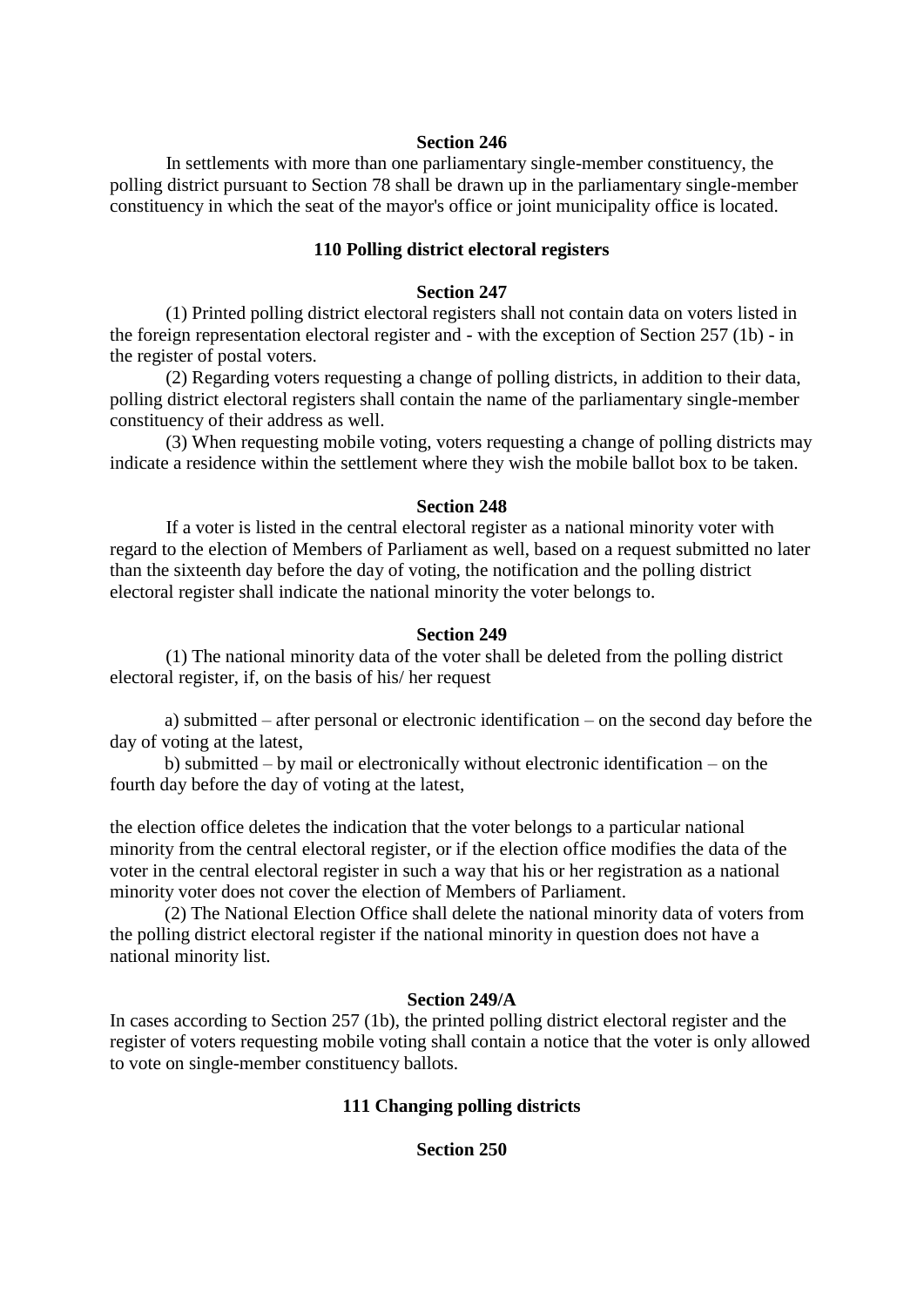In settlements with more than one parliamentary single-member constituency, the polling district pursuant to Section 78 shall be drawn up in the parliamentary single-member constituency in which the seat of the mayor's office or joint municipality office is located.

# **110 Polling district electoral registers**

#### **Section 247**

 (1) Printed polling district electoral registers shall not contain data on voters listed in the foreign representation electoral register and - with the exception of Section 257 (1b) - in the register of postal voters.

 (2) Regarding voters requesting a change of polling districts, in addition to their data, polling district electoral registers shall contain the name of the parliamentary single-member constituency of their address as well.

 (3) When requesting mobile voting, voters requesting a change of polling districts may indicate a residence within the settlement where they wish the mobile ballot box to be taken.

#### **Section 248**

 If a voter is listed in the central electoral register as a national minority voter with regard to the election of Members of Parliament as well, based on a request submitted no later than the sixteenth day before the day of voting, the notification and the polling district electoral register shall indicate the national minority the voter belongs to.

#### **Section 249**

 (1) The national minority data of the voter shall be deleted from the polling district electoral register, if, on the basis of his/ her request

a) submitted – after personal or electronic identification – on the second day before the day of voting at the latest,

b) submitted – by mail or electronically without electronic identification – on the fourth day before the day of voting at the latest,

the election office deletes the indication that the voter belongs to a particular national minority from the central electoral register, or if the election office modifies the data of the voter in the central electoral register in such a way that his or her registration as a national minority voter does not cover the election of Members of Parliament.

(2) The National Election Office shall delete the national minority data of voters from the polling district electoral register if the national minority in question does not have a national minority list.

#### **Section 249/A**

In cases according to Section 257 (1b), the printed polling district electoral register and the register of voters requesting mobile voting shall contain a notice that the voter is only allowed to vote on single-member constituency ballots.

# **111 Changing polling districts**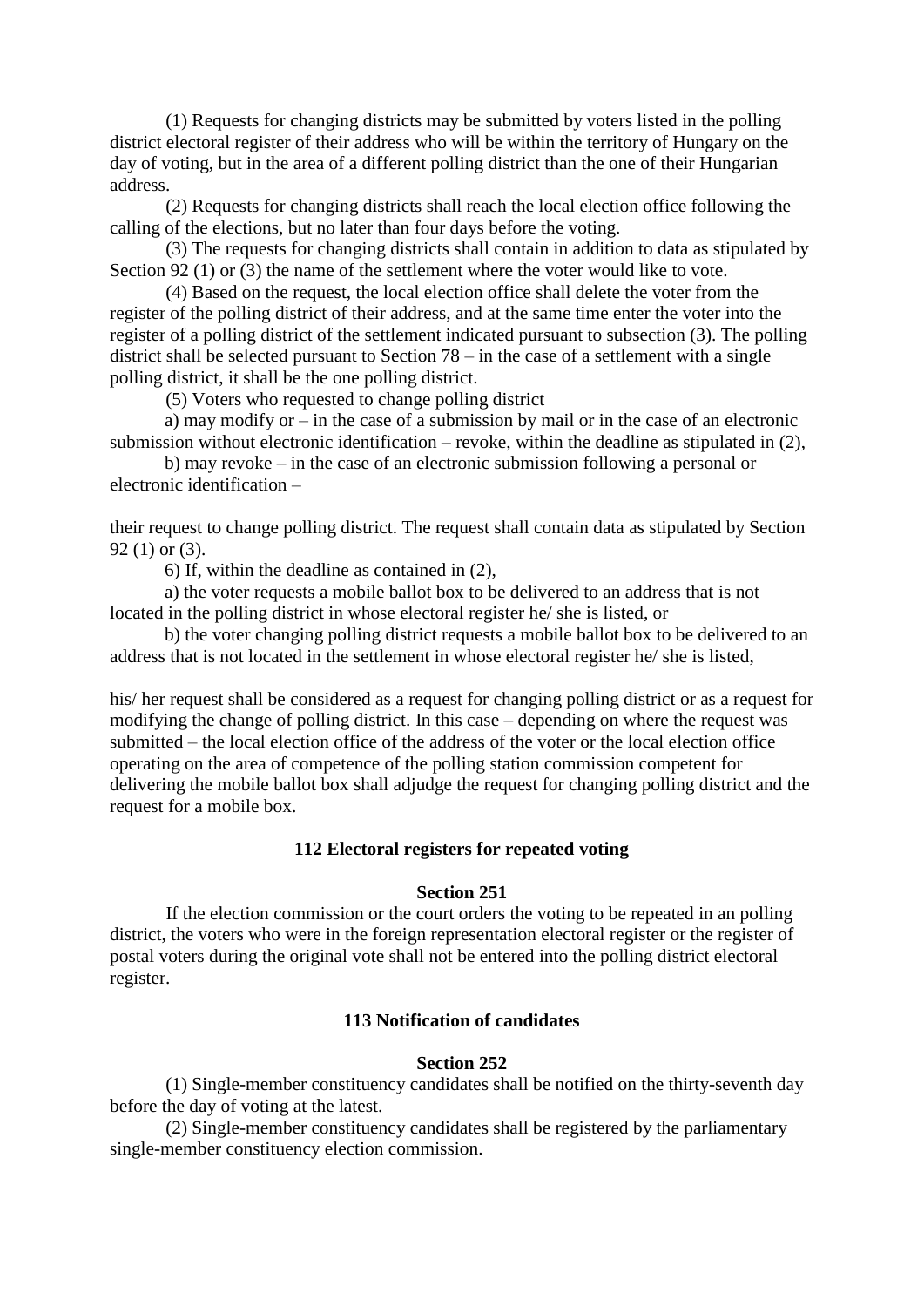(1) Requests for changing districts may be submitted by voters listed in the polling district electoral register of their address who will be within the territory of Hungary on the day of voting, but in the area of a different polling district than the one of their Hungarian address.

 (2) Requests for changing districts shall reach the local election office following the calling of the elections, but no later than four days before the voting.

 (3) The requests for changing districts shall contain in addition to data as stipulated by Section 92 (1) or (3) the name of the settlement where the voter would like to vote.

 (4) Based on the request, the local election office shall delete the voter from the register of the polling district of their address, and at the same time enter the voter into the register of a polling district of the settlement indicated pursuant to subsection (3). The polling district shall be selected pursuant to Section 78 – in the case of a settlement with a single polling district, it shall be the one polling district.

(5) Voters who requested to change polling district

a) may modify or – in the case of a submission by mail or in the case of an electronic submission without electronic identification – revoke, within the deadline as stipulated in (2),

b) may revoke – in the case of an electronic submission following a personal or electronic identification –

their request to change polling district. The request shall contain data as stipulated by Section 92 (1) or (3).

6) If, within the deadline as contained in (2),

a) the voter requests a mobile ballot box to be delivered to an address that is not located in the polling district in whose electoral register he/ she is listed, or

b) the voter changing polling district requests a mobile ballot box to be delivered to an address that is not located in the settlement in whose electoral register he/ she is listed,

his/ her request shall be considered as a request for changing polling district or as a request for modifying the change of polling district. In this case – depending on where the request was submitted – the local election office of the address of the voter or the local election office operating on the area of competence of the polling station commission competent for delivering the mobile ballot box shall adjudge the request for changing polling district and the request for a mobile box.

### **112 Electoral registers for repeated voting**

### **Section 251**

 If the election commission or the court orders the voting to be repeated in an polling district, the voters who were in the foreign representation electoral register or the register of postal voters during the original vote shall not be entered into the polling district electoral register.

# **113 Notification of candidates**

# **Section 252**

 (1) Single-member constituency candidates shall be notified on the thirty-seventh day before the day of voting at the latest.

 (2) Single-member constituency candidates shall be registered by the parliamentary single-member constituency election commission.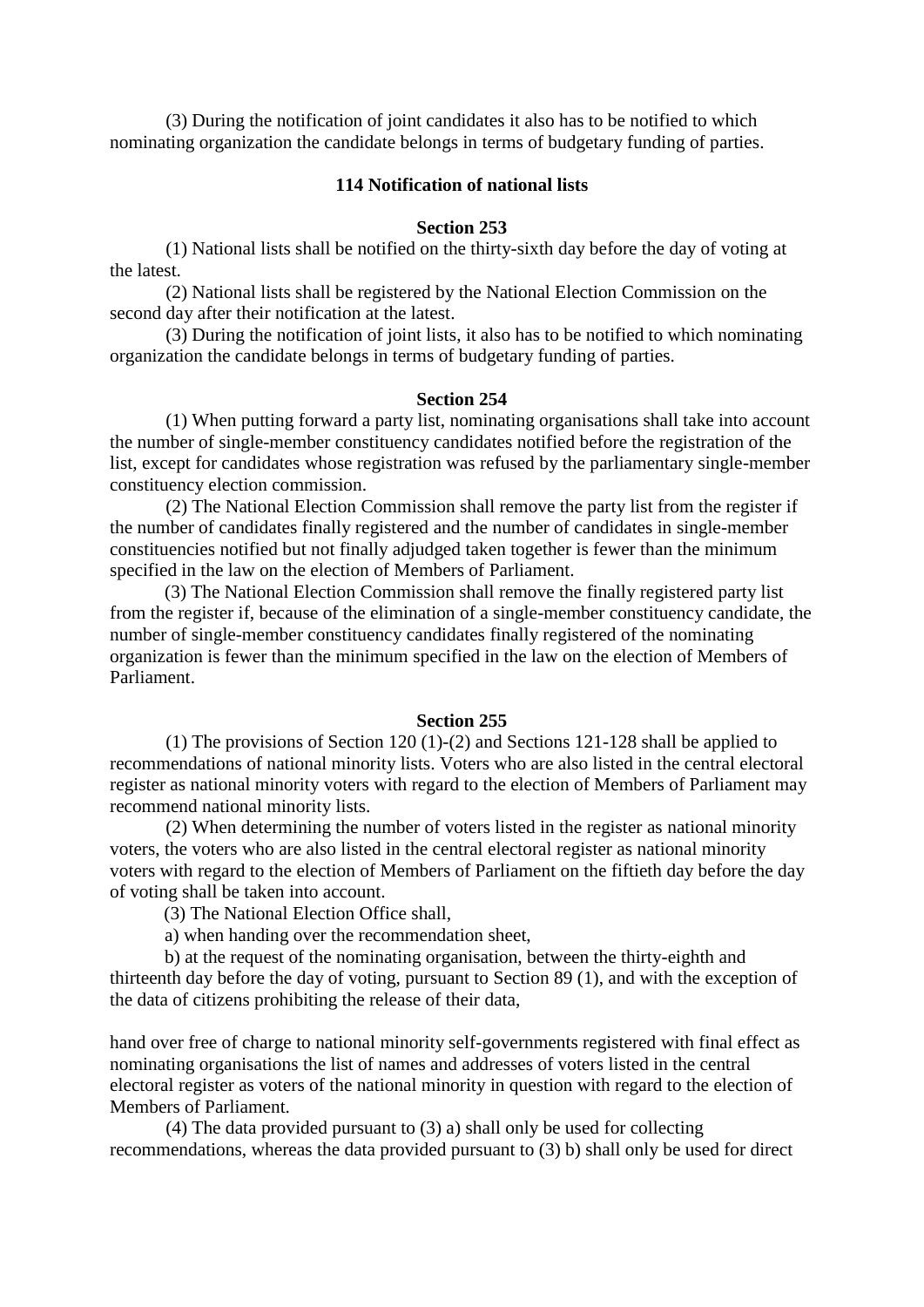(3) During the notification of joint candidates it also has to be notified to which nominating organization the candidate belongs in terms of budgetary funding of parties.

### **114 Notification of national lists**

#### **Section 253**

 (1) National lists shall be notified on the thirty-sixth day before the day of voting at the latest.

 (2) National lists shall be registered by the National Election Commission on the second day after their notification at the latest.

 (3) During the notification of joint lists, it also has to be notified to which nominating organization the candidate belongs in terms of budgetary funding of parties.

# **Section 254**

 (1) When putting forward a party list, nominating organisations shall take into account the number of single-member constituency candidates notified before the registration of the list, except for candidates whose registration was refused by the parliamentary single-member constituency election commission.

 (2) The National Election Commission shall remove the party list from the register if the number of candidates finally registered and the number of candidates in single-member constituencies notified but not finally adjudged taken together is fewer than the minimum specified in the law on the election of Members of Parliament.

(3) The National Election Commission shall remove the finally registered party list from the register if, because of the elimination of a single-member constituency candidate, the number of single-member constituency candidates finally registered of the nominating organization is fewer than the minimum specified in the law on the election of Members of Parliament.

#### **Section 255**

 (1) The provisions of Section 120 (1)-(2) and Sections 121-128 shall be applied to recommendations of national minority lists. Voters who are also listed in the central electoral register as national minority voters with regard to the election of Members of Parliament may recommend national minority lists.

 (2) When determining the number of voters listed in the register as national minority voters, the voters who are also listed in the central electoral register as national minority voters with regard to the election of Members of Parliament on the fiftieth day before the day of voting shall be taken into account.

(3) The National Election Office shall,

a) when handing over the recommendation sheet,

b) at the request of the nominating organisation, between the thirty-eighth and thirteenth day before the day of voting, pursuant to Section 89 (1), and with the exception of the data of citizens prohibiting the release of their data,

hand over free of charge to national minority self-governments registered with final effect as nominating organisations the list of names and addresses of voters listed in the central electoral register as voters of the national minority in question with regard to the election of Members of Parliament.

(4) The data provided pursuant to (3) a) shall only be used for collecting recommendations, whereas the data provided pursuant to (3) b) shall only be used for direct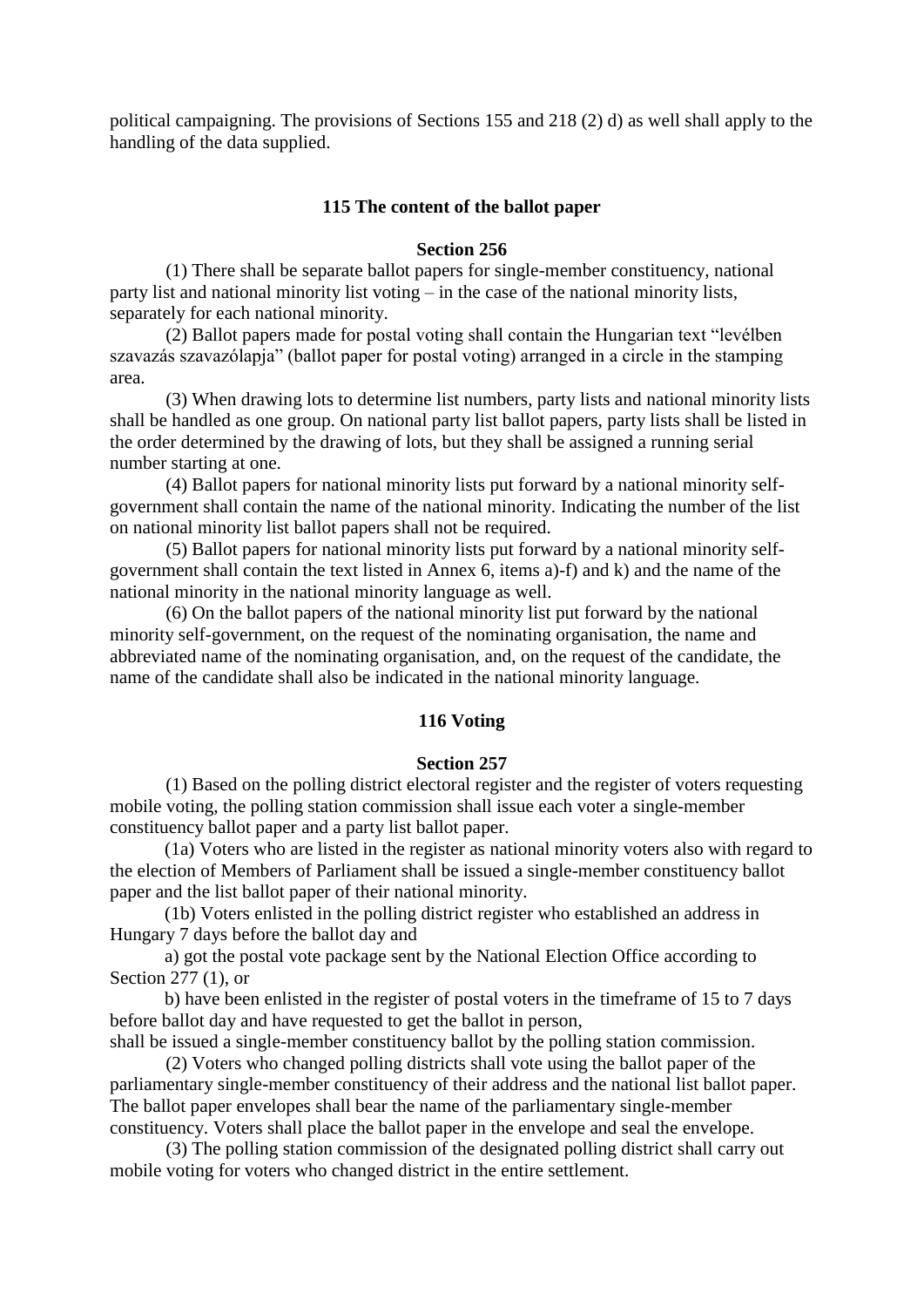political campaigning. The provisions of Sections 155 and 218 (2) d) as well shall apply to the handling of the data supplied.

#### **115 The content of the ballot paper**

### **Section 256**

 (1) There shall be separate ballot papers for single-member constituency, national party list and national minority list voting – in the case of the national minority lists, separately for each national minority.

 (2) Ballot papers made for postal voting shall contain the Hungarian text "levélben szavazás szavazólapja" (ballot paper for postal voting) arranged in a circle in the stamping area.

 (3) When drawing lots to determine list numbers, party lists and national minority lists shall be handled as one group. On national party list ballot papers, party lists shall be listed in the order determined by the drawing of lots, but they shall be assigned a running serial number starting at one.

 (4) Ballot papers for national minority lists put forward by a national minority selfgovernment shall contain the name of the national minority. Indicating the number of the list on national minority list ballot papers shall not be required.

 (5) Ballot papers for national minority lists put forward by a national minority selfgovernment shall contain the text listed in Annex 6, items a)-f) and k) and the name of the national minority in the national minority language as well.

 (6) On the ballot papers of the national minority list put forward by the national minority self-government, on the request of the nominating organisation, the name and abbreviated name of the nominating organisation, and, on the request of the candidate, the name of the candidate shall also be indicated in the national minority language.

# **116 Voting**

#### **Section 257**

 (1) Based on the polling district electoral register and the register of voters requesting mobile voting, the polling station commission shall issue each voter a single-member constituency ballot paper and a party list ballot paper.

(1a) Voters who are listed in the register as national minority voters also with regard to the election of Members of Parliament shall be issued a single-member constituency ballot paper and the list ballot paper of their national minority.

(1b) Voters enlisted in the polling district register who established an address in Hungary 7 days before the ballot day and

a) got the postal vote package sent by the National Election Office according to Section 277 (1), or

b) have been enlisted in the register of postal voters in the timeframe of 15 to 7 days before ballot day and have requested to get the ballot in person,

shall be issued a single-member constituency ballot by the polling station commission. (2) Voters who changed polling districts shall vote using the ballot paper of the

parliamentary single-member constituency of their address and the national list ballot paper. The ballot paper envelopes shall bear the name of the parliamentary single-member constituency. Voters shall place the ballot paper in the envelope and seal the envelope.

 (3) The polling station commission of the designated polling district shall carry out mobile voting for voters who changed district in the entire settlement.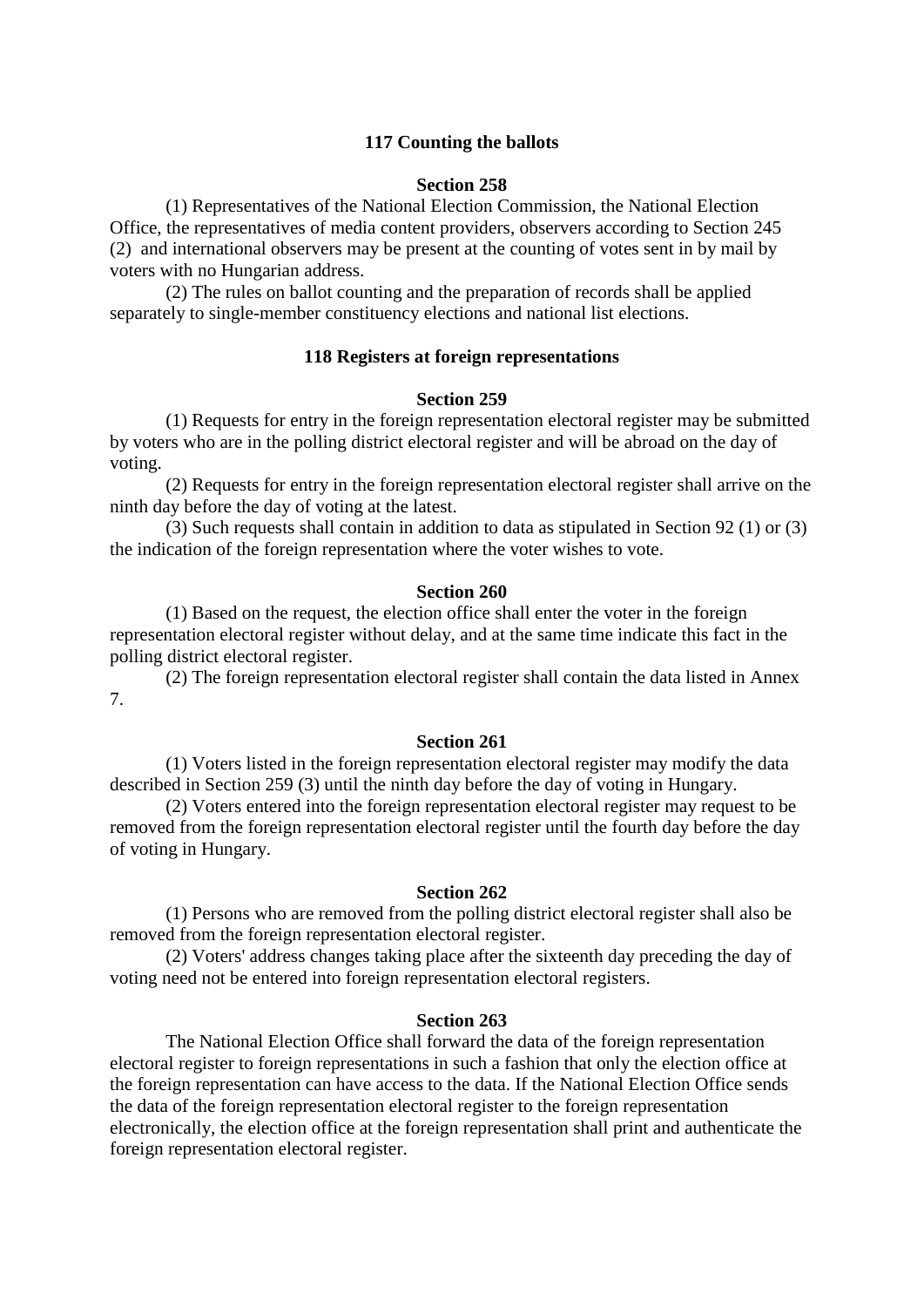# **117 Counting the ballots**

### **Section 258**

 (1) Representatives of the National Election Commission, the National Election Office, the representatives of media content providers, observers according to Section 245 (2) and international observers may be present at the counting of votes sent in by mail by voters with no Hungarian address.

 (2) The rules on ballot counting and the preparation of records shall be applied separately to single-member constituency elections and national list elections.

# **118 Registers at foreign representations**

# **Section 259**

 (1) Requests for entry in the foreign representation electoral register may be submitted by voters who are in the polling district electoral register and will be abroad on the day of voting.

 (2) Requests for entry in the foreign representation electoral register shall arrive on the ninth day before the day of voting at the latest.

 (3) Such requests shall contain in addition to data as stipulated in Section 92 (1) or (3) the indication of the foreign representation where the voter wishes to vote.

### **Section 260**

 (1) Based on the request, the election office shall enter the voter in the foreign representation electoral register without delay, and at the same time indicate this fact in the polling district electoral register.

 (2) The foreign representation electoral register shall contain the data listed in Annex 7.

# **Section 261**

 (1) Voters listed in the foreign representation electoral register may modify the data described in Section 259 (3) until the ninth day before the day of voting in Hungary.

 (2) Voters entered into the foreign representation electoral register may request to be removed from the foreign representation electoral register until the fourth day before the day of voting in Hungary.

## **Section 262**

 (1) Persons who are removed from the polling district electoral register shall also be removed from the foreign representation electoral register.

 (2) Voters' address changes taking place after the sixteenth day preceding the day of voting need not be entered into foreign representation electoral registers.

### **Section 263**

 The National Election Office shall forward the data of the foreign representation electoral register to foreign representations in such a fashion that only the election office at the foreign representation can have access to the data. If the National Election Office sends the data of the foreign representation electoral register to the foreign representation electronically, the election office at the foreign representation shall print and authenticate the foreign representation electoral register.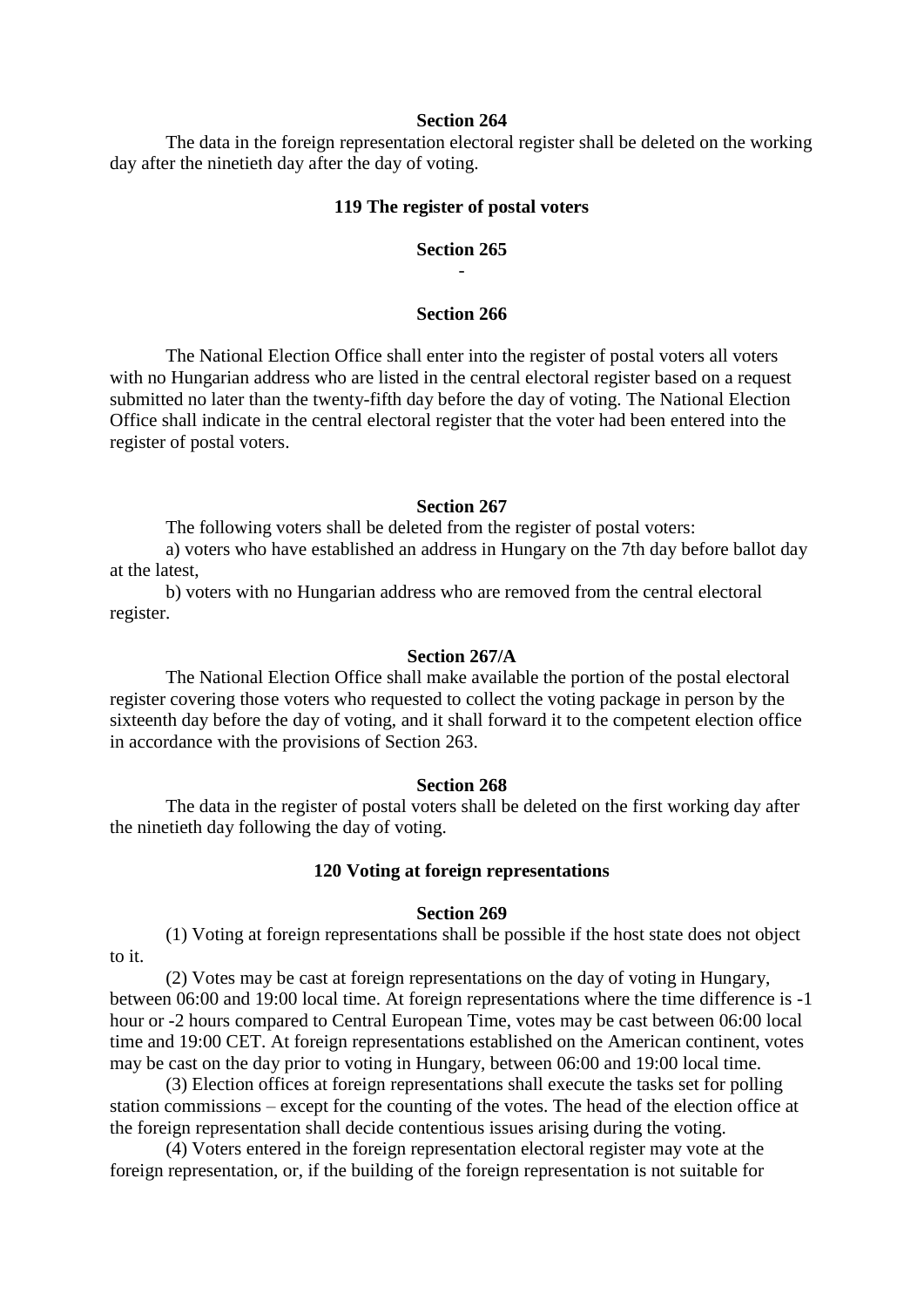### **Section 264**

 The data in the foreign representation electoral register shall be deleted on the working day after the ninetieth day after the day of voting.

#### **119 The register of postal voters**

### **Section 265** -

### **Section 266**

 The National Election Office shall enter into the register of postal voters all voters with no Hungarian address who are listed in the central electoral register based on a request submitted no later than the twenty-fifth day before the day of voting. The National Election Office shall indicate in the central electoral register that the voter had been entered into the register of postal voters.

### **Section 267**

The following voters shall be deleted from the register of postal voters:

 a) voters who have established an address in Hungary on the 7th day before ballot day at the latest,

 b) voters with no Hungarian address who are removed from the central electoral register.

#### **Section 267/A**

 The National Election Office shall make available the portion of the postal electoral register covering those voters who requested to collect the voting package in person by the sixteenth day before the day of voting, and it shall forward it to the competent election office in accordance with the provisions of Section 263.

#### **Section 268**

 The data in the register of postal voters shall be deleted on the first working day after the ninetieth day following the day of voting.

#### **120 Voting at foreign representations**

### **Section 269**

 (1) Voting at foreign representations shall be possible if the host state does not object to it.

 (2) Votes may be cast at foreign representations on the day of voting in Hungary, between 06:00 and 19:00 local time. At foreign representations where the time difference is -1 hour or -2 hours compared to Central European Time, votes may be cast between 06:00 local time and 19:00 CET. At foreign representations established on the American continent, votes may be cast on the day prior to voting in Hungary, between 06:00 and 19:00 local time.

 (3) Election offices at foreign representations shall execute the tasks set for polling station commissions – except for the counting of the votes. The head of the election office at the foreign representation shall decide contentious issues arising during the voting.

 (4) Voters entered in the foreign representation electoral register may vote at the foreign representation, or, if the building of the foreign representation is not suitable for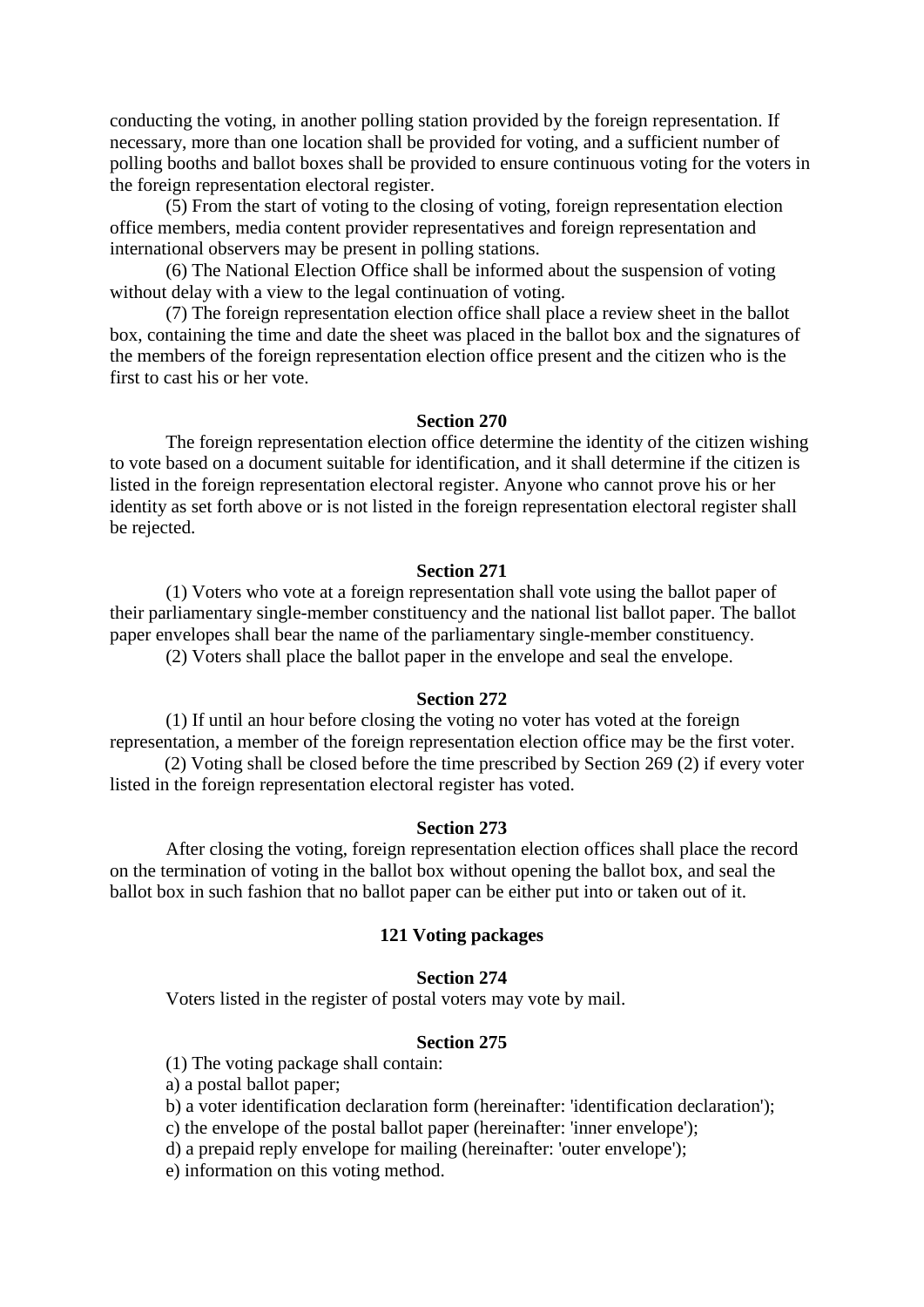conducting the voting, in another polling station provided by the foreign representation. If necessary, more than one location shall be provided for voting, and a sufficient number of polling booths and ballot boxes shall be provided to ensure continuous voting for the voters in the foreign representation electoral register.

 (5) From the start of voting to the closing of voting, foreign representation election office members, media content provider representatives and foreign representation and international observers may be present in polling stations.

 (6) The National Election Office shall be informed about the suspension of voting without delay with a view to the legal continuation of voting.

 (7) The foreign representation election office shall place a review sheet in the ballot box, containing the time and date the sheet was placed in the ballot box and the signatures of the members of the foreign representation election office present and the citizen who is the first to cast his or her vote.

### **Section 270**

 The foreign representation election office determine the identity of the citizen wishing to vote based on a document suitable for identification, and it shall determine if the citizen is listed in the foreign representation electoral register. Anyone who cannot prove his or her identity as set forth above or is not listed in the foreign representation electoral register shall be rejected.

#### **Section 271**

 (1) Voters who vote at a foreign representation shall vote using the ballot paper of their parliamentary single-member constituency and the national list ballot paper. The ballot paper envelopes shall bear the name of the parliamentary single-member constituency. (2) Voters shall place the ballot paper in the envelope and seal the envelope.

#### **Section 272**

 (1) If until an hour before closing the voting no voter has voted at the foreign representation, a member of the foreign representation election office may be the first voter.

(2) Voting shall be closed before the time prescribed by Section 269 (2) if every voter listed in the foreign representation electoral register has voted.

#### **Section 273**

 After closing the voting, foreign representation election offices shall place the record on the termination of voting in the ballot box without opening the ballot box, and seal the ballot box in such fashion that no ballot paper can be either put into or taken out of it.

#### **121 Voting packages**

### **Section 274**

Voters listed in the register of postal voters may vote by mail.

#### **Section 275**

(1) The voting package shall contain:

a) a postal ballot paper;

b) a voter identification declaration form (hereinafter: 'identification declaration');

c) the envelope of the postal ballot paper (hereinafter: 'inner envelope');

d) a prepaid reply envelope for mailing (hereinafter: 'outer envelope');

e) information on this voting method.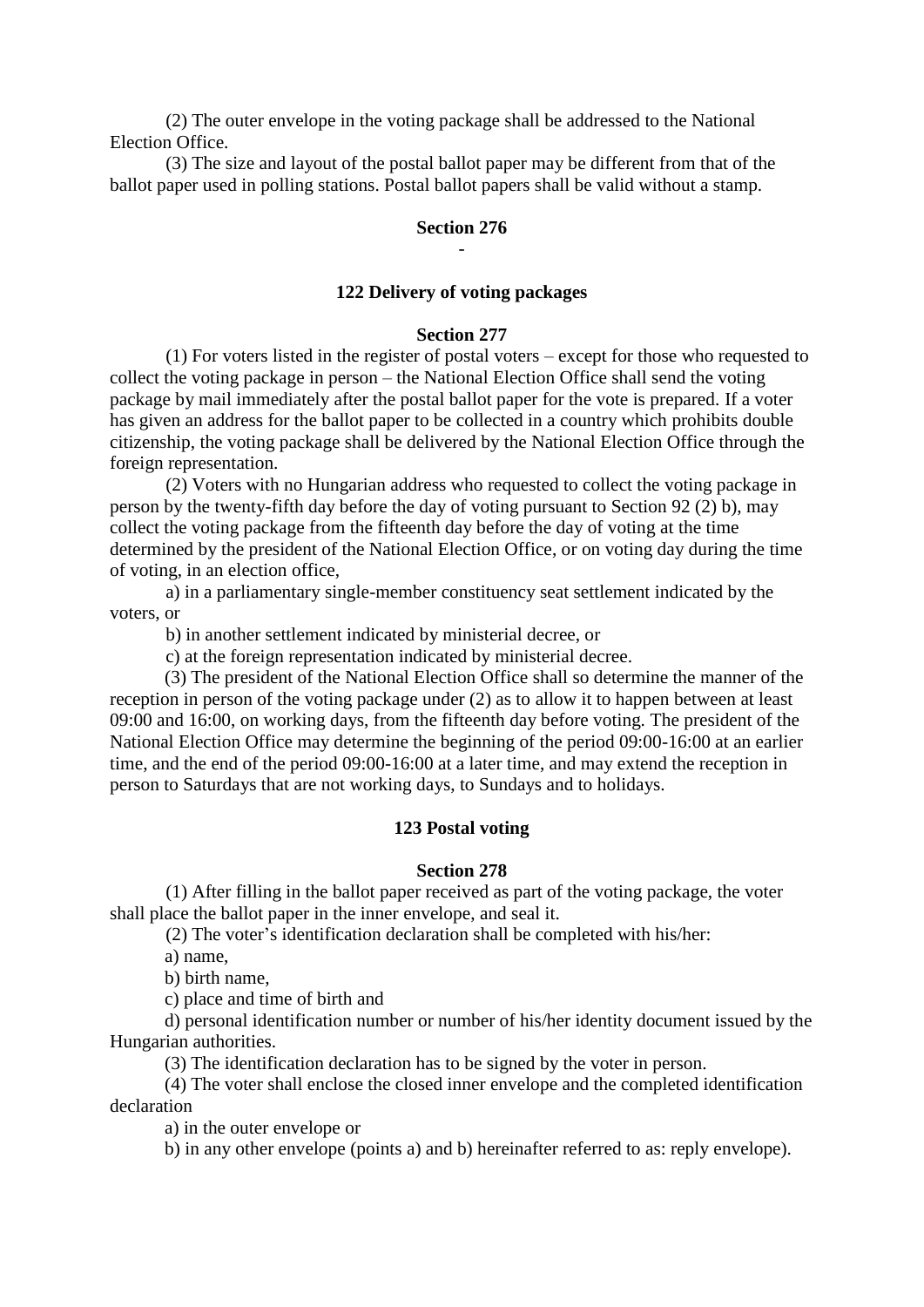(2) The outer envelope in the voting package shall be addressed to the National Election Office.

 (3) The size and layout of the postal ballot paper may be different from that of the ballot paper used in polling stations. Postal ballot papers shall be valid without a stamp.

### **Section 276** -

### **122 Delivery of voting packages**

## **Section 277**

 (1) For voters listed in the register of postal voters – except for those who requested to collect the voting package in person – the National Election Office shall send the voting package by mail immediately after the postal ballot paper for the vote is prepared. If a voter has given an address for the ballot paper to be collected in a country which prohibits double citizenship, the voting package shall be delivered by the National Election Office through the foreign representation.

 (2) Voters with no Hungarian address who requested to collect the voting package in person by the twenty-fifth day before the day of voting pursuant to Section 92 (2) b), may collect the voting package from the fifteenth day before the day of voting at the time determined by the president of the National Election Office, or on voting day during the time of voting, in an election office,

 a) in a parliamentary single-member constituency seat settlement indicated by the voters, or

b) in another settlement indicated by ministerial decree, or

c) at the foreign representation indicated by ministerial decree.

(3) The president of the National Election Office shall so determine the manner of the reception in person of the voting package under (2) as to allow it to happen between at least 09:00 and 16:00, on working days, from the fifteenth day before voting. The president of the National Election Office may determine the beginning of the period 09:00-16:00 at an earlier time, and the end of the period 09:00-16:00 at a later time, and may extend the reception in person to Saturdays that are not working days, to Sundays and to holidays.

### **123 Postal voting**

#### **Section 278**

 (1) After filling in the ballot paper received as part of the voting package, the voter shall place the ballot paper in the inner envelope, and seal it.

(2) The voter's identification declaration shall be completed with his/her:

a) name,

b) birth name,

c) place and time of birth and

d) personal identification number or number of his/her identity document issued by the Hungarian authorities.

(3) The identification declaration has to be signed by the voter in person.

(4) The voter shall enclose the closed inner envelope and the completed identification declaration

a) in the outer envelope or

b) in any other envelope (points a) and b) hereinafter referred to as: reply envelope).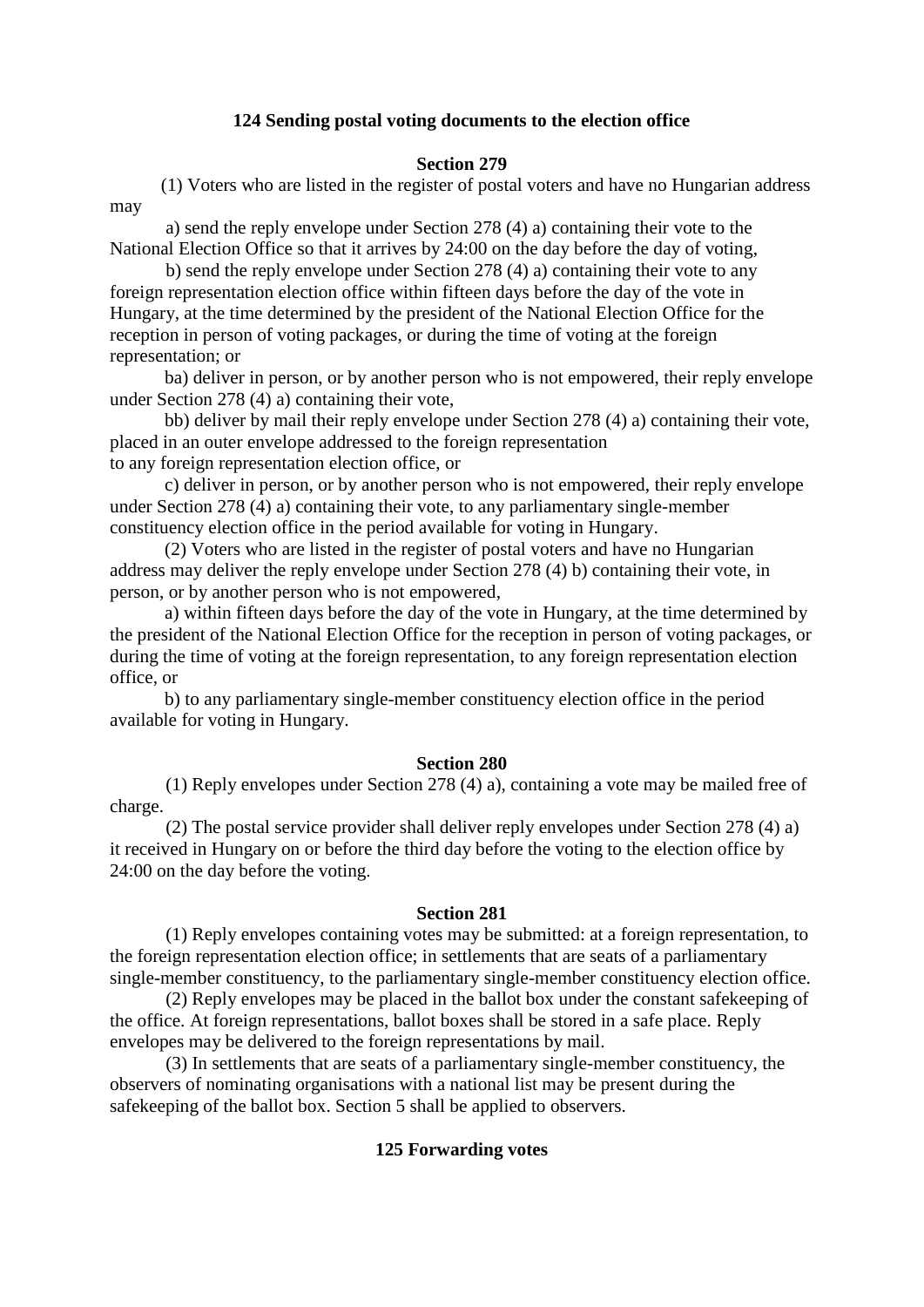## **124 Sending postal voting documents to the election office**

### **Section 279**

 (1) Voters who are listed in the register of postal voters and have no Hungarian address may

 a) send the reply envelope under Section 278 (4) a) containing their vote to the National Election Office so that it arrives by 24:00 on the day before the day of voting,

 b) send the reply envelope under Section 278 (4) a) containing their vote to any foreign representation election office within fifteen days before the day of the vote in Hungary, at the time determined by the president of the National Election Office for the reception in person of voting packages, or during the time of voting at the foreign representation; or

ba) deliver in person, or by another person who is not empowered, their reply envelope under Section 278 (4) a) containing their vote,

bb) deliver by mail their reply envelope under Section 278 (4) a) containing their vote, placed in an outer envelope addressed to the foreign representation to any foreign representation election office, or

c) deliver in person, or by another person who is not empowered, their reply envelope under Section 278 (4) a) containing their vote, to any parliamentary single-member constituency election office in the period available for voting in Hungary.

(2) Voters who are listed in the register of postal voters and have no Hungarian address may deliver the reply envelope under Section 278 (4) b) containing their vote, in person, or by another person who is not empowered,

a) within fifteen days before the day of the vote in Hungary, at the time determined by the president of the National Election Office for the reception in person of voting packages, or during the time of voting at the foreign representation, to any foreign representation election office, or

b) to any parliamentary single-member constituency election office in the period available for voting in Hungary.

### **Section 280**

 (1) Reply envelopes under Section 278 (4) a), containing a vote may be mailed free of charge.

 (2) The postal service provider shall deliver reply envelopes under Section 278 (4) a) it received in Hungary on or before the third day before the voting to the election office by 24:00 on the day before the voting.

#### **Section 281**

 (1) Reply envelopes containing votes may be submitted: at a foreign representation, to the foreign representation election office; in settlements that are seats of a parliamentary single-member constituency, to the parliamentary single-member constituency election office.

 (2) Reply envelopes may be placed in the ballot box under the constant safekeeping of the office. At foreign representations, ballot boxes shall be stored in a safe place. Reply envelopes may be delivered to the foreign representations by mail.

 (3) In settlements that are seats of a parliamentary single-member constituency, the observers of nominating organisations with a national list may be present during the safekeeping of the ballot box. Section 5 shall be applied to observers.

### **125 Forwarding votes**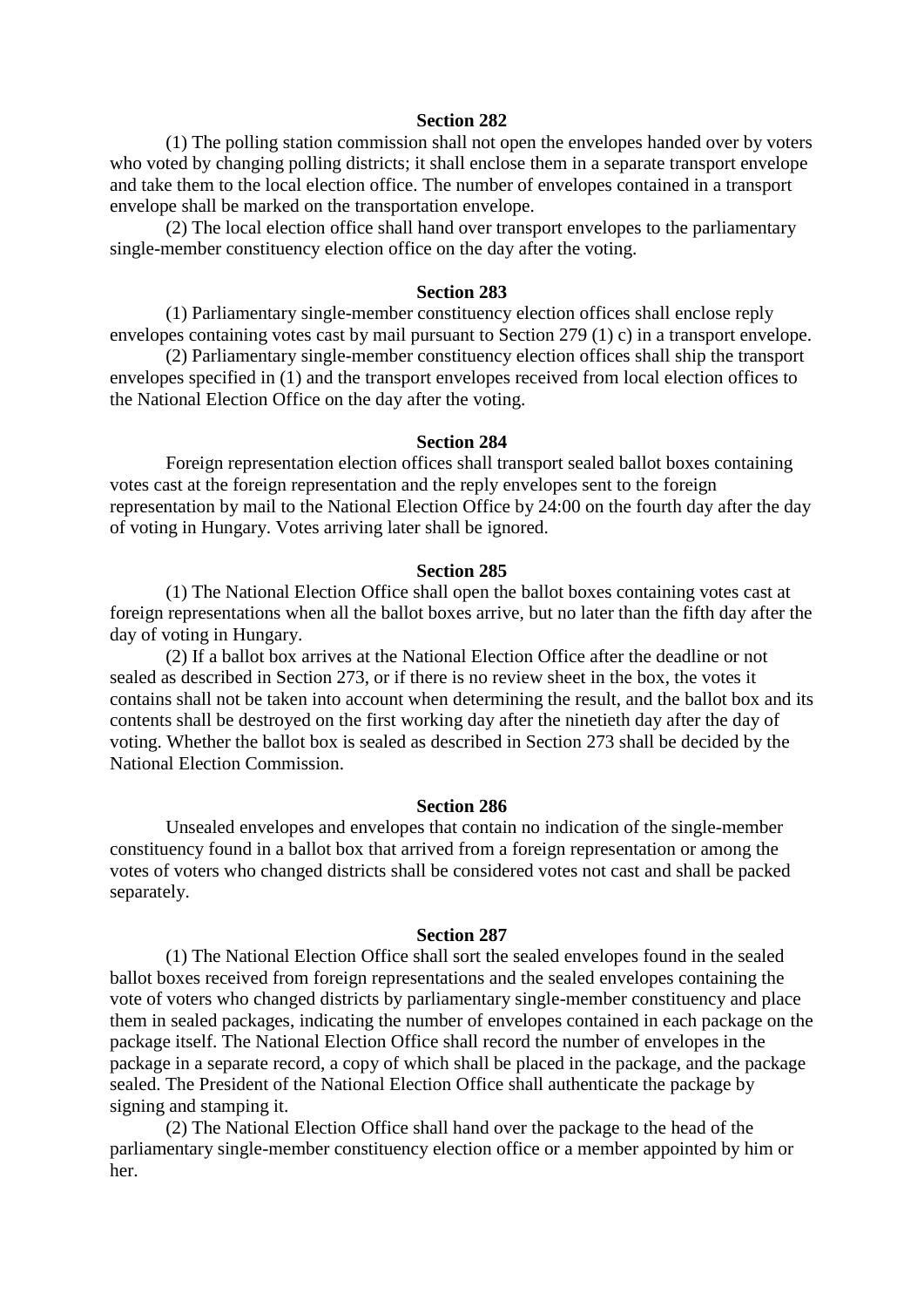#### **Section 282**

 (1) The polling station commission shall not open the envelopes handed over by voters who voted by changing polling districts; it shall enclose them in a separate transport envelope and take them to the local election office. The number of envelopes contained in a transport envelope shall be marked on the transportation envelope.

 (2) The local election office shall hand over transport envelopes to the parliamentary single-member constituency election office on the day after the voting.

### **Section 283**

 (1) Parliamentary single-member constituency election offices shall enclose reply envelopes containing votes cast by mail pursuant to Section 279 (1) c) in a transport envelope.

 (2) Parliamentary single-member constituency election offices shall ship the transport envelopes specified in (1) and the transport envelopes received from local election offices to the National Election Office on the day after the voting.

#### **Section 284**

 Foreign representation election offices shall transport sealed ballot boxes containing votes cast at the foreign representation and the reply envelopes sent to the foreign representation by mail to the National Election Office by 24:00 on the fourth day after the day of voting in Hungary. Votes arriving later shall be ignored.

#### **Section 285**

 (1) The National Election Office shall open the ballot boxes containing votes cast at foreign representations when all the ballot boxes arrive, but no later than the fifth day after the day of voting in Hungary.

 (2) If a ballot box arrives at the National Election Office after the deadline or not sealed as described in Section 273, or if there is no review sheet in the box, the votes it contains shall not be taken into account when determining the result, and the ballot box and its contents shall be destroyed on the first working day after the ninetieth day after the day of voting. Whether the ballot box is sealed as described in Section 273 shall be decided by the National Election Commission.

#### **Section 286**

 Unsealed envelopes and envelopes that contain no indication of the single-member constituency found in a ballot box that arrived from a foreign representation or among the votes of voters who changed districts shall be considered votes not cast and shall be packed separately.

#### **Section 287**

 (1) The National Election Office shall sort the sealed envelopes found in the sealed ballot boxes received from foreign representations and the sealed envelopes containing the vote of voters who changed districts by parliamentary single-member constituency and place them in sealed packages, indicating the number of envelopes contained in each package on the package itself. The National Election Office shall record the number of envelopes in the package in a separate record, a copy of which shall be placed in the package, and the package sealed. The President of the National Election Office shall authenticate the package by signing and stamping it.

 (2) The National Election Office shall hand over the package to the head of the parliamentary single-member constituency election office or a member appointed by him or her.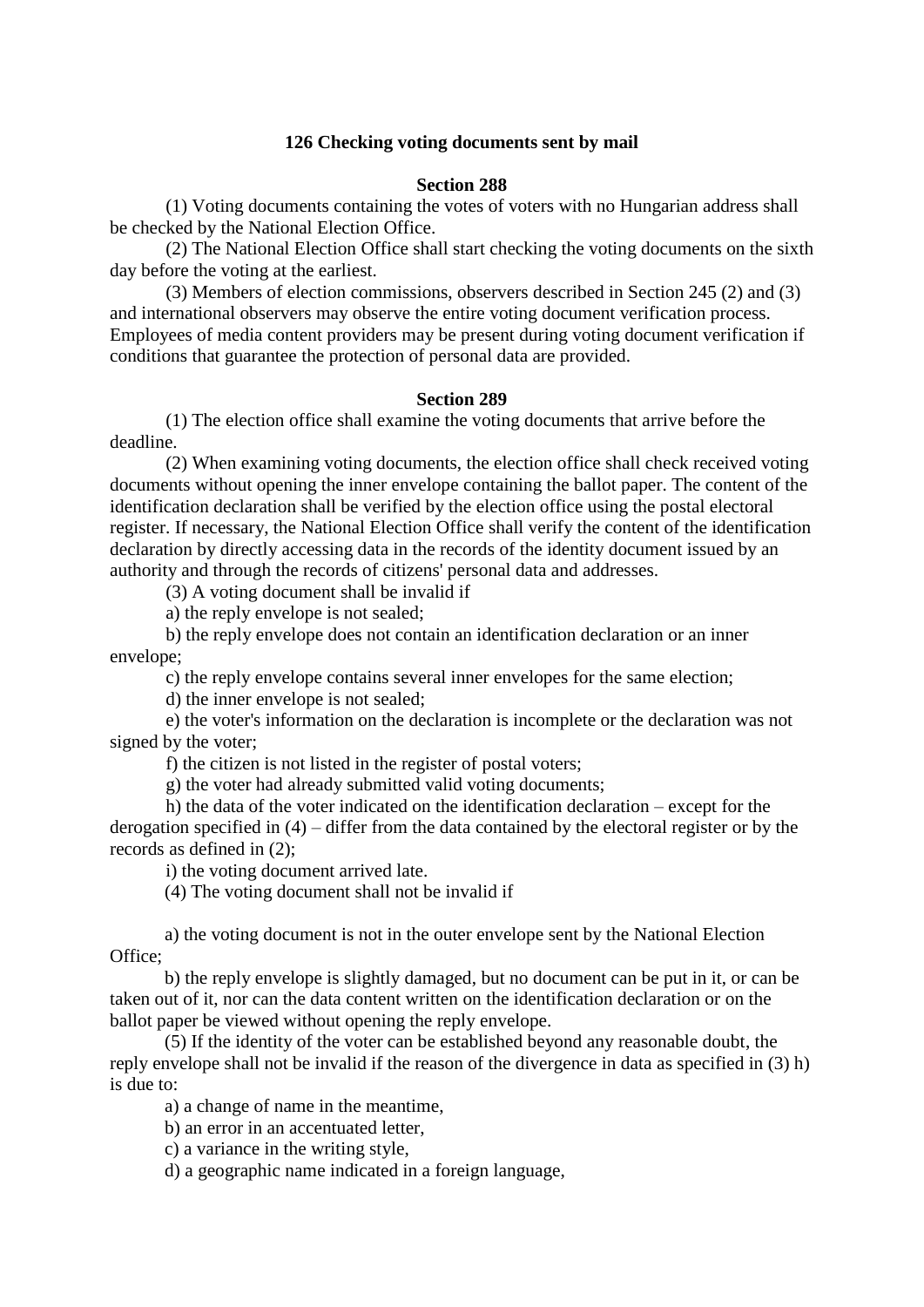## **126 Checking voting documents sent by mail**

### **Section 288**

 (1) Voting documents containing the votes of voters with no Hungarian address shall be checked by the National Election Office.

 (2) The National Election Office shall start checking the voting documents on the sixth day before the voting at the earliest.

 (3) Members of election commissions, observers described in Section 245 (2) and (3) and international observers may observe the entire voting document verification process. Employees of media content providers may be present during voting document verification if conditions that guarantee the protection of personal data are provided.

### **Section 289**

 (1) The election office shall examine the voting documents that arrive before the deadline.

 (2) When examining voting documents, the election office shall check received voting documents without opening the inner envelope containing the ballot paper. The content of the identification declaration shall be verified by the election office using the postal electoral register. If necessary, the National Election Office shall verify the content of the identification declaration by directly accessing data in the records of the identity document issued by an authority and through the records of citizens' personal data and addresses.

(3) A voting document shall be invalid if

a) the reply envelope is not sealed;

 b) the reply envelope does not contain an identification declaration or an inner envelope;

c) the reply envelope contains several inner envelopes for the same election;

d) the inner envelope is not sealed;

 e) the voter's information on the declaration is incomplete or the declaration was not signed by the voter;

f) the citizen is not listed in the register of postal voters;

g) the voter had already submitted valid voting documents;

 h) the data of the voter indicated on the identification declaration – except for the derogation specified in (4) – differ from the data contained by the electoral register or by the records as defined in (2);

i) the voting document arrived late.

(4) The voting document shall not be invalid if

a) the voting document is not in the outer envelope sent by the National Election Office;

b) the reply envelope is slightly damaged, but no document can be put in it, or can be taken out of it, nor can the data content written on the identification declaration or on the ballot paper be viewed without opening the reply envelope.

(5) If the identity of the voter can be established beyond any reasonable doubt, the reply envelope shall not be invalid if the reason of the divergence in data as specified in (3) h) is due to:

a) a change of name in the meantime,

b) an error in an accentuated letter,

c) a variance in the writing style,

d) a geographic name indicated in a foreign language,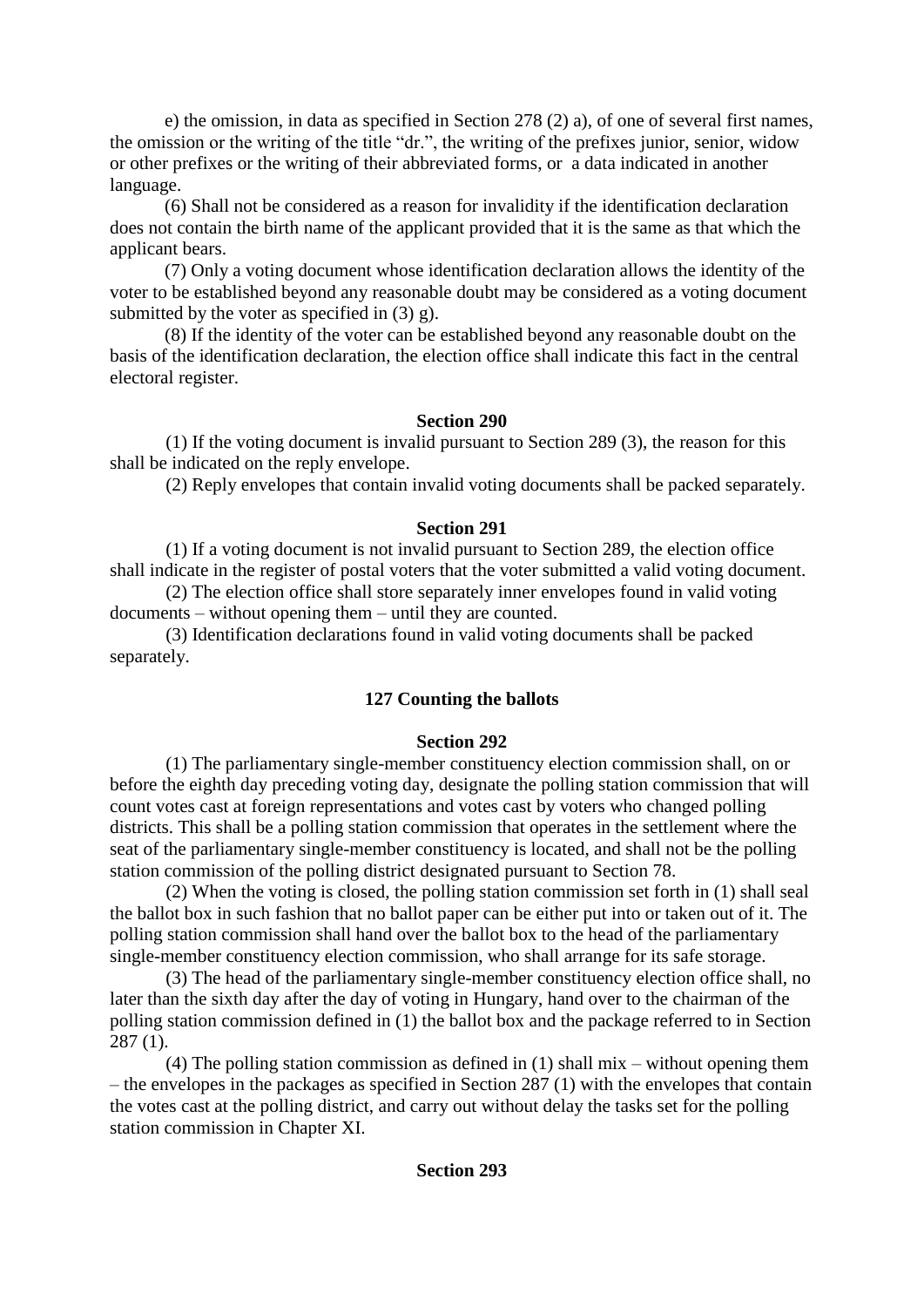e) the omission, in data as specified in Section 278 (2) a), of one of several first names, the omission or the writing of the title "dr.", the writing of the prefixes junior, senior, widow or other prefixes or the writing of their abbreviated forms, or a data indicated in another language.

(6) Shall not be considered as a reason for invalidity if the identification declaration does not contain the birth name of the applicant provided that it is the same as that which the applicant bears.

(7) Only a voting document whose identification declaration allows the identity of the voter to be established beyond any reasonable doubt may be considered as a voting document submitted by the voter as specified in (3) g).

(8) If the identity of the voter can be established beyond any reasonable doubt on the basis of the identification declaration, the election office shall indicate this fact in the central electoral register.

# **Section 290**

 (1) If the voting document is invalid pursuant to Section 289 (3), the reason for this shall be indicated on the reply envelope.

(2) Reply envelopes that contain invalid voting documents shall be packed separately.

# **Section 291**

 (1) If a voting document is not invalid pursuant to Section 289, the election office shall indicate in the register of postal voters that the voter submitted a valid voting document.

 (2) The election office shall store separately inner envelopes found in valid voting documents – without opening them – until they are counted.

 (3) Identification declarations found in valid voting documents shall be packed separately.

# **127 Counting the ballots**

## **Section 292**

 (1) The parliamentary single-member constituency election commission shall, on or before the eighth day preceding voting day, designate the polling station commission that will count votes cast at foreign representations and votes cast by voters who changed polling districts. This shall be a polling station commission that operates in the settlement where the seat of the parliamentary single-member constituency is located, and shall not be the polling station commission of the polling district designated pursuant to Section 78.

 (2) When the voting is closed, the polling station commission set forth in (1) shall seal the ballot box in such fashion that no ballot paper can be either put into or taken out of it. The polling station commission shall hand over the ballot box to the head of the parliamentary single-member constituency election commission, who shall arrange for its safe storage.

 (3) The head of the parliamentary single-member constituency election office shall, no later than the sixth day after the day of voting in Hungary, hand over to the chairman of the polling station commission defined in (1) the ballot box and the package referred to in Section 287 (1).

 (4) The polling station commission as defined in (1) shall mix – without opening them – the envelopes in the packages as specified in Section 287 (1) with the envelopes that contain the votes cast at the polling district, and carry out without delay the tasks set for the polling station commission in Chapter XI.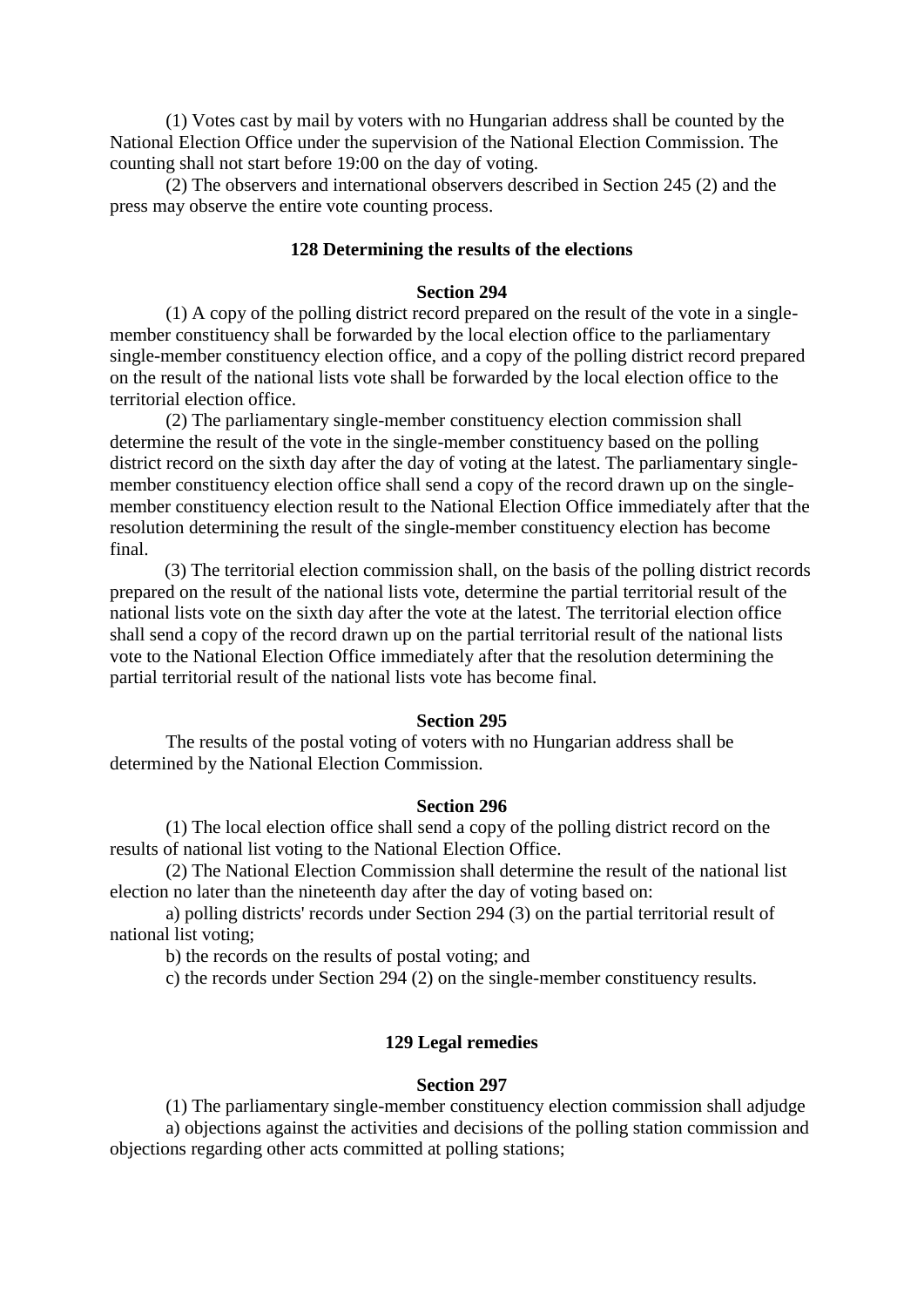(1) Votes cast by mail by voters with no Hungarian address shall be counted by the National Election Office under the supervision of the National Election Commission. The counting shall not start before 19:00 on the day of voting.

 (2) The observers and international observers described in Section 245 (2) and the press may observe the entire vote counting process.

## **128 Determining the results of the elections**

#### **Section 294**

 (1) A copy of the polling district record prepared on the result of the vote in a singlemember constituency shall be forwarded by the local election office to the parliamentary single-member constituency election office, and a copy of the polling district record prepared on the result of the national lists vote shall be forwarded by the local election office to the territorial election office.

 (2) The parliamentary single-member constituency election commission shall determine the result of the vote in the single-member constituency based on the polling district record on the sixth day after the day of voting at the latest. The parliamentary singlemember constituency election office shall send a copy of the record drawn up on the singlemember constituency election result to the National Election Office immediately after that the resolution determining the result of the single-member constituency election has become final.

(3) The territorial election commission shall, on the basis of the polling district records prepared on the result of the national lists vote, determine the partial territorial result of the national lists vote on the sixth day after the vote at the latest. The territorial election office shall send a copy of the record drawn up on the partial territorial result of the national lists vote to the National Election Office immediately after that the resolution determining the partial territorial result of the national lists vote has become final*.*

#### **Section 295**

 The results of the postal voting of voters with no Hungarian address shall be determined by the National Election Commission.

#### **Section 296**

 (1) The local election office shall send a copy of the polling district record on the results of national list voting to the National Election Office.

 (2) The National Election Commission shall determine the result of the national list election no later than the nineteenth day after the day of voting based on:

 a) polling districts' records under Section 294 (3) on the partial territorial result of national list voting;

b) the records on the results of postal voting; and

c) the records under Section 294 (2) on the single-member constituency results.

#### **129 Legal remedies**

#### **Section 297**

 (1) The parliamentary single-member constituency election commission shall adjudge a) objections against the activities and decisions of the polling station commission and objections regarding other acts committed at polling stations;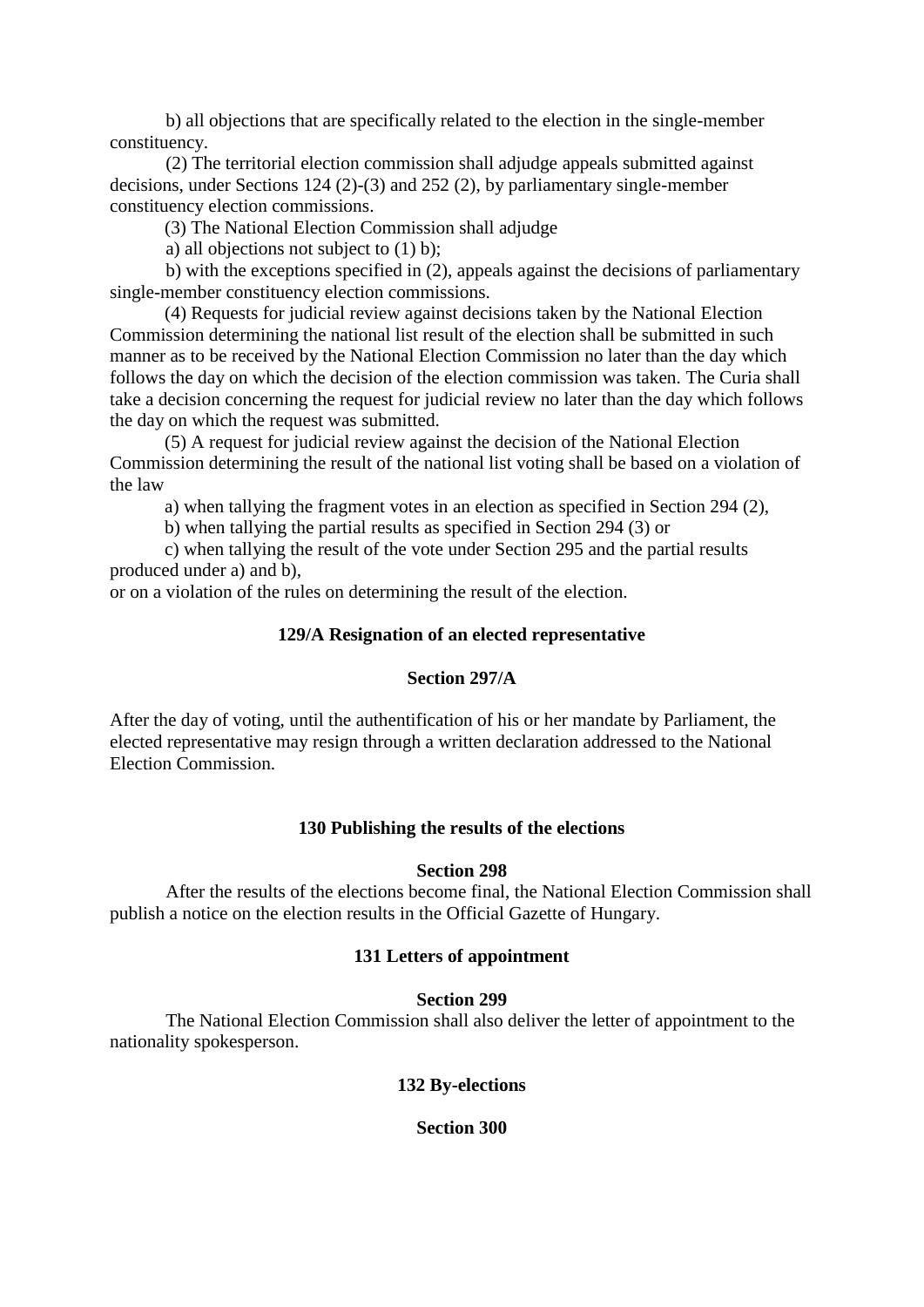b) all objections that are specifically related to the election in the single-member constituency.

 (2) The territorial election commission shall adjudge appeals submitted against decisions, under Sections 124 (2)-(3) and 252 (2), by parliamentary single-member constituency election commissions.

(3) The National Election Commission shall adjudge

a) all objections not subject to (1) b);

 b) with the exceptions specified in (2), appeals against the decisions of parliamentary single-member constituency election commissions.

(4) Requests for judicial review against decisions taken by the National Election Commission determining the national list result of the election shall be submitted in such manner as to be received by the National Election Commission no later than the day which follows the day on which the decision of the election commission was taken. The Curia shall take a decision concerning the request for judicial review no later than the day which follows the day on which the request was submitted.

(5) A request for judicial review against the decision of the National Election Commission determining the result of the national list voting shall be based on a violation of the law

a) when tallying the fragment votes in an election as specified in Section 294 (2),

b) when tallying the partial results as specified in Section 294 (3) or

c) when tallying the result of the vote under Section 295 and the partial results produced under a) and b),

or on a violation of the rules on determining the result of the election.

# **129/A Resignation of an elected representative**

## **Section 297/A**

After the day of voting, until the authentification of his or her mandate by Parliament, the elected representative may resign through a written declaration addressed to the National Election Commission.

# **130 Publishing the results of the elections**

## **Section 298**

 After the results of the elections become final, the National Election Commission shall publish a notice on the election results in the Official Gazette of Hungary.

# **131 Letters of appointment**

## **Section 299**

 The National Election Commission shall also deliver the letter of appointment to the nationality spokesperson.

## **132 By-elections**

**Section 300**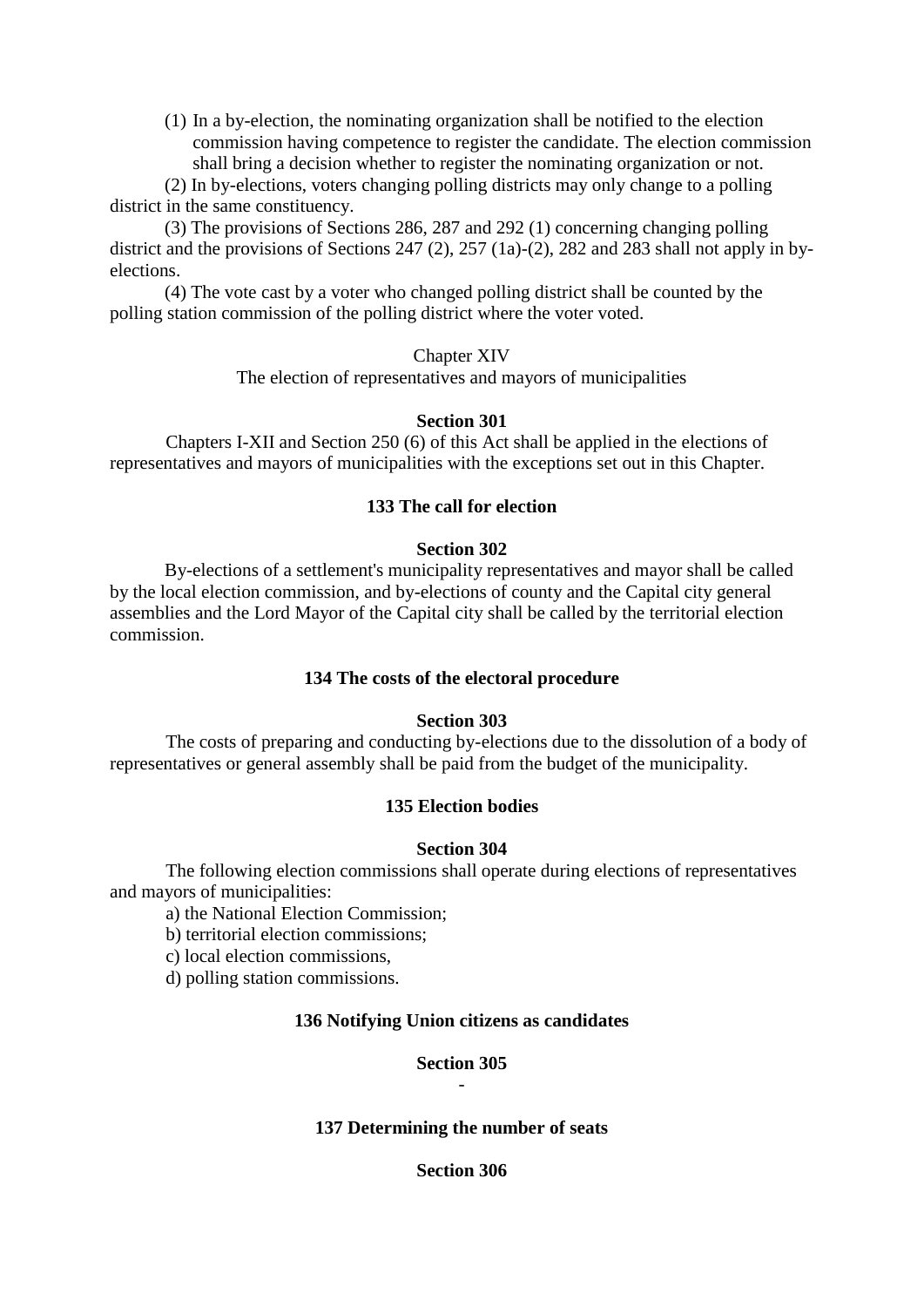(1) In a by-election, the nominating organization shall be notified to the election commission having competence to register the candidate. The election commission shall bring a decision whether to register the nominating organization or not.

(2) In by-elections, voters changing polling districts may only change to a polling district in the same constituency.

(3) The provisions of Sections 286, 287 and 292 (1) concerning changing polling district and the provisions of Sections 247 (2), 257 (1a)-(2), 282 and 283 shall not apply in byelections.

(4) The vote cast by a voter who changed polling district shall be counted by the polling station commission of the polling district where the voter voted.

Chapter XIV

The election of representatives and mayors of municipalities

# **Section 301**

 Chapters I-XII and Section 250 (6) of this Act shall be applied in the elections of representatives and mayors of municipalities with the exceptions set out in this Chapter.

# **133 The call for election**

# **Section 302**

By-elections of a settlement's municipality representatives and mayor shall be called by the local election commission, and by-elections of county and the Capital city general assemblies and the Lord Mayor of the Capital city shall be called by the territorial election commission.

## **134 The costs of the electoral procedure**

# **Section 303**

 The costs of preparing and conducting by-elections due to the dissolution of a body of representatives or general assembly shall be paid from the budget of the municipality.

# **135 Election bodies**

## **Section 304**

 The following election commissions shall operate during elections of representatives and mayors of municipalities:

a) the National Election Commission;

b) territorial election commissions;

c) local election commissions,

d) polling station commissions.

## **136 Notifying Union citizens as candidates**

## **Section 305** -

# **137 Determining the number of seats**

## **Section 306**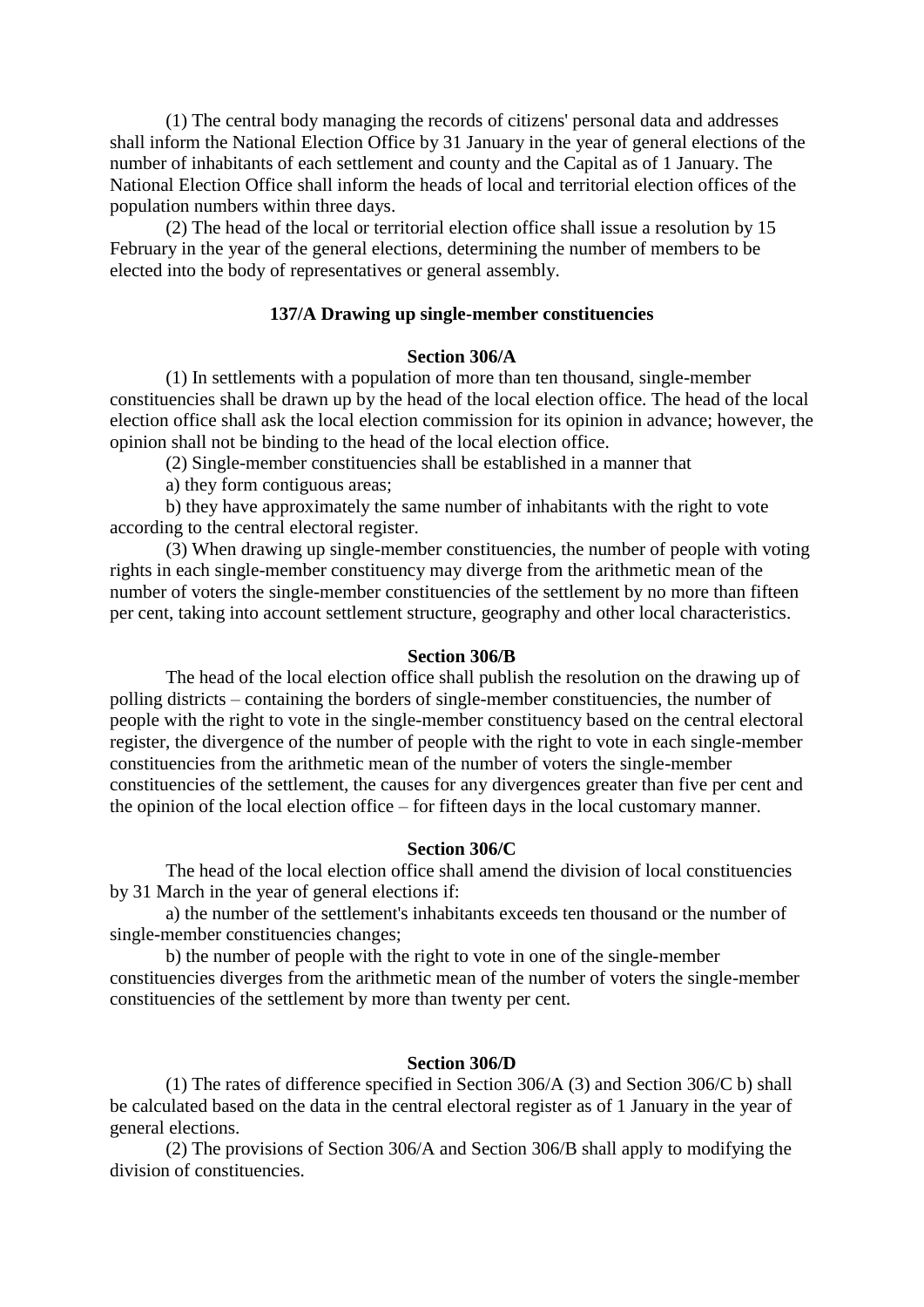(1) The central body managing the records of citizens' personal data and addresses shall inform the National Election Office by 31 January in the year of general elections of the number of inhabitants of each settlement and county and the Capital as of 1 January. The National Election Office shall inform the heads of local and territorial election offices of the population numbers within three days.

 (2) The head of the local or territorial election office shall issue a resolution by 15 February in the year of the general elections, determining the number of members to be elected into the body of representatives or general assembly.

## **137/A Drawing up single-member constituencies**

#### **Section 306/A**

 (1) In settlements with a population of more than ten thousand, single-member constituencies shall be drawn up by the head of the local election office. The head of the local election office shall ask the local election commission for its opinion in advance; however, the opinion shall not be binding to the head of the local election office.

(2) Single-member constituencies shall be established in a manner that

a) they form contiguous areas;

 b) they have approximately the same number of inhabitants with the right to vote according to the central electoral register.

 (3) When drawing up single-member constituencies, the number of people with voting rights in each single-member constituency may diverge from the arithmetic mean of the number of voters the single-member constituencies of the settlement by no more than fifteen per cent, taking into account settlement structure, geography and other local characteristics.

#### **Section 306/B**

 The head of the local election office shall publish the resolution on the drawing up of polling districts – containing the borders of single-member constituencies, the number of people with the right to vote in the single-member constituency based on the central electoral register, the divergence of the number of people with the right to vote in each single-member constituencies from the arithmetic mean of the number of voters the single-member constituencies of the settlement, the causes for any divergences greater than five per cent and the opinion of the local election office – for fifteen days in the local customary manner.

#### **Section 306/C**

 The head of the local election office shall amend the division of local constituencies by 31 March in the year of general elections if:

 a) the number of the settlement's inhabitants exceeds ten thousand or the number of single-member constituencies changes;

 b) the number of people with the right to vote in one of the single-member constituencies diverges from the arithmetic mean of the number of voters the single-member constituencies of the settlement by more than twenty per cent.

### **Section 306/D**

 (1) The rates of difference specified in Section 306/A (3) and Section 306/C b) shall be calculated based on the data in the central electoral register as of 1 January in the year of general elections.

 (2) The provisions of Section 306/A and Section 306/B shall apply to modifying the division of constituencies.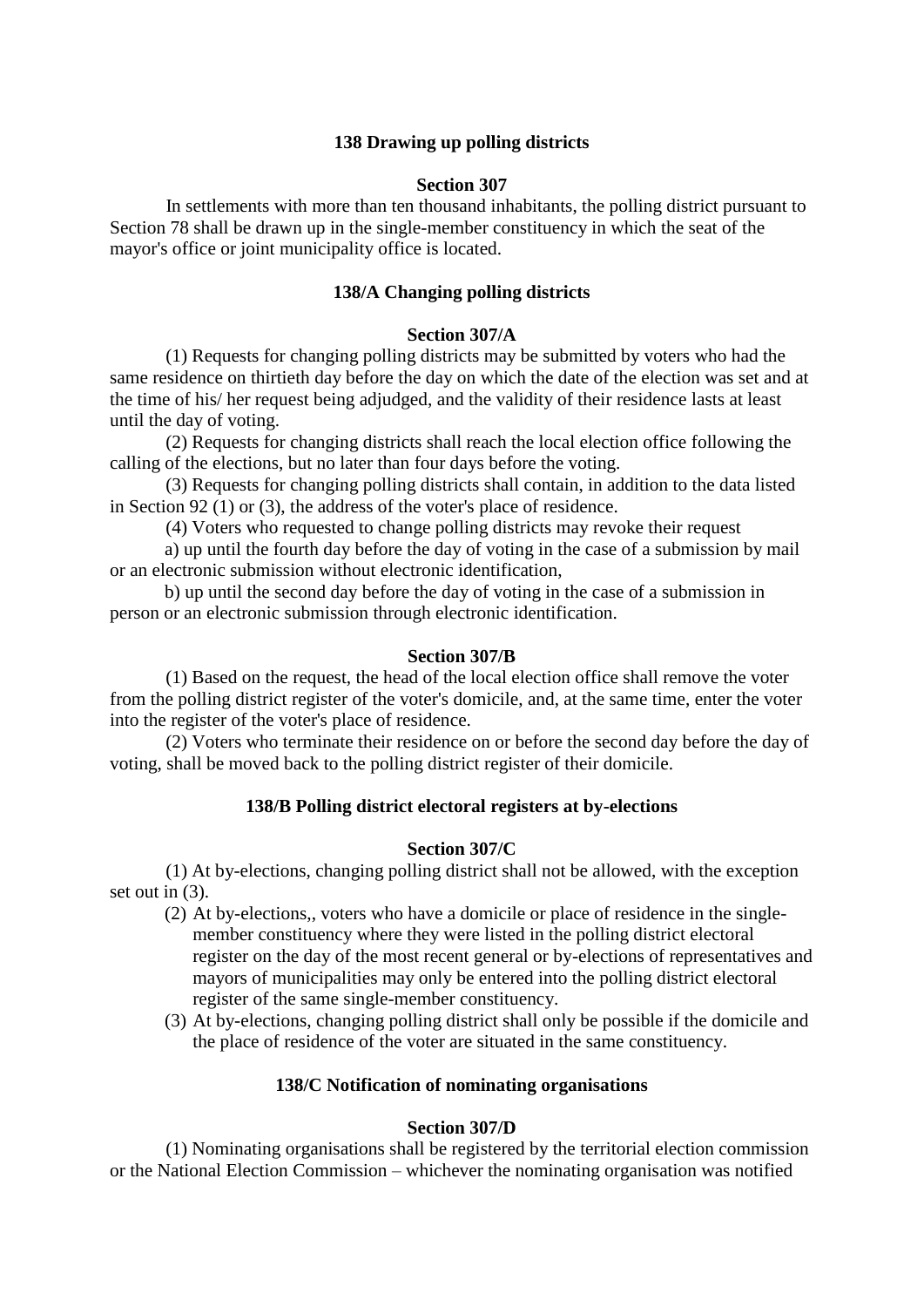# **138 Drawing up polling districts**

### **Section 307**

 In settlements with more than ten thousand inhabitants, the polling district pursuant to Section 78 shall be drawn up in the single-member constituency in which the seat of the mayor's office or joint municipality office is located.

### **138/A Changing polling districts**

### **Section 307/A**

 (1) Requests for changing polling districts may be submitted by voters who had the same residence on thirtieth day before the day on which the date of the election was set and at the time of his/ her request being adjudged, and the validity of their residence lasts at least until the day of voting.

 (2) Requests for changing districts shall reach the local election office following the calling of the elections, but no later than four days before the voting.

 (3) Requests for changing polling districts shall contain, in addition to the data listed in Section 92 (1) or (3), the address of the voter's place of residence.

(4) Voters who requested to change polling districts may revoke their request

a) up until the fourth day before the day of voting in the case of a submission by mail or an electronic submission without electronic identification,

b) up until the second day before the day of voting in the case of a submission in person or an electronic submission through electronic identification.

### **Section 307/B**

 (1) Based on the request, the head of the local election office shall remove the voter from the polling district register of the voter's domicile, and, at the same time, enter the voter into the register of the voter's place of residence.

 (2) Voters who terminate their residence on or before the second day before the day of voting, shall be moved back to the polling district register of their domicile.

## **138/B Polling district electoral registers at by-elections**

### **Section 307/C**

 (1) At by-elections, changing polling district shall not be allowed, with the exception set out in (3).

- (2) At by-elections,, voters who have a domicile or place of residence in the singlemember constituency where they were listed in the polling district electoral register on the day of the most recent general or by-elections of representatives and mayors of municipalities may only be entered into the polling district electoral register of the same single-member constituency.
- (3) At by-elections, changing polling district shall only be possible if the domicile and the place of residence of the voter are situated in the same constituency.

## **138/C Notification of nominating organisations**

### **Section 307/D**

 (1) Nominating organisations shall be registered by the territorial election commission or the National Election Commission – whichever the nominating organisation was notified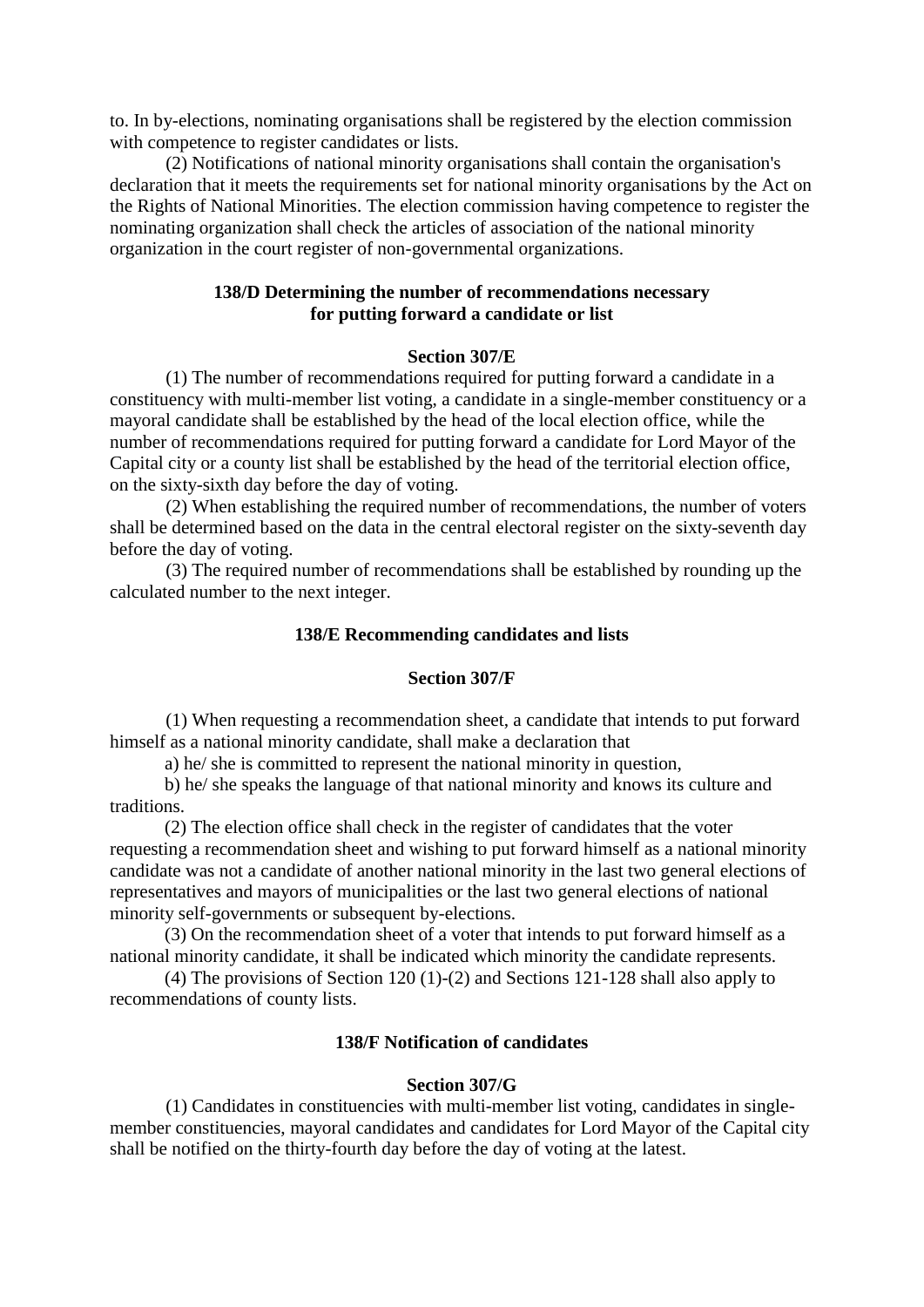to. In by-elections, nominating organisations shall be registered by the election commission with competence to register candidates or lists.

 (2) Notifications of national minority organisations shall contain the organisation's declaration that it meets the requirements set for national minority organisations by the Act on the Rights of National Minorities. The election commission having competence to register the nominating organization shall check the articles of association of the national minority organization in the court register of non-governmental organizations.

## **138/D Determining the number of recommendations necessary for putting forward a candidate or list**

### **Section 307/E**

 (1) The number of recommendations required for putting forward a candidate in a constituency with multi-member list voting, a candidate in a single-member constituency or a mayoral candidate shall be established by the head of the local election office, while the number of recommendations required for putting forward a candidate for Lord Mayor of the Capital city or a county list shall be established by the head of the territorial election office, on the sixty-sixth day before the day of voting.

 (2) When establishing the required number of recommendations, the number of voters shall be determined based on the data in the central electoral register on the sixty-seventh day before the day of voting.

 (3) The required number of recommendations shall be established by rounding up the calculated number to the next integer.

### **138/E Recommending candidates and lists**

### **Section 307/F**

 (1) When requesting a recommendation sheet, a candidate that intends to put forward himself as a national minority candidate, shall make a declaration that

a) he/ she is committed to represent the national minority in question,

b) he/ she speaks the language of that national minority and knows its culture and traditions.

(2) The election office shall check in the register of candidates that the voter requesting a recommendation sheet and wishing to put forward himself as a national minority candidate was not a candidate of another national minority in the last two general elections of representatives and mayors of municipalities or the last two general elections of national minority self-governments or subsequent by-elections.

(3) On the recommendation sheet of a voter that intends to put forward himself as a national minority candidate, it shall be indicated which minority the candidate represents.

(4) The provisions of Section 120 (1)-(2) and Sections 121-128 shall also apply to recommendations of county lists.

#### **138/F Notification of candidates**

### **Section 307/G**

 (1) Candidates in constituencies with multi-member list voting, candidates in singlemember constituencies, mayoral candidates and candidates for Lord Mayor of the Capital city shall be notified on the thirty-fourth day before the day of voting at the latest.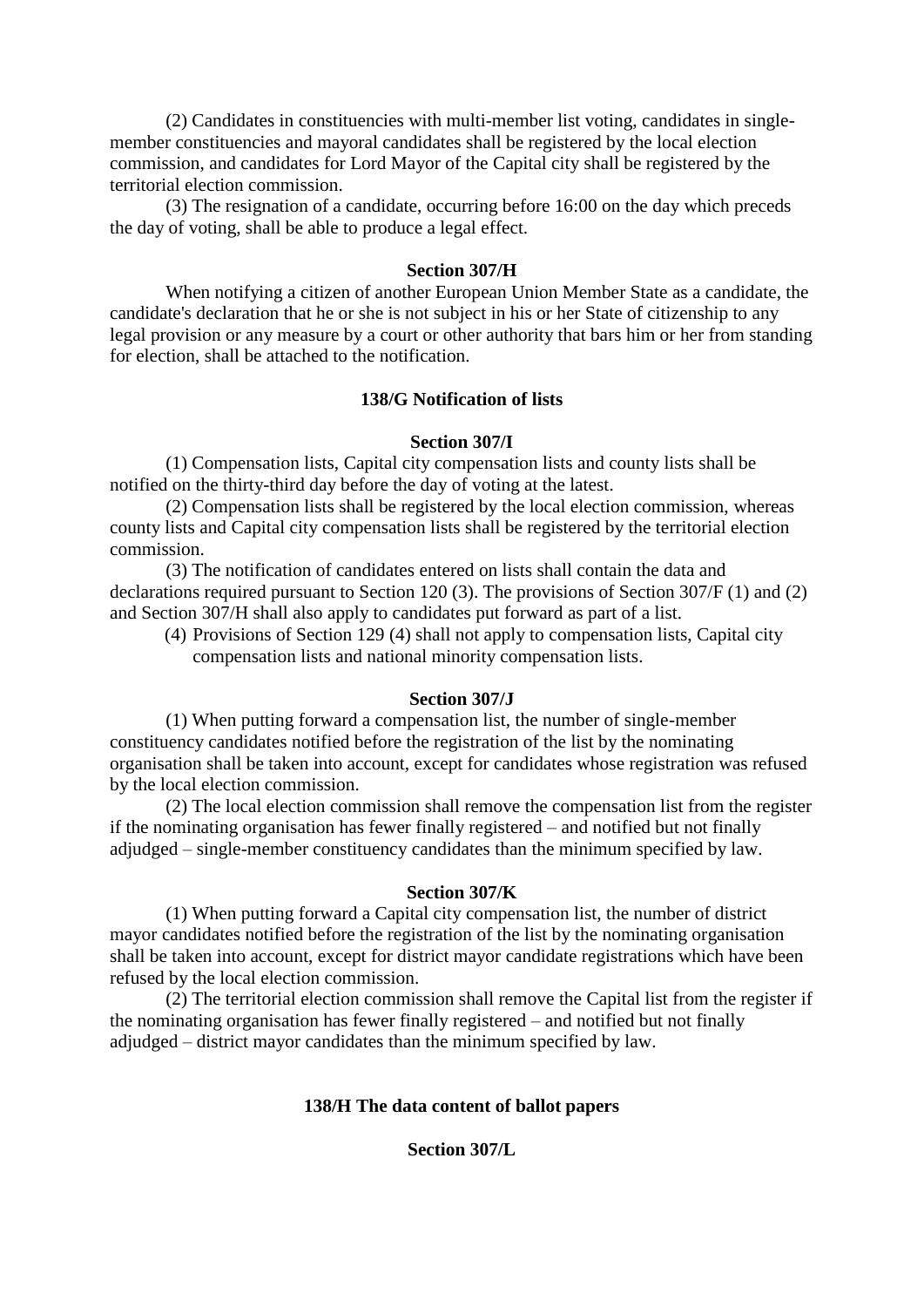(2) Candidates in constituencies with multi-member list voting, candidates in singlemember constituencies and mayoral candidates shall be registered by the local election commission, and candidates for Lord Mayor of the Capital city shall be registered by the territorial election commission.

 (3) The resignation of a candidate, occurring before 16:00 on the day which preceds the day of voting, shall be able to produce a legal effect.

#### **Section 307/H**

 When notifying a citizen of another European Union Member State as a candidate, the candidate's declaration that he or she is not subject in his or her State of citizenship to any legal provision or any measure by a court or other authority that bars him or her from standing for election, shall be attached to the notification.

## **138/G Notification of lists**

#### **Section 307/I**

 (1) Compensation lists, Capital city compensation lists and county lists shall be notified on the thirty-third day before the day of voting at the latest.

 (2) Compensation lists shall be registered by the local election commission, whereas county lists and Capital city compensation lists shall be registered by the territorial election commission.

 (3) The notification of candidates entered on lists shall contain the data and declarations required pursuant to Section 120 (3). The provisions of Section 307/F (1) and (2) and Section 307/H shall also apply to candidates put forward as part of a list.

(4) Provisions of Section 129 (4) shall not apply to compensation lists, Capital city compensation lists and national minority compensation lists.

#### **Section 307/J**

 (1) When putting forward a compensation list, the number of single-member constituency candidates notified before the registration of the list by the nominating organisation shall be taken into account, except for candidates whose registration was refused by the local election commission.

 (2) The local election commission shall remove the compensation list from the register if the nominating organisation has fewer finally registered – and notified but not finally adjudged – single-member constituency candidates than the minimum specified by law.

#### **Section 307/K**

 (1) When putting forward a Capital city compensation list, the number of district mayor candidates notified before the registration of the list by the nominating organisation shall be taken into account, except for district mayor candidate registrations which have been refused by the local election commission.

 (2) The territorial election commission shall remove the Capital list from the register if the nominating organisation has fewer finally registered – and notified but not finally adjudged – district mayor candidates than the minimum specified by law.

### **138/H The data content of ballot papers**

**Section 307/L**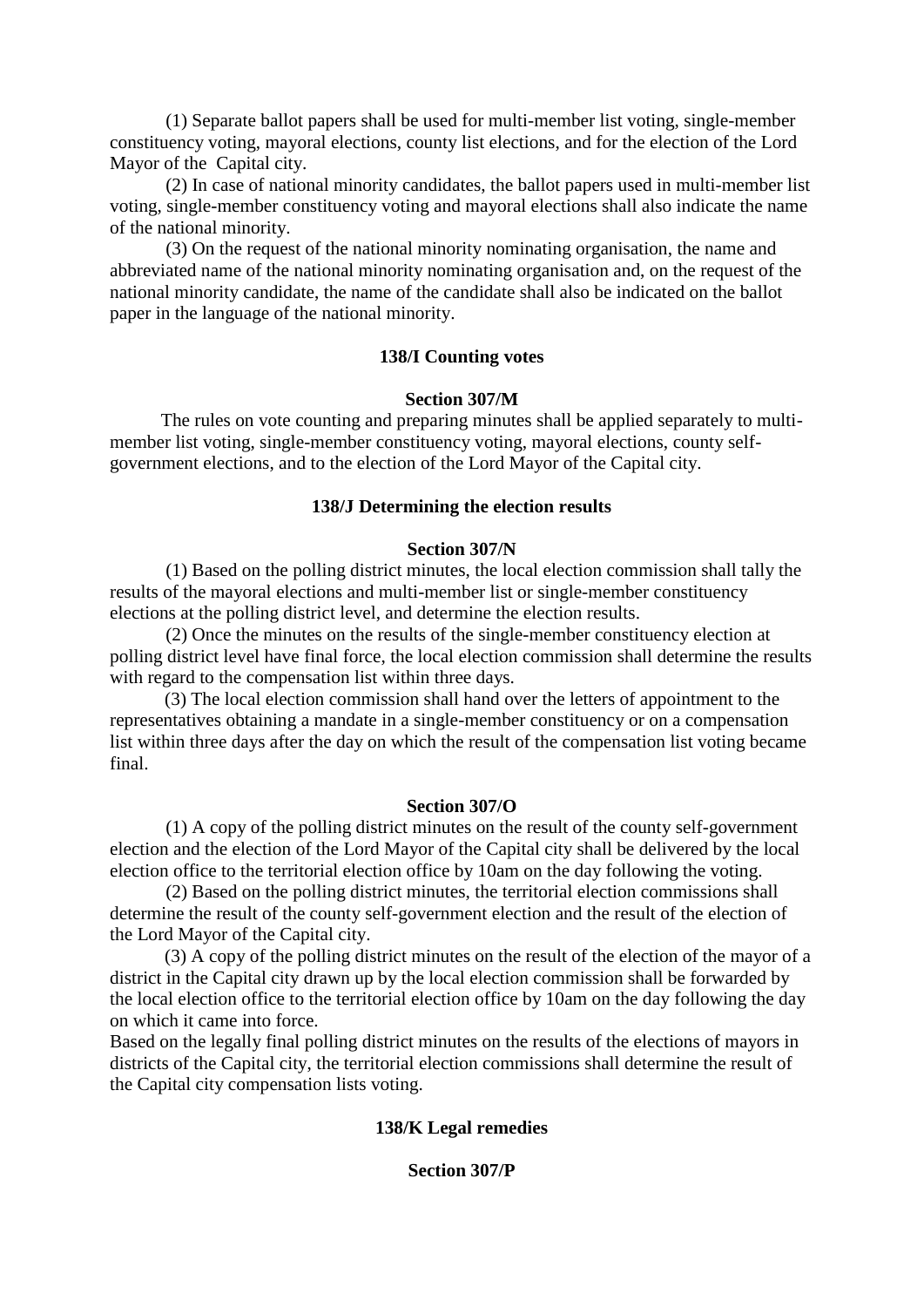(1) Separate ballot papers shall be used for multi-member list voting, single-member constituency voting, mayoral elections, county list elections, and for the election of the Lord Mayor of the Capital city.

 (2) In case of national minority candidates, the ballot papers used in multi-member list voting, single-member constituency voting and mayoral elections shall also indicate the name of the national minority.

 (3) On the request of the national minority nominating organisation, the name and abbreviated name of the national minority nominating organisation and, on the request of the national minority candidate, the name of the candidate shall also be indicated on the ballot paper in the language of the national minority.

### **138/I Counting votes**

### **Section 307/M**

 The rules on vote counting and preparing minutes shall be applied separately to multimember list voting, single-member constituency voting, mayoral elections, county selfgovernment elections, and to the election of the Lord Mayor of the Capital city.

## **138/J Determining the election results**

### **Section 307/N**

 (1) Based on the polling district minutes, the local election commission shall tally the results of the mayoral elections and multi-member list or single-member constituency elections at the polling district level, and determine the election results.

 (2) Once the minutes on the results of the single-member constituency election at polling district level have final force, the local election commission shall determine the results with regard to the compensation list within three days.

(3) The local election commission shall hand over the letters of appointment to the representatives obtaining a mandate in a single-member constituency or on a compensation list within three days after the day on which the result of the compensation list voting became final.

### **Section 307/O**

 (1) A copy of the polling district minutes on the result of the county self-government election and the election of the Lord Mayor of the Capital city shall be delivered by the local election office to the territorial election office by 10am on the day following the voting.

 (2) Based on the polling district minutes, the territorial election commissions shall determine the result of the county self-government election and the result of the election of the Lord Mayor of the Capital city.

(3) A copy of the polling district minutes on the result of the election of the mayor of a district in the Capital city drawn up by the local election commission shall be forwarded by the local election office to the territorial election office by 10am on the day following the day on which it came into force.

Based on the legally final polling district minutes on the results of the elections of mayors in districts of the Capital city, the territorial election commissions shall determine the result of the Capital city compensation lists voting.

## **138/K Legal remedies**

# **Section 307/P**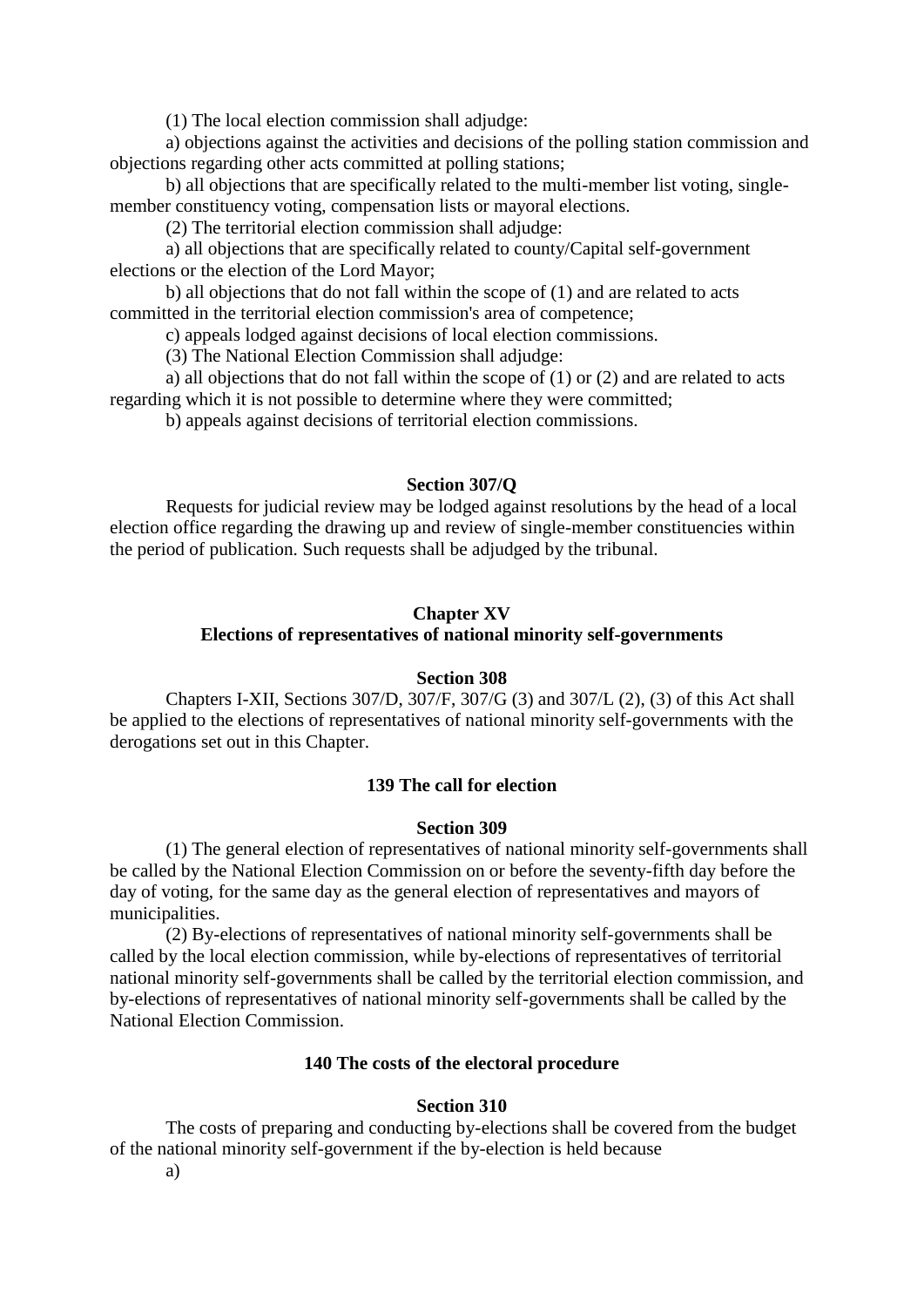(1) The local election commission shall adjudge:

 a) objections against the activities and decisions of the polling station commission and objections regarding other acts committed at polling stations;

 b) all objections that are specifically related to the multi-member list voting, singlemember constituency voting, compensation lists or mayoral elections.

(2) The territorial election commission shall adjudge:

 a) all objections that are specifically related to county/Capital self-government elections or the election of the Lord Mayor;

 b) all objections that do not fall within the scope of (1) and are related to acts committed in the territorial election commission's area of competence;

c) appeals lodged against decisions of local election commissions.

(3) The National Election Commission shall adjudge:

 a) all objections that do not fall within the scope of (1) or (2) and are related to acts regarding which it is not possible to determine where they were committed;

b) appeals against decisions of territorial election commissions.

### **Section 307/Q**

 Requests for judicial review may be lodged against resolutions by the head of a local election office regarding the drawing up and review of single-member constituencies within the period of publication. Such requests shall be adjudged by the tribunal.

#### **Chapter XV**

## **Elections of representatives of national minority self-governments**

### **Section 308**

 Chapters I-XII, Sections 307/D, 307/F, 307/G (3) and 307/L (2), (3) of this Act shall be applied to the elections of representatives of national minority self-governments with the derogations set out in this Chapter.

#### **139 The call for election**

### **Section 309**

 (1) The general election of representatives of national minority self-governments shall be called by the National Election Commission on or before the seventy-fifth day before the day of voting, for the same day as the general election of representatives and mayors of municipalities.

 (2) By-elections of representatives of national minority self-governments shall be called by the local election commission, while by-elections of representatives of territorial national minority self-governments shall be called by the territorial election commission, and by-elections of representatives of national minority self-governments shall be called by the National Election Commission.

## **140 The costs of the electoral procedure**

### **Section 310**

 The costs of preparing and conducting by-elections shall be covered from the budget of the national minority self-government if the by-election is held because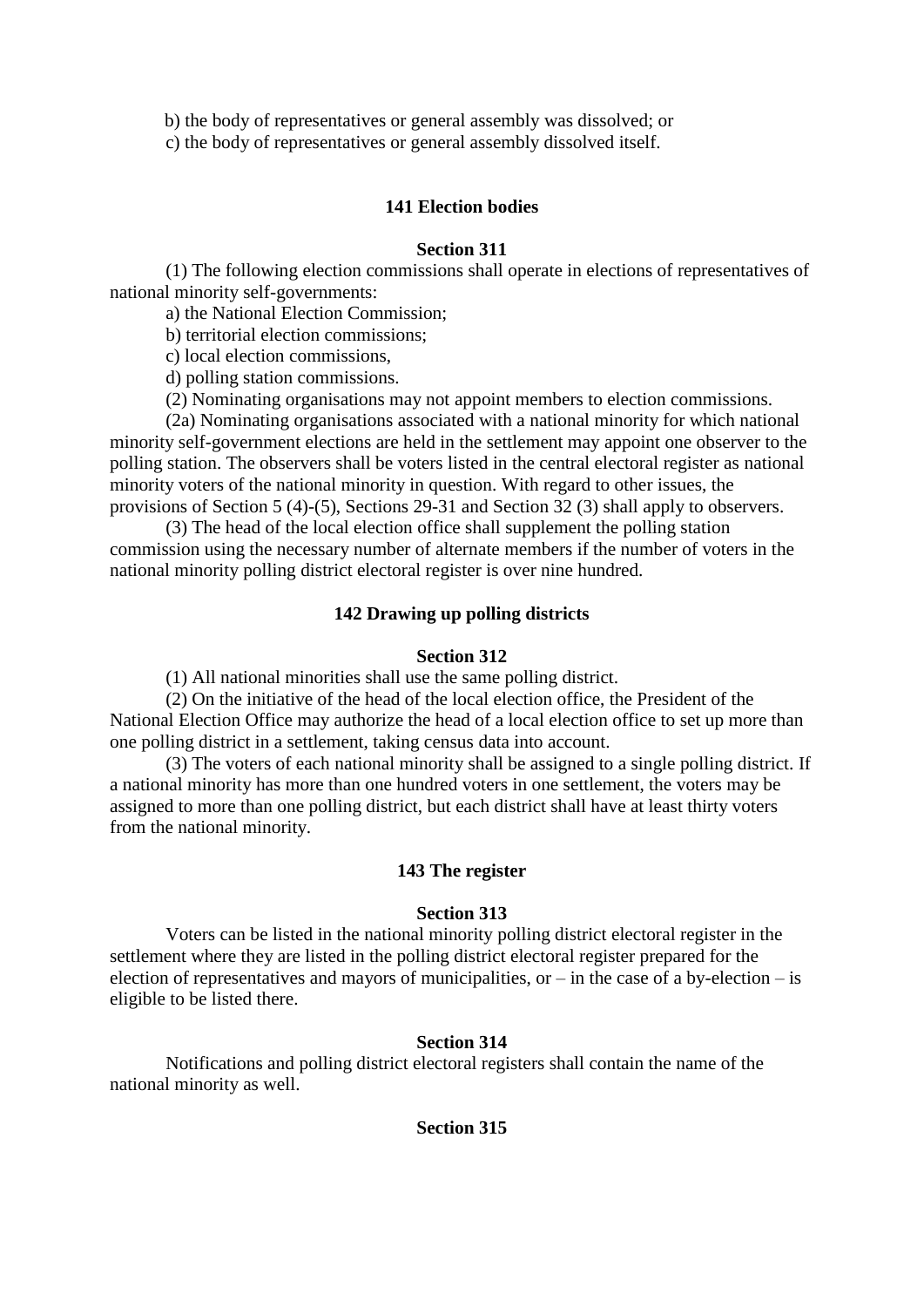b) the body of representatives or general assembly was dissolved; or

c) the body of representatives or general assembly dissolved itself.

## **141 Election bodies**

## **Section 311**

 (1) The following election commissions shall operate in elections of representatives of national minority self-governments:

a) the National Election Commission;

b) territorial election commissions;

c) local election commissions,

d) polling station commissions.

(2) Nominating organisations may not appoint members to election commissions.

 (2a) Nominating organisations associated with a national minority for which national minority self-government elections are held in the settlement may appoint one observer to the polling station. The observers shall be voters listed in the central electoral register as national minority voters of the national minority in question. With regard to other issues, the provisions of Section 5 (4)-(5), Sections 29-31 and Section 32 (3) shall apply to observers.

 (3) The head of the local election office shall supplement the polling station commission using the necessary number of alternate members if the number of voters in the national minority polling district electoral register is over nine hundred.

## **142 Drawing up polling districts**

### **Section 312**

(1) All national minorities shall use the same polling district.

 (2) On the initiative of the head of the local election office, the President of the National Election Office may authorize the head of a local election office to set up more than one polling district in a settlement, taking census data into account.

 (3) The voters of each national minority shall be assigned to a single polling district. If a national minority has more than one hundred voters in one settlement, the voters may be assigned to more than one polling district, but each district shall have at least thirty voters from the national minority.

### **143 The register**

### **Section 313**

 Voters can be listed in the national minority polling district electoral register in the settlement where they are listed in the polling district electoral register prepared for the election of representatives and mayors of municipalities, or – in the case of a by-election – is eligible to be listed there.

### **Section 314**

 Notifications and polling district electoral registers shall contain the name of the national minority as well.

### **Section 315**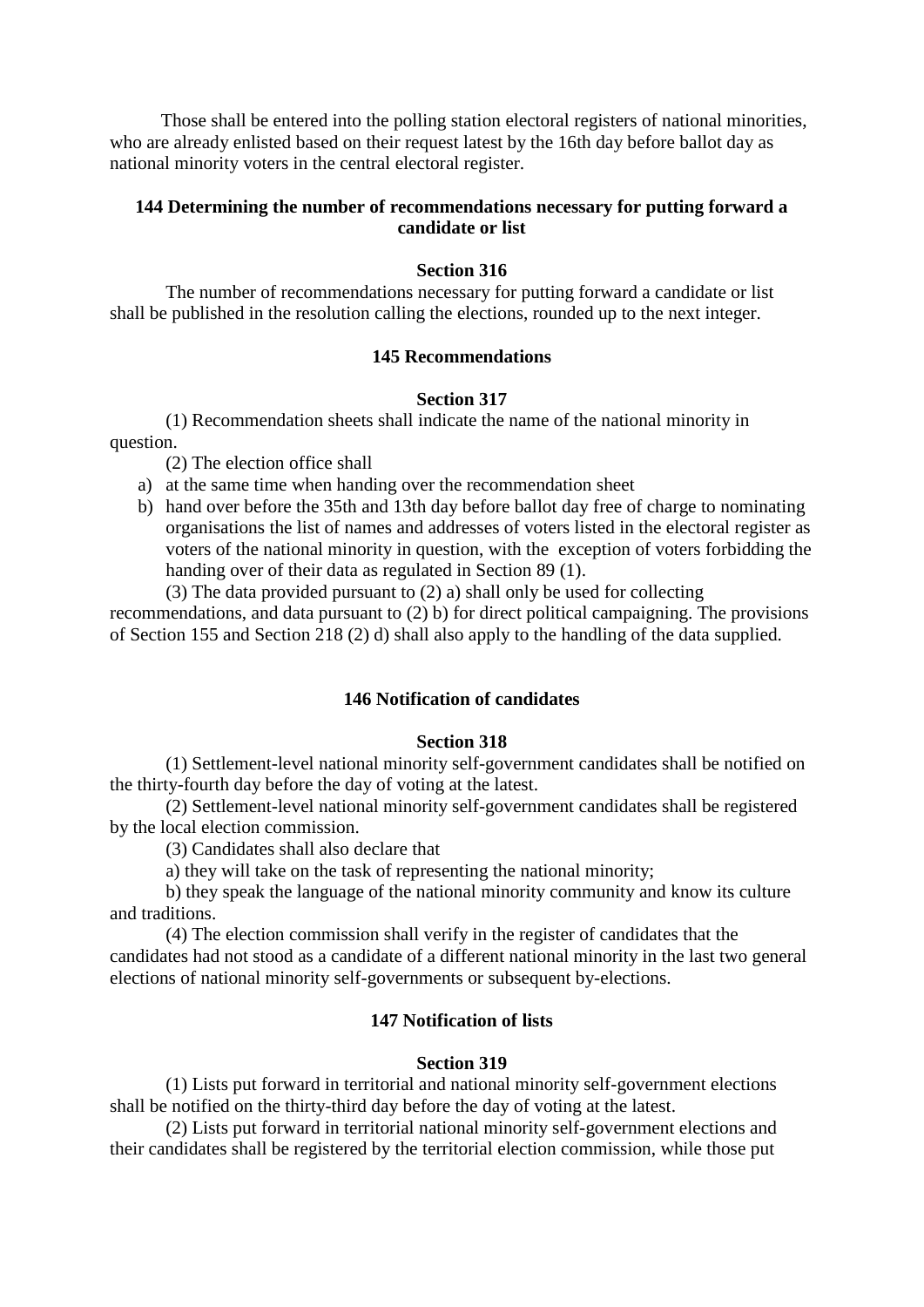Those shall be entered into the polling station electoral registers of national minorities, who are already enlisted based on their request latest by the 16th day before ballot day as national minority voters in the central electoral register.

# **144 Determining the number of recommendations necessary for putting forward a candidate or list**

## **Section 316**

 The number of recommendations necessary for putting forward a candidate or list shall be published in the resolution calling the elections, rounded up to the next integer.

## **145 Recommendations**

## **Section 317**

 (1) Recommendation sheets shall indicate the name of the national minority in question.

(2) The election office shall

- a) at the same time when handing over the recommendation sheet
- b) hand over before the 35th and 13th day before ballot day free of charge to nominating organisations the list of names and addresses of voters listed in the electoral register as voters of the national minority in question, with the exception of voters forbidding the handing over of their data as regulated in Section 89 (1).

(3) The data provided pursuant to (2) a) shall only be used for collecting

recommendations, and data pursuant to (2) b) for direct political campaigning. The provisions of Section 155 and Section 218 (2) d) shall also apply to the handling of the data supplied.

## **146 Notification of candidates**

## **Section 318**

 (1) Settlement-level national minority self-government candidates shall be notified on the thirty-fourth day before the day of voting at the latest.

 (2) Settlement-level national minority self-government candidates shall be registered by the local election commission.

(3) Candidates shall also declare that

a) they will take on the task of representing the national minority;

 b) they speak the language of the national minority community and know its culture and traditions.

 (4) The election commission shall verify in the register of candidates that the candidates had not stood as a candidate of a different national minority in the last two general elections of national minority self-governments or subsequent by-elections.

### **147 Notification of lists**

### **Section 319**

 (1) Lists put forward in territorial and national minority self-government elections shall be notified on the thirty-third day before the day of voting at the latest.

 (2) Lists put forward in territorial national minority self-government elections and their candidates shall be registered by the territorial election commission, while those put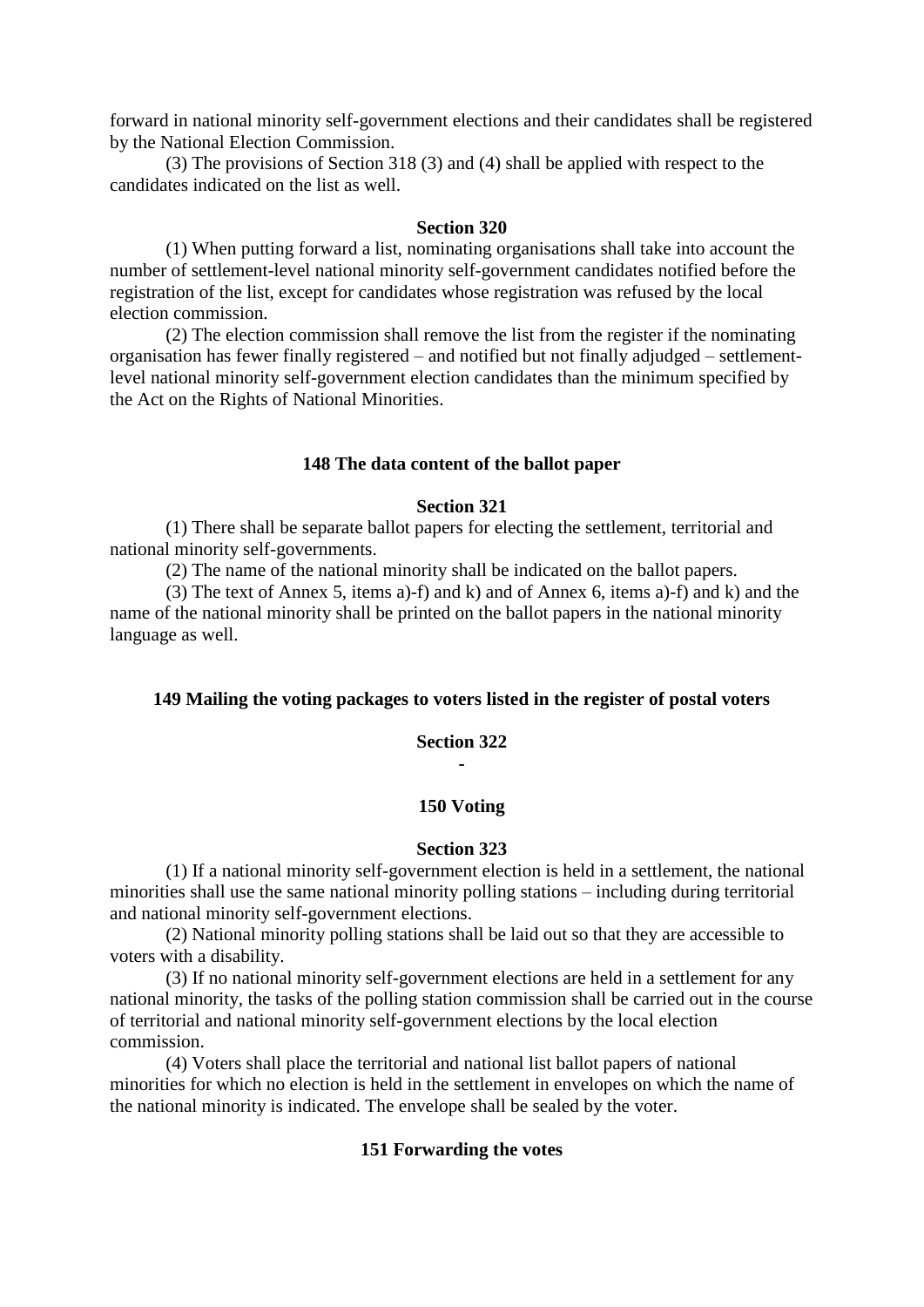forward in national minority self-government elections and their candidates shall be registered by the National Election Commission.

 (3) The provisions of Section 318 (3) and (4) shall be applied with respect to the candidates indicated on the list as well.

#### **Section 320**

 (1) When putting forward a list, nominating organisations shall take into account the number of settlement-level national minority self-government candidates notified before the registration of the list, except for candidates whose registration was refused by the local election commission.

 (2) The election commission shall remove the list from the register if the nominating organisation has fewer finally registered – and notified but not finally adjudged – settlementlevel national minority self-government election candidates than the minimum specified by the Act on the Rights of National Minorities.

#### **148 The data content of the ballot paper**

### **Section 321**

 (1) There shall be separate ballot papers for electing the settlement, territorial and national minority self-governments.

(2) The name of the national minority shall be indicated on the ballot papers.

 (3) The text of Annex 5, items a)-f) and k) and of Annex 6, items a)-f) and k) and the name of the national minority shall be printed on the ballot papers in the national minority language as well.

### **149 Mailing the voting packages to voters listed in the register of postal voters**

## **Section 322 -**

## **150 Voting**

#### **Section 323**

 (1) If a national minority self-government election is held in a settlement, the national minorities shall use the same national minority polling stations – including during territorial and national minority self-government elections.

 (2) National minority polling stations shall be laid out so that they are accessible to voters with a disability.

 (3) If no national minority self-government elections are held in a settlement for any national minority, the tasks of the polling station commission shall be carried out in the course of territorial and national minority self-government elections by the local election commission.

 (4) Voters shall place the territorial and national list ballot papers of national minorities for which no election is held in the settlement in envelopes on which the name of the national minority is indicated. The envelope shall be sealed by the voter.

### **151 Forwarding the votes**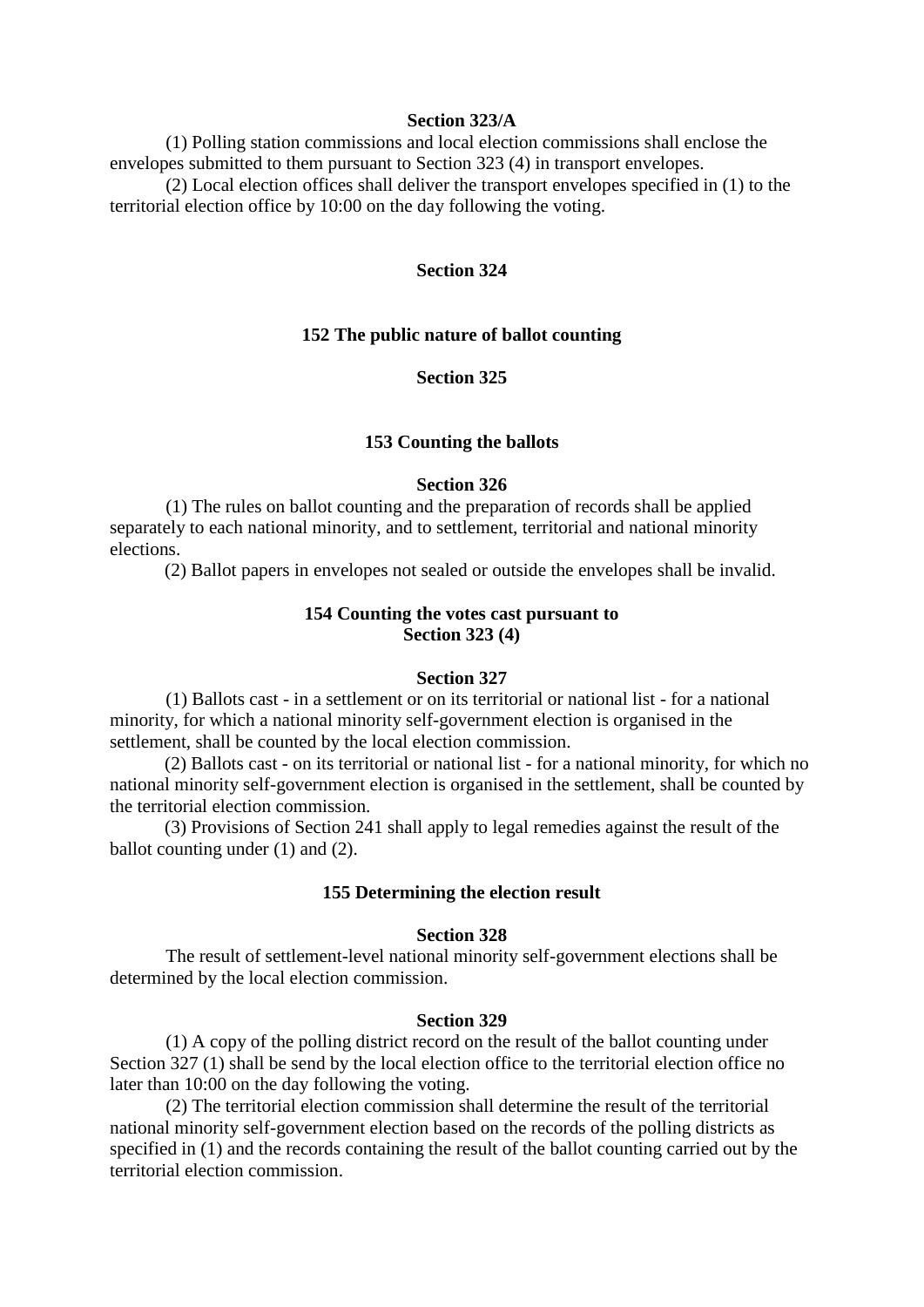### **Section 323/A**

 (1) Polling station commissions and local election commissions shall enclose the envelopes submitted to them pursuant to Section 323 (4) in transport envelopes. (2) Local election offices shall deliver the transport envelopes specified in (1) to the

territorial election office by 10:00 on the day following the voting.

### **Section 324**

### **152 The public nature of ballot counting**

### **Section 325**

#### **153 Counting the ballots**

#### **Section 326**

 (1) The rules on ballot counting and the preparation of records shall be applied separately to each national minority, and to settlement, territorial and national minority elections.

(2) Ballot papers in envelopes not sealed or outside the envelopes shall be invalid.

#### **154 Counting the votes cast pursuant to Section 323 (4)**

### **Section 327**

 (1) Ballots cast - in a settlement or on its territorial or national list - for a national minority, for which a national minority self-government election is organised in the settlement, shall be counted by the local election commission.

(2) Ballots cast - on its territorial or national list - for a national minority, for which no national minority self-government election is organised in the settlement, shall be counted by the territorial election commission.

(3) Provisions of Section 241 shall apply to legal remedies against the result of the ballot counting under (1) and (2).

# **155 Determining the election result**

#### **Section 328**

 The result of settlement-level national minority self-government elections shall be determined by the local election commission.

#### **Section 329**

 (1) A copy of the polling district record on the result of the ballot counting under Section 327 (1) shall be send by the local election office to the territorial election office no later than 10:00 on the day following the voting.

 (2) The territorial election commission shall determine the result of the territorial national minority self-government election based on the records of the polling districts as specified in (1) and the records containing the result of the ballot counting carried out by the territorial election commission.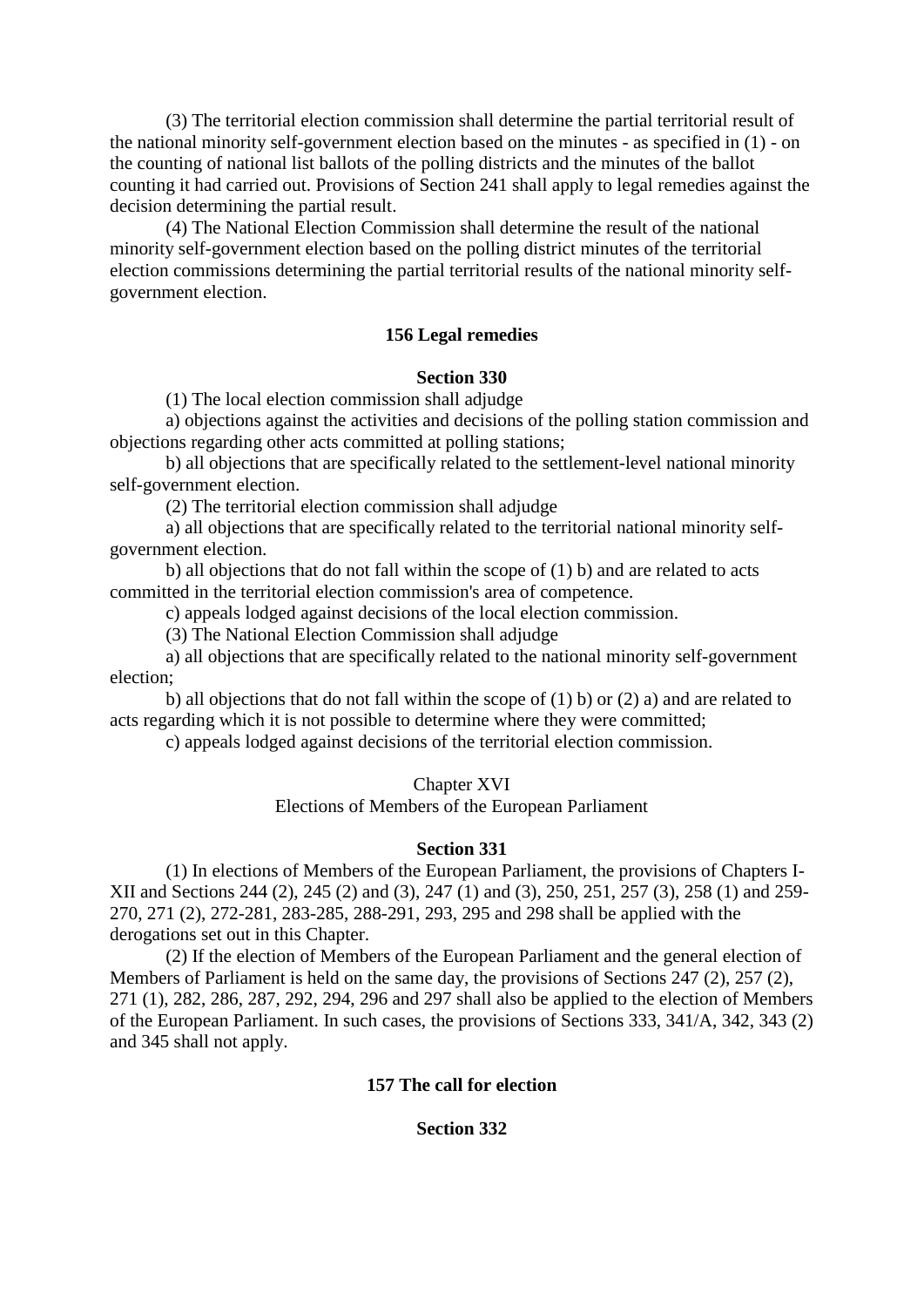(3) The territorial election commission shall determine the partial territorial result of the national minority self-government election based on the minutes - as specified in (1) - on the counting of national list ballots of the polling districts and the minutes of the ballot counting it had carried out. Provisions of Section 241 shall apply to legal remedies against the decision determining the partial result.

 (4) The National Election Commission shall determine the result of the national minority self-government election based on the polling district minutes of the territorial election commissions determining the partial territorial results of the national minority selfgovernment election.

### **156 Legal remedies**

### **Section 330**

(1) The local election commission shall adjudge

 a) objections against the activities and decisions of the polling station commission and objections regarding other acts committed at polling stations;

 b) all objections that are specifically related to the settlement-level national minority self-government election.

(2) The territorial election commission shall adjudge

 a) all objections that are specifically related to the territorial national minority selfgovernment election.

b) all objections that do not fall within the scope of  $(1)$  b) and are related to acts committed in the territorial election commission's area of competence.

c) appeals lodged against decisions of the local election commission.

(3) The National Election Commission shall adjudge

 a) all objections that are specifically related to the national minority self-government election;

b) all objections that do not fall within the scope of  $(1)$  b) or  $(2)$  a) and are related to acts regarding which it is not possible to determine where they were committed;

c) appeals lodged against decisions of the territorial election commission.

#### Chapter XVI

Elections of Members of the European Parliament

### **Section 331**

 (1) In elections of Members of the European Parliament, the provisions of Chapters I-XII and Sections 244 (2), 245 (2) and (3), 247 (1) and (3), 250, 251, 257 (3), 258 (1) and 259- 270, 271 (2), 272-281, 283-285, 288-291, 293, 295 and 298 shall be applied with the derogations set out in this Chapter.

 (2) If the election of Members of the European Parliament and the general election of Members of Parliament is held on the same day, the provisions of Sections 247 (2), 257 (2), 271 (1), 282, 286, 287, 292, 294, 296 and 297 shall also be applied to the election of Members of the European Parliament. In such cases, the provisions of Sections 333, 341/A, 342, 343 (2) and 345 shall not apply.

### **157 The call for election**

### **Section 332**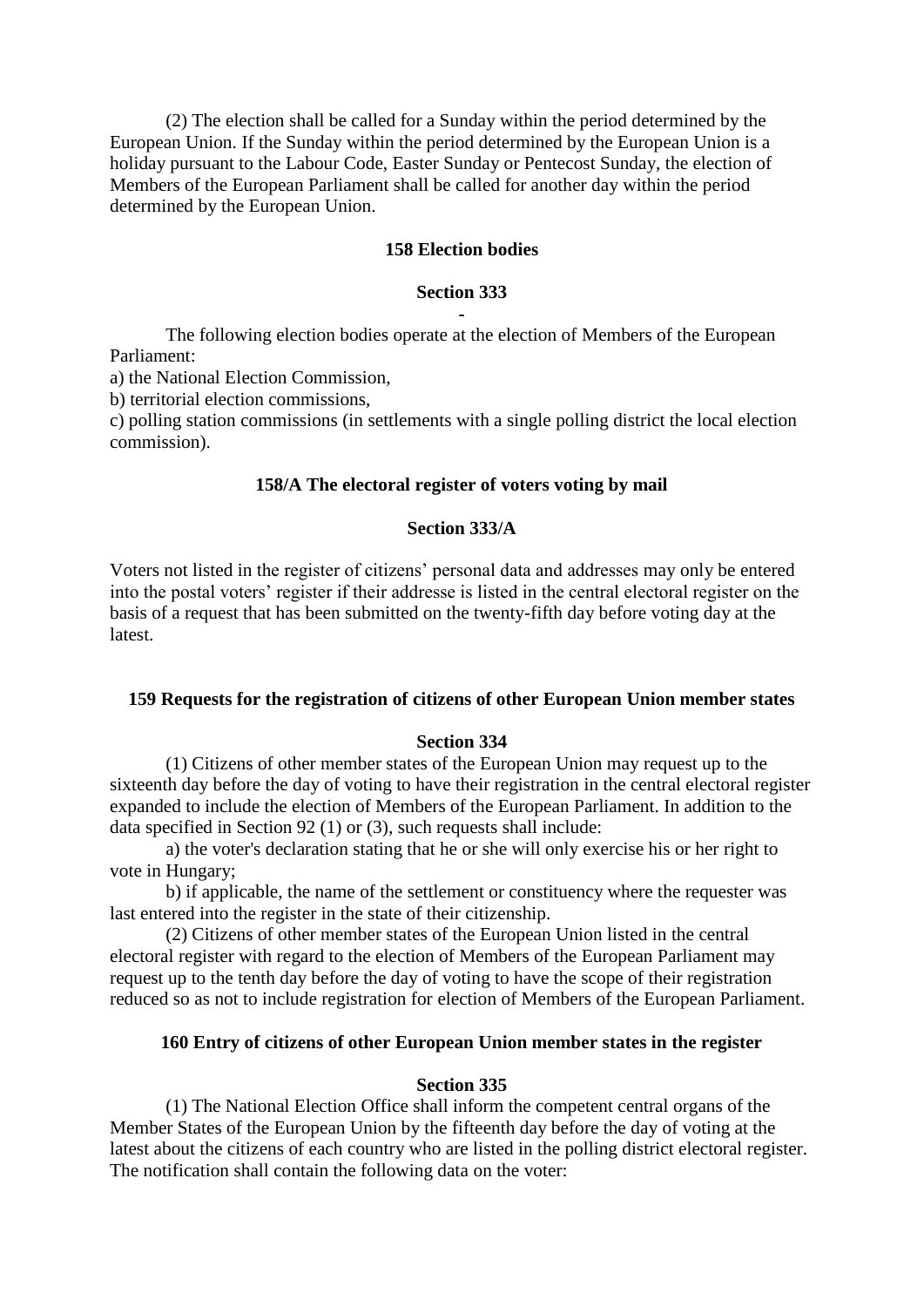(2) The election shall be called for a Sunday within the period determined by the European Union. If the Sunday within the period determined by the European Union is a holiday pursuant to the Labour Code, Easter Sunday or Pentecost Sunday, the election of Members of the European Parliament shall be called for another day within the period determined by the European Union.

### **158 Election bodies**

## **Section 333 -**

 The following election bodies operate at the election of Members of the European Parliament:

a) the National Election Commission,

b) territorial election commissions,

c) polling station commissions (in settlements with a single polling district the local election commission).

## **158/A The electoral register of voters voting by mail**

### **Section 333/A**

Voters not listed in the register of citizens' personal data and addresses may only be entered into the postal voters' register if their addresse is listed in the central electoral register on the basis of a request that has been submitted on the twenty-fifth day before voting day at the latest.

#### **159 Requests for the registration of citizens of other European Union member states**

### **Section 334**

 (1) Citizens of other member states of the European Union may request up to the sixteenth day before the day of voting to have their registration in the central electoral register expanded to include the election of Members of the European Parliament. In addition to the data specified in Section 92 (1) or (3), such requests shall include:

 a) the voter's declaration stating that he or she will only exercise his or her right to vote in Hungary;

 b) if applicable, the name of the settlement or constituency where the requester was last entered into the register in the state of their citizenship.

 (2) Citizens of other member states of the European Union listed in the central electoral register with regard to the election of Members of the European Parliament may request up to the tenth day before the day of voting to have the scope of their registration reduced so as not to include registration for election of Members of the European Parliament.

### **160 Entry of citizens of other European Union member states in the register**

### **Section 335**

 (1) The National Election Office shall inform the competent central organs of the Member States of the European Union by the fifteenth day before the day of voting at the latest about the citizens of each country who are listed in the polling district electoral register. The notification shall contain the following data on the voter: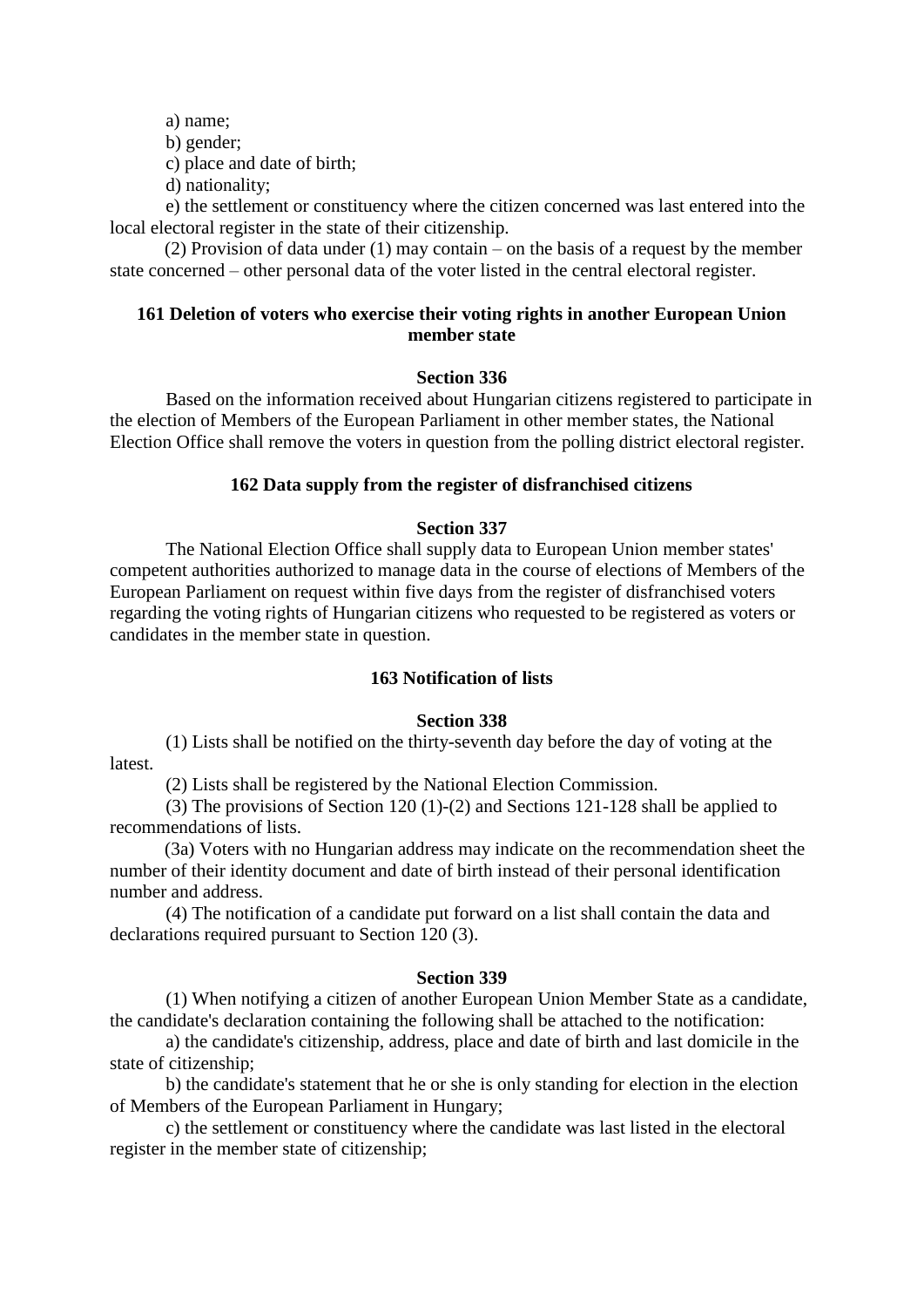a) name;

b) gender;

c) place and date of birth;

d) nationality;

 e) the settlement or constituency where the citizen concerned was last entered into the local electoral register in the state of their citizenship.

(2) Provision of data under (1) may contain – on the basis of a request by the member state concerned – other personal data of the voter listed in the central electoral register.

## **161 Deletion of voters who exercise their voting rights in another European Union member state**

### **Section 336**

 Based on the information received about Hungarian citizens registered to participate in the election of Members of the European Parliament in other member states, the National Election Office shall remove the voters in question from the polling district electoral register.

## **162 Data supply from the register of disfranchised citizens**

### **Section 337**

 The National Election Office shall supply data to European Union member states' competent authorities authorized to manage data in the course of elections of Members of the European Parliament on request within five days from the register of disfranchised voters regarding the voting rights of Hungarian citizens who requested to be registered as voters or candidates in the member state in question.

### **163 Notification of lists**

### **Section 338**

 (1) Lists shall be notified on the thirty-seventh day before the day of voting at the latest.

(2) Lists shall be registered by the National Election Commission.

 (3) The provisions of Section 120 (1)-(2) and Sections 121-128 shall be applied to recommendations of lists.

(3a) Voters with no Hungarian address may indicate on the recommendation sheet the number of their identity document and date of birth instead of their personal identification number and address.

 (4) The notification of a candidate put forward on a list shall contain the data and declarations required pursuant to Section 120 (3).

### **Section 339**

 (1) When notifying a citizen of another European Union Member State as a candidate, the candidate's declaration containing the following shall be attached to the notification:

 a) the candidate's citizenship, address, place and date of birth and last domicile in the state of citizenship;

 b) the candidate's statement that he or she is only standing for election in the election of Members of the European Parliament in Hungary;

 c) the settlement or constituency where the candidate was last listed in the electoral register in the member state of citizenship;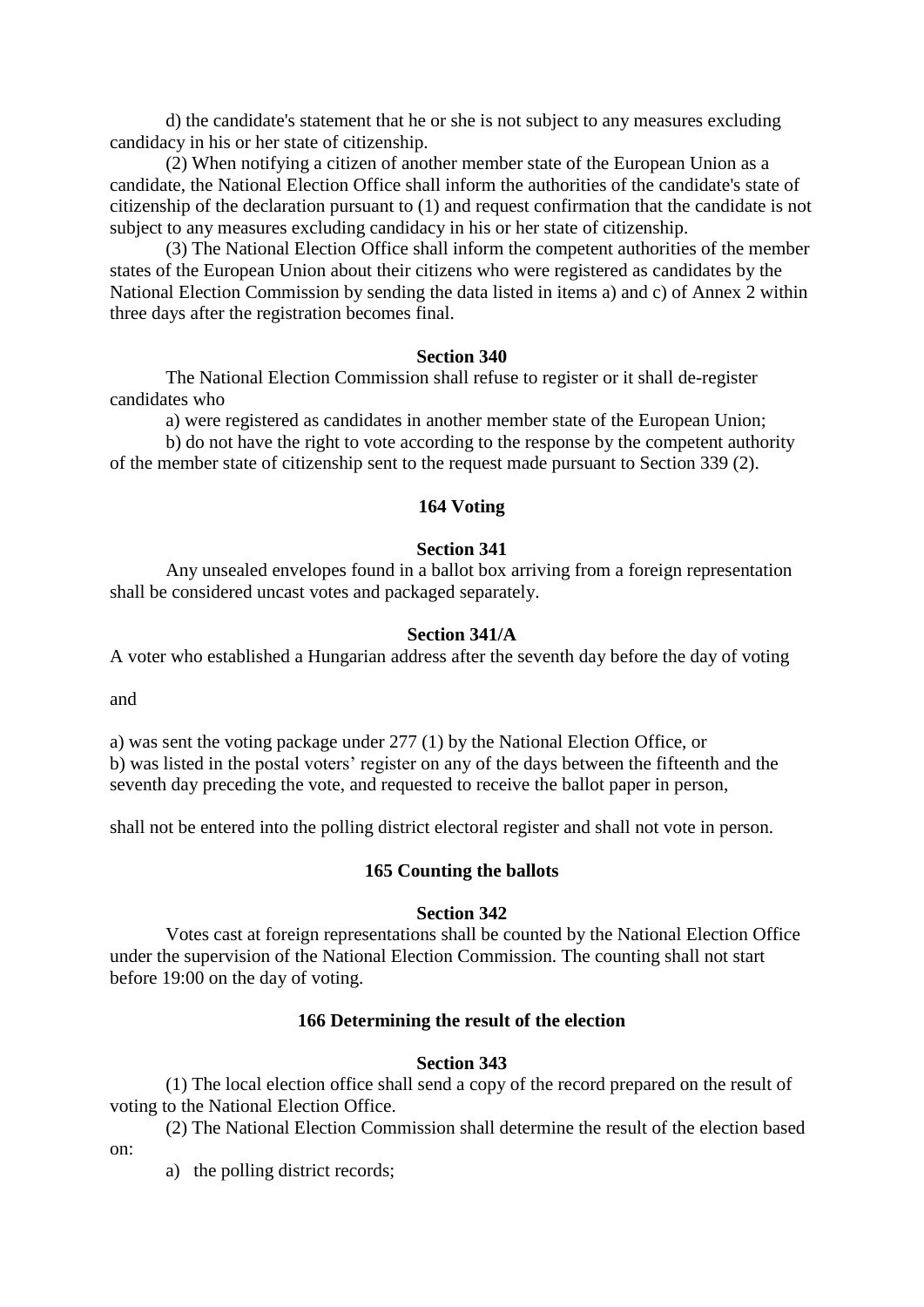d) the candidate's statement that he or she is not subject to any measures excluding candidacy in his or her state of citizenship.

 (2) When notifying a citizen of another member state of the European Union as a candidate, the National Election Office shall inform the authorities of the candidate's state of citizenship of the declaration pursuant to (1) and request confirmation that the candidate is not subject to any measures excluding candidacy in his or her state of citizenship.

 (3) The National Election Office shall inform the competent authorities of the member states of the European Union about their citizens who were registered as candidates by the National Election Commission by sending the data listed in items a) and c) of Annex 2 within three days after the registration becomes final.

#### **Section 340**

 The National Election Commission shall refuse to register or it shall de-register candidates who

 a) were registered as candidates in another member state of the European Union; b) do not have the right to vote according to the response by the competent authority

of the member state of citizenship sent to the request made pursuant to Section 339 (2).

# **164 Voting**

#### **Section 341**

 Any unsealed envelopes found in a ballot box arriving from a foreign representation shall be considered uncast votes and packaged separately.

#### **Section 341/A**

A voter who established a Hungarian address after the seventh day before the day of voting

and

a) was sent the voting package under 277 (1) by the National Election Office, or b) was listed in the postal voters' register on any of the days between the fifteenth and the seventh day preceding the vote, and requested to receive the ballot paper in person,

shall not be entered into the polling district electoral register and shall not vote in person.

#### **165 Counting the ballots**

## **Section 342**

 Votes cast at foreign representations shall be counted by the National Election Office under the supervision of the National Election Commission. The counting shall not start before 19:00 on the day of voting.

### **166 Determining the result of the election**

### **Section 343**

 (1) The local election office shall send a copy of the record prepared on the result of voting to the National Election Office.

 (2) The National Election Commission shall determine the result of the election based on:

a) the polling district records;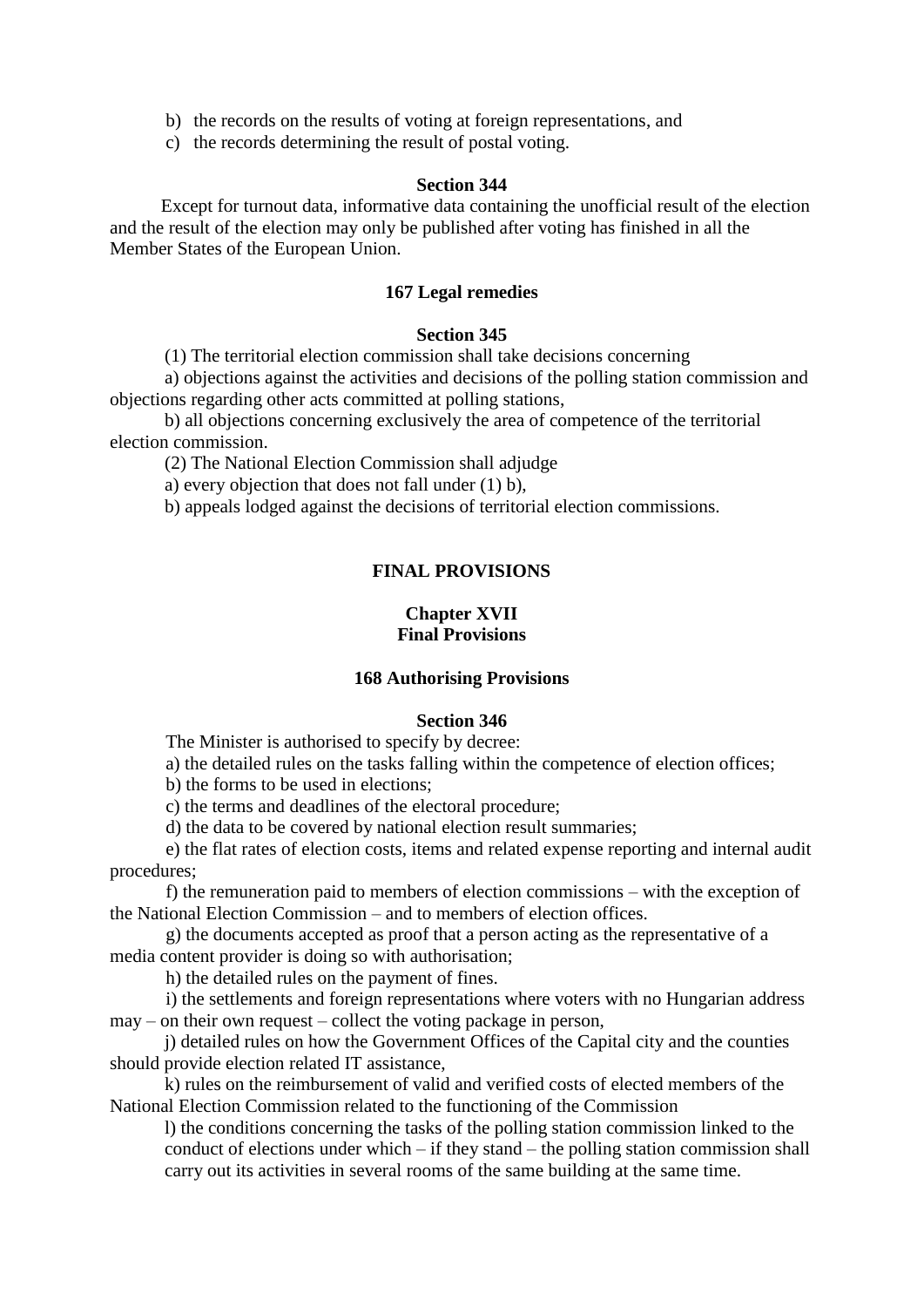- b) the records on the results of voting at foreign representations, and
- c) the records determining the result of postal voting.

### **Section 344**

 Except for turnout data, informative data containing the unofficial result of the election and the result of the election may only be published after voting has finished in all the Member States of the European Union.

### **167 Legal remedies**

### **Section 345**

(1) The territorial election commission shall take decisions concerning

a) objections against the activities and decisions of the polling station commission and objections regarding other acts committed at polling stations,

b) all objections concerning exclusively the area of competence of the territorial election commission.

(2) The National Election Commission shall adjudge

a) every objection that does not fall under (1) b),

b) appeals lodged against the decisions of territorial election commissions.

### **FINAL PROVISIONS**

## **Chapter XVII Final Provisions**

#### **168 Authorising Provisions**

### **Section 346**

The Minister is authorised to specify by decree:

a) the detailed rules on the tasks falling within the competence of election offices;

b) the forms to be used in elections;

c) the terms and deadlines of the electoral procedure;

d) the data to be covered by national election result summaries;

 e) the flat rates of election costs, items and related expense reporting and internal audit procedures;

 f) the remuneration paid to members of election commissions – with the exception of the National Election Commission – and to members of election offices.

 g) the documents accepted as proof that a person acting as the representative of a media content provider is doing so with authorisation;

h) the detailed rules on the payment of fines.

 i) the settlements and foreign representations where voters with no Hungarian address may – on their own request – collect the voting package in person,

j) detailed rules on how the Government Offices of the Capital city and the counties should provide election related IT assistance,

k) rules on the reimbursement of valid and verified costs of elected members of the National Election Commission related to the functioning of the Commission

l) the conditions concerning the tasks of the polling station commission linked to the conduct of elections under which – if they stand – the polling station commission shall carry out its activities in several rooms of the same building at the same time.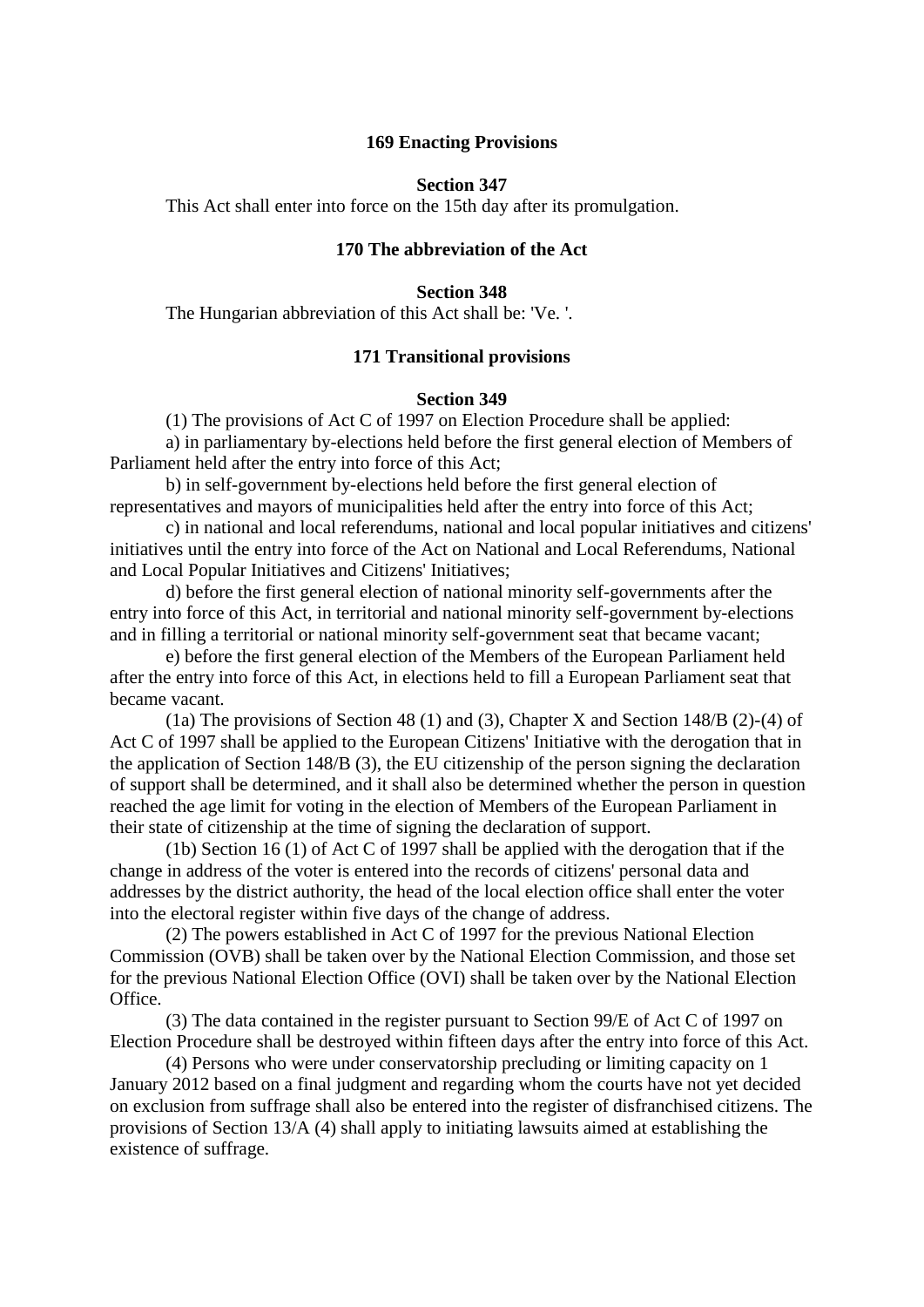### **169 Enacting Provisions**

#### **Section 347**

This Act shall enter into force on the 15th day after its promulgation.

# **170 The abbreviation of the Act**

### **Section 348**

The Hungarian abbreviation of this Act shall be: 'Ve. '.

### **171 Transitional provisions**

### **Section 349**

(1) The provisions of Act C of 1997 on Election Procedure shall be applied:

 a) in parliamentary by-elections held before the first general election of Members of Parliament held after the entry into force of this Act;

 b) in self-government by-elections held before the first general election of representatives and mayors of municipalities held after the entry into force of this Act;

 c) in national and local referendums, national and local popular initiatives and citizens' initiatives until the entry into force of the Act on National and Local Referendums, National and Local Popular Initiatives and Citizens' Initiatives;

 d) before the first general election of national minority self-governments after the entry into force of this Act, in territorial and national minority self-government by-elections and in filling a territorial or national minority self-government seat that became vacant;

 e) before the first general election of the Members of the European Parliament held after the entry into force of this Act, in elections held to fill a European Parliament seat that became vacant.

 (1a) The provisions of Section 48 (1) and (3), Chapter X and Section 148/B (2)-(4) of Act C of 1997 shall be applied to the European Citizens' Initiative with the derogation that in the application of Section 148/B (3), the EU citizenship of the person signing the declaration of support shall be determined, and it shall also be determined whether the person in question reached the age limit for voting in the election of Members of the European Parliament in their state of citizenship at the time of signing the declaration of support.

 (1b) Section 16 (1) of Act C of 1997 shall be applied with the derogation that if the change in address of the voter is entered into the records of citizens' personal data and addresses by the district authority, the head of the local election office shall enter the voter into the electoral register within five days of the change of address.

 (2) The powers established in Act C of 1997 for the previous National Election Commission (OVB) shall be taken over by the National Election Commission, and those set for the previous National Election Office (OVI) shall be taken over by the National Election Office.

 (3) The data contained in the register pursuant to Section 99/E of Act C of 1997 on Election Procedure shall be destroyed within fifteen days after the entry into force of this Act.

 (4) Persons who were under conservatorship precluding or limiting capacity on 1 January 2012 based on a final judgment and regarding whom the courts have not yet decided on exclusion from suffrage shall also be entered into the register of disfranchised citizens. The provisions of Section 13/A (4) shall apply to initiating lawsuits aimed at establishing the existence of suffrage.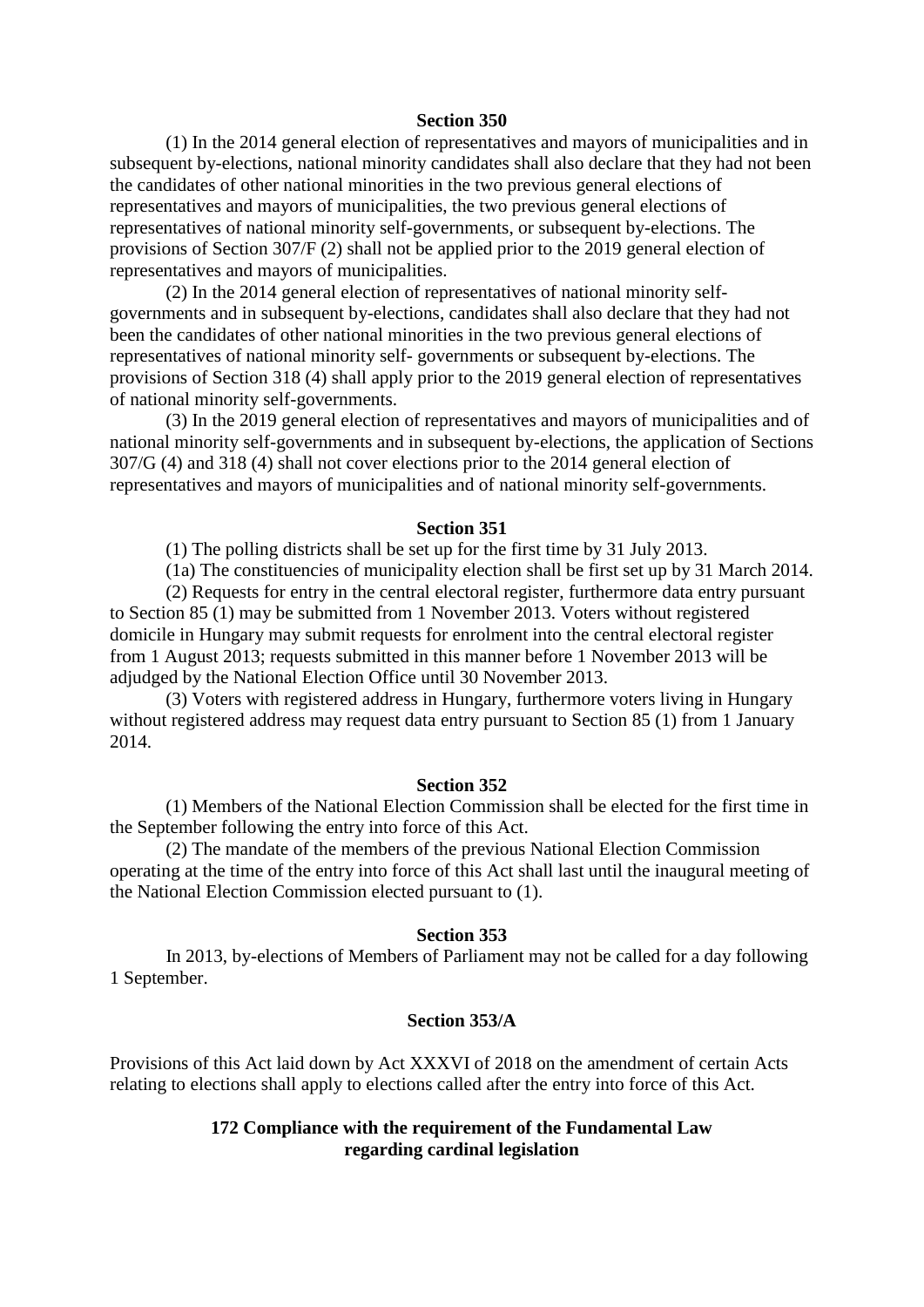#### **Section 350**

 (1) In the 2014 general election of representatives and mayors of municipalities and in subsequent by-elections, national minority candidates shall also declare that they had not been the candidates of other national minorities in the two previous general elections of representatives and mayors of municipalities, the two previous general elections of representatives of national minority self-governments, or subsequent by-elections. The provisions of Section 307/F (2) shall not be applied prior to the 2019 general election of representatives and mayors of municipalities.

 (2) In the 2014 general election of representatives of national minority selfgovernments and in subsequent by-elections, candidates shall also declare that they had not been the candidates of other national minorities in the two previous general elections of representatives of national minority self- governments or subsequent by-elections. The provisions of Section 318 (4) shall apply prior to the 2019 general election of representatives of national minority self-governments.

 (3) In the 2019 general election of representatives and mayors of municipalities and of national minority self-governments and in subsequent by-elections, the application of Sections 307/G (4) and 318 (4) shall not cover elections prior to the 2014 general election of representatives and mayors of municipalities and of national minority self-governments.

#### **Section 351**

(1) The polling districts shall be set up for the first time by 31 July 2013.

(1a) The constituencies of municipality election shall be first set up by 31 March 2014.

 (2) Requests for entry in the central electoral register, furthermore data entry pursuant to Section 85 (1) may be submitted from 1 November 2013. Voters without registered domicile in Hungary may submit requests for enrolment into the central electoral register from 1 August 2013; requests submitted in this manner before 1 November 2013 will be adjudged by the National Election Office until 30 November 2013.

 (3) Voters with registered address in Hungary, furthermore voters living in Hungary without registered address may request data entry pursuant to Section 85 (1) from 1 January 2014.

#### **Section 352**

 (1) Members of the National Election Commission shall be elected for the first time in the September following the entry into force of this Act.

 (2) The mandate of the members of the previous National Election Commission operating at the time of the entry into force of this Act shall last until the inaugural meeting of the National Election Commission elected pursuant to (1).

## **Section 353**

 In 2013, by-elections of Members of Parliament may not be called for a day following 1 September.

#### **Section 353/A**

Provisions of this Act laid down by Act XXXVI of 2018 on the amendment of certain Acts relating to elections shall apply to elections called after the entry into force of this Act.

## **172 Compliance with the requirement of the Fundamental Law regarding cardinal legislation**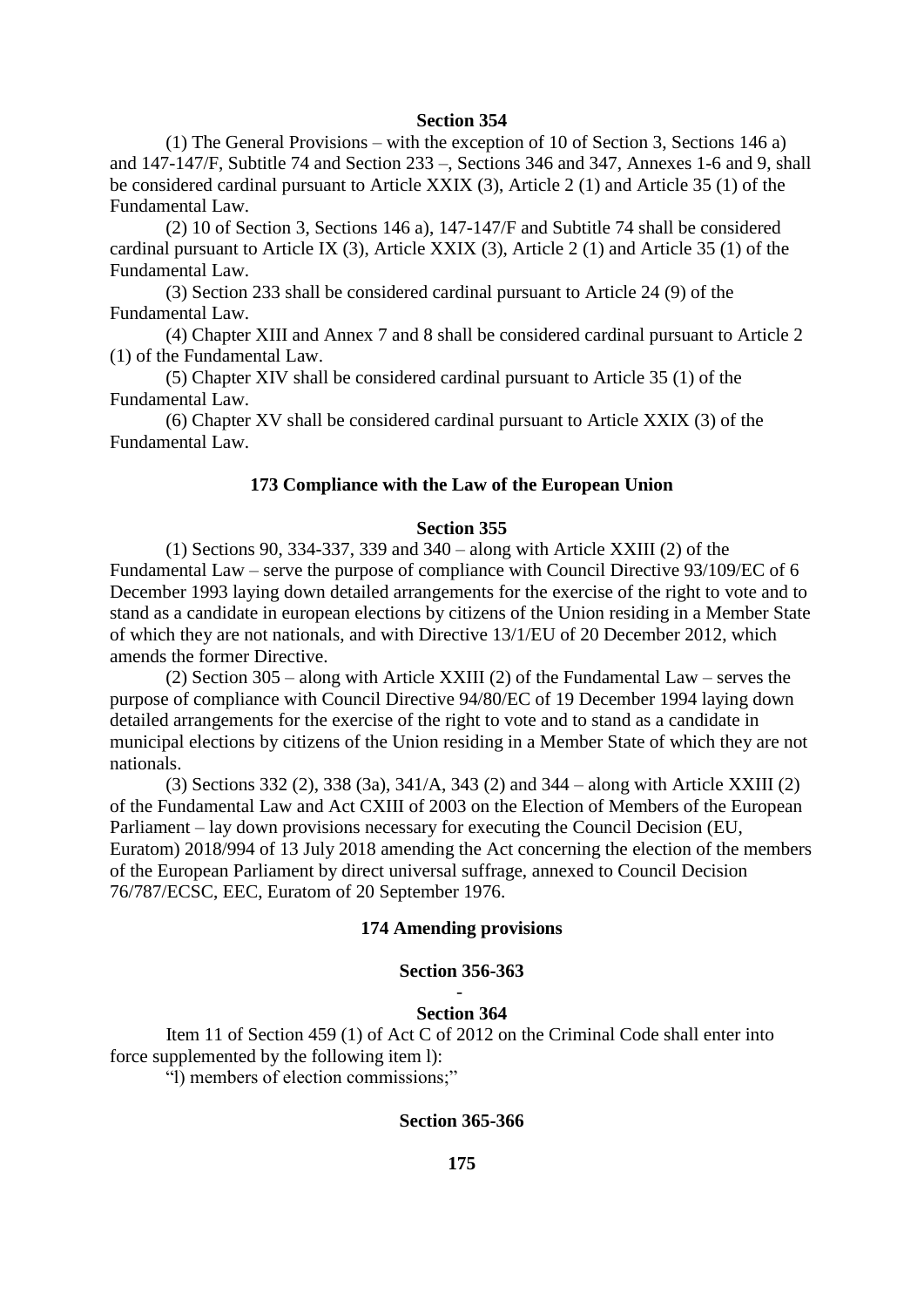#### **Section 354**

 (1) The General Provisions – with the exception of 10 of Section 3, Sections 146 a) and 147-147/F, Subtitle 74 and Section 233 –, Sections 346 and 347, Annexes 1-6 and 9, shall be considered cardinal pursuant to Article XXIX (3), Article 2 (1) and Article 35 (1) of the Fundamental Law.

 (2) 10 of Section 3, Sections 146 a), 147-147/F and Subtitle 74 shall be considered cardinal pursuant to Article IX (3), Article XXIX (3), Article 2 (1) and Article 35 (1) of the Fundamental Law.

 (3) Section 233 shall be considered cardinal pursuant to Article 24 (9) of the Fundamental Law.

 (4) Chapter XIII and Annex 7 and 8 shall be considered cardinal pursuant to Article 2 (1) of the Fundamental Law.

 (5) Chapter XIV shall be considered cardinal pursuant to Article 35 (1) of the Fundamental Law.

 (6) Chapter XV shall be considered cardinal pursuant to Article XXIX (3) of the Fundamental Law.

## **173 Compliance with the Law of the European Union**

#### **Section 355**

 (1) Sections 90, 334-337, 339 and 340 – along with Article XXIII (2) of the Fundamental Law – serve the purpose of compliance with Council Directive 93/109/EC of 6 December 1993 laying down detailed arrangements for the exercise of the right to vote and to stand as a candidate in european elections by citizens of the Union residing in a Member State of which they are not nationals, and with Directive 13/1/EU of 20 December 2012, which amends the former Directive.

 (2) Section 305 – along with Article XXIII (2) of the Fundamental Law – serves the purpose of compliance with Council Directive 94/80/EC of 19 December 1994 laying down detailed arrangements for the exercise of the right to vote and to stand as a candidate in municipal elections by citizens of the Union residing in a Member State of which they are not nationals.

 (3) Sections 332 (2), 338 (3a), 341/A, 343 (2) and 344 – along with Article XXIII (2) of the Fundamental Law and Act CXIII of 2003 on the Election of Members of the European Parliament – lay down provisions necessary for executing the Council Decision (EU, Euratom) 2018/994 of 13 July 2018 amending the Act concerning the election of the members of the European Parliament by direct universal suffrage, annexed to Council Decision 76/787/ECSC, EEC, Euratom of 20 September 1976.

### **174 Amending provisions**

#### **Section 356-363**

### - **Section 364**

 Item 11 of Section 459 (1) of Act C of 2012 on the Criminal Code shall enter into force supplemented by the following item l):

"l) members of election commissions;"

#### **Section 365-366**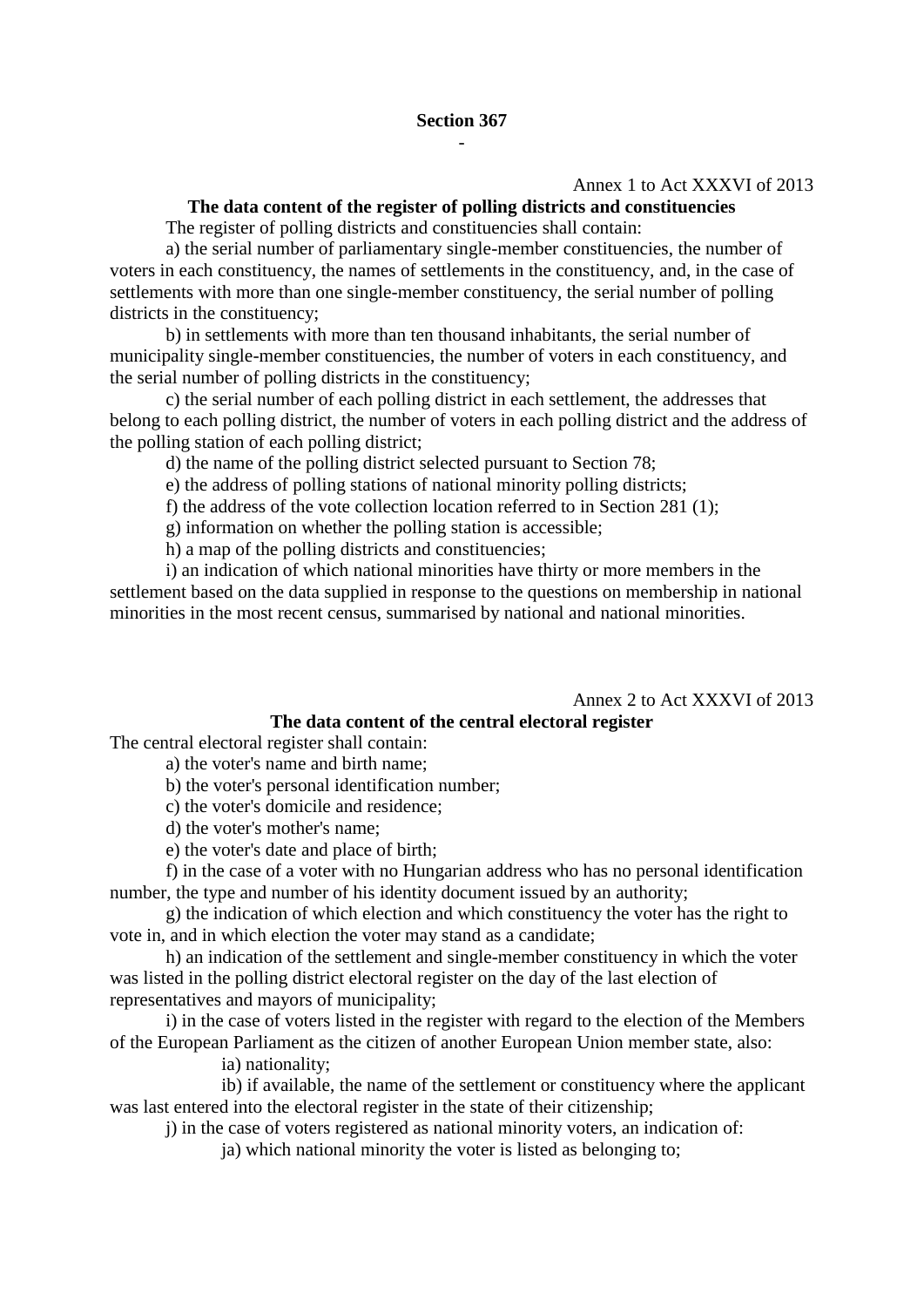## Annex 1 to Act XXXVI of 2013

#### **The data content of the register of polling districts and constituencies**

The register of polling districts and constituencies shall contain:

 a) the serial number of parliamentary single-member constituencies, the number of voters in each constituency, the names of settlements in the constituency, and, in the case of settlements with more than one single-member constituency, the serial number of polling districts in the constituency;

 b) in settlements with more than ten thousand inhabitants, the serial number of municipality single-member constituencies, the number of voters in each constituency, and the serial number of polling districts in the constituency;

 c) the serial number of each polling district in each settlement, the addresses that belong to each polling district, the number of voters in each polling district and the address of the polling station of each polling district;

d) the name of the polling district selected pursuant to Section 78;

e) the address of polling stations of national minority polling districts;

f) the address of the vote collection location referred to in Section 281 (1);

g) information on whether the polling station is accessible;

h) a map of the polling districts and constituencies;

 i) an indication of which national minorities have thirty or more members in the settlement based on the data supplied in response to the questions on membership in national minorities in the most recent census, summarised by national and national minorities.

Annex 2 to Act XXXVI of 2013

# **The data content of the central electoral register**

The central electoral register shall contain:

a) the voter's name and birth name;

b) the voter's personal identification number;

c) the voter's domicile and residence;

d) the voter's mother's name;

e) the voter's date and place of birth;

 f) in the case of a voter with no Hungarian address who has no personal identification number, the type and number of his identity document issued by an authority;

 g) the indication of which election and which constituency the voter has the right to vote in, and in which election the voter may stand as a candidate;

 h) an indication of the settlement and single-member constituency in which the voter was listed in the polling district electoral register on the day of the last election of representatives and mayors of municipality;

 i) in the case of voters listed in the register with regard to the election of the Members of the European Parliament as the citizen of another European Union member state, also:

ia) nationality;

 ib) if available, the name of the settlement or constituency where the applicant was last entered into the electoral register in the state of their citizenship;

j) in the case of voters registered as national minority voters, an indication of:

ja) which national minority the voter is listed as belonging to;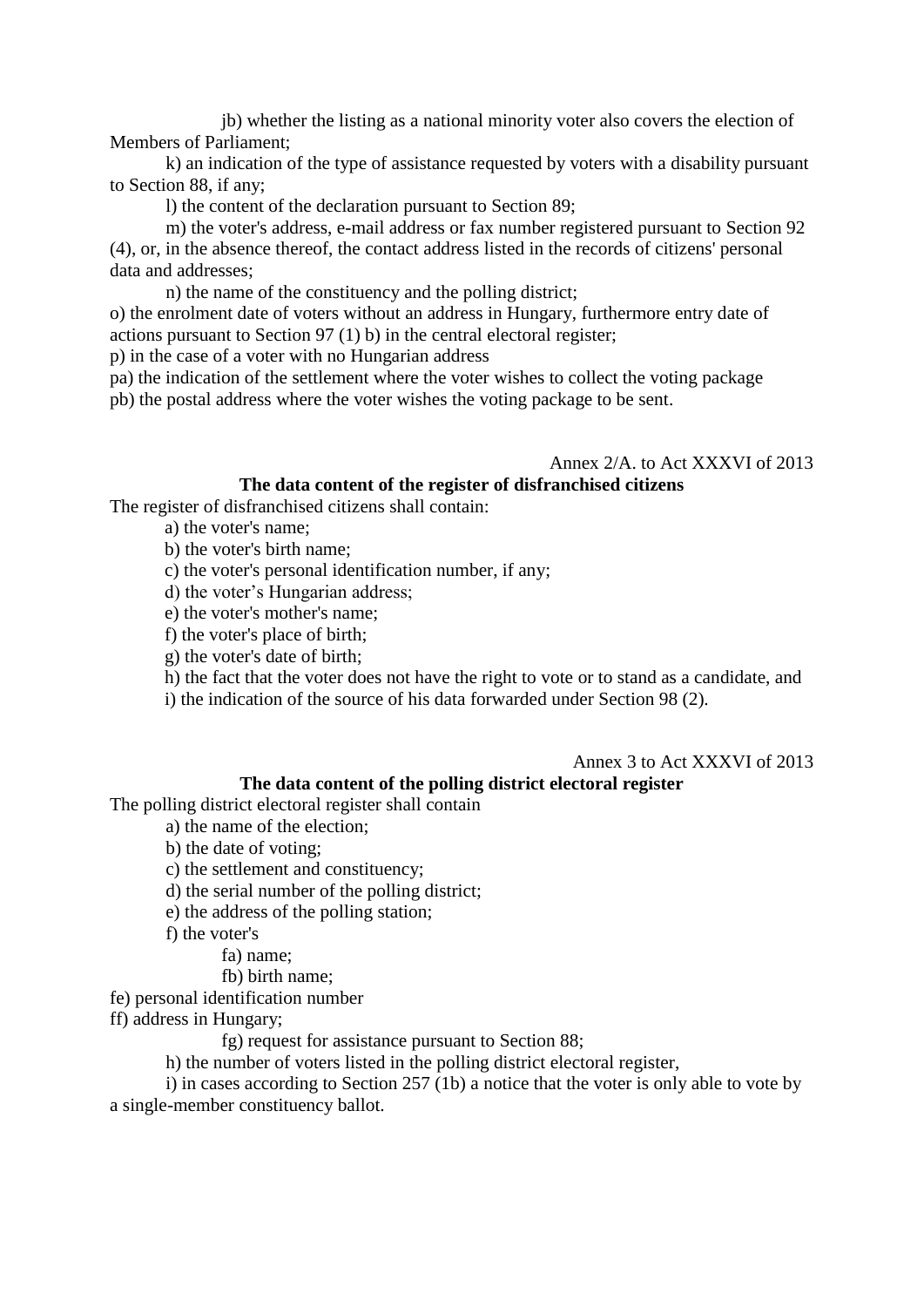jb) whether the listing as a national minority voter also covers the election of Members of Parliament;

 k) an indication of the type of assistance requested by voters with a disability pursuant to Section 88, if any;

l) the content of the declaration pursuant to Section 89;

 m) the voter's address, e-mail address or fax number registered pursuant to Section 92 (4), or, in the absence thereof, the contact address listed in the records of citizens' personal data and addresses;

n) the name of the constituency and the polling district;

o) the enrolment date of voters without an address in Hungary, furthermore entry date of actions pursuant to Section 97 (1) b) in the central electoral register;

p) in the case of a voter with no Hungarian address

pa) the indication of the settlement where the voter wishes to collect the voting package pb) the postal address where the voter wishes the voting package to be sent.

### Annex 2/A. to Act XXXVI of 2013

### **The data content of the register of disfranchised citizens**

The register of disfranchised citizens shall contain:

a) the voter's name;

b) the voter's birth name;

c) the voter's personal identification number, if any;

d) the voter's Hungarian address;

e) the voter's mother's name;

f) the voter's place of birth;

g) the voter's date of birth;

h) the fact that the voter does not have the right to vote or to stand as a candidate, and

i) the indication of the source of his data forwarded under Section 98 (2).

### Annex 3 to Act XXXVI of 2013

#### **The data content of the polling district electoral register**

The polling district electoral register shall contain

a) the name of the election;

b) the date of voting;

c) the settlement and constituency;

- d) the serial number of the polling district;
- e) the address of the polling station;

f) the voter's

fa) name;

fb) birth name;

fe) personal identification number

ff) address in Hungary;

fg) request for assistance pursuant to Section 88;

h) the number of voters listed in the polling district electoral register,

 i) in cases according to Section 257 (1b) a notice that the voter is only able to vote by a single-member constituency ballot.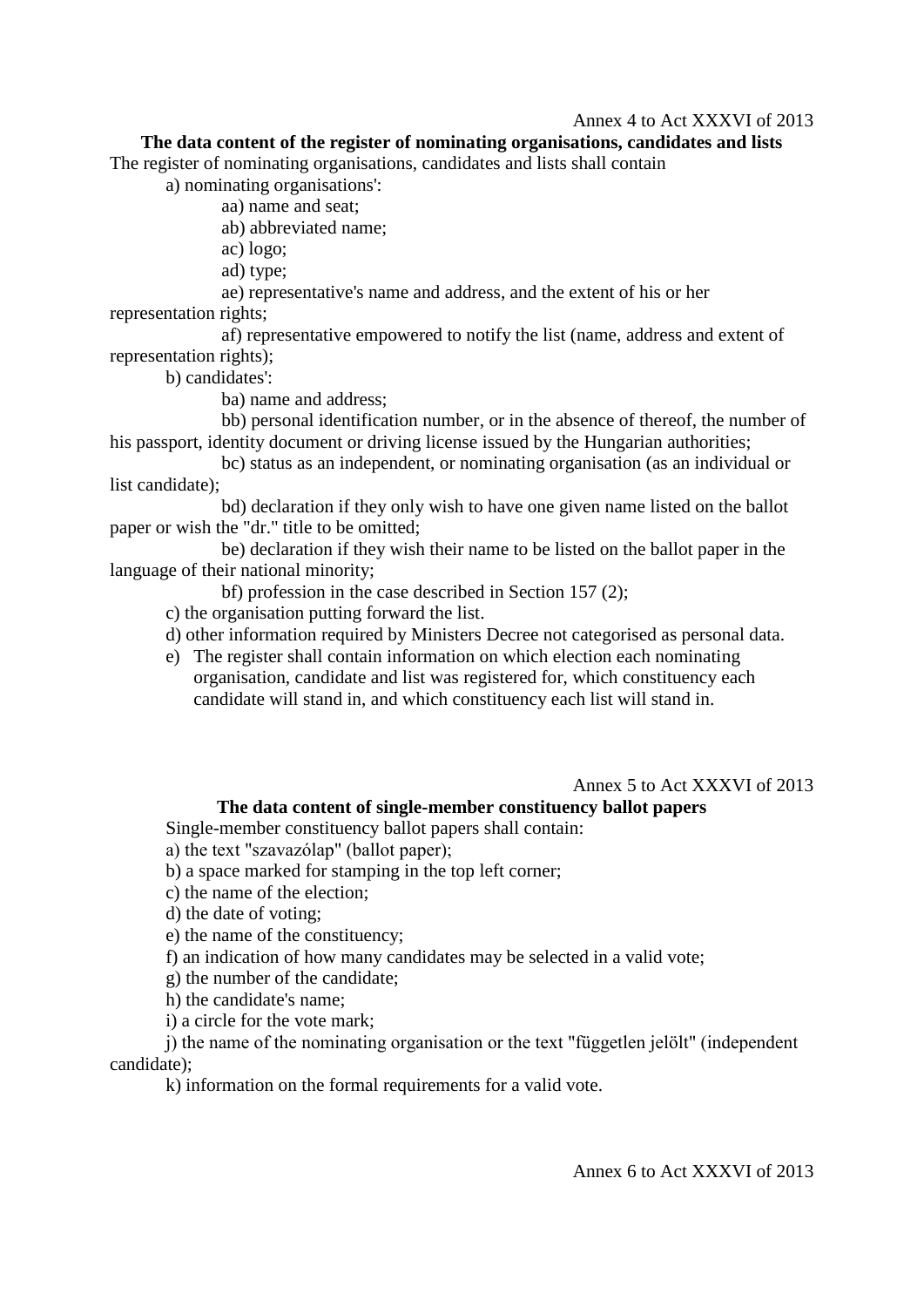### Annex 4 to Act XXXVI of 2013

## **The data content of the register of nominating organisations, candidates and lists**

The register of nominating organisations, candidates and lists shall contain

a) nominating organisations':

aa) name and seat;

ab) abbreviated name;

ac) logo;

ad) type;

 ae) representative's name and address, and the extent of his or her representation rights;

 af) representative empowered to notify the list (name, address and extent of representation rights);

b) candidates':

ba) name and address;

 bb) personal identification number, or in the absence of thereof, the number of his passport, identity document or driving license issued by the Hungarian authorities;

 bc) status as an independent, or nominating organisation (as an individual or list candidate);

 bd) declaration if they only wish to have one given name listed on the ballot paper or wish the "dr." title to be omitted;

 be) declaration if they wish their name to be listed on the ballot paper in the language of their national minority;

bf) profession in the case described in Section 157 (2);

c) the organisation putting forward the list.

d) other information required by Ministers Decree not categorised as personal data.

e) The register shall contain information on which election each nominating organisation, candidate and list was registered for, which constituency each candidate will stand in, and which constituency each list will stand in.

Annex 5 to Act XXXVI of 2013

## **The data content of single-member constituency ballot papers**

Single-member constituency ballot papers shall contain:

a) the text "szavazólap" (ballot paper);

b) a space marked for stamping in the top left corner;

c) the name of the election;

d) the date of voting;

e) the name of the constituency;

f) an indication of how many candidates may be selected in a valid vote;

g) the number of the candidate;

h) the candidate's name;

i) a circle for the vote mark;

 j) the name of the nominating organisation or the text "független jelölt" (independent candidate);

k) information on the formal requirements for a valid vote.

Annex 6 to Act XXXVI of 2013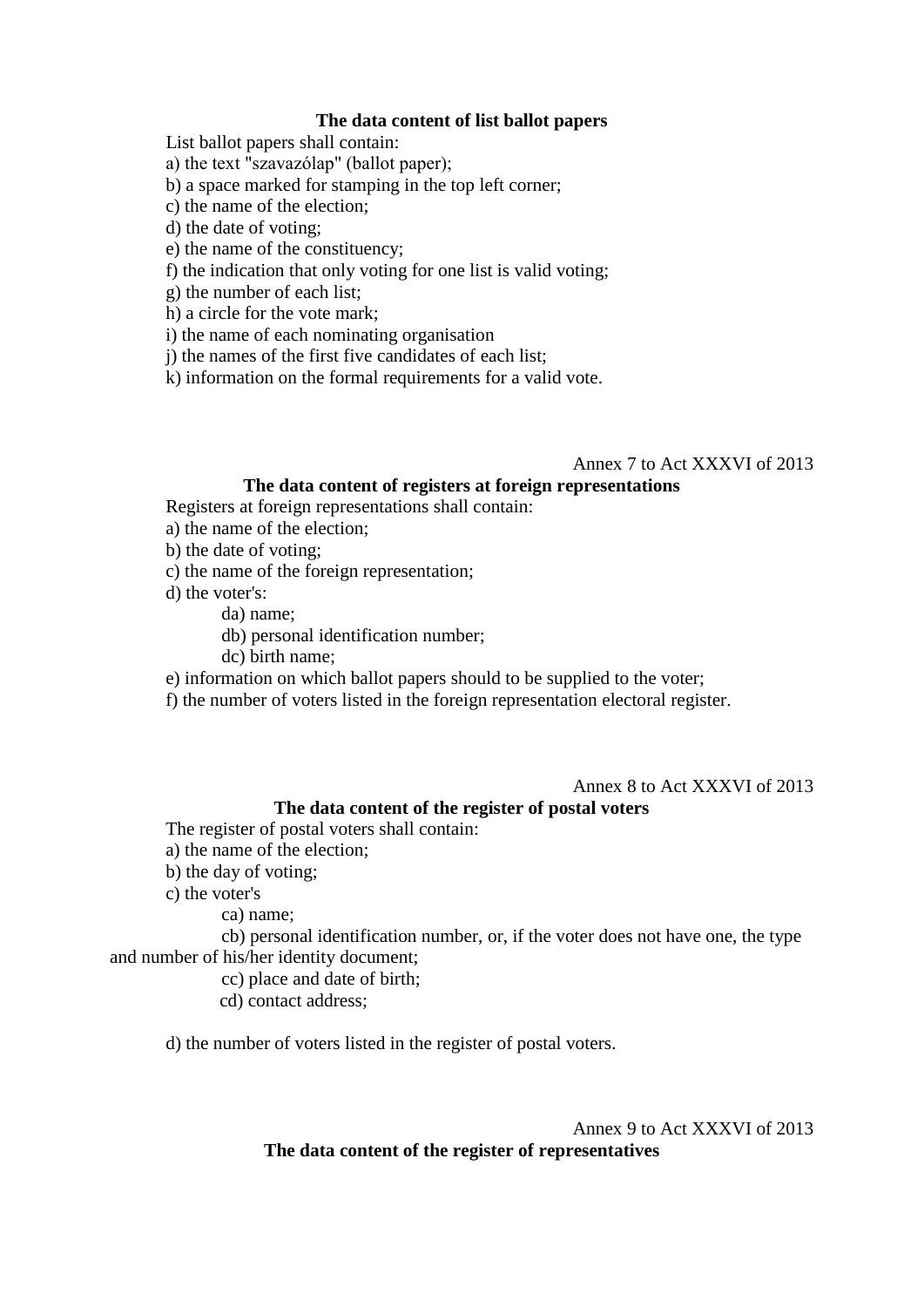### **The data content of list ballot papers**

List ballot papers shall contain:

a) the text "szavazólap" (ballot paper);

b) a space marked for stamping in the top left corner;

c) the name of the election;

d) the date of voting;

e) the name of the constituency;

f) the indication that only voting for one list is valid voting;

g) the number of each list;

h) a circle for the vote mark;

i) the name of each nominating organisation

j) the names of the first five candidates of each list;

k) information on the formal requirements for a valid vote.

### Annex 7 to Act XXXVI of 2013

## **The data content of registers at foreign representations**

Registers at foreign representations shall contain:

a) the name of the election;

b) the date of voting;

c) the name of the foreign representation;

d) the voter's:

da) name;

db) personal identification number;

dc) birth name;

e) information on which ballot papers should to be supplied to the voter;

f) the number of voters listed in the foreign representation electoral register.

Annex 8 to Act XXXVI of 2013

## **The data content of the register of postal voters**

The register of postal voters shall contain:

a) the name of the election;

b) the day of voting;

c) the voter's

ca) name;

 cb) personal identification number, or, if the voter does not have one, the type and number of his/her identity document;

cc) place and date of birth;

cd) contact address;

d) the number of voters listed in the register of postal voters.

Annex 9 to Act XXXVI of 2013

**The data content of the register of representatives**